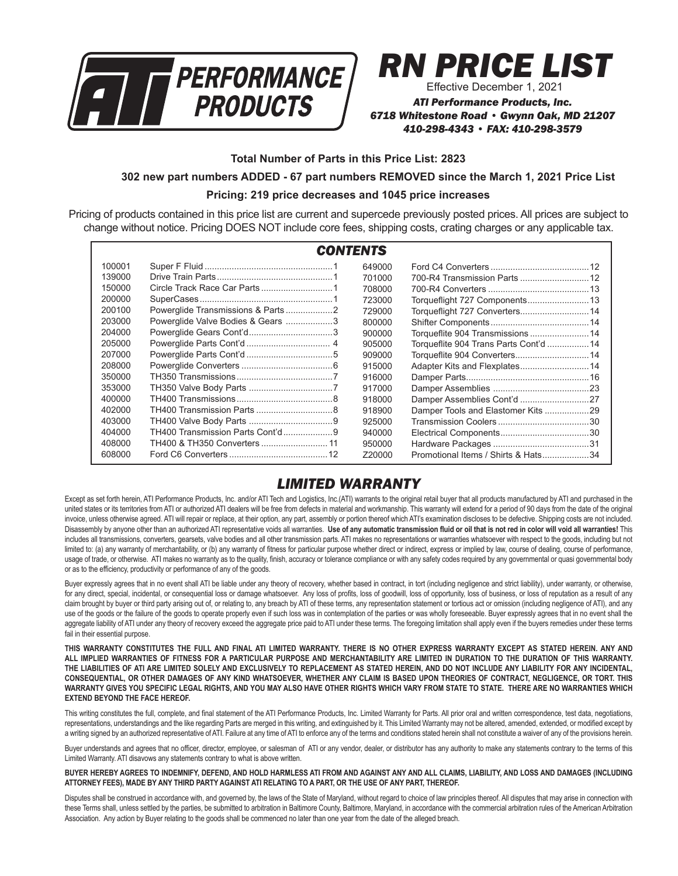

# *RN PRICE LIST*

Effective December 1, 2021

*ATI Performance Products, Inc. 6718 Whitestone Road • Gwynn Oak, MD 21207 410-298-4343 • FAX: 410-298-3579*

**Total Number of Parts in this Price List: 2823**

#### **302 new part numbers ADDED - 67 part numbers REMOVED since the March 1, 2021 Price List**

#### **Pricing: 219 price decreases and 1045 price increases**

Pricing of products contained in this price list are current and supercede previously posted prices. All prices are subject to change without notice. Pricing DOES NOT include core fees, shipping costs, crating charges or any applicable tax.

| <b>CONTENTS</b> |                                   |        |                                        |  |  |  |
|-----------------|-----------------------------------|--------|----------------------------------------|--|--|--|
| 100001          |                                   | 649000 |                                        |  |  |  |
| 139000          |                                   | 701000 |                                        |  |  |  |
| 150000          |                                   | 708000 |                                        |  |  |  |
| 200000          |                                   | 723000 | Torqueflight 727 Components 13         |  |  |  |
| 200100          |                                   | 729000 | Torqueflight 727 Converters 14         |  |  |  |
| 203000          | Powerglide Valve Bodies & Gears 3 | 800000 |                                        |  |  |  |
| 204000          |                                   | 900000 |                                        |  |  |  |
| 205000          |                                   | 905000 | Torqueflite 904 Trans Parts Cont'd  14 |  |  |  |
| 207000          |                                   | 909000 | Torqueflite 904 Converters 14          |  |  |  |
| 208000          |                                   | 915000 |                                        |  |  |  |
| 350000          |                                   | 916000 |                                        |  |  |  |
| 353000          |                                   | 917000 |                                        |  |  |  |
| 400000          |                                   | 918000 | Damper Assemblies Cont'd 27            |  |  |  |
| 402000          |                                   | 918900 | Damper Tools and Elastomer Kits 29     |  |  |  |
| 403000          |                                   | 925000 |                                        |  |  |  |
| 404000          | TH400 Transmission Parts Cont'd9  | 940000 |                                        |  |  |  |
| 408000          |                                   | 950000 |                                        |  |  |  |
| 608000          |                                   | Z20000 | Promotional Items / Shirts & Hats34    |  |  |  |

# *LIMITED WARRANTY*

Except as set forth herein, ATI Performance Products, Inc. and/or ATI Tech and Logistics, Inc.(ATI) warrants to the original retail buyer that all products manufactured by ATI and purchased in the united states or its territories from ATI or authorized ATI dealers will be free from defects in material and workmanship. This warranty will extend for a period of 90 days from the date of the original invoice, unless otherwise agreed. ATI will repair or replace, at their option, any part, assembly or portion thereof which ATI's examination discloses to be defective. Shipping costs are not included. Disassembly by anyone other than an authorized ATI representative voids all warranties. **Use of any automatic transmission fluid or oil that is not red in color will void all warranties!** This includes all transmissions, converters, gearsets, valve bodies and all other transmission parts. ATI makes no representations or warranties whatsoever with respect to the goods, including but not limited to: (a) any warranty of merchantability, or (b) any warranty of fitness for particular purpose whether direct or indirect, express or implied by law, course of dealing, course of performance, usage of trade, or otherwise. ATI makes no warranty as to the quality, finish, accuracy or tolerance compliance or with any safety codes required by any governmental or quasi governmental body or as to the efficiency, productivity or performance of any of the goods.

Buyer expressly agrees that in no event shall ATI be liable under any theory of recovery, whether based in contract, in tort (including negligence and strict liability), under warranty, or otherwise, for any direct, special, incidental, or consequential loss or damage whatsoever. Any loss of profits, loss of goodwill, loss of opportunity, loss of business, or loss of reputation as a result of any claim brought by buyer or third party arising out of, or relating to, any breach by ATI of these terms, any representation statement or tortious act or omission (including negligence of ATI), and any use of the goods or the failure of the goods to operate properly even if such loss was in contemplation of the parties or was wholly foreseeable. Buyer expressly agrees that in no event shall the aggregate liability of ATI under any theory of recovery exceed the aggregate price paid to ATI under these terms. The foregoing limitation shall apply even if the buyers remedies under these terms fail in their essential purpose.

**THIS WARRANTY CONSTITUTES THE FULL AND FINAL ATI LIMITED WARRANTY. THERE IS NO OTHER EXPRESS WARRANTY EXCEPT AS STATED HEREIN. ANY AND ALL IMPLIED WARRANTIES OF FITNESS FOR A PARTICULAR PURPOSE AND MERCHANTABILITY ARE LIMITED IN DURATION TO THE DURATION OF THIS WARRANTY. THE LIABILITIES OF ATI ARE LIMITED SOLELY AND EXCLUSIVELY TO REPLACEMENT AS STATED HEREIN, AND DO NOT INCLUDE ANY LIABILITY FOR ANY INCIDENTAL, CONSEQUENTIAL, OR OTHER DAMAGES OF ANY KIND WHATSOEVER, WHETHER ANY CLAIM IS BASED UPON THEORIES OF CONTRACT, NEGLIGENCE, OR TORT. THIS WARRANTY GIVES YOU SPECIFIC LEGAL RIGHTS, AND YOU MAY ALSO HAVE OTHER RIGHTS WHICH VARY FROM STATE TO STATE. THERE ARE NO WARRANTIES WHICH EXTEND BEYOND THE FACE HEREOF.**

This writing constitutes the full, complete, and final statement of the ATI Performance Products, Inc. Limited Warranty for Parts. All prior oral and written correspondence, test data, negotiations, representations, understandings and the like regarding Parts are merged in this writing, and extinguished by it. This Limited Warranty may not be altered, amended, extended, or modified except by a writing signed by an authorized representative of ATI. Failure at any time of ATI to enforce any of the terms and conditions stated herein shall not constitute a waiver of any of the provisions herein.

Buyer understands and agrees that no officer, director, employee, or salesman of ATI or any vendor, dealer, or distributor has any authority to make any statements contrary to the terms of this Limited Warranty. ATI disavows any statements contrary to what is above written.

#### **BUYER HEREBY AGREES TO INDEMNIFY, DEFEND, AND HOLD HARMLESS ATI FROM AND AGAINST ANY AND ALL CLAIMS, LIABILITY, AND LOSS AND DAMAGES (INCLUDING ATTORNEY FEES), MADE BY ANY THIRD PARTY AGAINST ATI RELATING TO A PART, OR THE USE OF ANY PART, THEREOF.**

Disputes shall be construed in accordance with, and governed by, the laws of the State of Maryland, without regard to choice of law principles thereof. All disputes that may arise in connection with these Terms shall, unless settled by the parties, be submitted to arbitration in Baltimore County, Baltimore, Maryland, in accordance with the commercial arbitration rules of the American Arbitration Association. Any action by Buyer relating to the goods shall be commenced no later than one year from the date of the alleged breach.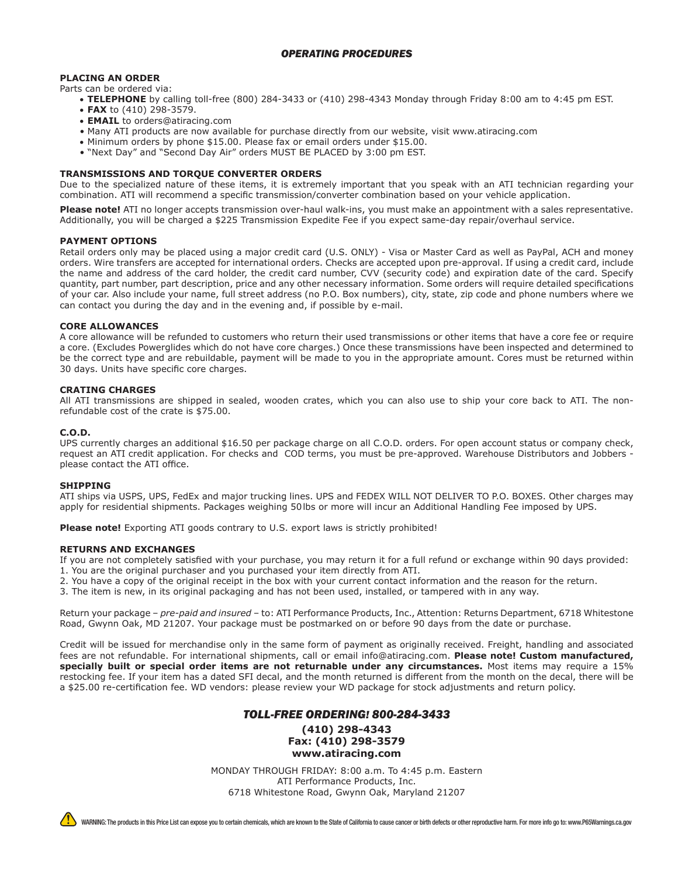#### **PLACING AN ORDER**

Parts can be ordered via:

- • **TELEPHONE** by calling toll-free (800) 284-3433 or (410) 298-4343 Monday through Friday 8:00 am to 4:45 pm EST. • **FAX** to (410) 298-3579.
	- • **EMAIL** to orders@atiracing.com
	- Many ATI products are now available for purchase directly from our website, visit www.atiracing.com
- • Minimum orders by phone \$15.00. Please fax or email orders under \$15.00.
- "Next Day" and "Second Day Air" orders MUST BE PLACED by 3:00 pm EST.

#### **TRANSMISSIONS AND TORQUE CONVERTER ORDERS**

Due to the specialized nature of these items, it is extremely important that you speak with an ATI technician regarding your combination. ATI will recommend a specific transmission/converter combination based on your vehicle application.

**Please note!** ATI no longer accepts transmission over-haul walk-ins, you must make an appointment with a sales representative. Additionally, you will be charged a \$225 Transmission Expedite Fee if you expect same-day repair/overhaul service.

#### **PAYMENT OPTIONS**

Retail orders only may be placed using a major credit card (U.S. ONLY) - Visa or Master Card as well as PayPal, ACH and money orders. Wire transfers are accepted for international orders. Checks are accepted upon pre-approval. If using a credit card, include the name and address of the card holder, the credit card number, CVV (security code) and expiration date of the card. Specify quantity, part number, part description, price and any other necessary information. Some orders will require detailed specifications of your car. Also include your name, full street address (no P.O. Box numbers), city, state, zip code and phone numbers where we can contact you during the day and in the evening and, if possible by e-mail.

#### **CORE ALLOWANCES**

A core allowance will be refunded to customers who return their used transmissions or other items that have a core fee or require a core. (Excludes Powerglides which do not have core charges.) Once these transmissions have been inspected and determined to be the correct type and are rebuildable, payment will be made to you in the appropriate amount. Cores must be returned within 30 days. Units have specific core charges.

#### **CRATING CHARGES**

All ATI transmissions are shipped in sealed, wooden crates, which you can also use to ship your core back to ATI. The nonrefundable cost of the crate is \$75.00.

#### **C.O.D.**

UPS currently charges an additional \$16.50 per package charge on all C.O.D. orders. For open account status or company check, request an ATI credit application. For checks and COD terms, you must be pre-approved. Warehouse Distributors and Jobbers please contact the ATI office.

#### **SHIPPING**

ATI ships via USPS, UPS, FedEx and major trucking lines. UPS and FEDEX WILL NOT DELIVER TO P.O. BOXES. Other charges may apply for residential shipments. Packages weighing 50lbs or more will incur an Additional Handling Fee imposed by UPS.

**Please note!** Exporting ATI goods contrary to U.S. export laws is strictly prohibited!

#### **RETURNS AND EXCHANGES**

If you are not completely satisfied with your purchase, you may return it for a full refund or exchange within 90 days provided:

- 1. You are the original purchaser and you purchased your item directly from ATI.
- 2. You have a copy of the original receipt in the box with your current contact information and the reason for the return.
- 3. The item is new, in its original packaging and has not been used, installed, or tampered with in any way.

Return your package – *pre-paid and insured* – to: ATI Performance Products, Inc., Attention: Returns Department, 6718 Whitestone Road, Gwynn Oak, MD 21207. Your package must be postmarked on or before 90 days from the date or purchase.

Credit will be issued for merchandise only in the same form of payment as originally received. Freight, handling and associated fees are not refundable. For international shipments, call or email info@atiracing.com. **Please note! Custom manufactured, specially built or special order items are not returnable under any circumstances.** Most items may require a 15% restocking fee. If your item has a dated SFI decal, and the month returned is different from the month on the decal, there will be a \$25.00 re-certification fee. WD vendors: please review your WD package for stock adjustments and return policy.

#### *TOLL-FREE ORDERING! 800-284-3433*

#### **(410) 298-4343 Fax: (410) 298-3579 www.atiracing.com**

MONDAY THROUGH FRIDAY: 8:00 a.m. To 4:45 p.m. Eastern ATI Performance Products, Inc. 6718 Whitestone Road, Gwynn Oak, Maryland 21207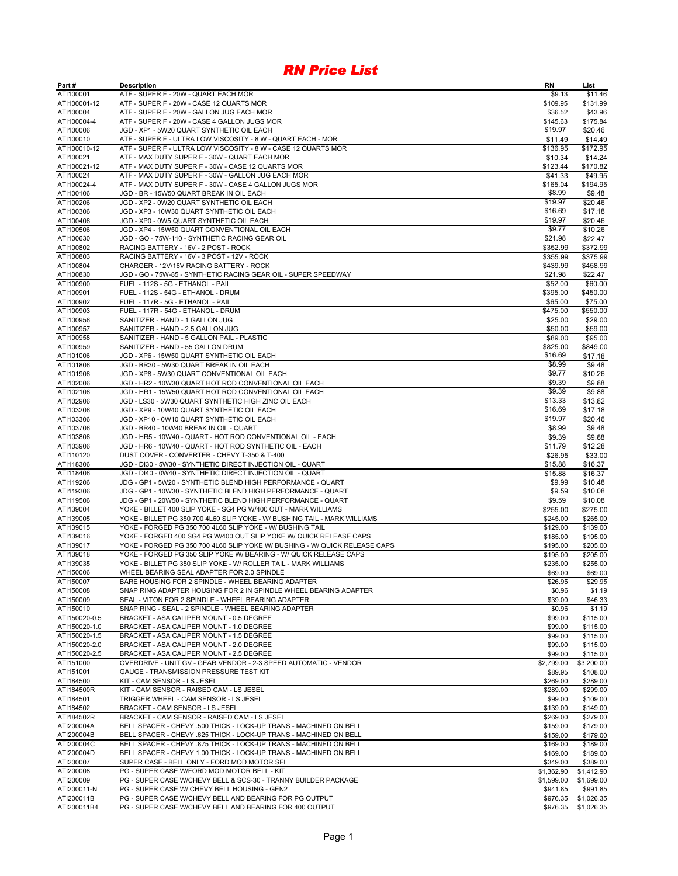| Part#                     | <b>Description</b>                                                                                                           | <b>RN</b>            | List                     |
|---------------------------|------------------------------------------------------------------------------------------------------------------------------|----------------------|--------------------------|
| ATI100001                 | ATF - SUPER F - 20W - QUART EACH MOR                                                                                         | \$9.13               | \$11.46                  |
| ATI100001-12              | ATF - SUPER F - 20W - CASE 12 QUARTS MOR                                                                                     | \$109.95             | \$131.99                 |
| ATI100004                 | ATF - SUPER F - 20W - GALLON JUG EACH MOR                                                                                    | \$36.52              | \$43.96                  |
| ATI100004-4               | ATF - SUPER F - 20W - CASE 4 GALLON JUGS MOR                                                                                 | \$145.63             | \$175.84                 |
| ATI100006                 | JGD - XP1 - 5W20 QUART SYNTHETIC OIL EACH                                                                                    | \$19.97              | \$20.46                  |
| ATI100010                 | ATF - SUPER F - ULTRA LOW VISCOSITY - 8 W - QUART EACH - MOR                                                                 | \$11.49              | \$14.49                  |
| ATI100010-12              | ATF - SUPER F - ULTRA LOW VISCOSITY - 8 W - CASE 12 QUARTS MOR                                                               | \$136.95             | \$172.95                 |
| ATI100021                 | ATF - MAX DUTY SUPER F - 30W - QUART EACH MOR                                                                                | \$10.34              | \$14.24                  |
| ATI100021-12              | ATF - MAX DUTY SUPER F - 30W - CASE 12 QUARTS MOR                                                                            | \$123.44             | \$170.82                 |
| ATI100024                 | ATF - MAX DUTY SUPER F - 30W - GALLON JUG EACH MOR                                                                           | \$41.33              | \$49.95<br>\$194.95      |
| ATI100024-4<br>ATI100106  | ATF - MAX DUTY SUPER F - 30W - CASE 4 GALLON JUGS MOR<br>JGD - BR - 15W50 QUART BREAK IN OIL EACH                            | \$165.04<br>\$8.99   | \$9.48                   |
| ATI100206                 | JGD - XP2 - 0W20 QUART SYNTHETIC OIL EACH                                                                                    | \$19.97              | \$20.46                  |
| ATI100306                 | JGD - XP3 - 10W30 QUART SYNTHETIC OIL EACH                                                                                   | \$16.69              | \$17.18                  |
| ATI100406                 | JGD - XP0 - 0W5 QUART SYNTHETIC OIL EACH                                                                                     | \$19.97              | \$20.46                  |
| ATI100506                 | JGD - XP4 - 15W50 QUART CONVENTIONAL OIL EACH                                                                                | \$9.77               | \$10.26                  |
| ATI100630                 | JGD - GO - 75W-110 - SYNTHETIC RACING GEAR OIL                                                                               | \$21.98              | \$22.47                  |
| ATI100802                 | RACING BATTERY - 16V - 2 POST - ROCK                                                                                         | \$352.99             | \$372.99                 |
| ATI100803                 | RACING BATTERY - 16V - 3 POST - 12V - ROCK                                                                                   | \$355.99             | \$375.99                 |
| ATI100804                 | CHARGER - 12V/16V RACING BATTERY - ROCK                                                                                      | \$439.99             | \$458.99                 |
| ATI100830                 | JGD - GO - 75W-85 - SYNTHETIC RACING GEAR OIL - SUPER SPEEDWAY                                                               | \$21.98              | \$22.47                  |
| ATI100900                 | FUEL - 112S - 5G - ETHANOL - PAIL                                                                                            | \$52.00              | \$60.00                  |
| ATI100901                 | FUEL - 112S - 54G - ETHANOL - DRUM                                                                                           | \$395.00             | \$450.00                 |
| ATI100902                 | FUEL - 117R - 5G - ETHANOL - PAIL                                                                                            | \$65.00              | \$75.00                  |
| ATI100903                 | FUEL - 117R - 54G - ETHANOL - DRUM                                                                                           | \$475.00             | \$550.00                 |
| ATI100956                 | SANITIZER - HAND - 1 GALLON JUG                                                                                              | \$25.00              | \$29.00                  |
| ATI100957                 | SANITIZER - HAND - 2.5 GALLON JUG                                                                                            | \$50.00              | \$59.00                  |
| ATI100958                 | SANITIZER - HAND - 5 GALLON PAIL - PLASTIC                                                                                   | \$89.00              | \$95.00                  |
| ATI100959                 | SANITIZER - HAND - 55 GALLON DRUM                                                                                            | \$825.00             | \$849.00                 |
| ATI101006                 | JGD - XP6 - 15W50 QUART SYNTHETIC OIL EACH                                                                                   | \$16.69              | \$17.18                  |
| ATI101806                 | JGD - BR30 - 5W30 QUART BREAK IN OIL EACH                                                                                    | \$8.99               | \$9.48                   |
| ATI101906                 | JGD - XP8 - 5W30 QUART CONVENTIONAL OIL EACH                                                                                 | \$9.77               | \$10.26                  |
| ATI102006                 | JGD - HR2 - 10W30 QUART HOT ROD CONVENTIONAL OIL EACH                                                                        | \$9.39               | \$9.88                   |
| ATI102106                 | JGD - HR1 - 15W50 QUART HOT ROD CONVENTIONAL OIL EACH                                                                        | \$9.39               | \$9.88                   |
| ATI102906                 | JGD - LS30 - 5W30 QUART SYNTHETIC HIGH ZINC OIL EACH                                                                         | \$13.33              | \$13.82                  |
| ATI103206                 | JGD - XP9 - 10W40 QUART SYNTHETIC OIL EACH                                                                                   | \$16.69              | \$17.18                  |
| ATI103306                 | JGD - XP10 - 0W10 QUART SYNTHETIC OIL EACH                                                                                   | \$19.97              | \$20.46                  |
| ATI103706                 | JGD - BR40 - 10W40 BREAK IN OIL - QUART                                                                                      | \$8.99               | \$9.48                   |
| ATI103806                 | JGD - HR5 - 10W40 - QUART - HOT ROD CONVENTIONAL OIL - EACH                                                                  | \$9.39               | \$9.88                   |
| ATI103906                 | JGD - HR6 - 10W40 - QUART - HOT ROD SYNTHETIC OIL - EACH                                                                     | \$11.79              | \$12.28                  |
| ATI110120                 | DUST COVER - CONVERTER - CHEVY T-350 & T-400                                                                                 | \$26.95              | \$33.00                  |
| ATI118306                 | JGD - DI30 - 5W30 - SYNTHETIC DIRECT INJECTION OIL - QUART                                                                   | \$15.88              | \$16.37                  |
| ATI118406                 | JGD - DI40 - 0W40 - SYNTHETIC DIRECT INJECTION OIL - QUART                                                                   | \$15.88              | \$16.37                  |
| ATI119206                 | JDG - GP1 - 5W20 - SYNTHETIC BLEND HIGH PERFORMANCE - QUART                                                                  | \$9.99<br>\$9.59     | \$10.48<br>\$10.08       |
| ATI119306<br>ATI119506    | JDG - GP1 - 10W30 - SYNTHETIC BLEND HIGH PERFORMANCE - QUART<br>JDG - GP1 - 20W50 - SYNTHETIC BLEND HIGH PERFORMANCE - QUART | \$9.59               | \$10.08                  |
| ATI139004                 | YOKE - BILLET 400 SLIP YOKE - SG4 PG W/400 OUT - MARK WILLIAMS                                                               | \$255.00             | \$275.00                 |
| ATI139005                 | YOKE - BILLET PG 350 700 4L60 SLIP YOKE - W/ BUSHING TAIL - MARK WILLIAMS                                                    | \$245.00             | \$265.00                 |
| ATI139015                 | YOKE - FORGED PG 350 700 4L60 SLIP YOKE - W/ BUSHING TAIL                                                                    | \$129.00             | \$139.00                 |
| ATI139016                 | YOKE - FORGED 400 SG4 PG W/400 OUT SLIP YOKE W/ QUICK RELEASE CAPS                                                           | \$185.00             | \$195.00                 |
| ATI139017                 | YOKE - FORGED PG 350 700 4L60 SLIP YOKE W/ BUSHING - W/ QUICK RELEASE CAPS                                                   | \$195.00             | \$205.00                 |
| ATI139018                 | YOKE - FORGED PG 350 SLIP YOKE W/ BEARING - W/ QUICK RELEASE CAPS                                                            | \$195.00             | \$205.00                 |
| ATI139035                 | YOKE - BILLET PG 350 SLIP YOKE - W/ ROLLER TAIL - MARK WILLIAMS                                                              | \$235.00             | \$255.00                 |
| ATI150006                 | WHEEL BEARING SEAL ADAPTER FOR 2.0 SPINDLE                                                                                   | \$69.00              | \$69.00                  |
| ATI150007                 | BARE HOUSING FOR 2 SPINDLE - WHEEL BEARING ADAPTER                                                                           | \$26.95              | \$29.95                  |
| ATI150008                 | SNAP RING ADAPTER HOUSING FOR 2 IN SPINDLE WHEEL BEARING ADAPTER                                                             | \$0.96               | \$1.19                   |
| ATI150009                 | SEAL - VITON FOR 2 SPINDLE - WHEEL BEARING ADAPTER                                                                           | \$39.00              | \$46.33                  |
| ATI150010                 | SNAP RING - SEAL - 2 SPINDLE - WHEEL BEARING ADAPTER                                                                         | \$0.96               | \$1.19                   |
| ATI150020-0.5             | BRACKET - ASA CALIPER MOUNT - 0.5 DEGREE                                                                                     | \$99.00              | \$115.00                 |
| ATI150020-1.0             | BRACKET - ASA CALIPER MOUNT - 1.0 DEGREE                                                                                     | \$99.00              | \$115.00                 |
| ATI150020-1.5             | BRACKET - ASA CALIPER MOUNT - 1.5 DEGREE                                                                                     | \$99.00              | \$115.00                 |
| ATI150020-2.0             | BRACKET - ASA CALIPER MOUNT - 2.0 DEGREE                                                                                     | \$99.00              | \$115.00                 |
| ATI150020-2.5             | BRACKET - ASA CALIPER MOUNT - 2.5 DEGREE                                                                                     | \$99.00              | \$115.00                 |
| ATI151000                 | OVERDRIVE - UNIT GV - GEAR VENDOR - 2-3 SPEED AUTOMATIC - VENDOR                                                             | \$2,799.00           | \$3,200.00               |
| ATI151001                 | <b>GAUGE - TRANSMISSION PRESSURE TEST KIT</b>                                                                                | \$89.95              | \$108.00                 |
| ATI184500                 | KIT - CAM SENSOR - LS JESEL                                                                                                  | \$269.00             | \$289.00                 |
| ATI184500R                | KIT - CAM SENSOR - RAISED CAM - LS JESEL                                                                                     | \$289.00             | \$299.00                 |
| ATI184501                 | TRIGGER WHEEL - CAM SENSOR - LS JESEL                                                                                        | \$99.00              | \$109.00                 |
| ATI184502                 | BRACKET - CAM SENSOR - LS JESEL                                                                                              | \$139.00             | \$149.00                 |
| ATI184502R                | BRACKET - CAM SENSOR - RAISED CAM - LS JESEL                                                                                 | \$269.00             | \$279.00                 |
| ATI200004A                | BELL SPACER - CHEVY .500 THICK - LOCK-UP TRANS - MACHINED ON BELL                                                            | \$159.00             | \$179.00                 |
| ATI200004B                | BELL SPACER - CHEVY .625 THICK - LOCK-UP TRANS - MACHINED ON BELL                                                            | \$159.00             | \$179.00                 |
| ATI200004C                | BELL SPACER - CHEVY .875 THICK - LOCK-UP TRANS - MACHINED ON BELL                                                            | \$169.00             | \$189.00                 |
| ATI200004D                | BELL SPACER - CHEVY 1.00 THICK - LOCK-UP TRANS - MACHINED ON BELL                                                            | \$169.00             | \$189.00                 |
| ATI200007                 | SUPER CASE - BELL ONLY - FORD MOD MOTOR SFI                                                                                  | \$349.00             | \$389.00                 |
| ATI200008                 | PG - SUPER CASE W/FORD MOD MOTOR BELL - KIT                                                                                  | \$1,362.90           | \$1,412.90               |
| ATI200009                 | PG - SUPER CASE W/CHEVY BELL & SCS-30 - TRANNY BUILDER PACKAGE                                                               | \$1,599.00           | \$1,699.00               |
| ATI200011-N<br>ATI200011B | PG - SUPER CASE W/ CHEVY BELL HOUSING - GEN2<br>PG - SUPER CASE W/CHEVY BELL AND BEARING FOR PG OUTPUT                       | \$941.85             | \$991.85                 |
| ATI200011B4               | PG - SUPER CASE W/CHEVY BELL AND BEARING FOR 400 OUTPUT                                                                      | \$976.35<br>\$976.35 | \$1,026.35<br>\$1,026.35 |
|                           |                                                                                                                              |                      |                          |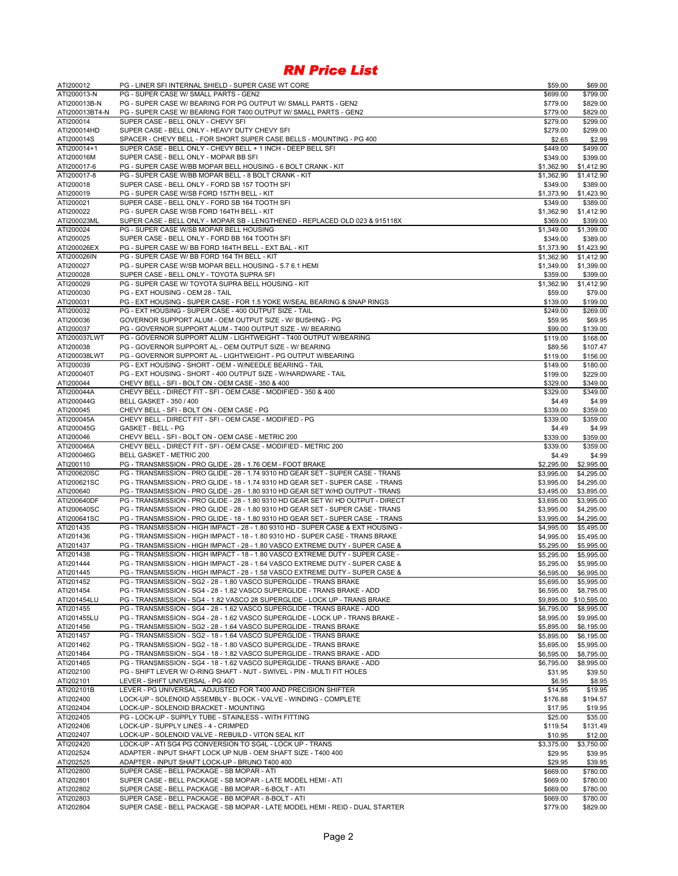| ATI200012                 | PG - LINER SFI INTERNAL SHIELD - SUPER CASE WT CORE                                                                                                 | \$59.00                  | \$69.00                  |
|---------------------------|-----------------------------------------------------------------------------------------------------------------------------------------------------|--------------------------|--------------------------|
| ATI200013-N               | PG - SUPER CASE W/ SMALL PARTS - GEN2                                                                                                               | \$699.00                 | \$799.00                 |
| ATI200013B-N              | PG - SUPER CASE W/ BEARING FOR PG OUTPUT W/ SMALL PARTS - GEN2                                                                                      | \$779.00                 | \$829.00                 |
| ATI200013BT4-N            | PG - SUPER CASE W/ BEARING FOR T400 OUTPUT W/ SMALL PARTS - GEN2                                                                                    | \$779.00                 | \$829.00                 |
| ATI200014<br>ATI200014HD  | SUPER CASE - BELL ONLY - CHEVY SFI<br>SUPER CASE - BELL ONLY - HEAVY DUTY CHEVY SFI                                                                 | \$279.00                 | \$299.00                 |
| ATI200014S                | SPACER - CHEVY BELL - FOR SHORT SUPER CASE BELLS - MOUNTING - PG 400                                                                                | \$279.00<br>\$2.65       | \$299.00<br>\$2.99       |
| ATI200014+1               | SUPER CASE - BELL ONLY - CHEVY BELL + 1 INCH - DEEP BELL SFI                                                                                        | \$449.00                 | \$499.00                 |
| ATI200016M                | SUPER CASE - BELL ONLY - MOPAR BB SFI                                                                                                               | \$349.00                 | \$399.00                 |
| ATI200017-6               | PG - SUPER CASE W/BB MOPAR BELL HOUSING - 6 BOLT CRANK - KIT                                                                                        | \$1,362.90               | \$1,412.90               |
| ATI200017-8               | PG - SUPER CASE W/BB MOPAR BELL - 8 BOLT CRANK - KIT                                                                                                | \$1,362.90               | \$1,412.90               |
| ATI200018                 | SUPER CASE - BELL ONLY - FORD SB 157 TOOTH SFI                                                                                                      | \$349.00                 | \$389.00                 |
| ATI200019                 | PG - SUPER CASE W/SB FORD 157TH BELL - KIT                                                                                                          | \$1,373.90               | \$1,423.90               |
| ATI200021                 | SUPER CASE - BELL ONLY - FORD SB 164 TOOTH SFI                                                                                                      | \$349.00                 | \$389.00                 |
| ATI200022                 | PG - SUPER CASE W/SB FORD 164TH BELL - KIT                                                                                                          | \$1,362.90               | \$1,412.90               |
| ATI200023ML               | SUPER CASE - BELL ONLY - MOPAR SB - LENGTHENED - REPLACED OLD 023 & 915118X                                                                         | \$369.00                 | \$399.00                 |
| ATI200024<br>ATI200025    | PG - SUPER CASE W/SB MOPAR BELL HOUSING<br>SUPER CASE - BELL ONLY - FORD BB 164 TOOTH SFI                                                           | \$1,349.00               | \$1,399.00               |
| ATI200026EX               | PG - SUPER CASE W/ BB FORD 164TH BELL - EXT BAL - KIT                                                                                               | \$349.00<br>\$1,373.90   | \$389.00<br>\$1,423.90   |
| ATI200026IN               | PG - SUPER CASE W/ BB FORD 164 TH BELL - KIT                                                                                                        | \$1,362.90               | \$1,412.90               |
| ATI200027                 | PG - SUPER CASE W/SB MOPAR BELL HOUSING - 5.7 6.1 HEMI                                                                                              | \$1,349.00               | \$1,399.00               |
| ATI200028                 | SUPER CASE - BELL ONLY - TOYOTA SUPRA SFI                                                                                                           | \$359.00                 | \$399.00                 |
| ATI200029                 | PG - SUPER CASE W/ TOYOTA SUPRA BELL HOUSING - KIT                                                                                                  | \$1,362.90               | \$1,412.90               |
| ATI200030                 | PG - EXT HOUSING - OEM 28 - TAIL                                                                                                                    | \$59.00                  | \$79.00                  |
| ATI200031                 | PG - EXT HOUSING - SUPER CASE - FOR 1.5 YOKE W/SEAL BEARING & SNAP RINGS                                                                            | \$139.00                 | \$199.00                 |
| ATI200032                 | PG - EXT HOUSING - SUPER CASE - 400 OUTPUT SIZE - TAIL                                                                                              | \$249.00                 | \$269.00                 |
| ATI200036                 | GOVERNOR SUPPORT ALUM - OEM OUTPUT SIZE - W/ BUSHING - PG                                                                                           | \$59.95                  | \$69.95                  |
| ATI200037                 | PG - GOVERNOR SUPPORT ALUM - T400 OUTPUT SIZE - W/ BEARING                                                                                          | \$99.00                  | \$139.00                 |
| ATI200037LWT              | PG - GOVERNOR SUPPORT ALUM - LIGHTWEIGHT - T400 OUTPUT W/BEARING                                                                                    | \$119.00                 | \$168.00                 |
| ATI200038                 | PG - GOVERNOR SUPPORT AL - OEM OUTPUT SIZE - W/ BEARING                                                                                             | \$89.56                  | \$107.47                 |
| ATI200038LWT<br>ATI200039 | PG - GOVERNOR SUPPORT AL - LIGHTWEIGHT - PG OUTPUT W/BEARING<br>PG - EXT HOUSING - SHORT - OEM - W/NEEDLE BEARING - TAIL                            | \$119.00<br>\$149.00     | \$156.00<br>\$180.00     |
| ATI200040T                | PG - EXT HOUSING - SHORT - 400 OUTPUT SIZE - W/HARDWARE - TAIL                                                                                      | \$199.00                 | \$229.00                 |
| ATI200044                 | CHEVY BELL - SFI - BOLT ON - OEM CASE - 350 & 400                                                                                                   | \$329.00                 | \$349.00                 |
| ATI200044A                | CHEVY BELL - DIRECT FIT - SFI - OEM CASE - MODIFIED - 350 & 400                                                                                     | \$329.00                 | \$349.00                 |
| ATI200044G                | <b>BELL GASKET - 350 / 400</b>                                                                                                                      | \$4.49                   | \$4.99                   |
| ATI200045                 | CHEVY BELL - SFI - BOLT ON - OEM CASE - PG                                                                                                          | \$339.00                 | \$359.00                 |
| ATI200045A                | CHEVY BELL - DIRECT FIT - SFI - OEM CASE - MODIFIED - PG                                                                                            | \$339.00                 | \$359.00                 |
| ATI200045G                | GASKET - BELL - PG                                                                                                                                  | \$4.49                   | \$4.99                   |
| ATI200046                 | CHEVY BELL - SFI - BOLT ON - OEM CASE - METRIC 200                                                                                                  | \$339.00                 | \$359.00                 |
| ATI200046A                | CHEVY BELL - DIRECT FIT - SFI - OEM CASE - MODIFIED - METRIC 200                                                                                    | \$339.00                 | \$359.00                 |
| ATI200046G                | <b>BELL GASKET - METRIC 200</b>                                                                                                                     | \$4.49                   | \$4.99                   |
| ATI200110<br>ATI200620SC  | PG - TRANSMISSION - PRO GLIDE - 28 - 1.76 OEM - FOOT BRAKE<br>PG - TRANSMISSION - PRO GLIDE - 28 - 1.74 9310 HD GEAR SET - SUPER CASE - TRANS       | \$2,295.00               | \$2,995.00               |
| ATI200621SC               | PG - TRANSMISSION - PRO GLIDE - 18 - 1.74 9310 HD GEAR SET - SUPER CASE - TRANS                                                                     | \$3,995.00<br>\$3,995.00 | \$4,295.00<br>\$4,295.00 |
| ATI200640                 | PG - TRANSMISSION - PRO GLIDE - 28 - 1.80 9310 HD GEAR SET W/HD OUTPUT - TRANS                                                                      | \$3,495.00               | \$3,895.00               |
| ATI200640DF               | PG - TRANSMISSION - PRO GLIDE - 28 - 1.80 9310 HD GEAR SET W/ HD OUTPUT - DIRECT                                                                    | \$3,695.00               | \$3,995.00               |
| ATI200640SC               | PG - TRANSMISSION - PRO GLIDE - 28 - 1.80 9310 HD GEAR SET - SUPER CASE - TRANS                                                                     | \$3,995.00               | \$4,295.00               |
| ATI200641SC               | PG - TRANSMISSION - PRO GLIDE - 18 - 1.80 9310 HD GEAR SET - SUPER CASE - TRANS                                                                     | \$3,995.00               | \$4,295.00               |
| ATI201435                 | PG - TRANSMISSION - HIGH IMPACT - 28 - 1.80 9310 HD - SUPER CASE & EXT HOUSING -                                                                    | \$4,995.00               | \$5,495.00               |
| ATI201436                 | PG - TRANSMISSION - HIGH IMPACT - 18 - 1.80 9310 HD - SUPER CASE - TRANS BRAKE                                                                      | \$4,995.00               | \$5,495.00               |
| ATI201437                 | PG - TRANSMISSION - HIGH IMPACT - 28 - 1.80 VASCO EXTREME DUTY - SUPER CASE &                                                                       | \$5,295.00               | \$5,995.00               |
| ATI201438                 | PG - TRANSMISSION - HIGH IMPACT - 18 - 1.80 VASCO EXTREME DUTY - SUPER CASE -                                                                       | \$5,295.00               | \$5,995.00               |
| ATI201444                 | PG - TRANSMISSION - HIGH IMPACT - 28 - 1.64 VASCO EXTREME DUTY - SUPER CASE &                                                                       | \$5,295.00               | \$5,995.00               |
| ATI201445<br>ATI201452    | PG - TRANSMISSION - HIGH IMPACT - 28 - 1.58 VASCO EXTREME DUTY - SUPER CASE &<br>PG - TRANSMISSION - SG2 - 28 - 1.80 VASCO SUPERGLIDE - TRANS BRAKE | \$6,595.00               | \$6,995.00               |
| ATI201454                 | PG - TRANSMISSION - SG4 - 28 - 1.82 VASCO SUPERGLIDE - TRANS BRAKE - ADD                                                                            | \$5,695.00<br>\$6,595.00 | \$5,995.00<br>\$8,795.00 |
| ATI201454LU               | PG - TRANSMISSION - SG4 - 1.82 VASCO 28 SUPERGLIDE - LOCK UP - TRANS BRAKE                                                                          |                          | \$9,895.00 \$10,595.00   |
| ATI201455                 | PG - TRANSMISSION - SG4 - 28 - 1.62 VASCO SUPERGLIDE - TRANS BRAKE - ADD                                                                            | \$6,795.00               | \$8,995.00               |
| ATI201455LU               | PG - TRANSMISSION - SG4 - 28 - 1.62 VASCO SUPERGLIDE - LOCK UP - TRANS BRAKE -                                                                      | \$8,995.00               | \$9,995.00               |
| ATI201456                 | PG - TRANSMISSION - SG2 - 28 - 1.64 VASCO SUPERGLIDE - TRANS BRAKE                                                                                  | \$5,895.00               | \$6,195.00               |
| ATI201457                 | PG - TRANSMISSION - SG2 - 18 - 1.64 VASCO SUPERGLIDE - TRANS BRAKE                                                                                  | \$5,895.00               | \$6,195.00               |
| ATI201462                 | PG - TRANSMISSION - SG2 - 18 - 1.80 VASCO SUPERGLIDE - TRANS BRAKE                                                                                  | \$5,695.00               | \$5,995.00               |
| ATI201464                 | PG - TRANSMISSION - SG4 - 18 - 1.82 VASCO SUPERGLIDE - TRANS BRAKE - ADD                                                                            | \$6,595.00               | \$8,795.00               |
| ATI201465                 | PG - TRANSMISSION - SG4 - 18 - 1.62 VASCO SUPERGLIDE - TRANS BRAKE - ADD                                                                            | \$6,795.00               | \$8,995.00               |
| ATI202100                 | PG - SHIFT LEVER W/ O-RING SHAFT - NUT - SWIVEL - PIN - MULTI FIT HOLES                                                                             | \$31.95                  | \$39.50                  |
| ATI202101<br>ATI202101B   | LEVER - SHIFT UNIVERSAL - PG 400<br>LEVER - PG UNIVERSAL - ADJUSTED FOR T400 AND PRECISION SHIFTER                                                  | \$6.95<br>\$14.95        | \$8.95<br>\$19.95        |
| ATI202400                 | LOCK-UP - SOLENOID ASSEMBLY - BLOCK - VALVE - WINDING - COMPLETE                                                                                    | \$176.88                 | \$194.57                 |
| ATI202404                 | LOCK-UP - SOLENOID BRACKET - MOUNTING                                                                                                               | \$17.95                  | \$19.95                  |
| ATI202405                 | PG - LOCK-UP - SUPPLY TUBE - STAINLESS - WITH FITTING                                                                                               | \$25.00                  | \$35.00                  |
| ATI202406                 | LOCK-UP - SUPPLY LINES - 4 - CRIMPED                                                                                                                | \$119.54                 | \$131.49                 |
| ATI202407                 | LOCK-UP - SOLENOID VALVE - REBUILD - VITON SEAL KIT                                                                                                 | \$10.95                  | \$12.00                  |
| ATI202420                 | LOCK-UP - ATI SG4 PG CONVERSION TO SG4L - LOCK UP - TRANS                                                                                           | \$3,375.00               | \$3,750.00               |
| ATI202524                 | ADAPTER - INPUT SHAFT LOCK UP NUB - OEM SHAFT SIZE - T400 400                                                                                       | \$29.95                  | \$39.95                  |
| ATI202525                 | ADAPTER - INPUT SHAFT LOCK-UP - BRUNO T400 400                                                                                                      | \$29.95                  | \$39.95                  |
| ATI202800                 | SUPER CASE - BELL PACKAGE - SB MOPAR - ATI                                                                                                          | \$669.00                 | \$780.00                 |
| ATI202801<br>ATI202802    | SUPER CASE - BELL PACKAGE - SB MOPAR - LATE MODEL HEMI - ATI<br>SUPER CASE - BELL PACKAGE - BB MOPAR - 6-BOLT - ATI                                 | \$669.00                 | \$780.00                 |
| ATI202803                 | SUPER CASE - BELL PACKAGE - BB MOPAR - 8-BOLT - ATI                                                                                                 | \$669.00<br>\$669.00     | \$780.00<br>\$780.00     |
| ATI202804                 | SUPER CASE - BELL PACKAGE - SB MOPAR - LATE MODEL HEMI - REID - DUAL STARTER                                                                        | \$779.00                 | \$829.00                 |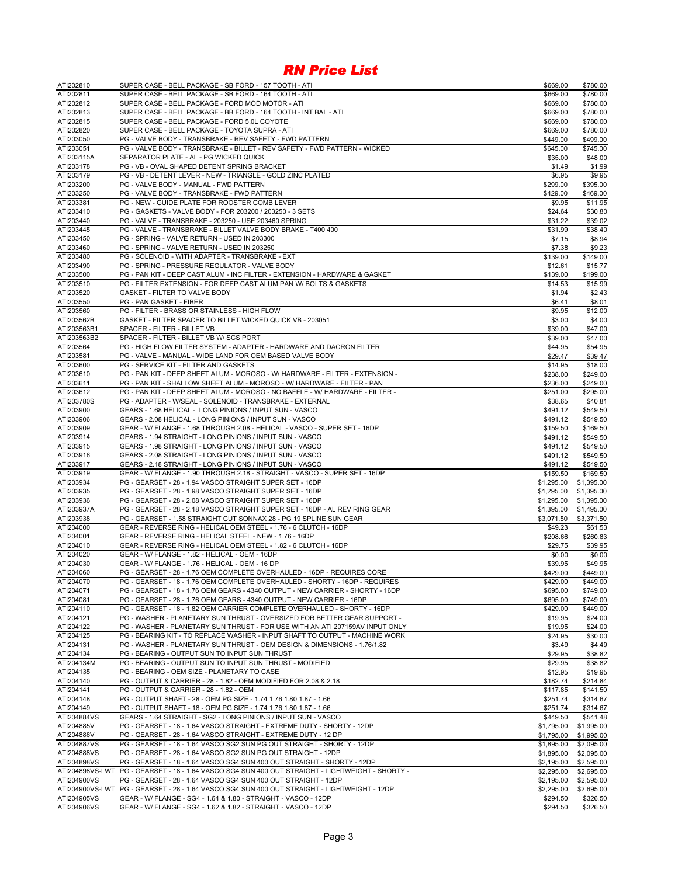| ATI202810               | SUPER CASE - BELL PACKAGE - SB FORD - 157 TOOTH - ATI                                                                                  | \$669.00                 | \$780.00               |
|-------------------------|----------------------------------------------------------------------------------------------------------------------------------------|--------------------------|------------------------|
| ATI202811               | SUPER CASE - BELL PACKAGE - SB FORD - 164 TOOTH - ATI                                                                                  | \$669.00                 | \$780.00               |
| ATI202812               | SUPER CASE - BELL PACKAGE - FORD MOD MOTOR - ATI                                                                                       | \$669.00                 | \$780.00               |
| ATI202813               | SUPER CASE - BELL PACKAGE - BB FORD - 164 TOOTH - INT BAL - ATI                                                                        | \$669.00                 | \$780.00               |
| ATI202815               | SUPER CASE - BELL PACKAGE - FORD 5.0L COYOTE                                                                                           | \$669.00                 | \$780.00               |
| ATI202820               | SUPER CASE - BELL PACKAGE - TOYOTA SUPRA - ATI                                                                                         | \$669.00                 | \$780.00               |
| ATI203050               | PG - VALVE BODY - TRANSBRAKE - REV SAFETY - FWD PATTERN                                                                                | \$449.00                 | \$499.00               |
| ATI203051               | PG - VALVE BODY - TRANSBRAKE - BILLET - REV SAFETY - FWD PATTERN - WICKED<br>SEPARATOR PLATE - AL - PG WICKED QUICK                    | \$645.00                 | \$745.00               |
| ATI203115A<br>ATI203178 |                                                                                                                                        | \$35.00                  | \$48.00                |
| ATI203179               | PG - VB - OVAL SHAPED DETENT SPRING BRACKET<br>PG - VB - DETENT LEVER - NEW - TRIANGLE - GOLD ZINC PLATED                              | \$1.49                   | \$1.99<br>\$9.95       |
| ATI203200               | PG - VALVE BODY - MANUAL - FWD PATTERN                                                                                                 | \$6.95<br>\$299.00       | \$395.00               |
| ATI203250               | PG - VALVE BODY - TRANSBRAKE - FWD PATTERN                                                                                             | \$429.00                 | \$469.00               |
| ATI203381               | PG - NEW - GUIDE PLATE FOR ROOSTER COMB LEVER                                                                                          | \$9.95                   | \$11.95                |
| ATI203410               | PG - GASKETS - VALVE BODY - FOR 203200 / 203250 - 3 SETS                                                                               | \$24.64                  | \$30.80                |
| ATI203440               | PG - VALVE - TRANSBRAKE - 203250 - USE 203460 SPRING                                                                                   | \$31.22                  | \$39.02                |
| ATI203445               | PG - VALVE - TRANSBRAKE - BILLET VALVE BODY BRAKE - T400 400                                                                           | \$31.99                  | \$38.40                |
| ATI203450               | PG - SPRING - VALVE RETURN - USED IN 203300                                                                                            | \$7.15                   | \$8.94                 |
| ATI203460               | PG - SPRING - VALVE RETURN - USED IN 203250                                                                                            | \$7.38                   | \$9.23                 |
| ATI203480               | PG - SOLENOID - WITH ADAPTER - TRANSBRAKE - EXT                                                                                        | \$139.00                 | \$149.00               |
| ATI203490               | PG - SPRING - PRESSURE REGULATOR - VALVE BODY                                                                                          | \$12.61                  | \$15.77                |
| ATI203500               | PG - PAN KIT - DEEP CAST ALUM - INC FILTER - EXTENSION - HARDWARE & GASKET                                                             | \$139.00                 | \$199.00               |
| ATI203510               | PG - FILTER EXTENSION - FOR DEEP CAST ALUM PAN W/ BOLTS & GASKETS                                                                      | \$14.53                  | \$15.99                |
| ATI203520               | GASKET - FILTER TO VALVE BODY                                                                                                          | \$1.94                   | \$2.43                 |
| ATI203550               | PG - PAN GASKET - FIBER                                                                                                                | \$6.41                   | \$8.01                 |
| ATI203560               | PG - FILTER - BRASS OR STAINLESS - HIGH FLOW                                                                                           | \$9.95                   | \$12.00                |
| ATI203562B              | GASKET - FILTER SPACER TO BILLET WICKED QUICK VB - 203051                                                                              | \$3.00                   | \$4.00                 |
| ATI203563B1             | SPACER - FILTER - BILLET VB                                                                                                            | \$39.00                  | \$47.00                |
| ATI203563B2             | SPACER - FILTER - BILLET VB W/ SCS PORT                                                                                                | \$39.00                  | \$47.00                |
| ATI203564               | PG - HIGH FLOW FILTER SYSTEM - ADAPTER - HARDWARE AND DACRON FILTER                                                                    | \$44.95                  | \$54.95                |
| ATI203581               | PG - VALVE - MANUAL - WIDE LAND FOR OEM BASED VALVE BODY                                                                               | \$29.47                  | \$39.47                |
| ATI203600               | PG - SERVICE KIT - FILTER AND GASKETS                                                                                                  | \$14.95                  | \$18.00                |
| ATI203610               | PG - PAN KIT - DEEP SHEET ALUM - MOROSO - W/ HARDWARE - FILTER - EXTENSION -                                                           | \$238.00                 | \$249.00               |
| ATI203611               | PG - PAN KIT - SHALLOW SHEET ALUM - MOROSO - W/ HARDWARE - FILTER - PAN                                                                | \$236.00                 | \$249.00               |
| ATI203612               | PG - PAN KIT - DEEP SHEET ALUM - MOROSO - NO BAFFLE - W/ HARDWARE - FILTER -                                                           | \$251.00                 | \$295.00               |
| ATI203780S              | PG - ADAPTER - W/SEAL - SOLENOID - TRANSBRAKE - EXTERNAL                                                                               | \$38.65                  | \$40.81                |
| ATI203900               | GEARS - 1.68 HELICAL - LONG PINIONS / INPUT SUN - VASCO                                                                                | \$491.12                 | \$549.50               |
| ATI203906               | GEARS - 2.08 HELICAL - LONG PINIONS / INPUT SUN - VASCO                                                                                | \$491.12                 | \$549.50               |
| ATI203909               | GEAR - W/ FLANGE - 1.68 THROUGH 2.08 - HELICAL - VASCO - SUPER SET - 16DP                                                              | \$159.50                 | \$169.50               |
| ATI203914               | GEARS - 1.94 STRAIGHT - LONG PINIONS / INPUT SUN - VASCO                                                                               | \$491.12                 | \$549.50               |
| ATI203915               | GEARS - 1.98 STRAIGHT - LONG PINIONS / INPUT SUN - VASCO                                                                               | \$491.12                 | \$549.50               |
| ATI203916               | GEARS - 2.08 STRAIGHT - LONG PINIONS / INPUT SUN - VASCO                                                                               | \$491.12                 | \$549.50               |
| ATI203917               | GEARS - 2.18 STRAIGHT - LONG PINIONS / INPUT SUN - VASCO<br>GEAR - W/ FLANGE - 1.90 THROUGH 2.18 - STRAIGHT - VASCO - SUPER SET - 16DP | \$491.12                 | \$549.50               |
| ATI203919<br>ATI203934  | PG - GEARSET - 28 - 1.94 VASCO STRAIGHT SUPER SET - 16DP                                                                               | \$159.50                 | \$169.50<br>\$1,395.00 |
| ATI203935               | PG - GEARSET - 28 - 1.98 VASCO STRAIGHT SUPER SET - 16DP                                                                               | \$1,295.00<br>\$1,295.00 | \$1,395.00             |
| ATI203936               | PG - GEARSET - 28 - 2.08 VASCO STRAIGHT SUPER SET - 16DP                                                                               | \$1,295.00               | \$1,395.00             |
| ATI203937A              | PG - GEARSET - 28 - 2.18 VASCO STRAIGHT SUPER SET - 16DP - AL REV RING GEAR                                                            | \$1,395.00               | \$1,495.00             |
| ATI203938               | PG - GEARSET - 1.58 STRAIGHT CUT SONNAX 28 - PG 19 SPLINE SUN GEAR                                                                     | \$3,071.50               | \$3,371.50             |
| ATI204000               | GEAR - REVERSE RING - HELICAL OEM STEEL - 1.76 - 6 CLUTCH - 16DP                                                                       | \$49.23                  | \$61.53                |
| ATI204001               | GEAR - REVERSE RING - HELICAL STEEL - NEW - 1.76 - 16DP                                                                                | \$208.66                 | \$260.83               |
| ATI204010               | GEAR - REVERSE RING - HELICAL OEM STEEL - 1.82 - 6 CLUTCH - 16DP                                                                       | \$29.75                  | \$39.95                |
| ATI204020               | GEAR - W/ FLANGE - 1.82 - HELICAL - OEM - 16DP                                                                                         | \$0.00                   | \$0.00                 |
| ATI204030               | GEAR - W/ FLANGE - 1.76 - HELICAL - OEM - 16 DP                                                                                        | \$39.95                  | \$49.95                |
| ATI204060               | PG - GEARSET - 28 - 1.76 OEM COMPLETE OVERHAULED - 16DP - REQUIRES CORE                                                                | \$429.00                 | \$449.00               |
| ATI204070               | PG - GEARSET - 18 - 1.76 OEM COMPLETE OVERHAULED - SHORTY - 16DP - REQUIRES                                                            | \$429.00                 | \$449.00               |
| ATI204071               | PG - GEARSET - 18 - 1.76 OEM GEARS - 4340 OUTPUT - NEW CARRIER - SHORTY - 16DP                                                         | \$695.00                 | \$749.00               |
| ATI204081               | PG - GEARSET - 28 - 1.76 OEM GEARS - 4340 OUTPUT - NEW CARRIER - 16DP                                                                  | \$695.00                 | \$749.00               |
| ATI204110               | PG - GEARSET - 18 - 1.82 OEM CARRIER COMPLETE OVERHAULED - SHORTY - 16DP                                                               | \$429.00                 | \$449.00               |
| ATI204121               | PG - WASHER - PLANETARY SUN THRUST - OVERSIZED FOR BETTER GEAR SUPPORT -                                                               | \$19.95                  | \$24.00                |
| ATI204122               | PG - WASHER - PLANETARY SUN THRUST - FOR USE WITH AN ATI 207159AV INPUT ONLY                                                           | \$19.95                  | \$24.00                |
| ATI204125               | PG - BEARING KIT - TO REPLACE WASHER - INPUT SHAFT TO OUTPUT - MACHINE WORK                                                            | \$24.95                  | \$30.00                |
| ATI204131               | PG - WASHER - PLANETARY SUN THRUST - OEM DESIGN & DIMENSIONS - 1.76/1.82                                                               | \$3.49                   | \$4.49                 |
| ATI204134               | PG - BEARING - OUTPUT SUN TO INPUT SUN THRUST                                                                                          | \$29.95                  | \$38.82                |
| ATI204134M              | PG - BEARING - OUTPUT SUN TO INPUT SUN THRUST - MODIFIED                                                                               | \$29.95                  | \$38.82                |
| ATI204135               | PG - BEARING - OEM SIZE - PLANETARY TO CASE                                                                                            | \$12.95                  | \$19.95                |
| ATI204140               | PG - OUTPUT & CARRIER - 28 - 1.82 - OEM MODIFIED FOR 2.08 & 2.18                                                                       | \$182.74                 | \$214.84               |
| ATI204141               | PG - OUTPUT & CARRIER - 28 - 1.82 - OEM                                                                                                | \$117.85                 | \$141.50               |
| ATI204148               | PG - OUTPUT SHAFT - 28 - OEM PG SIZE - 1.74 1.76 1.80 1.87 - 1.66                                                                      | \$251.74                 | \$314.67               |
| ATI204149               | PG - OUTPUT SHAFT - 18 - OEM PG SIZE - 1.74 1.76 1.80 1.87 - 1.66                                                                      | \$251.74                 | \$314.67               |
| ATI204884VS             | GEARS - 1.64 STRAIGHT - SG2 - LONG PINIONS / INPUT SUN - VASCO                                                                         | \$449.50                 | \$541.48               |
| ATI204885V              | PG - GEARSET - 18 - 1.64 VASCO STRAIGHT - EXTREME DUTY - SHORTY - 12DP                                                                 | \$1,795.00               | \$1,995.00             |
| ATI204886V              | PG - GEARSET - 28 - 1.64 VASCO STRAIGHT - EXTREME DUTY - 12 DP                                                                         | \$1,795.00               | \$1,995.00             |
| ATI204887VS             | PG - GEARSET - 18 - 1.64 VASCO SG2 SUN PG OUT STRAIGHT - SHORTY - 12DP                                                                 | \$1,895.00               | \$2,095.00             |
| ATI204888VS             | PG - GEARSET - 28 - 1.64 VASCO SG2 SUN PG OUT STRAIGHT - 12DP                                                                          | \$1,895.00               | \$2,095.00             |
| ATI204898VS             | PG - GEARSET - 18 - 1.64 VASCO SG4 SUN 400 OUT STRAIGHT - SHORTY - 12DP                                                                | \$2,195.00               | \$2,595.00             |
| ATI204898VS-LWT         | PG - GEARSET - 18 - 1.64 VASCO SG4 SUN 400 OUT STRAIGHT - LIGHTWEIGHT - SHORTY -                                                       | \$2,295.00               | \$2,695.00             |
| ATI204900VS             | PG - GEARSET - 28 - 1.64 VASCO SG4 SUN 400 OUT STRAIGHT - 12DP                                                                         | \$2,195.00               | \$2,595.00             |
|                         | ATI204900VS-LWT PG - GEARSET - 28 - 1.64 VASCO SG4 SUN 400 OUT STRAIGHT - LIGHTWEIGHT - 12DP                                           | \$2,295.00               | \$2,695.00             |
| ATI204905VS             | GEAR - W/ FLANGE - SG4 - 1.64 & 1.80 - STRAIGHT - VASCO - 12DP                                                                         | \$294.50                 | \$326.50               |
| ATI204906VS             | GEAR - W/ FLANGE - SG4 - 1.62 & 1.82 - STRAIGHT - VASCO - 12DP                                                                         | \$294.50                 | \$326.50               |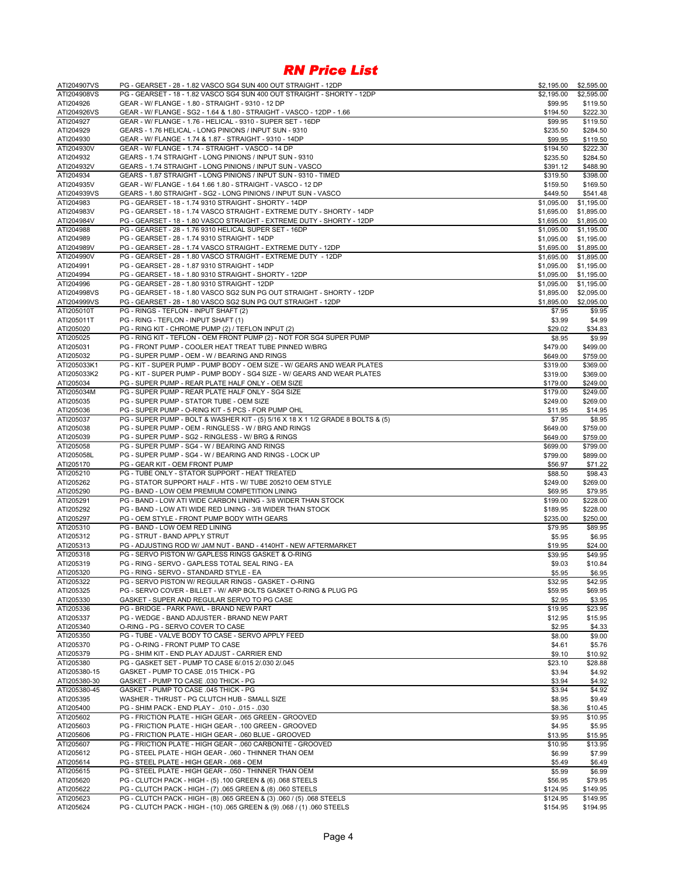| ATI204907VS  | PG - GEARSET - 28 - 1.82 VASCO SG4 SUN 400 OUT STRAIGHT - 12DP                  | \$2,195.00 | \$2,595.00 |
|--------------|---------------------------------------------------------------------------------|------------|------------|
| ATI204908VS  | PG - GEARSET - 18 - 1.82 VASCO SG4 SUN 400 OUT STRAIGHT - SHORTY - 12DP         | \$2,195.00 | \$2,595.00 |
| ATI204926    | GEAR - W/ FLANGE - 1.80 - STRAIGHT - 9310 - 12 DP                               | \$99.95    | \$119.50   |
| ATI204926VS  | GEAR - W/ FLANGE - SG2 - 1.64 & 1.80 - STRAIGHT - VASCO - 12DP - 1.66           | \$194.50   | \$222.30   |
| ATI204927    | GEAR - W/ FLANGE - 1.76 - HELICAL - 9310 - SUPER SET - 16DP                     | \$99.95    | \$119.50   |
| ATI204929    | GEARS - 1.76 HELICAL - LONG PINIONS / INPUT SUN - 9310                          | \$235.50   | \$284.50   |
| ATI204930    | GEAR - W/ FLANGE - 1.74 & 1.87 - STRAIGHT - 9310 - 14DP                         | \$99.95    | \$119.50   |
| ATI204930V   |                                                                                 |            | \$222.30   |
|              | GEAR - W/ FLANGE - 1.74 - STRAIGHT - VASCO - 14 DP                              | \$194.50   |            |
| ATI204932    | GEARS - 1.74 STRAIGHT - LONG PINIONS / INPUT SUN - 9310                         | \$235.50   | \$284.50   |
| ATI204932V   | GEARS - 1.74 STRAIGHT - LONG PINIONS / INPUT SUN - VASCO                        | \$391.12   | \$488.90   |
| ATI204934    | GEARS - 1.87 STRAIGHT - LONG PINIONS / INPUT SUN - 9310 - TIMED                 | \$319.50   | \$398.00   |
| ATI204935V   | GEAR - W/ FLANGE - 1.64 1.66 1.80 - STRAIGHT - VASCO - 12 DP                    | \$159.50   | \$169.50   |
| ATI204939VS  | GEARS - 1.80 STRAIGHT - SG2 - LONG PINIONS / INPUT SUN - VASCO                  | \$449.50   | \$541.48   |
| ATI204983    | PG - GEARSET - 18 - 1.74 9310 STRAIGHT - SHORTY - 14DP                          | \$1,095.00 | \$1,195.00 |
| ATI204983V   | PG - GEARSET - 18 - 1.74 VASCO STRAIGHT - EXTREME DUTY - SHORTY - 14DP          | \$1,695.00 | \$1,895.00 |
| ATI204984V   | PG - GEARSET - 18 - 1.80 VASCO STRAIGHT - EXTREME DUTY - SHORTY - 12DP          | \$1,695.00 | \$1,895.00 |
| ATI204988    | PG - GEARSET - 28 - 1.76 9310 HELICAL SUPER SET - 16DP                          | \$1,095.00 | \$1,195.00 |
| ATI204989    | PG - GEARSET - 28 - 1.74 9310 STRAIGHT - 14DP                                   | \$1,095.00 | \$1,195.00 |
| ATI204989V   | PG - GEARSET - 28 - 1.74 VASCO STRAIGHT - EXTREME DUTY - 12DP                   | \$1,695.00 | \$1,895.00 |
| ATI204990V   | PG - GEARSET - 28 - 1.80 VASCO STRAIGHT - EXTREME DUTY - 12DP                   |            | \$1,895.00 |
|              |                                                                                 | \$1,695.00 |            |
| ATI204991    | PG - GEARSET - 28 - 1.87 9310 STRAIGHT - 14DP                                   | \$1,095.00 | \$1,195.00 |
| ATI204994    | PG - GEARSET - 18 - 1.80 9310 STRAIGHT - SHORTY - 12DP                          | \$1,095.00 | \$1,195.00 |
| ATI204996    | PG - GEARSET - 28 - 1.80 9310 STRAIGHT - 12DP                                   | \$1,095.00 | \$1,195.00 |
| ATI204998VS  | PG - GEARSET - 18 - 1.80 VASCO SG2 SUN PG OUT STRAIGHT - SHORTY - 12DP          | \$1,895.00 | \$2,095.00 |
| ATI204999VS  | PG - GEARSET - 28 - 1.80 VASCO SG2 SUN PG OUT STRAIGHT - 12DP                   | \$1,895.00 | \$2,095.00 |
| ATI205010T   | PG - RINGS - TEFLON - INPUT SHAFT (2)                                           | \$7.95     | \$9.95     |
| ATI205011T   | PG - RING - TEFLON - INPUT SHAFT (1)                                            | \$3.99     | \$4.99     |
| ATI205020    | PG - RING KIT - CHROME PUMP (2) / TEFLON INPUT (2)                              | \$29.02    | \$34.83    |
| ATI205025    | PG - RING KIT - TEFLON - OEM FRONT PUMP (2) - NOT FOR SG4 SUPER PUMP            | \$8.95     | \$9.99     |
| ATI205031    | PG - FRONT PUMP - COOLER HEAT TREAT TUBE PINNED W/BRG                           | \$479.00   | \$499.00   |
| ATI205032    | PG - SUPER PUMP - OEM - W / BEARING AND RINGS                                   | \$649.00   | \$759.00   |
| ATI205033K1  | PG - KIT - SUPER PUMP - PUMP BODY - OEM SIZE - W/ GEARS AND WEAR PLATES         | \$319.00   | \$369.00   |
|              |                                                                                 |            |            |
| ATI205033K2  | PG - KIT - SUPER PUMP - PUMP BODY - SG4 SIZE - W/ GEARS AND WEAR PLATES         | \$319.00   | \$369.00   |
| ATI205034    | PG - SUPER PUMP - REAR PLATE HALF ONLY - OEM SIZE                               | \$179.00   | \$249.00   |
| ATI205034M   | PG - SUPER PUMP - REAR PLATE HALF ONLY - SG4 SIZE                               | \$179.00   | \$249.00   |
| ATI205035    | PG - SUPER PUMP - STATOR TUBE - OEM SIZE                                        | \$249.00   | \$269.00   |
| ATI205036    | PG - SUPER PUMP - O-RING KIT - 5 PCS - FOR PUMP OHL                             | \$11.95    | \$14.95    |
| ATI205037    | PG - SUPER PUMP - BOLT & WASHER KIT - (5) 5/16 X 18 X 1 1/2 GRADE 8 BOLTS & (5) | \$7.95     | \$8.95     |
| ATI205038    | PG - SUPER PUMP - OEM - RINGLESS - W / BRG AND RINGS                            | \$649.00   | \$759.00   |
| ATI205039    | PG - SUPER PUMP - SG2 - RINGLESS - W/ BRG & RINGS                               | \$649.00   | \$759.00   |
| ATI205058    | PG - SUPER PUMP - SG4 - W / BEARING AND RINGS                                   | \$699.00   | \$799.00   |
| ATI205058L   | PG - SUPER PUMP - SG4 - W / BEARING AND RINGS - LOCK UP                         | \$799.00   | \$899.00   |
| ATI205170    | PG - GEAR KIT - OEM FRONT PUMP                                                  | \$56.97    | \$71.22    |
| ATI205210    | PG - TUBE ONLY - STATOR SUPPORT - HEAT TREATED                                  | \$88.50    | \$98.43    |
|              |                                                                                 |            |            |
| ATI205262    | PG - STATOR SUPPORT HALF - HTS - W/ TUBE 205210 OEM STYLE                       | \$249.00   | \$269.00   |
| ATI205290    | PG - BAND - LOW OEM PREMIUM COMPETITION LINING                                  | \$69.95    | \$79.95    |
| ATI205291    | PG - BAND - LOW ATI WIDE CARBON LINING - 3/8 WIDER THAN STOCK                   | \$199.00   | \$228.00   |
| ATI205292    | PG - BAND - LOW ATI WIDE RED LINING - 3/8 WIDER THAN STOCK                      | \$189.95   | \$228.00   |
| ATI205297    | PG - OEM STYLE - FRONT PUMP BODY WITH GEARS                                     | \$235.00   | \$250.00   |
| ATI205310    | PG - BAND - LOW OEM RED LINING                                                  | \$79.95    | \$89.95    |
| ATI205312    | PG - STRUT - BAND APPLY STRUT                                                   | \$5.95     | \$6.95     |
| ATI205313    | PG - ADJUSTING ROD W/ JAM NUT - BAND - 4140HT - NEW AFTERMARKET                 | \$19.95    | \$24.00    |
| ATI205318    | PG - SERVO PISTON W/ GAPLESS RINGS GASKET & O-RING                              | \$39.95    | \$49.95    |
| ATI205319    | PG - RING - SERVO - GAPLESS TOTAL SEAL RING - EA                                | \$9.03     | \$10.84    |
| ATI205320    | PG - RING - SERVO - STANDARD STYLE - EA                                         | \$5.95     | \$6.95     |
| ATI205322    | PG - SERVO PISTON W/ REGULAR RINGS - GASKET - O-RING                            | \$32.95    | \$42.95    |
| ATI205325    | PG - SERVO COVER - BILLET - W/ ARP BOLTS GASKET O-RING & PLUG PG                | \$59.95    | \$69.95    |
| ATI205330    | GASKET - SUPER AND REGULAR SERVO TO PG CASE                                     | \$2.95     | \$3.95     |
|              | PG - BRIDGE - PARK PAWL - BRAND NEW PART                                        |            |            |
| ATI205336    |                                                                                 | \$19.95    | \$23.95    |
| ATI205337    | PG - WEDGE - BAND ADJUSTER - BRAND NEW PART                                     | \$12.95    | \$15.95    |
| ATI205340    | O-RING - PG - SERVO COVER TO CASE                                               | \$2.95     | \$4.33     |
| ATI205350    | PG - TUBE - VALVE BODY TO CASE - SERVO APPLY FEED                               | \$8.00     | \$9.00     |
| ATI205370    | PG - O-RING - FRONT PUMP TO CASE                                                | \$4.61     | \$5.76     |
| ATI205379    | PG - SHIM KIT - END PLAY ADJUST - CARRIER END                                   | \$9.10     | \$10.92    |
| ATI205380    | PG - GASKET SET - PUMP TO CASE 6/.015 2/.030 2/.045                             | \$23.10    | \$28.88    |
| ATI205380-15 | GASKET - PUMP TO CASE .015 THICK - PG                                           | \$3.94     | \$4.92     |
| ATI205380-30 | GASKET - PUMP TO CASE .030 THICK - PG                                           | \$3.94     | \$4.92     |
| ATI205380-45 | GASKET - PUMP TO CASE .045 THICK - PG                                           | \$3.94     | \$4.92     |
| ATI205395    | WASHER - THRUST - PG CLUTCH HUB - SMALL SIZE                                    | \$8.95     | \$9.49     |
| ATI205400    | PG - SHIM PACK - END PLAY - .010 - .015 - .030                                  | \$8.36     | \$10.45    |
| ATI205602    | PG - FRICTION PLATE - HIGH GEAR - .065 GREEN - GROOVED                          | \$9.95     | \$10.95    |
| ATI205603    | PG - FRICTION PLATE - HIGH GEAR - .100 GREEN - GROOVED                          | \$4.95     | \$5.95     |
|              |                                                                                 |            |            |
| ATI205606    | PG - FRICTION PLATE - HIGH GEAR - .060 BLUE - GROOVED                           | \$13.95    | \$15.95    |
| ATI205607    | PG - FRICTION PLATE - HIGH GEAR - .060 CARBONITE - GROOVED                      | \$10.95    | \$13.95    |
| ATI205612    | PG - STEEL PLATE - HIGH GEAR - .060 - THINNER THAN OEM                          | \$6.99     | \$7.99     |
| ATI205614    | PG - STEEL PLATE - HIGH GEAR - .068 - OEM                                       | \$5.49     | \$6.49     |
| ATI205615    | PG - STEEL PLATE - HIGH GEAR - .050 - THINNER THAN OEM                          | \$5.99     | \$6.99     |
| ATI205620    | PG - CLUTCH PACK - HIGH - (5) .100 GREEN & (6) .068 STEELS                      | \$56.95    | \$79.95    |
| ATI205622    | PG - CLUTCH PACK - HIGH - (7) .065 GREEN & (8) .060 STEELS                      | \$124.95   | \$149.95   |
| ATI205623    | PG - CLUTCH PACK - HIGH - (8) .065 GREEN & (3) .060 / (5) .068 STEELS           | \$124.95   | \$149.95   |
| ATI205624    | PG - CLUTCH PACK - HIGH - (10) .065 GREEN & (9) .068 / (1) .060 STEELS          | \$154.95   | \$194.95   |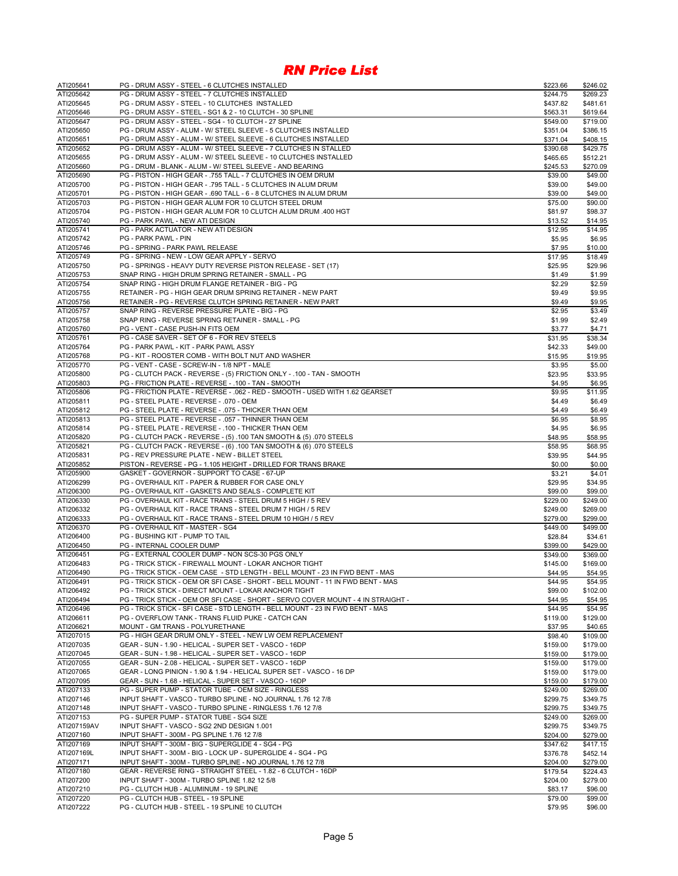| ATI205641              | PG - DRUM ASSY - STEEL - 6 CLUTCHES INSTALLED                                                                                                                  | \$223.66           | \$246.02             |
|------------------------|----------------------------------------------------------------------------------------------------------------------------------------------------------------|--------------------|----------------------|
| ATI205642              | PG - DRUM ASSY - STEEL - 7 CLUTCHES INSTALLED                                                                                                                  | \$244.75           | \$269.23             |
| ATI205645              | PG - DRUM ASSY - STEEL - 10 CLUTCHES INSTALLED                                                                                                                 | \$437.82           | \$481.61             |
| ATI205646              | PG - DRUM ASSY - STEEL - SG1 & 2 - 10 CLUTCH - 30 SPLINE                                                                                                       | \$563.31           | \$619.64             |
| ATI205647              | PG - DRUM ASSY - STEEL - SG4 - 10 CLUTCH - 27 SPLINE                                                                                                           | \$549.00           | \$719.00             |
| ATI205650              | PG - DRUM ASSY - ALUM - W/ STEEL SLEEVE - 5 CLUTCHES INSTALLED                                                                                                 | \$351.04           | \$386.15             |
| ATI205651              | PG - DRUM ASSY - ALUM - W/ STEEL SLEEVE - 6 CLUTCHES INSTALLED                                                                                                 | \$371.04           | \$408.15             |
| ATI205652              | PG - DRUM ASSY - ALUM - W/ STEEL SLEEVE - 7 CLUTCHES IN STALLED                                                                                                | \$390.68           | \$429.75             |
| ATI205655              | PG - DRUM ASSY - ALUM - W/ STEEL SLEEVE - 10 CLUTCHES INSTALLED                                                                                                | \$465.65           | \$512.21             |
| ATI205660              | PG - DRUM - BLANK - ALUM - W/ STEEL SLEEVE - AND BEARING                                                                                                       | \$245.53           | \$270.09             |
| ATI205690              | PG - PISTON - HIGH GEAR - .755 TALL - 7 CLUTCHES IN OEM DRUM                                                                                                   | \$39.00            | \$49.00              |
| ATI205700              | PG - PISTON - HIGH GEAR - .795 TALL - 5 CLUTCHES IN ALUM DRUM                                                                                                  | \$39.00            | \$49.00              |
| ATI205701              | PG - PISTON - HIGH GEAR - .690 TALL - 6 - 8 CLUTCHES IN ALUM DRUM                                                                                              | \$39.00            | \$49.00              |
| ATI205703              | PG - PISTON - HIGH GEAR ALUM FOR 10 CLUTCH STEEL DRUM                                                                                                          | \$75.00            | \$90.00              |
| ATI205704              | PG - PISTON - HIGH GEAR ALUM FOR 10 CLUTCH ALUM DRUM .400 HGT                                                                                                  | \$81.97            | \$98.37              |
| ATI205740              | PG - PARK PAWL - NEW ATI DESIGN                                                                                                                                | \$13.52            | \$14.95              |
| ATI205741              | PG - PARK ACTUATOR - NEW ATI DESIGN                                                                                                                            | \$12.95            | \$14.95              |
| ATI205742              | <b>PG - PARK PAWL - PIN</b>                                                                                                                                    | \$5.95             | \$6.95               |
| ATI205746              | PG - SPRING - PARK PAWL RELEASE<br>PG - SPRING - NEW - LOW GEAR APPLY - SERVO                                                                                  | \$7.95             | \$10.00              |
| ATI205749<br>ATI205750 |                                                                                                                                                                | \$17.95<br>\$25.95 | \$18.49<br>\$29.96   |
| ATI205753              | PG - SPRINGS - HEAVY DUTY REVERSE PISTON RELEASE - SET (17)<br>SNAP RING - HIGH DRUM SPRING RETAINER - SMALL - PG                                              | \$1.49             | \$1.99               |
| ATI205754              | SNAP RING - HIGH DRUM FLANGE RETAINER - BIG - PG                                                                                                               | \$2.29             | \$2.59               |
| ATI205755              | RETAINER - PG - HIGH GEAR DRUM SPRING RETAINER - NEW PART                                                                                                      | \$9.49             | \$9.95               |
| ATI205756              | RETAINER - PG - REVERSE CLUTCH SPRING RETAINER - NEW PART                                                                                                      | \$9.49             | \$9.95               |
| ATI205757              | SNAP RING - REVERSE PRESSURE PLATE - BIG - PG                                                                                                                  | \$2.95             | \$3.49               |
| ATI205758              | SNAP RING - REVERSE SPRING RETAINER - SMALL - PG                                                                                                               | \$1.99             | \$2.49               |
| ATI205760              | PG - VENT - CASE PUSH-IN FITS OEM                                                                                                                              | \$3.77             | \$4.71               |
| ATI205761              | PG - CASE SAVER - SET OF 6 - FOR REV STEELS                                                                                                                    | \$31.95            | \$38.34              |
| ATI205764              | PG - PARK PAWL - KIT - PARK PAWL ASSY                                                                                                                          | \$42.33            | \$49.00              |
| ATI205768              | PG - KIT - ROOSTER COMB - WITH BOLT NUT AND WASHER                                                                                                             | \$15.95            | \$19.95              |
| ATI205770              | PG - VENT - CASE - SCREW-IN - 1/8 NPT - MALE                                                                                                                   | \$3.95             | \$5.00               |
| ATI205800              | PG - CLUTCH PACK - REVERSE - (5) FRICTION ONLY - .100 - TAN - SMOOTH                                                                                           | \$23.95            | \$33.95              |
| ATI205803              | PG - FRICTION PLATE - REVERSE - .100 - TAN - SMOOTH                                                                                                            | \$4.95             | \$6.95               |
| ATI205806              | PG - FRICTION PLATE - REVERSE - . 062 - RED - SMOOTH - USED WITH 1.62 GEARSET                                                                                  | \$9.95             | \$11.95              |
| ATI205811              | PG - STEEL PLATE - REVERSE - .070 - OEM                                                                                                                        | \$4.49             | \$6.49               |
| ATI205812              | PG - STEEL PLATE - REVERSE - .075 - THICKER THAN OEM                                                                                                           | \$4.49             | \$6.49               |
| ATI205813              | PG - STEEL PLATE - REVERSE - .057 - THINNER THAN OEM                                                                                                           | \$6.95             | \$8.95               |
| ATI205814              | PG - STEEL PLATE - REVERSE - . 100 - THICKER THAN OEM                                                                                                          | \$4.95             | \$6.95               |
| ATI205820              | PG - CLUTCH PACK - REVERSE - (5) .100 TAN SMOOTH & (5) .070 STEELS                                                                                             | \$48.95            | \$58.95              |
| ATI205821              | PG - CLUTCH PACK - REVERSE - (6) .100 TAN SMOOTH & (6) .070 STEELS                                                                                             | \$58.95            | \$68.95              |
| ATI205831              | PG - REV PRESSURE PLATE - NEW - BILLET STEEL                                                                                                                   | \$39.95            | \$44.95              |
| ATI205852              | PISTON - REVERSE - PG - 1.105 HEIGHT - DRILLED FOR TRANS BRAKE                                                                                                 | \$0.00             | \$0.00               |
| ATI205900              | GASKET - GOVERNOR - SUPPORT TO CASE - 67-UP                                                                                                                    | \$3.21             | \$4.01               |
| ATI206299              | PG - OVERHAUL KIT - PAPER & RUBBER FOR CASE ONLY                                                                                                               | \$29.95            | \$34.95              |
| ATI206300              | PG - OVERHAUL KIT - GASKETS AND SEALS - COMPLETE KIT                                                                                                           | \$99.00            | \$99.00              |
| ATI206330              | PG - OVERHAUL KIT - RACE TRANS - STEEL DRUM 5 HIGH / 5 REV                                                                                                     | \$229.00           | \$249.00             |
| ATI206332              | PG - OVERHAUL KIT - RACE TRANS - STEEL DRUM 7 HIGH / 5 REV                                                                                                     | \$249.00           | \$269.00             |
| ATI206333              | PG - OVERHAUL KIT - RACE TRANS - STEEL DRUM 10 HIGH / 5 REV                                                                                                    | \$279.00           | \$299.00             |
| ATI206370              | PG - OVERHAUL KIT - MASTER - SG4                                                                                                                               | \$449.00           | \$499.00             |
| ATI206400              | PG - BUSHING KIT - PUMP TO TAIL                                                                                                                                | \$28.84            | \$34.61              |
| ATI206450              | PG - INTERNAL COOLER DUMP<br>PG - EXTERNAL COOLER DUMP - NON SCS-30 PGS ONLY                                                                                   | \$399.00           | \$429.00<br>\$369.00 |
| ATI206451              |                                                                                                                                                                | \$349.00           |                      |
| ATI206483              | PG - TRICK STICK - FIREWALL MOUNT - LOKAR ANCHOR TIGHT                                                                                                         | \$145.00           | \$169.00             |
| ATI206490<br>ATI206491 | PG - TRICK STICK - OEM CASE - STD LENGTH - BELL MOUNT - 23 IN FWD BENT - MAS<br>PG - TRICK STICK - OEM OR SFI CASE - SHORT - BELL MOUNT - 11 IN FWD BENT - MAS | \$44.95            | \$54.95              |
| ATI206492              | PG - TRICK STICK - DIRECT MOUNT - LOKAR ANCHOR TIGHT                                                                                                           | \$44.95<br>\$99.00 | \$54.95<br>\$102.00  |
| ATI206494              | PG - TRICK STICK - OEM OR SFI CASE - SHORT - SERVO COVER MOUNT - 4 IN STRAIGHT -                                                                               | \$44.95            | \$54.95              |
| ATI206496              | PG - TRICK STICK - SFI CASE - STD LENGTH - BELL MOUNT - 23 IN FWD BENT - MAS                                                                                   | \$44.95            | \$54.95              |
| ATI206611              | PG - OVERFLOW TANK - TRANS FLUID PUKE - CATCH CAN                                                                                                              | \$119.00           | \$129.00             |
| ATI206621              | MOUNT - GM TRANS - POLYURETHANE                                                                                                                                | \$37.95            | \$40.65              |
| ATI207015              | PG - HIGH GEAR DRUM ONLY - STEEL - NEW LW OEM REPLACEMENT                                                                                                      | \$98.40            | \$109.00             |
| ATI207035              | GEAR - SUN - 1.90 - HELICAL - SUPER SET - VASCO - 16DP                                                                                                         | \$159.00           | \$179.00             |
| ATI207045              | GEAR - SUN - 1.98 - HELICAL - SUPER SET - VASCO - 16DP                                                                                                         | \$159.00           | \$179.00             |
| ATI207055              | GEAR - SUN - 2.08 - HELICAL - SUPER SET - VASCO - 16DP                                                                                                         | \$159.00           | \$179.00             |
| ATI207065              | GEAR - LONG PINION - 1.90 & 1.94 - HELICAL SUPER SET - VASCO - 16 DP                                                                                           | \$159.00           | \$179.00             |
| ATI207095              | GEAR - SUN - 1.68 - HELICAL - SUPER SET - VASCO - 16DP                                                                                                         | \$159.00           | \$179.00             |
| ATI207133              | PG - SUPER PUMP - STATOR TUBE - OEM SIZE - RINGLESS                                                                                                            | \$249.00           | \$269.00             |
| ATI207146              | INPUT SHAFT - VASCO - TURBO SPLINE - NO JOURNAL 1.76 12 7/8                                                                                                    | \$299.75           | \$349.75             |
| ATI207148              | INPUT SHAFT - VASCO - TURBO SPLINE - RINGLESS 1.76 12 7/8                                                                                                      | \$299.75           | \$349.75             |
| ATI207153              | PG - SUPER PUMP - STATOR TUBE - SG4 SIZE                                                                                                                       | \$249.00           | \$269.00             |
| ATI207159AV            | INPUT SHAFT - VASCO - SG2 2ND DESIGN 1.001                                                                                                                     | \$299.75           | \$349.75             |
| ATI207160              | INPUT SHAFT - 300M - PG SPLINE 1.76 12 7/8                                                                                                                     | \$204.00           | \$279.00             |
| ATI207169              | INPUT SHAFT - 300M - BIG - SUPERGLIDE 4 - SG4 - PG                                                                                                             | \$347.62           | \$417.15             |
| ATI207169L             | INPUT SHAFT - 300M - BIG - LOCK UP - SUPERGLIDE 4 - SG4 - PG                                                                                                   | \$376.78           | \$452.14             |
| ATI207171              | INPUT SHAFT - 300M - TURBO SPLINE - NO JOURNAL 1.76 12 7/8                                                                                                     | \$204.00           | \$279.00             |
| ATI207180              | GEAR - REVERSE RING - STRAIGHT STEEL - 1.82 - 6 CLUTCH - 16DP                                                                                                  | \$179.54           | \$224.43             |
| ATI207200              | INPUT SHAFT - 300M - TURBO SPLINE 1.82 12 5/8                                                                                                                  | \$204.00           | \$279.00             |
| ATI207210              | PG - CLUTCH HUB - ALUMINUM - 19 SPLINE                                                                                                                         | \$83.17            | \$96.00              |
| ATI207220              | PG - CLUTCH HUB - STEEL - 19 SPLINE                                                                                                                            | \$79.00            | \$99.00              |
| ATI207222              | PG - CLUTCH HUB - STEEL - 19 SPLINE 10 CLUTCH                                                                                                                  | \$79.95            | \$96.00              |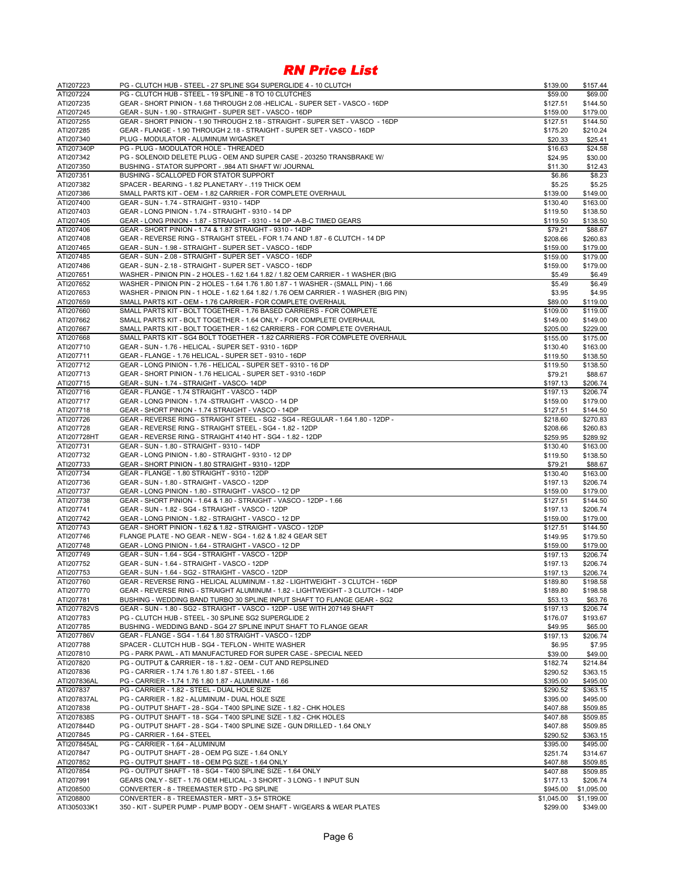| ATI207223              | PG - CLUTCH HUB - STEEL - 27 SPLINE SG4 SUPERGLIDE 4 - 10 CLUTCH                                 | \$139.00               | \$157.44                 |
|------------------------|--------------------------------------------------------------------------------------------------|------------------------|--------------------------|
| ATI207224              | PG - CLUTCH HUB - STEEL - 19 SPLINE - 8 TO 10 CLUTCHES                                           | \$59.00                | \$69.00                  |
| ATI207235              | GEAR - SHORT PINION - 1.68 THROUGH 2.08 -HELICAL - SUPER SET - VASCO - 16DP                      | \$127.51               | \$144.50                 |
| ATI207245              | GEAR - SUN - 1.90 - STRAIGHT - SUPER SET - VASCO - 16DP                                          | \$159.00               | \$179.00                 |
| ATI207255              | GEAR - SHORT PINION - 1.90 THROUGH 2.18 - STRAIGHT - SUPER SET - VASCO - 16DP                    | \$127.51               | \$144.50                 |
| ATI207285              | GEAR - FLANGE - 1.90 THROUGH 2.18 - STRAIGHT - SUPER SET - VASCO - 16DP                          | \$175.20               | \$210.24                 |
| ATI207340              | PLUG - MODULATOR - ALUMINUM W/GASKET                                                             | \$20.33                | \$25.41                  |
| ATI207340P             | PG - PLUG - MODULATOR HOLE - THREADED                                                            | \$16.63                | \$24.58                  |
| ATI207342              | PG - SOLENOID DELETE PLUG - OEM AND SUPER CASE - 203250 TRANSBRAKE W/                            | \$24.95                | \$30.00                  |
| ATI207350              | BUSHING - STATOR SUPPORT - .984 ATI SHAFT W/ JOURNAL                                             | \$11.30                | \$12.43                  |
| ATI207351              | BUSHING - SCALLOPED FOR STATOR SUPPORT                                                           | \$6.86                 | \$8.23                   |
| ATI207382              | SPACER - BEARING - 1.82 PLANETARY - .119 THICK OEM                                               | \$5.25                 | \$5.25                   |
| ATI207386              | SMALL PARTS KIT - OEM - 1.82 CARRIER - FOR COMPLETE OVERHAUL                                     | \$139.00               | \$149.00                 |
| ATI207400              | GEAR - SUN - 1.74 - STRAIGHT - 9310 - 14DP                                                       | \$130.40               | \$163.00                 |
| ATI207403              | GEAR - LONG PINION - 1.74 - STRAIGHT - 9310 - 14 DP                                              | \$119.50               | \$138.50                 |
| ATI207405              | GEAR - LONG PINION - 1.87 - STRAIGHT - 9310 - 14 DP - A-B-C TIMED GEARS                          | \$119.50               | \$138.50                 |
| ATI207406              | GEAR - SHORT PINION - 1.74 & 1.87 STRAIGHT - 9310 - 14DP                                         | \$79.21                | \$88.67                  |
| ATI207408              | GEAR - REVERSE RING - STRAIGHT STEEL - FOR 1.74 AND 1.87 - 6 CLUTCH - 14 DP                      | \$208.66               | \$260.83                 |
| ATI207465              | GEAR - SUN - 1.98 - STRAIGHT - SUPER SET - VASCO - 16DP                                          | \$159.00               | \$179.00                 |
| ATI207485              | GEAR - SUN - 2.08 - STRAIGHT - SUPER SET - VASCO - 16DP                                          | \$159.00               | \$179.00                 |
| ATI207486              | GEAR - SUN - 2.18 - STRAIGHT - SUPER SET - VASCO - 16DP                                          | \$159.00               | \$179.00                 |
| ATI207651              | WASHER - PINION PIN - 2 HOLES - 1.62 1.64 1.82 / 1.82 OEM CARRIER - 1 WASHER (BIG                | \$5.49                 | \$6.49                   |
| ATI207652              | WASHER - PINION PIN - 2 HOLES - 1.64 1.76 1.80 1.87 - 1 WASHER - (SMALL PIN) - 1.66              | \$5.49                 | \$6.49                   |
| ATI207653              | WASHER - PINION PIN - 1 HOLE - 1.62 1.64 1.82 / 1.76 OEM CARRIER - 1 WASHER (BIG PIN)            | \$3.95                 | \$4.95                   |
| ATI207659              | SMALL PARTS KIT - OEM - 1.76 CARRIER - FOR COMPLETE OVERHAUL                                     | \$89.00                | \$119.00                 |
| ATI207660              | SMALL PARTS KIT - BOLT TOGETHER - 1.76 BASED CARRIERS - FOR COMPLETE                             | \$109.00               | \$119.00                 |
| ATI207662              | SMALL PARTS KIT - BOLT TOGETHER - 1.64 ONLY - FOR COMPLETE OVERHAUL                              | \$149.00               | \$149.00                 |
| ATI207667              | SMALL PARTS KIT - BOLT TOGETHER - 1.62 CARRIERS - FOR COMPLETE OVERHAUL                          | \$205.00               | \$229.00                 |
| ATI207668              | SMALL PARTS KIT - SG4 BOLT TOGETHER - 1.82 CARRIERS - FOR COMPLETE OVERHAUL                      | \$155.00               | \$175.00                 |
| ATI207710              | GEAR - SUN - 1.76 - HELICAL - SUPER SET - 9310 - 16DP                                            | \$130.40               | \$163.00                 |
| ATI207711              | GEAR - FLANGE - 1.76 HELICAL - SUPER SET - 9310 - 16DP                                           | \$119.50               | \$138.50                 |
| ATI207712              | GEAR - LONG PINION - 1.76 - HELICAL - SUPER SET - 9310 - 16 DP                                   | \$119.50               | \$138.50                 |
| ATI207713              | GEAR - SHORT PINION - 1.76 HELICAL - SUPER SET - 9310 -16DP                                      | \$79.21                | \$88.67                  |
| ATI207715              | GEAR - SUN - 1.74 - STRAIGHT - VASCO- 14DP                                                       | \$197.13               | \$206.74                 |
| ATI207716              | GEAR - FLANGE - 1.74 STRAIGHT - VASCO - 14DP                                                     | \$197.13               | \$206.74                 |
| ATI207717              | GEAR - LONG PINION - 1.74 -STRAIGHT - VASCO - 14 DP                                              | \$159.00               | \$179.00                 |
| ATI207718              | GEAR - SHORT PINION - 1.74 STRAIGHT - VASCO - 14DP                                               | \$127.51               | \$144.50                 |
| ATI207726              | GEAR - REVERSE RING - STRAIGHT STEEL - SG2 - SG4 - REGULAR - 1.64 1.80 - 12DP -                  | \$218.60               | \$270.83                 |
| ATI207728              | GEAR - REVERSE RING - STRAIGHT STEEL - SG4 - 1.82 - 12DP                                         | \$208.66               | \$260.83                 |
| ATI207728HT            | GEAR - REVERSE RING - STRAIGHT 4140 HT - SG4 - 1.82 - 12DP                                       | \$259.95               | \$289.92                 |
| ATI207731              | GEAR - SUN - 1.80 - STRAIGHT - 9310 - 14DP                                                       | \$130.40               | \$163.00                 |
| ATI207732<br>ATI207733 | GEAR - LONG PINION - 1.80 - STRAIGHT - 9310 - 12 DP                                              | \$119.50               | \$138.50                 |
| ATI207734              | GEAR - SHORT PINION - 1.80 STRAIGHT - 9310 - 12DP<br>GEAR - FLANGE - 1.80 STRAIGHT - 9310 - 12DP | \$79.21                | \$88.67                  |
| ATI207736              | GEAR - SUN - 1.80 - STRAIGHT - VASCO - 12DP                                                      | \$130.40<br>\$197.13   | \$163.00<br>\$206.74     |
| ATI207737              | GEAR - LONG PINION - 1.80 - STRAIGHT - VASCO - 12 DP                                             | \$159.00               | \$179.00                 |
| ATI207738              | GEAR - SHORT PINION - 1.64 & 1.80 - STRAIGHT - VASCO - 12DP - 1.66                               | \$127.51               | \$144.50                 |
| ATI207741              | GEAR - SUN - 1.82 - SG4 - STRAIGHT - VASCO - 12DP                                                | \$197.13               | \$206.74                 |
| ATI207742              | GEAR - LONG PINION - 1.82 - STRAIGHT - VASCO - 12 DP                                             | \$159.00               | \$179.00                 |
| ATI207743              | GEAR - SHORT PINION - 1.62 & 1.82 - STRAIGHT - VASCO - 12DP                                      | \$127.51               | \$144.50                 |
| ATI207746              | FLANGE PLATE - NO GEAR - NEW - SG4 - 1.62 & 1.82 4 GEAR SET                                      | \$149.95               | \$179.50                 |
| ATI207748              | GEAR - LONG PINION - 1.64 - STRAIGHT - VASCO - 12 DP                                             | \$159.00               | \$179.00                 |
| ATI207749              | GEAR - SUN - 1.64 - SG4 - STRAIGHT - VASCO - 12DP                                                | \$197.13               | \$206.74                 |
| ATI207752              | GEAR - SUN - 1.64 - STRAIGHT - VASCO - 12DP                                                      | \$197.13               | \$206.74                 |
| ATI207753              | GEAR - SUN - 1.64 - SG2 - STRAIGHT - VASCO - 12DP                                                | \$197.13               | \$206.74                 |
| ATI207760              | GEAR - REVERSE RING - HELICAL ALUMINUM - 1.82 - LIGHTWEIGHT - 3 CLUTCH - 16DP                    | \$189.80               | \$198.58                 |
| ATI207770              | GEAR - REVERSE RING - STRAIGHT ALUMINUM - 1.82 - LIGHTWEIGHT - 3 CLUTCH - 14DP                   | \$189.80               | \$198.58                 |
| ATI207781              | BUSHING - WEDDING BAND TURBO 30 SPLINE INPUT SHAFT TO FLANGE GEAR - SG2                          | \$53.13                | \$63.76                  |
| ATI207782VS            | GEAR - SUN - 1.80 - SG2 - STRAIGHT - VASCO - 12DP - USE WITH 207149 SHAFT                        | \$197.13               | \$206.74                 |
| ATI207783              | PG - CLUTCH HUB - STEEL - 30 SPLINE SG2 SUPERGLIDE 2                                             | \$176.07               | \$193.67                 |
| ATI207785              | BUSHING - WEDDING BAND - SG4 27 SPLINE INPUT SHAFT TO FLANGE GEAR                                | \$49.95                | \$65.00                  |
| ATI207786V             | GEAR - FLANGE - SG4 - 1.64 1.80 STRAIGHT - VASCO - 12DP                                          | \$197.13               | \$206.74                 |
| ATI207788              | SPACER - CLUTCH HUB - SG4 - TEFLON - WHITE WASHER                                                | \$6.95                 | \$7.95                   |
| ATI207810              | PG - PARK PAWL - ATI MANUFACTURED FOR SUPER CASE - SPECIAL NEED                                  | \$39.00                | \$49.00                  |
| ATI207820              | PG - OUTPUT & CARRIER - 18 - 1.82 - OEM - CUT AND REPSLINED                                      | \$182.74               | \$214.84                 |
| ATI207836              | PG - CARRIER - 1.74 1.76 1.80 1.87 - STEEL - 1.66                                                | \$290.52               | \$363.15                 |
| ATI207836AL            | PG - CARRIER - 1.74 1.76 1.80 1.87 - ALUMINUM - 1.66                                             | \$395.00               | \$495.00                 |
| ATI207837              | PG - CARRIER - 1.82 - STEEL - DUAL HOLE SIZE                                                     | \$290.52               | \$363.15                 |
| ATI207837AL            | PG - CARRIER - 1.82 - ALUMINUM - DUAL HOLE SIZE                                                  | \$395.00               | \$495.00                 |
| ATI207838              | PG - OUTPUT SHAFT - 28 - SG4 - T400 SPLINE SIZE - 1.82 - CHK HOLES                               | \$407.88               | \$509.85                 |
| ATI207838S             | PG - OUTPUT SHAFT - 18 - SG4 - T400 SPLINE SIZE - 1.82 - CHK HOLES                               | \$407.88               | \$509.85                 |
| ATI207844D             | PG - OUTPUT SHAFT - 28 - SG4 - T400 SPLINE SIZE - GUN DRILLED - 1.64 ONLY                        | \$407.88               | \$509.85                 |
| ATI207845              | PG - CARRIER - 1.64 - STEEL                                                                      | \$290.52               | \$363.15                 |
| ATI207845AL            | PG - CARRIER - 1.64 - ALUMINUM                                                                   | \$395.00               | \$495.00                 |
| ATI207847              | PG - OUTPUT SHAFT - 28 - OEM PG SIZE - 1.64 ONLY                                                 | \$251.74               | \$314.67                 |
| ATI207852              | PG - OUTPUT SHAFT - 18 - OEM PG SIZE - 1.64 ONLY                                                 | \$407.88               | \$509.85                 |
| ATI207854              | PG - OUTPUT SHAFT - 18 - SG4 - T400 SPLINE SIZE - 1.64 ONLY                                      | \$407.88               | \$509.85                 |
| ATI207991<br>ATI208500 | GEARS ONLY - SET - 1.76 OEM HELICAL - 3 SHORT - 3 LONG - 1 INPUT SUN                             | \$177.13               | \$206.74                 |
| ATI208800              | CONVERTER - 8 - TREEMASTER STD - PG SPLINE<br>CONVERTER - 8 - TREEMASTER - MRT - 3.5+ STROKE     | \$945.00<br>\$1,045.00 | \$1,095.00<br>\$1,199.00 |
| ATI305033K1            | 350 - KIT - SUPER PUMP - PUMP BODY - OEM SHAFT - W/GEARS & WEAR PLATES                           | \$299.00               | \$349.00                 |
|                        |                                                                                                  |                        |                          |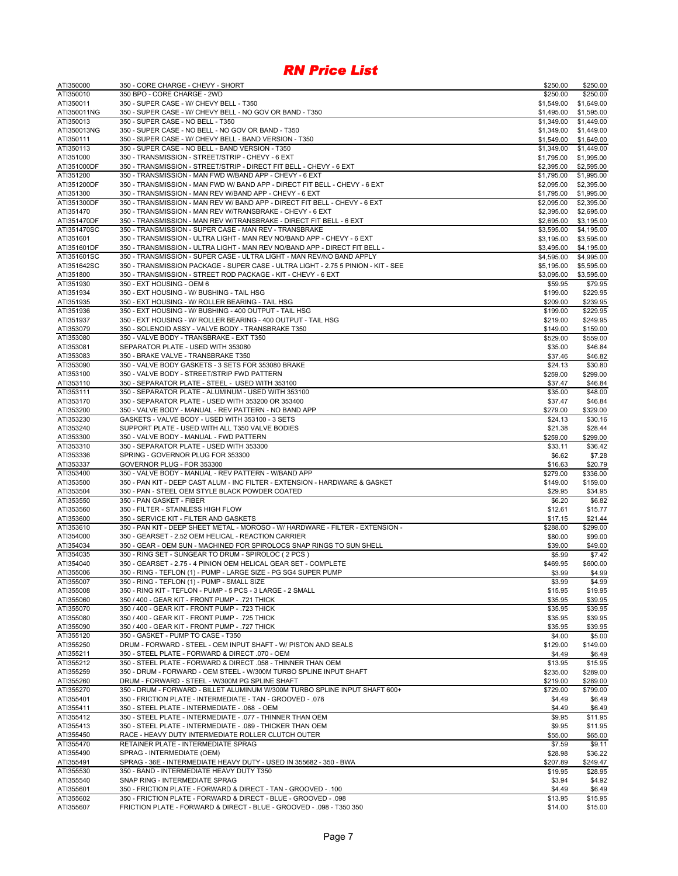| ATI350000                | 350 - CORE CHARGE - CHEVY - SHORT                                                                                                       | \$250.00                 | \$250.00                 |
|--------------------------|-----------------------------------------------------------------------------------------------------------------------------------------|--------------------------|--------------------------|
| ATI350010                | 350 BPO - CORE CHARGE - 2WD                                                                                                             | \$250.00                 | \$250.00                 |
| ATI350011                | 350 - SUPER CASE - W/ CHEVY BELL - T350                                                                                                 | \$1,549.00               | \$1,649.00               |
| ATI350011NG<br>ATI350013 | 350 - SUPER CASE - W/ CHEVY BELL - NO GOV OR BAND - T350<br>350 - SUPER CASE - NO BELL - T350                                           | \$1,495.00<br>\$1,349.00 | \$1,595.00<br>\$1,449.00 |
| ATI350013NG              | 350 - SUPER CASE - NO BELL - NO GOV OR BAND - T350                                                                                      | \$1,349.00               | \$1,449.00               |
| ATI350111                | 350 - SUPER CASE - W/ CHEVY BELL - BAND VERSION - T350                                                                                  | \$1,549.00               | \$1,649.00               |
| ATI350113                | 350 - SUPER CASE - NO BELL - BAND VERSION - T350                                                                                        | \$1,349.00               | \$1,449.00               |
| ATI351000                | 350 - TRANSMISSION - STREET/STRIP - CHEVY - 6 EXT                                                                                       | \$1,795.00               | \$1,995.00               |
| ATI351000DF              | 350 - TRANSMISSION - STREET/STRIP - DIRECT FIT BELL - CHEVY - 6 EXT                                                                     | \$2,395.00               | \$2,595.00               |
| ATI351200                | 350 - TRANSMISSION - MAN FWD W/BAND APP - CHEVY - 6 EXT                                                                                 | \$1,795.00               | \$1,995.00               |
| ATI351200DF              | 350 - TRANSMISSION - MAN FWD W/ BAND APP - DIRECT FIT BELL - CHEVY - 6 EXT                                                              | \$2,095.00               | \$2,395.00               |
| ATI351300                | 350 - TRANSMISSION - MAN REV W/BAND APP - CHEVY - 6 EXT                                                                                 | \$1,795.00               | \$1,995.00               |
| ATI351300DF<br>ATI351470 | 350 - TRANSMISSION - MAN REV W/ BAND APP - DIRECT FIT BELL - CHEVY - 6 EXT<br>350 - TRANSMISSION - MAN REV W/TRANSBRAKE - CHEVY - 6 EXT | \$2,095.00               | \$2,395.00               |
| ATI351470DF              | 350 - TRANSMISSION - MAN REV W/TRANSBRAKE - DIRECT FIT BELL - 6 EXT                                                                     | \$2,395.00<br>\$2,695.00 | \$2,695.00<br>\$3,195.00 |
| ATI351470SC              | 350 - TRANSMISSION - SUPER CASE - MAN REV - TRANSBRAKE                                                                                  | \$3,595.00               | \$4,195.00               |
| ATI351601                | 350 - TRANSMISSION - ULTRA LIGHT - MAN REV NO/BAND APP - CHEVY - 6 EXT                                                                  | \$3,195.00               | \$3,595.00               |
| ATI351601DF              | 350 - TRANSMISSION - ULTRA LIGHT - MAN REV NO/BAND APP - DIRECT FIT BELL -                                                              | \$3,495.00               | \$4,195.00               |
| ATI351601SC              | 350 - TRANSMISSION - SUPER CASE - ULTRA LIGHT - MAN REV/NO BAND APPLY                                                                   | \$4,595.00               | \$4,995.00               |
| ATI351642SC              | 350 - TRANSMISSION PACKAGE - SUPER CASE - ULTRA LIGHT - 2.75 5 PINION - KIT - SEE                                                       | \$5,195.00               | \$5,595.00               |
| ATI351800                | 350 - TRANSMISSION - STREET ROD PACKAGE - KIT - CHEVY - 6 EXT                                                                           | \$3,095.00               | \$3,595.00               |
| ATI351930                | 350 - EXT HOUSING - OEM 6                                                                                                               | \$59.95                  | \$79.95                  |
| ATI351934                | 350 - EXT HOUSING - W/ BUSHING - TAIL HSG                                                                                               | \$199.00                 | \$229.95                 |
| ATI351935<br>ATI351936   | 350 - EXT HOUSING - W/ ROLLER BEARING - TAIL HSG<br>350 - EXT HOUSING - W/ BUSHING - 400 OUTPUT - TAIL HSG                              | \$209.00<br>\$199.00     | \$239.95<br>\$229.95     |
| ATI351937                | 350 - EXT HOUSING - W/ ROLLER BEARING - 400 OUTPUT - TAIL HSG                                                                           | \$219.00                 | \$249.95                 |
| ATI353079                | 350 - SOLENOID ASSY - VALVE BODY - TRANSBRAKE T350                                                                                      | \$149.00                 | \$159.00                 |
| ATI353080                | 350 - VALVE BODY - TRANSBRAKE - EXT T350                                                                                                | \$529.00                 | \$559.00                 |
| ATI353081                | SEPARATOR PLATE - USED WITH 353080                                                                                                      | \$35.00                  | \$46.84                  |
| ATI353083                | 350 - BRAKE VALVE - TRANSBRAKE T350                                                                                                     | \$37.46                  | \$46.82                  |
| ATI353090                | 350 - VALVE BODY GASKETS - 3 SETS FOR 353080 BRAKE                                                                                      | \$24.13                  | \$30.80                  |
| ATI353100                | 350 - VALVE BODY - STREET/STRIP FWD PATTERN                                                                                             | \$259.00                 | \$299.00                 |
| ATI353110                | 350 - SEPARATOR PLATE - STEEL - USED WITH 353100<br>350 - SEPARATOR PLATE - ALUMINUM - USED WITH 353100                                 | \$37.47                  | \$46.84                  |
| ATI353111<br>ATI353170   | 350 - SEPARATOR PLATE - USED WITH 353200 OR 353400                                                                                      | \$35.00<br>\$37.47       | \$48.00<br>\$46.84       |
| ATI353200                | 350 - VALVE BODY - MANUAL - REV PATTERN - NO BAND APP                                                                                   | \$279.00                 | \$329.00                 |
| ATI353230                | GASKETS - VALVE BODY - USED WITH 353100 - 3 SETS                                                                                        | \$24.13                  | \$30.16                  |
| ATI353240                | SUPPORT PLATE - USED WITH ALL T350 VALVE BODIES                                                                                         | \$21.38                  | \$28.44                  |
| ATI353300                | 350 - VALVE BODY - MANUAL - FWD PATTERN                                                                                                 | \$259.00                 | \$299.00                 |
| ATI353310                | 350 - SEPARATOR PLATE - USED WITH 353300                                                                                                | \$33.11                  | \$36.42                  |
| ATI353336                | SPRING - GOVERNOR PLUG FOR 353300                                                                                                       | \$6.62                   | \$7.28                   |
| ATI353337                | GOVERNOR PLUG - FOR 353300                                                                                                              | \$16.63                  | \$20.79                  |
| ATI353400                | 350 - VALVE BODY - MANUAL - REV PATTERN - W/BAND APP                                                                                    | \$279.00                 | \$336.00                 |
| ATI353500<br>ATI353504   | 350 - PAN KIT - DEEP CAST ALUM - INC FILTER - EXTENSION - HARDWARE & GASKET<br>350 - PAN - STEEL OEM STYLE BLACK POWDER COATED          | \$149.00<br>\$29.95      | \$159.00<br>\$34.95      |
| ATI353550                | 350 - PAN GASKET - FIBER                                                                                                                | \$6.20                   | \$6.82                   |
| ATI353560                | 350 - FILTER - STAINLESS HIGH FLOW                                                                                                      | \$12.61                  | \$15.77                  |
| ATI353600                | 350 - SERVICE KIT - FILTER AND GASKETS                                                                                                  | \$17.15                  | \$21.44                  |
| ATI353610                | 350 - PAN KIT - DEEP SHEET METAL - MOROSO - W/ HARDWARE - FILTER - EXTENSION -                                                          | \$288.00                 | \$299.00                 |
| ATI354000                | 350 - GEARSET - 2.52 OEM HELICAL - REACTION CARRIER                                                                                     | \$80.00                  | \$99.00                  |
| ATI354034                | 350 - GEAR - OEM SUN - MACHINED FOR SPIROLOCS SNAP RINGS TO SUN SHELL                                                                   | \$39.00                  | \$49.00                  |
| ATI354035                | 350 - RING SET - SUNGEAR TO DRUM - SPIROLOC (2 PCS)                                                                                     | \$5.99                   | \$7.42                   |
| ATI354040                | 350 - GEARSET - 2.75 - 4 PINION OEM HELICAL GEAR SET - COMPLETE                                                                         | \$469.95                 | \$600.00                 |
| ATI355006                | 350 - RING - TEFLON (1) - PUMP - LARGE SIZE - PG SG4 SUPER PUMP                                                                         | \$3.99                   | \$4.99                   |
| ATI355007<br>ATI355008   | 350 - RING - TEFLON (1) - PUMP - SMALL SIZE<br>350 - RING KIT - TEFLON - PUMP - 5 PCS - 3 LARGE - 2 SMALL                               | \$3.99<br>\$15.95        | \$4.99<br>\$19.95        |
| ATI355060                | 350 / 400 - GEAR KIT - FRONT PUMP - .721 THICK                                                                                          | \$35.95                  | \$39.95                  |
| ATI355070                | 350 / 400 - GEAR KIT - FRONT PUMP - .723 THICK                                                                                          | \$35.95                  | \$39.95                  |
| ATI355080                | 350 / 400 - GEAR KIT - FRONT PUMP - .725 THICK                                                                                          | \$35.95                  | \$39.95                  |
| ATI355090                | 350 / 400 - GEAR KIT - FRONT PUMP - .727 THICK                                                                                          | \$35.95                  | \$39.95                  |
| ATI355120                | 350 - GASKET - PUMP TO CASE - T350                                                                                                      | \$4.00                   | \$5.00                   |
| ATI355250                | DRUM - FORWARD - STEEL - OEM INPUT SHAFT - W/ PISTON AND SEALS                                                                          | \$129.00                 | \$149.00                 |
| ATI355211                | 350 - STEEL PLATE - FORWARD & DIRECT .070 - OEM                                                                                         | \$4.49                   | \$6.49                   |
| ATI355212                | 350 - STEEL PLATE - FORWARD & DIRECT .058 - THINNER THAN OEM                                                                            | \$13.95                  | \$15.95                  |
| ATI355259<br>ATI355260   | 350 - DRUM - FORWARD - OEM STEEL - W/300M TURBO SPLINE INPUT SHAFT<br>DRUM - FORWARD - STEEL - W/300M PG SPLINE SHAFT                   | \$235.00<br>\$219.00     | \$289.00<br>\$289.00     |
| ATI355270                | 350 - DRUM - FORWARD - BILLET ALUMINUM W/300M TURBO SPLINE INPUT SHAFT 600+                                                             | \$729.00                 | \$799.00                 |
| ATI355401                | 350 - FRICTION PLATE - INTERMEDIATE - TAN - GROOVED - .078                                                                              | \$4.49                   | \$6.49                   |
| ATI355411                | 350 - STEEL PLATE - INTERMEDIATE - .068 - OEM                                                                                           | \$4.49                   | \$6.49                   |
| ATI355412                | 350 - STEEL PLATE - INTERMEDIATE - .077 - THINNER THAN OEM                                                                              | \$9.95                   | \$11.95                  |
| ATI355413                | 350 - STEEL PLATE - INTERMEDIATE - .089 - THICKER THAN OEM                                                                              | \$9.95                   | \$11.95                  |
| ATI355450                | RACE - HEAVY DUTY INTERMEDIATE ROLLER CLUTCH OUTER                                                                                      | \$55.00                  | \$65.00                  |
| ATI355470                | RETAINER PLATE - INTERMEDIATE SPRAG                                                                                                     | \$7.59                   | \$9.11                   |
| ATI355490                | SPRAG - INTERMEDIATE (OEM)                                                                                                              | \$28.98                  | \$36.22                  |
| ATI355491                | SPRAG - 36E - INTERMEDIATE HEAVY DUTY - USED IN 355682 - 350 - BWA                                                                      | \$207.89                 | \$249.47                 |
| ATI355530                | 350 - BAND - INTERMEDIATE HEAVY DUTY T350                                                                                               | \$19.95<br>\$3.94        | \$28.95                  |
| ATI355540<br>ATI355601   | SNAP RING - INTERMEDIATE SPRAG<br>100. - FRICTION PLATE - FORWARD & DIRECT - TAN - GROOVED - .100                                       | \$4.49                   | \$4.92<br>\$6.49         |
| ATI355602                | 350 - FRICTION PLATE - FORWARD & DIRECT - BLUE - GROOVED - .098                                                                         | \$13.95                  | \$15.95                  |
| ATI355607                | FRICTION PLATE - FORWARD & DIRECT - BLUE - GROOVED - .098 - T350 350                                                                    | \$14.00                  | \$15.00                  |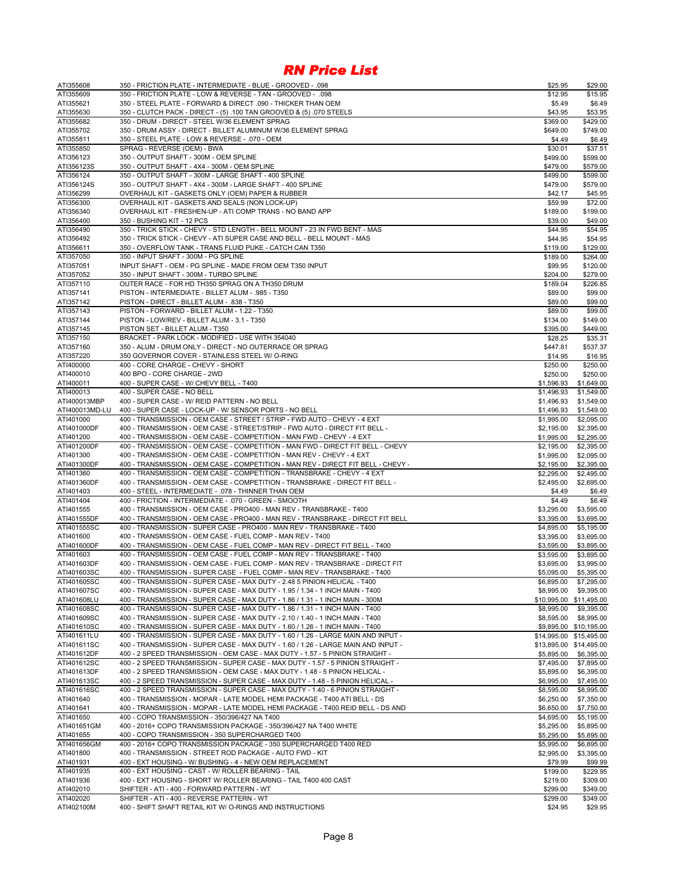| ATI355608                  | 350 - FRICTION PLATE - INTERMEDIATE - BLUE - GROOVED - .098                                                                                                       | \$25.95                  | \$29.00                  |
|----------------------------|-------------------------------------------------------------------------------------------------------------------------------------------------------------------|--------------------------|--------------------------|
| ATI355609                  | 350 - FRICTION PLATE - LOW & REVERSE - TAN - GROOVED - .098                                                                                                       | \$12.95                  | \$15.95                  |
| ATI355621                  | 350 - STEEL PLATE - FORWARD & DIRECT .090 - THICKER THAN OEM                                                                                                      | \$5.49                   | \$6.49                   |
| ATI355630                  | 350 - CLUTCH PACK - DIRECT - (5) .100 TAN GROOVED & (5) .070 STEELS                                                                                               | \$43.95                  | \$53.95                  |
| ATI355682<br>ATI355702     | 350 - DRUM - DIRECT - STEEL W/36 ELEMENT SPRAG<br>350 - DRUM ASSY - DIRECT - BILLET ALUMINUM W/36 ELEMENT SPRAG                                                   | \$369.00                 | \$429.00                 |
| ATI355811                  | 350 - STEEL PLATE - LOW & REVERSE - .070 - OEM                                                                                                                    | \$649.00<br>\$4.49       | \$749.00<br>\$6.49       |
| ATI355850                  | SPRAG - REVERSE (OEM) - BWA                                                                                                                                       | \$30.01                  | \$37.51                  |
| ATI356123                  | 350 - OUTPUT SHAFT - 300M - OEM SPLINE                                                                                                                            | \$499.00                 | \$599.00                 |
| ATI356123S                 | 350 - OUTPUT SHAFT - 4X4 - 300M - OEM SPLINE                                                                                                                      | \$479.00                 | \$579.00                 |
| ATI356124                  | 350 - OUTPUT SHAFT - 300M - LARGE SHAFT - 400 SPLINE                                                                                                              | \$499.00                 | \$599.00                 |
| ATI356124S                 | 350 - OUTPUT SHAFT - 4X4 - 300M - LARGE SHAFT - 400 SPLINE                                                                                                        | \$479.00                 | \$579.00                 |
| ATI356299                  | OVERHAUL KIT - GASKETS ONLY (OEM) PAPER & RUBBER                                                                                                                  | \$42.17                  | \$45.95                  |
| ATI356300                  | OVERHAUL KIT - GASKETS AND SEALS (NON LOCK-UP)                                                                                                                    | \$59.99                  | \$72.00                  |
| ATI356340                  | OVERHAUL KIT - FRESHEN-UP - ATI COMP TRANS - NO BAND APP                                                                                                          | \$189.00                 | \$199.00                 |
| ATI356400                  | 350 - BUSHING KIT - 12 PCS                                                                                                                                        | \$39.00                  | \$49.00                  |
| ATI356490                  | 350 - TRICK STICK - CHEVY - STD LENGTH - BELL MOUNT - 23 IN FWD BENT - MAS                                                                                        | \$44.95                  | \$54.95                  |
| ATI356492                  | 350 - TRICK STICK - CHEVY - ATI SUPER CASE AND BELL - BELL MOUNT - MAS                                                                                            | \$44.95                  | \$54.95                  |
| ATI356611<br>ATI357050     | 350 - OVERFLOW TANK - TRANS FLUID PUKE - CATCH CAN T350<br>350 - INPUT SHAFT - 300M - PG SPLINE                                                                   | \$119.00<br>\$189.00     | \$129.00<br>\$264.00     |
| ATI357051                  | INPUT SHAFT - OEM - PG SPLINE - MADE FROM OEM T350 INPUT                                                                                                          | \$99.95                  | \$120.00                 |
| ATI357052                  | 350 - INPUT SHAFT - 300M - TURBO SPLINE                                                                                                                           | \$204.00                 | \$279.00                 |
| ATI357110                  | OUTER RACE - FOR HD TH350 SPRAG ON A TH350 DRUM                                                                                                                   | \$189.04                 | \$226.85                 |
| ATI357141                  | PISTON - INTERMEDIATE - BILLET ALUM - .985 - T350                                                                                                                 | \$89.00                  | \$99.00                  |
| ATI357142                  | PISTON - DIRECT - BILLET ALUM - .838 - T350                                                                                                                       | \$89.00                  | \$99.00                  |
| ATI357143                  | PISTON - FORWARD - BILLET ALUM - 1.22 - T350                                                                                                                      | \$89.00                  | \$99.00                  |
| ATI357144                  | PISTON - LOW/REV - BILLET ALUM - 3.1 - T350                                                                                                                       | \$134.00                 | \$149.00                 |
| ATI357145                  | PISTON SET - BILLET ALUM - T350                                                                                                                                   | \$395.00                 | \$449.00                 |
| ATI357150                  | BRACKET - PARK LOCK - MODIFIED - USE WITH 354040                                                                                                                  | \$28.25                  | \$35.31                  |
| ATI357160                  | 350 - ALUM - DRUM ONLY - DIRECT - NO OUTERRACE OR SPRAG                                                                                                           | \$447.81                 | \$537.37                 |
| ATI357220                  | 350 GOVERNOR COVER - STAINLESS STEEL W/ O-RING                                                                                                                    | \$14.95                  | \$16.95                  |
| ATI400000                  | 400 - CORE CHARGE - CHEVY - SHORT                                                                                                                                 | \$250.00                 | \$250.00                 |
| ATI400010                  | 400 BPO - CORE CHARGE - 2WD                                                                                                                                       | \$250.00                 | \$250.00                 |
| ATI400011                  | 400 - SUPER CASE - W/ CHEVY BELL - T400                                                                                                                           | \$1,596.93               | \$1,649.00               |
| ATI400013<br>ATI400013MBP  | 400 - SUPER CASE - NO BELL<br>400 - SUPER CASE - W/ REID PATTERN - NO BELL                                                                                        | \$1,496.93<br>\$1,496.93 | \$1,549.00<br>\$1,549.00 |
| ATI400013MD-LU             | 400 - SUPER CASE - LOCK-UP - W/ SENSOR PORTS - NO BELL                                                                                                            | \$1,496.93               | \$1,549.00               |
| ATI401000                  | 400 - TRANSMISSION - OEM CASE - STREET / STRIP - FWD AUTO - CHEVY - 4 EXT                                                                                         | \$1,995.00               | \$2,095.00               |
| ATI401000DF                | 400 - TRANSMISSION - OEM CASE - STREET/STRIP - FWD AUTO - DIRECT FIT BELL -                                                                                       | \$2,195.00               | \$2,395.00               |
| ATI401200                  | 400 - TRANSMISSION - OEM CASE - COMPETITION - MAN FWD - CHEVY - 4 EXT                                                                                             | \$1,995.00               | \$2,295.00               |
| ATI401200DF                | 400 - TRANSMISSION - OEM CASE - COMPETITION - MAN FWD - DIRECT FIT BELL - CHEVY                                                                                   | \$2,195.00               | \$2,395.00               |
| ATI401300                  | 400 - TRANSMISSION - OEM CASE - COMPETITION - MAN REV - CHEVY - 4 EXT                                                                                             | \$1,995.00               | \$2,095.00               |
| ATI401300DF                | 400 - TRANSMISSION - OEM CASE - COMPETITION - MAN REV - DIRECT FIT BELL - CHEVY -                                                                                 | \$2,195.00               | \$2,395.00               |
| ATI401360                  | 400 - TRANSMISSION - OEM CASE - COMPETITION - TRANSBRAKE - CHEVY - 4 EXT                                                                                          | \$2,295.00               | \$2,495.00               |
| ATI401360DF                | 400 - TRANSMISSION - OEM CASE - COMPETITION - TRANSBRAKE - DIRECT FIT BELL -                                                                                      | \$2,495.00               | \$2,695.00               |
| ATI401403                  | 400 - STEEL - INTERMEDIATE - .078 - THINNER THAN OEM                                                                                                              | \$4.49                   | \$6.49                   |
| ATI401404                  | 400 - FRICTION - INTERMEDIATE - .070 - GREEN - SMOOTH                                                                                                             | \$4.49                   | \$6.49                   |
| ATI401555                  | 400 - TRANSMISSION - OEM CASE - PRO400 - MAN REV - TRANSBRAKE - T400                                                                                              | \$3,295.00               | \$3,595.00               |
| ATI401555DF                | 400 - TRANSMISSION - OEM CASE - PRO400 - MAN REV - TRANSBRAKE - DIRECT FIT BELL                                                                                   | \$3,395.00               | \$3,695.00               |
| ATI401555SC                | 400 - TRANSMISSION - SUPER CASE - PRO400 - MAN REV - TRANSBRAKE - T400                                                                                            | \$4,895.00               | \$5,195.00               |
| ATI401600                  | 400 - TRANSMISSION - OEM CASE - FUEL COMP - MAN REV - T400<br>400 - TRANSMISSION - OEM CASE - FUEL COMP - MAN REV - DIRECT FIT BELL - T400                        | \$3,395.00               | \$3,695.00               |
| ATI401600DF<br>ATI401603   | 400 - TRANSMISSION - OEM CASE - FUEL COMP - MAN REV - TRANSBRAKE - T400                                                                                           | \$3,595.00<br>\$3,595.00 | \$3,895.00<br>\$3,895.00 |
| ATI401603DF                | 400 - TRANSMISSION - OEM CASE - FUEL COMP - MAN REV - TRANSBRAKE - DIRECT FIT                                                                                     | \$3,695.00               | \$3,995.00               |
| ATI401603SC                | 400 - TRANSMISSION - SUPER CASE - FUEL COMP - MAN REV - TRANSBRAKE - T400                                                                                         | \$5,095.00               | \$5,395.00               |
| ATI401605SC                | 400 - TRANSMISSION - SUPER CASE - MAX DUTY - 2.48 5 PINION HELICAL - T400                                                                                         | \$6,895.00               | \$7,295.00               |
| ATI401607SC                | 400 - TRANSMISSION - SUPER CASE - MAX DUTY - 1.95 / 1.34 - 1 INCH MAIN - T400                                                                                     | \$8,995.00               | \$9,395.00               |
| ATI401608LU                | 400 - TRANSMISSION - SUPER CASE - MAX DUTY - 1.86 / 1.31 - 1 INCH MAIN - 300M                                                                                     |                          | \$10,995.00 \$11,495.00  |
| ATI401608SC                | 400 - TRANSMISSION - SUPER CASE - MAX DUTY - 1.86 / 1.31 - 1 INCH MAIN - T400                                                                                     | \$8,995.00               | \$9,395.00               |
| ATI401609SC                | 400 - TRANSMISSION - SUPER CASE - MAX DUTY - 2.10 / 1.40 - 1 INCH MAIN - T400                                                                                     | \$8,595.00               | \$8,995.00               |
| ATI401610SC                | 400 - TRANSMISSION - SUPER CASE - MAX DUTY - 1.60 / 1.26 - 1 INCH MAIN - T400                                                                                     |                          | \$9,895.00 \$10,195.00   |
| ATI401611LU                | 400 - TRANSMISSION - SUPER CASE - MAX DUTY - 1.60 / 1.26 - LARGE MAIN AND INPUT -                                                                                 | \$14,995.00              | \$15,495.00              |
| ATI401611SC                | 400 - TRANSMISSION - SUPER CASE - MAX DUTY - 1.60 / 1.26 - LARGE MAIN AND INPUT -                                                                                 |                          | \$13,895.00 \$14,495.00  |
| ATI401612DF                | 400 - 2 SPEED TRANSMISSION - OEM CASE - MAX DUTY - 1.57 - 5 PINION STRAIGHT -                                                                                     | \$5,895.00               | \$6,395.00               |
| ATI401612SC                | 400 - 2 SPEED TRANSMISSION - SUPER CASE - MAX DUTY - 1.57 - 5 PINION STRAIGHT -                                                                                   | \$7,495.00               | \$7,895.00               |
| ATI401613DF                | 400 - 2 SPEED TRANSMISSION - OEM CASE - MAX DUTY - 1.48 - 5 PINION HELICAL -                                                                                      | \$5,895.00               | \$6,395.00               |
| ATI401613SC<br>ATI401616SC | 400 - 2 SPEED TRANSMISSION - SUPER CASE - MAX DUTY - 1.48 - 5 PINION HELICAL -<br>400 - 2 SPEED TRANSMISSION - SUPER CASE - MAX DUTY - 1.40 - 6 PINION STRAIGHT - | \$6,995.00<br>\$8,595.00 | \$7,495.00<br>\$8,995.00 |
| ATI401640                  | 400 - TRANSMISSION - MOPAR - LATE MODEL HEMI PACKAGE - T400 ATI BELL - DS                                                                                         | \$6,250.00               | \$7,350.00               |
| ATI401641                  | 400 - TRANSMISSION - MOPAR - LATE MODEL HEMI PACKAGE - T400 REID BELL - DS AND                                                                                    | \$6,650.00               | \$7,750.00               |
| ATI401650                  | 400 - COPO TRANSMISSION - 350/396/427 NA T400                                                                                                                     | \$4,695.00               | \$5,195.00               |
| ATI401651GM                | 400 - 2016+ COPO TRANSMISSION PACKAGE - 350/396/427 NA T400 WHITE                                                                                                 | \$5,295.00               | \$5,895.00               |
| ATI401655                  | 400 - COPO TRANSMISSION - 350 SUPERCHARGED T400                                                                                                                   | \$5,295.00               | \$5,895.00               |
| ATI401656GM                | 400 - 2016+ COPO TRANSMISSION PACKAGE - 350 SUPERCHARGED T400 RED                                                                                                 | \$5,995.00               | \$6,895.00               |
| ATI401800                  | 400 - TRANSMISSION - STREET ROD PACKAGE - AUTO FWD - KIT                                                                                                          | \$2,995.00               | \$3,395.00               |
| ATI401931                  | 400 - EXT HOUSING - W/ BUSHING - 4 - NEW OEM REPLACEMENT                                                                                                          | \$79.99                  | \$99.99                  |
| ATI401935                  | 400 - EXT HOUSING - CAST - W/ ROLLER BEARING - TAIL                                                                                                               | \$199.00                 | \$229.95                 |
| ATI401936                  | 400 - EXT HOUSING - SHORT W/ ROLLER BEARING - TAIL T400 400 CAST                                                                                                  | \$219.00                 | \$309.00                 |
| ATI402010                  | SHIFTER - ATI - 400 - FORWARD PATTERN - WT                                                                                                                        | \$299.00                 | \$349.00                 |
| ATI402020                  | SHIFTER - ATI - 400 - REVERSE PATTERN - WT                                                                                                                        | \$299.00                 | \$349.00                 |
| ATI402100M                 | 400 - SHIFT SHAFT RETAIL KIT W/ O-RINGS AND INSTRUCTIONS                                                                                                          | \$24.95                  | \$29.95                  |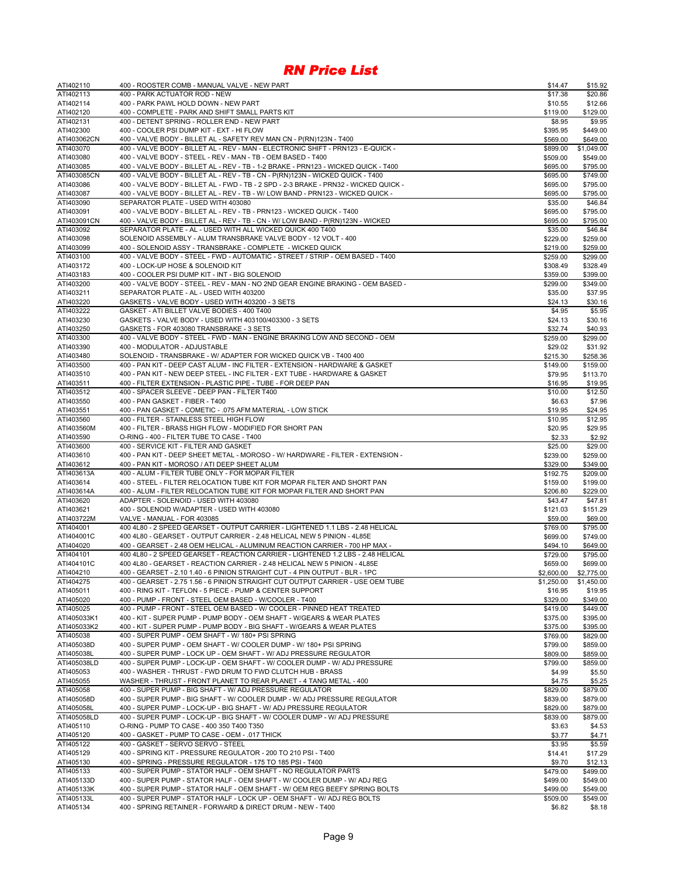| ATI402110                | 400 - ROOSTER COMB - MANUAL VALVE - NEW PART                                                                                                                    | \$14.47               | \$15.92               |
|--------------------------|-----------------------------------------------------------------------------------------------------------------------------------------------------------------|-----------------------|-----------------------|
| ATI402113                | 400 - PARK ACTUATOR ROD - NEW                                                                                                                                   | \$17.38               | \$20.86               |
| ATI402114                | 400 - PARK PAWL HOLD DOWN - NEW PART                                                                                                                            | \$10.55               | \$12.66               |
| ATI402120                | 400 - COMPLETE - PARK AND SHIFT SMALL PARTS KIT                                                                                                                 | \$119.00              | \$129.00              |
| ATI402131<br>ATI402300   | 400 - DETENT SPRING - ROLLER END - NEW PART<br>400 - COOLER PSI DUMP KIT - EXT - HI FLOW                                                                        | \$8.95                | \$9.95                |
| ATI403062CN              | 400 - VALVE BODY - BILLET AL - SAFETY REV MAN CN - P(RN)123N - T400                                                                                             | \$395.95<br>\$569.00  | \$449.00<br>\$649.00  |
| ATI403070                | 400 - VALVE BODY - BILLET AL - REV - MAN - ELECTRONIC SHIFT - PRN123 - E-QUICK -                                                                                | \$899.00              | \$1,049.00            |
| ATI403080                | 400 - VALVE BODY - STEEL - REV - MAN - TB - OEM BASED - T400                                                                                                    | \$509.00              | \$549.00              |
| ATI403085                | 400 - VALVE BODY - BILLET AL - REV - TB - 1-2 BRAKE - PRN123 - WICKED QUICK - T400                                                                              | \$695.00              | \$795.00              |
| ATI403085CN              | 400 - VALVE BODY - BILLET AL - REV - TB - CN - P(RN)123N - WICKED QUICK - T400                                                                                  | \$695.00              | \$749.00              |
| ATI403086                | 400 - VALVE BODY - BILLET AL - FWD - TB - 2 SPD - 2-3 BRAKE - PRN32 - WICKED QUICK -                                                                            | \$695.00              | \$795.00              |
| ATI403087                | 400 - VALVE BODY - BILLET AL - REV - TB - W/ LOW BAND - PRN123 - WICKED QUICK -                                                                                 | \$695.00              | \$795.00              |
| ATI403090                | SEPARATOR PLATE - USED WITH 403080                                                                                                                              | \$35.00               | \$46.84               |
| ATI403091<br>ATI403091CN | 400 - VALVE BODY - BILLET AL - REV - TB - PRN123 - WICKED QUICK - T400<br>400 - VALVE BODY - BILLET AL - REV - TB - CN - W/ LOW BAND - P(RN)123N - WICKED       | \$695.00<br>\$695.00  | \$795.00<br>\$795.00  |
| ATI403092                | SEPARATOR PLATE - AL - USED WITH ALL WICKED QUICK 400 T400                                                                                                      | \$35.00               | \$46.84               |
| ATI403098                | SOLENOID ASSEMBLY - ALUM TRANSBRAKE VALVE BODY - 12 VOLT - 400                                                                                                  | \$229.00              | \$259.00              |
| ATI403099                | 400 - SOLENOID ASSY - TRANSBRAKE - COMPLETE - WICKED QUICK                                                                                                      | \$219.00              | \$259.00              |
| ATI403100                | 400 - VALVE BODY - STEEL - FWD - AUTOMATIC - STREET / STRIP - OEM BASED - T400                                                                                  | \$259.00              | \$299.00              |
| ATI403172                | 400 - LOCK-UP HOSE & SOLENOID KIT                                                                                                                               | \$308.49              | \$328.49              |
| ATI403183                | 400 - COOLER PSI DUMP KIT - INT - BIG SOLENOID                                                                                                                  | \$359.00              | \$399.00              |
| ATI403200                | 400 - VALVE BODY - STEEL - REV - MAN - NO 2ND GEAR ENGINE BRAKING - OEM BASED -                                                                                 | \$299.00              | \$349.00              |
| ATI403211                | SEPARATOR PLATE - AL - USED WITH 403200                                                                                                                         | \$35.00               | \$37.95               |
| ATI403220<br>ATI403222   | GASKETS - VALVE BODY - USED WITH 403200 - 3 SETS<br>GASKET - ATI BILLET VALVE BODIES - 400 T400                                                                 | \$24.13               | \$30.16               |
| ATI403230                | GASKETS - VALVE BODY - USED WITH 403100/403300 - 3 SETS                                                                                                         | \$4.95<br>\$24.13     | \$5.95<br>\$30.16     |
| ATI403250                | GASKETS - FOR 403080 TRANSBRAKE - 3 SETS                                                                                                                        | \$32.74               | \$40.93               |
| ATI403300                | 400 - VALVE BODY - STEEL - FWD - MAN - ENGINE BRAKING LOW AND SECOND - OEM                                                                                      | \$259.00              | \$299.00              |
| ATI403390                | 400 - MODULATOR - ADJUSTABLE                                                                                                                                    | \$29.02               | \$31.92               |
| ATI403480                | SOLENOID - TRANSBRAKE - W/ ADAPTER FOR WICKED QUICK VB - T400 400                                                                                               | \$215.30              | \$258.36              |
| ATI403500                | 400 - PAN KIT - DEEP CAST ALUM - INC FILTER - EXTENSION - HARDWARE & GASKET                                                                                     | \$149.00              | \$159.00              |
| ATI403510                | 400 - PAN KIT - NEW DEEP STEEL - INC FILTER - EXT TUBE - HARDWARE & GASKET                                                                                      | \$79.95               | \$113.70              |
| ATI403511                | 400 - FILTER EXTENSION - PLASTIC PIPE - TUBE - FOR DEEP PAN                                                                                                     | \$16.95               | \$19.95               |
| ATI403512                | 400 - SPACER SLEEVE - DEEP PAN - FILTER T400<br>400 - PAN GASKET - FIBER - T400                                                                                 | \$10.00               | \$12.50               |
| ATI403550<br>ATI403551   | 400 - PAN GASKET - COMETIC - .075 AFM MATERIAL - LOW STICK                                                                                                      | \$6.63<br>\$19.95     | \$7.96<br>\$24.95     |
| ATI403560                | 400 - FILTER - STAINLESS STEEL HIGH FLOW                                                                                                                        | \$10.95               | \$12.95               |
| ATI403560M               | 400 - FILTER - BRASS HIGH FLOW - MODIFIED FOR SHORT PAN                                                                                                         | \$20.95               | \$29.95               |
| ATI403590                | O-RING - 400 - FILTER TUBE TO CASE - T400                                                                                                                       | \$2.33                | \$2.92                |
| ATI403600                | 400 - SERVICE KIT - FILTER AND GASKET                                                                                                                           | \$25.00               | \$29.00               |
| ATI403610                | 400 - PAN KIT - DEEP SHEET METAL - MOROSO - W/ HARDWARE - FILTER - EXTENSION -                                                                                  | \$239.00              | \$259.00              |
| ATI403612                | 400 - PAN KIT - MOROSO / ATI DEEP SHEET ALUM                                                                                                                    | \$329.00              | \$349.00              |
| ATI403613A               | 400 - ALUM - FILTER TUBE ONLY - FOR MOPAR FILTER                                                                                                                | \$192.75              | \$209.00              |
| ATI403614                | 400 - STEEL - FILTER RELOCATION TUBE KIT FOR MOPAR FILTER AND SHORT PAN                                                                                         | \$159.00              | \$199.00              |
| ATI403614A<br>ATI403620  | 400 - ALUM - FILTER RELOCATION TUBE KIT FOR MOPAR FILTER AND SHORT PAN<br>ADAPTER - SOLENOID - USED WITH 403080                                                 | \$206.80<br>\$43.47   | \$229.00<br>\$47.81   |
| ATI403621                | 400 - SOLENOID W/ADAPTER - USED WITH 403080                                                                                                                     | \$121.03              | \$151.29              |
| ATI403722M               | VALVE - MANUAL - FOR 403085                                                                                                                                     | \$59.00               | \$69.00               |
| ATI404001                | 400 4L80 - 2 SPEED GEARSET - OUTPUT CARRIER - LIGHTENED 1.1 LBS - 2.48 HELICAL                                                                                  | \$769.00              | \$795.00              |
| ATI404001C               | 400 4L80 - GEARSET - OUTPUT CARRIER - 2.48 HELICAL NEW 5 PINION - 4L85E                                                                                         | \$699.00              | \$749.00              |
| ATI404020                | 400 - GEARSET - 2.48 OEM HELICAL - ALUMINUM REACTION CARRIER - 700 HP MAX -                                                                                     | \$494.10              | \$649.00              |
| ATI404101                | 400 4L80 - 2 SPEED GEARSET - REACTION CARRIER - LIGHTENED 1.2 LBS - 2.48 HELICAL                                                                                | \$729.00              | \$795.00              |
| ATI404101C               | 400 4L80 - GEARSET - REACTION CARRIER - 2.48 HELICAL NEW 5 PINION - 4L85E                                                                                       | \$659.00              | \$699.00              |
| ATI404210                | 400 - GEARSET - 2.10 1.40 - 6 PINION STRAIGHT CUT - 4 PIN OUTPUT - BLR - 1PC<br>400 - GEARSET - 2.75 1.56 - 6 PINION STRAIGHT CUT OUTPUT CARRIER - USE OEM TUBE | \$2,600.00            | \$2,775.00            |
| ATI404275<br>ATI405011   | 400 - RING KIT - TEFLON - 5 PIECE - PUMP & CENTER SUPPORT                                                                                                       | \$1,250.00<br>\$16.95 | \$1,450.00<br>\$19.95 |
| ATI405020                | 400 - PUMP - FRONT - STEEL OEM BASED - W/COOLER - T400                                                                                                          | \$329.00              | \$349.00              |
| ATI405025                | 400 - PUMP - FRONT - STEEL OEM BASED - W/ COOLER - PINNED HEAT TREATED                                                                                          | \$419.00              | \$449.00              |
| ATI405033K1              | 400 - KIT - SUPER PUMP - PUMP BODY - OEM SHAFT - W/GEARS & WEAR PLATES                                                                                          | \$375.00              | \$395.00              |
| ATI405033K2              | 400 - KIT - SUPER PUMP - PUMP BODY - BIG SHAFT - W/GEARS & WEAR PLATES                                                                                          | \$375.00              | \$395.00              |
| ATI405038                | 400 - SUPER PUMP - OEM SHAFT - W/ 180+ PSI SPRING                                                                                                               | \$769.00              | \$829.00              |
| ATI405038D               | 400 - SUPER PUMP - OEM SHAFT - W/ COOLER DUMP - W/ 180+ PSI SPRING                                                                                              | \$799.00              | \$859.00              |
| ATI405038L               | 400 - SUPER PUMP - LOCK UP - OEM SHAFT - W/ ADJ PRESSURE REGULATOR                                                                                              | \$809.00              | \$859.00              |
| ATI405038LD              | 400 - SUPER PUMP - LOCK-UP - OEM SHAFT - W/ COOLER DUMP - W/ ADJ PRESSURE<br>400 - WASHER - THRUST - FWD DRUM TO FWD CLUTCH HUB - BRASS                         | \$799.00              | \$859.00              |
| ATI405053<br>ATI405055   | WASHER - THRUST - FRONT PLANET TO REAR PLANET - 4 TANG METAL - 400                                                                                              | \$4.99<br>\$4.75      | \$5.50<br>\$5.25      |
| ATI405058                | 400 - SUPER PUMP - BIG SHAFT - W/ ADJ PRESSURE REGULATOR                                                                                                        | \$829.00              | \$879.00              |
| ATI405058D               | 400 - SUPER PUMP - BIG SHAFT - W/ COOLER DUMP - W/ ADJ PRESSURE REGULATOR                                                                                       | \$839.00              | \$879.00              |
| ATI405058L               | 400 - SUPER PUMP - LOCK-UP - BIG SHAFT - W/ ADJ PRESSURE REGULATOR                                                                                              | \$829.00              | \$879.00              |
| ATI405058LD              | 400 - SUPER PUMP - LOCK-UP - BIG SHAFT - W/ COOLER DUMP - W/ ADJ PRESSURE                                                                                       | \$839.00              | \$879.00              |
| ATI405110                | O-RING - PUMP TO CASE - 400 350 T400 T350                                                                                                                       | \$3.63                | \$4.53                |
| ATI405120                | 400 - GASKET - PUMP TO CASE - OEM - .017 THICK                                                                                                                  | \$3.77                | \$4.71                |
| ATI405122                | 400 - GASKET - SERVO SERVO - STEEL                                                                                                                              | \$3.95                | \$5.59                |
| ATI405129                | 400 - SPRING KIT - PRESSURE REGULATOR - 200 TO 210 PSI - T400                                                                                                   | \$14.41               | \$17.29               |
| ATI405130                | 400 - SPRING - PRESSURE REGULATOR - 175 TO 185 PSI - T400                                                                                                       | \$9.70                | \$12.13               |
| ATI405133<br>ATI405133D  | 400 - SUPER PUMP - STATOR HALF - OEM SHAFT - NO REGULATOR PARTS<br>400 - SUPER PUMP - STATOR HALF - OEM SHAFT - W/ COOLER DUMP - W/ ADJ REG                     | \$479.00<br>\$499.00  | \$499.00<br>\$549.00  |
| ATI405133K               | 400 - SUPER PUMP - STATOR HALF - OEM SHAFT - W/ OEM REG BEEFY SPRING BOLTS                                                                                      | \$499.00              | \$549.00              |
| ATI405133L               | 400 - SUPER PUMP - STATOR HALF - LOCK UP - OEM SHAFT - W/ ADJ REG BOLTS                                                                                         | \$509.00              | \$549.00              |
| ATI405134                | 400 - SPRING RETAINER - FORWARD & DIRECT DRUM - NEW - T400                                                                                                      | \$6.82                | \$8.18                |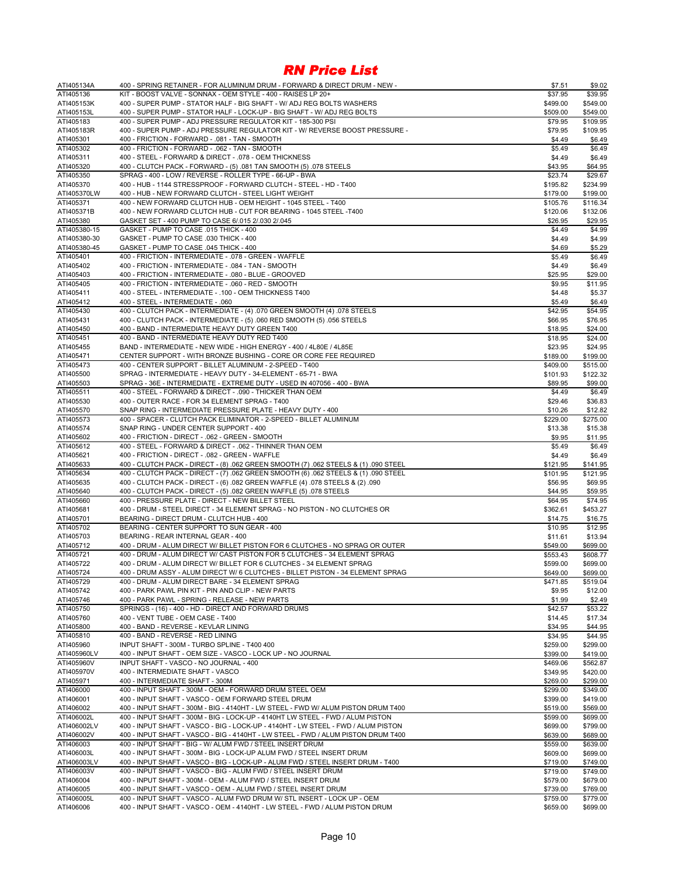| ATI405134A                   | 400 - SPRING RETAINER - FOR ALUMINUM DRUM - FORWARD & DIRECT DRUM - NEW -                                                                                 | \$7.51   | \$9.02   |
|------------------------------|-----------------------------------------------------------------------------------------------------------------------------------------------------------|----------|----------|
| ATI405136                    | KIT - BOOST VALVE - SONNAX - OEM STYLE - 400 - RAISES LP 20+                                                                                              | \$37.95  | \$39.95  |
| ATI405153K                   | 400 - SUPER PUMP - STATOR HALF - BIG SHAFT - W/ ADJ REG BOLTS WASHERS                                                                                     | \$499.00 | \$549.00 |
| ATI405153L                   | 400 - SUPER PUMP - STATOR HALF - LOCK-UP - BIG SHAFT - W/ ADJ REG BOLTS                                                                                   | \$509.00 | \$549.00 |
| ATI405183                    | 400 - SUPER PUMP - ADJ PRESSURE REGULATOR KIT - 185-300 PSI                                                                                               | \$79.95  | \$109.95 |
| ATI405183R                   | 400 - SUPER PUMP - ADJ PRESSURE REGULATOR KIT - W/ REVERSE BOOST PRESSURE -                                                                               | \$79.95  | \$109.95 |
| ATI405301                    | 400 - FRICTION - FORWARD - .081 - TAN - SMOOTH                                                                                                            | \$4.49   | \$6.49   |
| ATI405302                    | 400 - FRICTION - FORWARD - .062 - TAN - SMOOTH                                                                                                            | \$5.49   | \$6.49   |
| ATI405311                    | 400 - STEEL - FORWARD & DIRECT - .078 - OEM THICKNESS                                                                                                     | \$4.49   | \$6.49   |
| ATI405320                    | 400 - CLUTCH PACK - FORWARD - (5) .081 TAN SMOOTH (5) .078 STEELS                                                                                         | \$43.95  | \$64.95  |
| ATI405350                    | SPRAG - 400 - LOW / REVERSE - ROLLER TYPE - 66-UP - BWA                                                                                                   | \$23.74  | \$29.67  |
| ATI405370                    | 400 - HUB - 1144 STRESSPROOF - FORWARD CLUTCH - STEEL - HD - T400                                                                                         | \$195.82 | \$234.99 |
| ATI405370LW                  | 400 - HUB - NEW FORWARD CLUTCH - STEEL LIGHT WEIGHT                                                                                                       | \$179.00 | \$199.00 |
| ATI405371                    | 400 - NEW FORWARD CLUTCH HUB - OEM HEIGHT - 1045 STEEL - T400                                                                                             | \$105.76 | \$116.34 |
| ATI405371B                   | 400 - NEW FORWARD CLUTCH HUB - CUT FOR BEARING - 1045 STEEL -T400                                                                                         | \$120.06 | \$132.06 |
| ATI405380                    |                                                                                                                                                           |          |          |
|                              | GASKET SET - 400 PUMP TO CASE 6/.015 2/.030 2/.045                                                                                                        | \$26.95  | \$29.95  |
| ATI405380-15<br>ATI405380-30 | GASKET - PUMP TO CASE .015 THICK - 400                                                                                                                    | \$4.49   | \$4.99   |
|                              | GASKET - PUMP TO CASE .030 THICK - 400                                                                                                                    | \$4.49   | \$4.99   |
| ATI405380-45                 | GASKET - PUMP TO CASE .045 THICK - 400                                                                                                                    | \$4.69   | \$5.29   |
| ATI405401                    | 400 - FRICTION - INTERMEDIATE - .078 - GREEN - WAFFLE                                                                                                     | \$5.49   | \$6.49   |
| ATI405402                    | 400 - FRICTION - INTERMEDIATE - .084 - TAN - SMOOTH                                                                                                       | \$4.49   | \$6.49   |
| ATI405403                    | 400 - FRICTION - INTERMEDIATE - .080 - BLUE - GROOVED                                                                                                     | \$25.95  | \$29.00  |
| ATI405405                    | 400 - FRICTION - INTERMEDIATE - .060 - RED - SMOOTH                                                                                                       | \$9.95   | \$11.95  |
| ATI405411                    | 400 - STEEL - INTERMEDIATE - .100 - OEM THICKNESS T400                                                                                                    | \$4.48   | \$5.37   |
| ATI405412                    | 400 - STEEL - INTERMEDIATE - .060                                                                                                                         | \$5.49   | \$6.49   |
| ATI405430                    | 400 - CLUTCH PACK - INTERMEDIATE - (4) .070 GREEN SMOOTH (4) .078 STEELS                                                                                  | \$42.95  | \$54.95  |
| ATI405431                    | 400 - CLUTCH PACK - INTERMEDIATE - (5) .060 RED SMOOTH (5) .056 STEELS                                                                                    | \$66.95  | \$76.95  |
| ATI405450                    | 400 - BAND - INTERMEDIATE HEAVY DUTY GREEN T400                                                                                                           | \$18.95  | \$24.00  |
| ATI405451                    | 400 - BAND - INTERMEDIATE HEAVY DUTY RED T400                                                                                                             | \$18.95  | \$24.00  |
| ATI405455                    | BAND - INTERMEDIATE - NEW WIDE - HIGH ENERGY - 400 / 4L80E / 4L85E                                                                                        | \$23.95  | \$24.95  |
| ATI405471                    | CENTER SUPPORT - WITH BRONZE BUSHING - CORE OR CORE FEE REQUIRED                                                                                          | \$189.00 | \$199.00 |
| ATI405473                    | 400 - CENTER SUPPORT - BILLET ALUMINUM - 2-SPEED - T400                                                                                                   | \$409.00 | \$515.00 |
| ATI405500                    | SPRAG - INTERMEDIATE - HEAVY DUTY - 34-ELEMENT - 65-71 - BWA                                                                                              | \$101.93 | \$122.32 |
| ATI405503                    | SPRAG - 36E - INTERMEDIATE - EXTREME DUTY - USED IN 407056 - 400 - BWA                                                                                    | \$89.95  | \$99.00  |
| ATI405511                    | 400 - STEEL - FORWARD & DIRECT - .090 - THICKER THAN OEM                                                                                                  | \$4.49   | \$6.49   |
| ATI405530                    | 400 - OUTER RACE - FOR 34 ELEMENT SPRAG - T400                                                                                                            | \$29.46  | \$36.83  |
| ATI405570                    | SNAP RING - INTERMEDIATE PRESSURE PLATE - HEAVY DUTY - 400                                                                                                | \$10.26  | \$12.82  |
| ATI405573                    | 400 - SPACER - CLUTCH PACK ELIMINATOR - 2-SPEED - BILLET ALUMINUM                                                                                         | \$229.00 | \$275.00 |
| ATI405574                    | SNAP RING - UNDER CENTER SUPPORT - 400                                                                                                                    | \$13.38  | \$15.38  |
| ATI405602                    | 400 - FRICTION - DIRECT - .062 - GREEN - SMOOTH                                                                                                           | \$9.95   | \$11.95  |
| ATI405612                    | 400 - STEEL - FORWARD & DIRECT - .062 - THINNER THAN OEM                                                                                                  | \$5.49   | \$6.49   |
| ATI405621                    | 400 - FRICTION - DIRECT - .082 - GREEN - WAFFLE                                                                                                           | \$4.49   | \$6.49   |
| ATI405633                    | 400 - CLUTCH PACK - DIRECT - (8) .062 GREEN SMOOTH (7) .062 STEELS & (1) .090 STEEL                                                                       | \$121.95 | \$141.95 |
| ATI405634                    | 400 - CLUTCH PACK - DIRECT - (7) .062 GREEN SMOOTH (6) .062 STEELS & (1) .090 STEEL                                                                       | \$101.95 | \$121.95 |
| ATI405635                    | 400 - CLUTCH PACK - DIRECT - (6) .082 GREEN WAFFLE (4) .078 STEELS & (2) .090                                                                             | \$56.95  | \$69.95  |
| ATI405640                    | 400 - CLUTCH PACK - DIRECT - (5) .082 GREEN WAFFLE (5) .078 STEELS                                                                                        | \$44.95  | \$59.95  |
| ATI405660                    | 400 - PRESSURE PLATE - DIRECT - NEW BILLET STEEL                                                                                                          | \$64.95  | \$74.95  |
| ATI405681                    | 400 - DRUM - STEEL DIRECT - 34 ELEMENT SPRAG - NO PISTON - NO CLUTCHES OR                                                                                 | \$362.61 | \$453.27 |
| ATI405701                    | BEARING - DIRECT DRUM - CLUTCH HUB - 400                                                                                                                  | \$14.75  | \$16.75  |
| ATI405702                    | BEARING - CENTER SUPPORT TO SUN GEAR - 400                                                                                                                | \$10.95  | \$12.95  |
| ATI405703                    | BEARING - REAR INTERNAL GEAR - 400                                                                                                                        | \$11.61  | \$13.94  |
| ATI405712                    |                                                                                                                                                           | \$549.00 |          |
| ATI405721                    | 400 - DRUM - ALUM DIRECT W/ BILLET PISTON FOR 6 CLUTCHES - NO SPRAG OR OUTER<br>400 - DRUM - ALUM DIRECT W/ CAST PISTON FOR 5 CLUTCHES - 34 ELEMENT SPRAG |          | \$699.00 |
|                              |                                                                                                                                                           | \$553.43 | \$608.77 |
| ATI405722                    | 400 - DRUM - ALUM DIRECT W/ BILLET FOR 6 CLUTCHES - 34 ELEMENT SPRAG                                                                                      | \$599.00 | \$699.00 |
| ATI405724                    | 400 - DRUM ASSY - ALUM DIRECT W/ 6 CLUTCHES - BILLET PISTON - 34 ELEMENT SPRAG                                                                            | \$649.00 | \$699.00 |
| ATI405729                    | 400 - DRUM - ALUM DIRECT BARE - 34 ELEMENT SPRAG                                                                                                          | \$471.85 | \$519.04 |
| ATI405742                    | 400 - PARK PAWL PIN KIT - PIN AND CLIP - NEW PARTS                                                                                                        | \$9.95   | \$12.00  |
| ATI405746                    | 400 - PARK PAWL - SPRING - RELEASE - NEW PARTS                                                                                                            | \$1.99   | \$2.49   |
| ATI405750                    | SPRINGS - (16) - 400 - HD - DIRECT AND FORWARD DRUMS                                                                                                      | \$42.57  | \$53.22  |
| ATI405760                    | 400 - VENT TUBE - OEM CASE - T400                                                                                                                         | \$14.45  | \$17.34  |
| ATI405800                    | 400 - BAND - REVERSE - KEVLAR LINING                                                                                                                      | \$34.95  | \$44.95  |
| ATI405810                    | 400 - BAND - REVERSE - RED LINING                                                                                                                         | \$34.95  | \$44.95  |
| ATI405960                    | INPUT SHAFT - 300M - TURBO SPLINE - T400 400                                                                                                              | \$259.00 | \$299.00 |
| ATI405960LV                  | 400 - INPUT SHAFT - OEM SIZE - VASCO - LOCK UP - NO JOURNAL                                                                                               | \$399.00 | \$419.00 |
| ATI405960V                   | INPUT SHAFT - VASCO - NO JOURNAL - 400                                                                                                                    | \$469.06 | \$562.87 |
| ATI405970V                   | 400 - INTERMEDIATE SHAFT - VASCO                                                                                                                          | \$349.95 | \$420.00 |
| ATI405971                    | 400 - INTERMEDIATE SHAFT - 300M                                                                                                                           | \$269.00 | \$299.00 |
| ATI406000                    | 400 - INPUT SHAFT - 300M - OEM - FORWARD DRUM STEEL OEM                                                                                                   | \$299.00 | \$349.00 |
| ATI406001                    | 400 - INPUT SHAFT - VASCO - OEM FORWARD STEEL DRUM                                                                                                        | \$399.00 | \$419.00 |
| ATI406002                    | 400 - INPUT SHAFT - 300M - BIG - 4140HT - LW STEEL - FWD W/ ALUM PISTON DRUM T400                                                                         | \$519.00 | \$569.00 |
| ATI406002L                   | 400 - INPUT SHAFT - 300M - BIG - LOCK-UP - 4140HT LW STEEL - FWD / ALUM PISTON                                                                            | \$599.00 | \$699.00 |
| ATI406002LV                  | 400 - INPUT SHAFT - VASCO - BIG - LOCK-UP - 4140HT - LW STEEL - FWD / ALUM PISTON                                                                         | \$699.00 | \$799.00 |
| ATI406002V                   | 400 - INPUT SHAFT - VASCO - BIG - 4140HT - LW STEEL - FWD / ALUM PISTON DRUM T400                                                                         | \$639.00 | \$689.00 |
| ATI406003                    | 400 - INPUT SHAFT - BIG - W/ ALUM FWD / STEEL INSERT DRUM                                                                                                 | \$559.00 | \$639.00 |
| ATI406003L                   | 400 - INPUT SHAFT - 300M - BIG - LOCK-UP ALUM FWD / STEEL INSERT DRUM                                                                                     | \$609.00 | \$699.00 |
| ATI406003LV                  | 400 - INPUT SHAFT - VASCO - BIG - LOCK-UP - ALUM FWD / STEEL INSERT DRUM - T400                                                                           | \$719.00 | \$749.00 |
| ATI406003V                   | 400 - INPUT SHAFT - VASCO - BIG - ALUM FWD / STEEL INSERT DRUM                                                                                            | \$719.00 | \$749.00 |
| ATI406004                    | 400 - INPUT SHAFT - 300M - OEM - ALUM FWD / STEEL INSERT DRUM                                                                                             | \$579.00 | \$679.00 |
| ATI406005                    | 400 - INPUT SHAFT - VASCO - OEM - ALUM FWD / STEEL INSERT DRUM                                                                                            | \$739.00 | \$769.00 |
| ATI406005L                   | 400 - INPUT SHAFT - VASCO - ALUM FWD DRUM W/ STL INSERT - LOCK UP - OEM                                                                                   | \$759.00 | \$779.00 |
| ATI406006                    | 400 - INPUT SHAFT - VASCO - OEM - 4140HT - LW STEEL - FWD / ALUM PISTON DRUM                                                                              | \$659.00 | \$699.00 |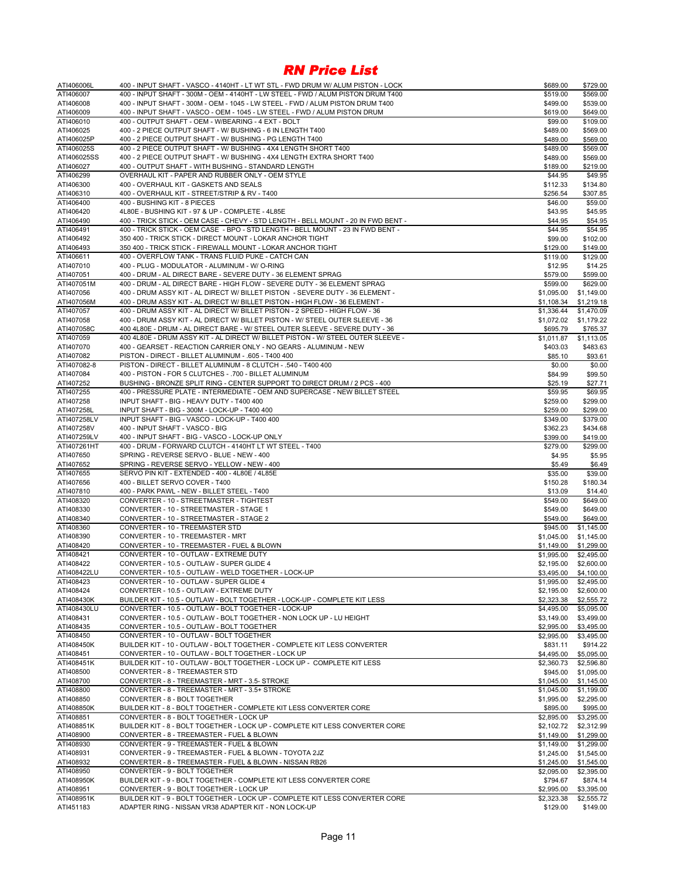| ATI406006L               | 400 - INPUT SHAFT - VASCO - 4140HT - LT WT STL - FWD DRUM W/ ALUM PISTON - LOCK                                                              | \$689.00                 | \$729.00                 |
|--------------------------|----------------------------------------------------------------------------------------------------------------------------------------------|--------------------------|--------------------------|
| ATI406007                | 400 - INPUT SHAFT - 300M - OEM - 4140HT - LW STEEL - FWD / ALUM PISTON DRUM T400                                                             | \$519.00                 | \$569.00                 |
| ATI406008                | 400 - INPUT SHAFT - 300M - OEM - 1045 - LW STEEL - FWD / ALUM PISTON DRUM T400                                                               | \$499.00                 | \$539.00                 |
| ATI406009                | 400 - INPUT SHAFT - VASCO - OEM - 1045 - LW STEEL - FWD / ALUM PISTON DRUM                                                                   | \$619.00                 | \$649.00                 |
| ATI406010                | 400 - OUTPUT SHAFT - OEM - W/BEARING - 4 EXT - BOLT                                                                                          | \$99.00                  | \$109.00                 |
| ATI406025                | 400 - 2 PIECE OUTPUT SHAFT - W/ BUSHING - 6 IN LENGTH T400                                                                                   | \$489.00                 | \$569.00                 |
| ATI406025P               | 400 - 2 PIECE OUTPUT SHAFT - W/ BUSHING - PG LENGTH T400                                                                                     | \$489.00                 | \$569.00                 |
| ATI406025S               | 400 - 2 PIECE OUTPUT SHAFT - W/ BUSHING - 4X4 LENGTH SHORT T400                                                                              | \$489.00                 | \$569.00                 |
| ATI406025SS              | 400 - 2 PIECE OUTPUT SHAFT - W/ BUSHING - 4X4 LENGTH EXTRA SHORT T400                                                                        | \$489.00                 | \$569.00                 |
| ATI406027                | 400 - OUTPUT SHAFT - WITH BUSHING - STANDARD LENGTH                                                                                          | \$189.00                 | \$219.00                 |
| ATI406299                | OVERHAUL KIT - PAPER AND RUBBER ONLY - OEM STYLE                                                                                             | \$44.95                  | \$49.95                  |
| ATI406300                | 400 - OVERHAUL KIT - GASKETS AND SEALS                                                                                                       | \$112.33                 | \$134.80                 |
| ATI406310                | 400 - OVERHAUL KIT - STREET/STRIP & RV - T400                                                                                                | \$256.54                 | \$307.85                 |
| ATI406400                | 400 - BUSHING KIT - 8 PIECES                                                                                                                 | \$46.00                  | \$59.00                  |
| ATI406420                | 4L80E - BUSHING KIT - 97 & UP - COMPLETE - 4L85E                                                                                             | \$43.95                  | \$45.95                  |
| ATI406490                | 400 - TRICK STICK - OEM CASE - CHEVY - STD LENGTH - BELL MOUNT - 20 IN FWD BENT -                                                            | \$44.95                  | \$54.95                  |
| ATI406491                | 400 - TRICK STICK - OEM CASE - BPO - STD LENGTH - BELL MOUNT - 23 IN FWD BENT -<br>350 400 - TRICK STICK - DIRECT MOUNT - LOKAR ANCHOR TIGHT | \$44.95                  | \$54.95                  |
| ATI406492                |                                                                                                                                              | \$99.00                  | \$102.00                 |
| ATI406493<br>ATI406611   | 350 400 - TRICK STICK - FIREWALL MOUNT - LOKAR ANCHOR TIGHT<br>400 - OVERFLOW TANK - TRANS FLUID PUKE - CATCH CAN                            | \$129.00<br>\$119.00     | \$149.00<br>\$129.00     |
| ATI407010                | 400 - PLUG - MODULATOR - ALUMINUM - W/ O-RING                                                                                                |                          | \$14.25                  |
| ATI407051                | 400 - DRUM - AL DIRECT BARE - SEVERE DUTY - 36 ELEMENT SPRAG                                                                                 | \$12.95<br>\$579.00      | \$599.00                 |
| ATI407051M               | 400 - DRUM - AL DIRECT BARE - HIGH FLOW - SEVERE DUTY - 36 ELEMENT SPRAG                                                                     | \$599.00                 | \$629.00                 |
| ATI407056                | 400 - DRUM ASSY KIT - AL DIRECT W/ BILLET PISTON - SEVERE DUTY - 36 ELEMENT -                                                                | \$1,095.00               | \$1,149.00               |
| ATI407056M               | 400 - DRUM ASSY KIT - AL DIRECT W/ BILLET PISTON - HIGH FLOW - 36 ELEMENT -                                                                  | \$1,108.34               | \$1,219.18               |
| ATI407057                | 400 - DRUM ASSY KIT - AL DIRECT W/ BILLET PISTON - 2 SPEED - HIGH FLOW - 36                                                                  | \$1,336.44               | \$1,470.09               |
| ATI407058                | 400 - DRUM ASSY KIT - AL DIRECT W/ BILLET PISTON - W/ STEEL OUTER SLEEVE - 36                                                                | \$1,072.02               | \$1,179.22               |
| ATI407058C               | 400 4L80E - DRUM - AL DIRECT BARE - W/ STEEL OUTER SLEEVE - SEVERE DUTY - 36                                                                 | \$695.79                 | \$765.37                 |
| ATI407059                | 400 4L80E - DRUM ASSY KIT - AL DIRECT W/ BILLET PISTON - W/ STEEL OUTER SLEEVE -                                                             | \$1,011.87               | \$1,113.05               |
| ATI407070                | 400 - GEARSET - REACTION CARRIER ONLY - NO GEARS - ALUMINUM - NEW                                                                            | \$403.03                 | \$483.63                 |
| ATI407082                | PISTON - DIRECT - BILLET ALUMINUM - .605 - T400 400                                                                                          | \$85.10                  | \$93.61                  |
| ATI407082-8              | PISTON - DIRECT - BILLET ALUMINUM - 8 CLUTCH - .540 - T400 400                                                                               | \$0.00                   | \$0.00                   |
| ATI407084                | 400 - PISTON - FOR 5 CLUTCHES - .700 - BILLET ALUMINUM                                                                                       | \$84.99                  | \$99.50                  |
| ATI407252                | BUSHING - BRONZE SPLIT RING - CENTER SUPPORT TO DIRECT DRUM / 2 PCS - 400                                                                    | \$25.19                  | \$27.71                  |
| ATI407255                | 400 - PRESSURE PLATE - INTERMEDIATE - OEM AND SUPERCASE - NEW BILLET STEEL                                                                   | \$59.95                  | \$69.95                  |
| ATI407258                | INPUT SHAFT - BIG - HEAVY DUTY - T400 400                                                                                                    | \$259.00                 | \$299.00                 |
| ATI407258L               | INPUT SHAFT - BIG - 300M - LOCK-UP - T400 400                                                                                                | \$259.00                 | \$299.00                 |
| ATI407258LV              | INPUT SHAFT - BIG - VASCO - LOCK-UP - T400 400                                                                                               | \$349.00                 | \$379.00                 |
| ATI407258V               | 400 - INPUT SHAFT - VASCO - BIG                                                                                                              | \$362.23                 | \$434.68                 |
| ATI407259LV              | 400 - INPUT SHAFT - BIG - VASCO - LOCK-UP ONLY                                                                                               | \$399.00                 | \$419.00                 |
| ATI407261HT              | 400 - DRUM - FORWARD CLUTCH - 4140HT LT WT STEEL - T400                                                                                      | \$279.00                 | \$299.00                 |
| ATI407650                | SPRING - REVERSE SERVO - BLUE - NEW - 400                                                                                                    | \$4.95                   | \$5.95                   |
| ATI407652                | SPRING - REVERSE SERVO - YELLOW - NEW - 400                                                                                                  | \$5.49                   | \$6.49                   |
| ATI407655                | SERVO PIN KIT - EXTENDED - 400 - 4L80E / 4L85E                                                                                               | \$35.00                  | \$39.00                  |
| ATI407656                | 400 - BILLET SERVO COVER - T400                                                                                                              | \$150.28                 | \$180.34                 |
| ATI407810                | 400 - PARK PAWL - NEW - BILLET STEEL - T400                                                                                                  | \$13.09                  | \$14.40                  |
| ATI408320                | CONVERTER - 10 - STREETMASTER - TIGHTEST                                                                                                     | \$549.00                 | \$649.00                 |
| ATI408330                | CONVERTER - 10 - STREETMASTER - STAGE 1                                                                                                      | \$549.00                 | \$649.00                 |
| ATI408340                | CONVERTER - 10 - STREETMASTER - STAGE 2                                                                                                      | \$549.00                 | \$649.00                 |
| ATI408360                | CONVERTER - 10 - TREEMASTER STD                                                                                                              | \$945.00                 | \$1,145.00               |
| ATI408390                | CONVERTER - 10 - TREEMASTER - MRT                                                                                                            | \$1,045.00               | \$1,145.00               |
| ATI408420                | CONVERTER - 10 - TREEMASTER - FUEL & BLOWN                                                                                                   | \$1,149.00               | \$1,299.00               |
| ATI408421                | CONVERTER - 10 - OUTLAW - EXTREME DUTY                                                                                                       | \$1,995.00               | \$2,495.00               |
| ATI408422<br>ATI408422LU | CONVERTER - 10.5 - OUTLAW - SUPER GLIDE 4                                                                                                    | \$2,195.00               | \$2,600.00<br>\$4,100.00 |
| ATI408423                | CONVERTER - 10.5 - OUTLAW - WELD TOGETHER - LOCK-UP<br>CONVERTER - 10 - OUTLAW - SUPER GLIDE 4                                               | \$3,495.00<br>\$1,995.00 | \$2,495.00               |
| ATI408424                | CONVERTER - 10.5 - OUTLAW - EXTREME DUTY                                                                                                     | \$2,195.00               | \$2,600.00               |
| ATI408430K               | BUILDER KIT - 10.5 - OUTLAW - BOLT TOGETHER - LOCK-UP - COMPLETE KIT LESS                                                                    | \$2,323.38               | \$2,555.72               |
| ATI408430LU              | CONVERTER - 10.5 - OUTLAW - BOLT TOGETHER - LOCK-UP                                                                                          | \$4,495.00               | \$5,095.00               |
| ATI408431                | CONVERTER - 10.5 - OUTLAW - BOLT TOGETHER - NON LOCK UP - LU HEIGHT                                                                          | \$3,149.00               | \$3,499.00               |
| ATI408435                | CONVERTER - 10.5 - OUTLAW - BOLT TOGETHER                                                                                                    | \$2,995.00               | \$3,495.00               |
| ATI408450                | CONVERTER - 10 - OUTLAW - BOLT TOGETHER                                                                                                      | \$2,995.00               | \$3,495.00               |
| ATI408450K               | BUILDER KIT - 10 - OUTLAW - BOLT TOGETHER - COMPLETE KIT LESS CONVERTER                                                                      | \$831.11                 | \$914.22                 |
| ATI408451                | CONVERTER - 10 - OUTLAW - BOLT TOGETHER - LOCK UP                                                                                            | \$4,495.00               | \$5,095.00               |
| ATI408451K               | BUILDER KIT - 10 - OUTLAW - BOLT TOGETHER - LOCK UP - COMPLETE KIT LESS                                                                      | \$2,360.73               | \$2,596.80               |
| ATI408500                | CONVERTER - 8 - TREEMASTER STD                                                                                                               | \$945.00                 | \$1,095.00               |
| ATI408700                | CONVERTER - 8 - TREEMASTER - MRT - 3.5- STROKE                                                                                               | \$1,045.00               | \$1,145.00               |
| ATI408800                | CONVERTER - 8 - TREEMASTER - MRT - 3.5+ STROKE                                                                                               | \$1,045.00               | \$1,199.00               |
| ATI408850                | CONVERTER - 8 - BOLT TOGETHER                                                                                                                | \$1,995.00               | \$2,295.00               |
| ATI408850K               | BUILDER KIT - 8 - BOLT TOGETHER - COMPLETE KIT LESS CONVERTER CORE                                                                           | \$895.00                 | \$995.00                 |
| ATI408851                | CONVERTER - 8 - BOLT TOGETHER - LOCK UP                                                                                                      | \$2,895.00               | \$3,295.00               |
| ATI408851K               | BUILDER KIT - 8 - BOLT TOGETHER - LOCK UP - COMPLETE KIT LESS CONVERTER CORE                                                                 | \$2,102.72               | \$2,312.99               |
| ATI408900                | CONVERTER - 8 - TREEMASTER - FUEL & BLOWN                                                                                                    | \$1,149.00               | \$1,299.00               |
| ATI408930                | CONVERTER - 9 - TREEMASTER - FUEL & BLOWN                                                                                                    | \$1,149.00               | \$1,299.00               |
| ATI408931                | CONVERTER - 9 - TREEMASTER - FUEL & BLOWN - TOYOTA 2JZ                                                                                       | \$1,245.00               | \$1,545.00               |
| ATI408932                | CONVERTER - 8 - TREEMASTER - FUEL & BLOWN - NISSAN RB26                                                                                      | \$1,245.00               | \$1,545.00               |
| ATI408950                | CONVERTER - 9 - BOLT TOGETHER                                                                                                                | \$2,095.00               | \$2,395.00               |
| ATI408950K               | BUILDER KIT - 9 - BOLT TOGETHER - COMPLETE KIT LESS CONVERTER CORE                                                                           | \$794.67                 | \$874.14                 |
| ATI408951                | CONVERTER - 9 - BOLT TOGETHER - LOCK UP                                                                                                      | \$2,995.00               | \$3,395.00               |
| ATI408951K               | BUILDER KIT - 9 - BOLT TOGETHER - LOCK UP - COMPLETE KIT LESS CONVERTER CORE                                                                 | \$2,323.38               | \$2,555.72               |
| ATI451183                | ADAPTER RING - NISSAN VR38 ADAPTER KIT - NON LOCK-UP                                                                                         | \$129.00                 | \$149.00                 |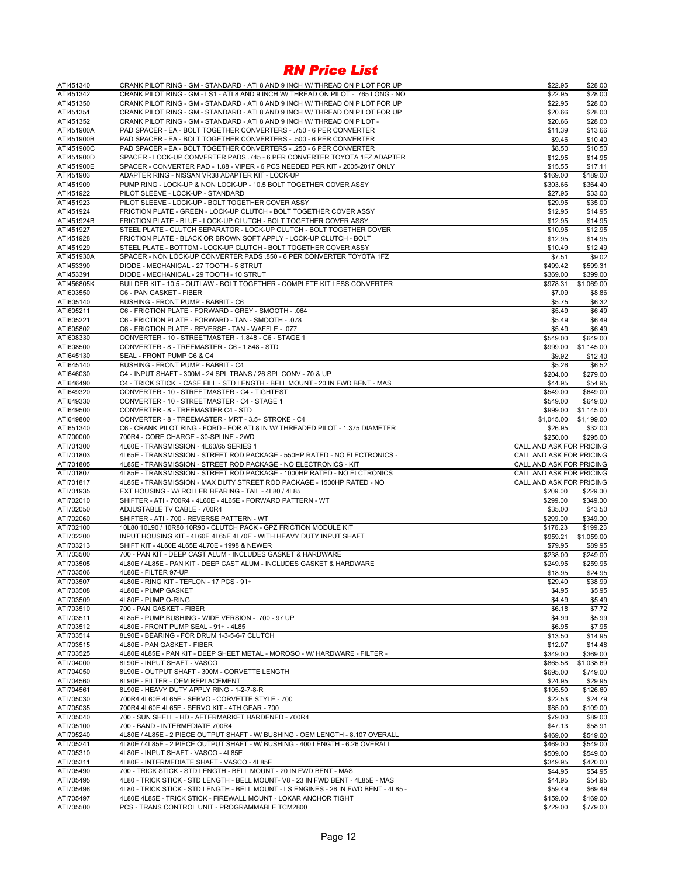| ATI451340               | CRANK PILOT RING - GM - STANDARD - ATI 8 AND 9 INCH W/ THREAD ON PILOT FOR UP                                                                   | \$22.95                         | \$28.00              |
|-------------------------|-------------------------------------------------------------------------------------------------------------------------------------------------|---------------------------------|----------------------|
| ATI451342               | CRANK PILOT RING - GM - LS1 - ATI 8 AND 9 INCH W/ THREAD ON PILOT - .765 LONG - NO                                                              | \$22.95                         | \$28.00              |
| ATI451350               | CRANK PILOT RING - GM - STANDARD - ATI 8 AND 9 INCH W/ THREAD ON PILOT FOR UP                                                                   | \$22.95                         | \$28.00              |
| ATI451351               | CRANK PILOT RING - GM - STANDARD - ATI 8 AND 9 INCH W/ THREAD ON PILOT FOR UP                                                                   | \$20.66                         | \$28.00              |
| ATI451352<br>ATI451900A | CRANK PILOT RING - GM - STANDARD - ATI 8 AND 9 INCH W/ THREAD ON PILOT -<br>PAD SPACER - EA - BOLT TOGETHER CONVERTERS - .750 - 6 PER CONVERTER | \$20.66<br>\$11.39              | \$28.00<br>\$13.66   |
| ATI451900B              | PAD SPACER - EA - BOLT TOGETHER CONVERTERS - .500 - 6 PER CONVERTER                                                                             | \$9.46                          | \$10.40              |
| ATI451900C              | PAD SPACER - EA - BOLT TOGETHER CONVERTERS - .250 - 6 PER CONVERTER                                                                             | \$8.50                          | \$10.50              |
| ATI451900D              | SPACER - LOCK-UP CONVERTER PADS .745 - 6 PER CONVERTER TOYOTA 1FZ ADAPTER                                                                       | \$12.95                         | \$14.95              |
| ATI451900E              | SPACER - CONVERTER PAD - 1.88 - VIPER - 6 PCS NEEDED PER KIT - 2005-2017 ONLY                                                                   | \$15.55                         | \$17.11              |
| ATI451903               | ADAPTER RING - NISSAN VR38 ADAPTER KIT - LOCK-UP                                                                                                | \$169.00                        | \$189.00             |
| ATI451909               | PUMP RING - LOCK-UP & NON LOCK-UP - 10.5 BOLT TOGETHER COVER ASSY                                                                               | \$303.66                        | \$364.40             |
| ATI451922               | PILOT SLEEVE - LOCK-UP - STANDARD                                                                                                               | \$27.95                         | \$33.00              |
| ATI451923               | PILOT SLEEVE - LOCK-UP - BOLT TOGETHER COVER ASSY                                                                                               | \$29.95                         | \$35.00              |
| ATI451924               | FRICTION PLATE - GREEN - LOCK-UP CLUTCH - BOLT TOGETHER COVER ASSY                                                                              | \$12.95                         | \$14.95              |
| ATI451924B<br>ATI451927 | FRICTION PLATE - BLUE - LOCK-UP CLUTCH - BOLT TOGETHER COVER ASSY<br>STEEL PLATE - CLUTCH SEPARATOR - LOCK-UP CLUTCH - BOLT TOGETHER COVER      | \$12.95<br>\$10.95              | \$14.95<br>\$12.95   |
| ATI451928               | FRICTION PLATE - BLACK OR BROWN SOFT APPLY - LOCK-UP CLUTCH - BOLT                                                                              | \$12.95                         | \$14.95              |
| ATI451929               | STEEL PLATE - BOTTOM - LOCK-UP CLUTCH - BOLT TOGETHER COVER ASSY                                                                                | \$10.49                         | \$12.49              |
| ATI451930A              | SPACER - NON LOCK-UP CONVERTER PADS .850 - 6 PER CONVERTER TOYOTA 1FZ                                                                           | \$7.51                          | \$9.02               |
| ATI453390               | DIODE - MECHANICAL - 27 TOOTH - 5 STRUT                                                                                                         | \$499.42                        | \$599.31             |
| ATI453391               | DIODE - MECHANICAL - 29 TOOTH - 10 STRUT                                                                                                        | \$369.00                        | \$399.00             |
| ATI456805K              | BUILDER KIT - 10.5 - OUTLAW - BOLT TOGETHER - COMPLETE KIT LESS CONVERTER                                                                       | \$978.31                        | \$1,069.00           |
| ATI603550               | C6 - PAN GASKET - FIBER                                                                                                                         | \$7.09                          | \$8.86               |
| ATI605140               | BUSHING - FRONT PUMP - BABBIT - C6                                                                                                              | \$5.75                          | \$6.32               |
| ATI605211               | C6 - FRICTION PLATE - FORWARD - GREY - SMOOTH - .064                                                                                            | \$5.49                          | \$6.49               |
| ATI605221               | C6 - FRICTION PLATE - FORWARD - TAN - SMOOTH - .078                                                                                             | \$5.49                          | \$6.49               |
| ATI605802               | C6 - FRICTION PLATE - REVERSE - TAN - WAFFLE - .077                                                                                             | \$5.49                          | \$6.49               |
| ATI608330               | CONVERTER - 10 - STREETMASTER - 1.848 - C6 - STAGE 1                                                                                            | \$549.00                        | \$649.00             |
| ATI608500               | CONVERTER - 8 - TREEMASTER - C6 - 1.848 - STD                                                                                                   | \$999.00                        | \$1,145.00           |
| ATI645130<br>ATI645140  | SEAL - FRONT PUMP C6 & C4<br>BUSHING - FRONT PUMP - BABBIT - C4                                                                                 | \$9.92<br>\$5.26                | \$12.40<br>\$6.52    |
| ATI646030               | C4 - INPUT SHAFT - 300M - 24 SPL TRANS / 26 SPL CONV - 70 & UP                                                                                  | \$204.00                        | \$279.00             |
| ATI646490               | C4 - TRICK STICK - CASE FILL - STD LENGTH - BELL MOUNT - 20 IN FWD BENT - MAS                                                                   | \$44.95                         | \$54.95              |
| ATI649320               | CONVERTER - 10 - STREETMASTER - C4 - TIGHTEST                                                                                                   | \$549.00                        | \$649.00             |
| ATI649330               | CONVERTER - 10 - STREETMASTER - C4 - STAGE 1                                                                                                    | \$549.00                        | \$649.00             |
| ATI649500               | CONVERTER - 8 - TREEMASTER C4 - STD                                                                                                             | \$999.00                        | \$1,145.00           |
| ATI649800               | CONVERTER - 8 - TREEMASTER - MRT - 3.5+ STROKE - C4                                                                                             | \$1,045.00                      | \$1,199.00           |
| ATI651340               | C6 - CRANK PILOT RING - FORD - FOR ATI 8 IN W/ THREADED PILOT - 1.375 DIAMETER                                                                  | \$26.95                         | \$32.00              |
|                         |                                                                                                                                                 |                                 |                      |
| ATI700000               | 700R4 - CORE CHARGE - 30-SPLINE - 2WD                                                                                                           | \$250.00                        | \$295.00             |
| ATI701300               | 4L60E - TRANSMISSION - 4L60/65 SERIES 1                                                                                                         | CALL AND ASK FOR PRICING        |                      |
| ATI701803               | 4L65E - TRANSMISSION - STREET ROD PACKAGE - 550HP RATED - NO ELECTRONICS -                                                                      | CALL AND ASK FOR PRICING        |                      |
| ATI701805               | 4L85E - TRANSMISSION - STREET ROD PACKAGE - NO ELECTRONICS - KIT                                                                                | CALL AND ASK FOR PRICING        |                      |
| ATI701807               | 4L85E - TRANSMISSION - STREET ROD PACKAGE - 1000HP RATED - NO ELCTRONICS                                                                        | <b>CALL AND ASK FOR PRICING</b> |                      |
| ATI701817               | 4L85E - TRANSMISSION - MAX DUTY STREET ROD PACKAGE - 1500HP RATED - NO                                                                          | CALL AND ASK FOR PRICING        |                      |
| ATI701935               | EXT HOUSING - W/ ROLLER BEARING - TAIL - 4L80 / 4L85                                                                                            | \$209.00                        | \$229.00             |
| ATI702010               | SHIFTER - ATI - 700R4 - 4L60E - 4L65E - FORWARD PATTERN - WT                                                                                    | \$299.00                        | \$349.00             |
| ATI702050               | ADJUSTABLE TV CABLE - 700R4                                                                                                                     | \$35.00                         | \$43.50              |
| ATI702060<br>ATI702100  | SHIFTER - ATI - 700 - REVERSE PATTERN - WT<br>10L80 10L90 / 10R80 10R90 - CLUTCH PACK - GPZ FRICTION MODULE KIT                                 | \$299.00<br>\$176.23            | \$349.00<br>\$199.23 |
| ATI702200               | INPUT HOUSING KIT - 4L60E 4L65E 4L70E - WITH HEAVY DUTY INPUT SHAFT                                                                             | \$959.21                        | \$1,059.00           |
| ATI703213               | SHIFT KIT - 4L60E 4L65E 4L70E - 1998 & NEWER                                                                                                    | \$79.95                         | \$89.95              |
| ATI703500               | 700 - PAN KIT - DEEP CAST ALUM - INCLUDES GASKET & HARDWARE                                                                                     | \$238.00                        | \$249.00             |
| ATI703505               | 4L80E / 4L85E - PAN KIT - DEEP CAST ALUM - INCLUDES GASKET & HARDWARE                                                                           | \$249.95                        | \$259.95             |
| ATI703506               | 4L80E - FILTER 97-UP                                                                                                                            | \$18.95                         | \$24.95              |
| ATI703507               | 4L80E - RING KIT - TEFLON - 17 PCS - 91+                                                                                                        | \$29.40                         | \$38.99              |
| ATI703508               | 4L80E - PUMP GASKET                                                                                                                             | \$4.95                          | \$5.95               |
| ATI703509               | 4L80E - PUMP O-RING                                                                                                                             | \$4.49                          | \$5.49               |
| ATI703510               | 700 - PAN GASKET - FIBER                                                                                                                        | \$6.18                          | \$7.72               |
| ATI703511               | 4L85E - PUMP BUSHING - WIDE VERSION - .700 - 97 UP<br>4L80E - FRONT PUMP SEAL - 91+ - 4L85                                                      | \$4.99                          | \$5.99               |
| ATI703512               | 8L90E - BEARING - FOR DRUM 1-3-5-6-7 CLUTCH                                                                                                     | \$6.95<br>\$13.50               | \$7.95<br>\$14.95    |
| ATI703514<br>ATI703515  | 4L80E - PAN GASKET - FIBER                                                                                                                      | \$12.07                         | \$14.48              |
| ATI703525               | 4L80E 4L85E - PAN KIT - DEEP SHEET METAL - MOROSO - W/ HARDWARE - FILTER -                                                                      | \$349.00                        | \$369.00             |
| ATI704000               | 8L90E - INPUT SHAFT - VASCO                                                                                                                     | \$865.58                        | \$1,038.69           |
| ATI704050               | 8L90E - OUTPUT SHAFT - 300M - CORVETTE LENGTH                                                                                                   | \$695.00                        | \$749.00             |
| ATI704560               | 8L90E - FILTER - OEM REPLACEMENT                                                                                                                | \$24.95                         | \$29.95              |
| ATI704561               | 8L90E - HEAVY DUTY APPLY RING - 1-2-7-8-R                                                                                                       | \$105.50                        | \$126.60             |
| ATI705030               | 700R4 4L60E 4L65E - SERVO - CORVETTE STYLE - 700                                                                                                | \$22.53                         | \$24.79              |
| ATI705035               | 700R4 4L60E 4L65E - SERVO KIT - 4TH GEAR - 700                                                                                                  | \$85.00                         | \$109.00             |
| ATI705040               | 700 - SUN SHELL - HD - AFTERMARKET HARDENED - 700R4                                                                                             | \$79.00                         | \$89.00              |
| ATI705100               | 700 - BAND - INTERMEDIATE 700R4                                                                                                                 | \$47.13                         | \$58.91              |
| ATI705240               | 4L80E / 4L85E - 2 PIECE OUTPUT SHAFT - W/ BUSHING - OEM LENGTH - 8.107 OVERALL                                                                  | \$469.00                        | \$549.00             |
| ATI705241               | 4L80E / 4L85E - 2 PIECE OUTPUT SHAFT - W/ BUSHING - 400 LENGTH - 6.26 OVERALL                                                                   | \$469.00                        | \$549.00             |
| ATI705310               | 4L80E - INPUT SHAFT - VASCO - 4L85E                                                                                                             | \$509.00                        | \$549.00             |
| ATI705311<br>ATI705490  | 4L80E - INTERMEDIATE SHAFT - VASCO - 4L85E<br>700 - TRICK STICK - STD LENGTH - BELL MOUNT - 20 IN FWD BENT - MAS                                | \$349.95<br>\$44.95             | \$420.00<br>\$54.95  |
| ATI705495               | 4L80 - TRICK STICK - STD LENGTH - BELL MOUNT- V8 - 23 IN FWD BENT - 4L85E - MAS                                                                 | \$44.95                         | \$54.95              |
| ATI705496               | 4L80 - TRICK STICK - STD LENGTH - BELL MOUNT - LS ENGINES - 26 IN FWD BENT - 4L85 -                                                             | \$59.49                         | \$69.49              |
| ATI705497<br>ATI705500  | 4L80E 4L85E - TRICK STICK - FIREWALL MOUNT - LOKAR ANCHOR TIGHT<br>PCS - TRANS CONTROL UNIT - PROGRAMMABLE TCM2800                              | \$159.00                        | \$169.00             |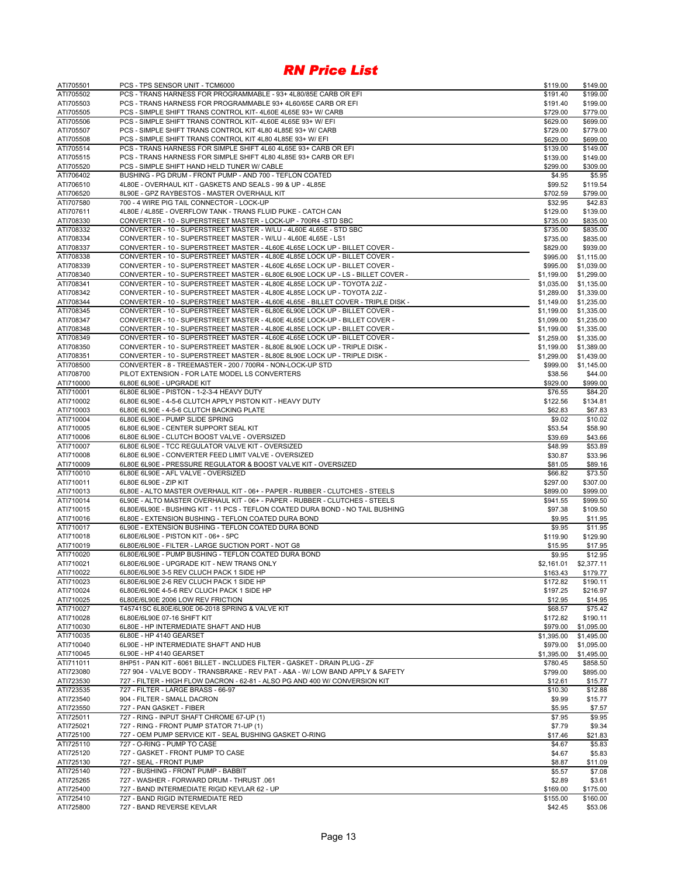| ATI705501              | PCS - TPS SENSOR UNIT - TCM6000                                                                                                                                | \$119.00                 | \$149.00                 |
|------------------------|----------------------------------------------------------------------------------------------------------------------------------------------------------------|--------------------------|--------------------------|
| ATI705502              | PCS - TRANS HARNESS FOR PROGRAMMABLE - 93+ 4L80/85E CARB OR EFI                                                                                                | \$191.40                 | \$199.00                 |
| ATI705503              | PCS - TRANS HARNESS FOR PROGRAMMABLE 93+ 4L60/65E CARB OR EFI                                                                                                  | \$191.40                 | \$199.00                 |
| ATI705505              | PCS - SIMPLE SHIFT TRANS CONTROL KIT-4L60E 4L65E 93+ W/ CARB<br>PCS - SIMPLE SHIFT TRANS CONTROL KIT-4L60E 4L65E 93+ W/ EFI                                    | \$729.00                 | \$779.00                 |
| ATI705506<br>ATI705507 | PCS - SIMPLE SHIFT TRANS CONTROL KIT 4L80 4L85E 93+ W/ CARB                                                                                                    | \$629.00<br>\$729.00     | \$699.00<br>\$779.00     |
| ATI705508              | PCS - SIMPLE SHIFT TRANS CONTROL KIT 4L80 4L85E 93+ W/ EFI                                                                                                     | \$629.00                 | \$699.00                 |
| ATI705514              | PCS - TRANS HARNESS FOR SIMPLE SHIFT 4L60 4L65E 93+ CARB OR EFI                                                                                                | \$139.00                 | \$149.00                 |
| ATI705515              | PCS - TRANS HARNESS FOR SIMPLE SHIFT 4L80 4L85E 93+ CARB OR EFI                                                                                                | \$139.00                 | \$149.00                 |
| ATI705520              | PCS - SIMPLE SHIFT HAND HELD TUNER W/ CABLE                                                                                                                    | \$299.00                 | \$309.00                 |
| ATI706402              | BUSHING - PG DRUM - FRONT PUMP - AND 700 - TEFLON COATED                                                                                                       | \$4.95                   | \$5.95                   |
| ATI706510              | 4L80E - OVERHAUL KIT - GASKETS AND SEALS - 99 & UP - 4L85E                                                                                                     | \$99.52                  | \$119.54                 |
| ATI706520              | 8L90E - GPZ RAYBESTOS - MASTER OVERHAUL KIT                                                                                                                    | \$702.59                 | \$799.00                 |
| ATI707580              | 700 - 4 WIRE PIG TAIL CONNECTOR - LOCK-UP                                                                                                                      | \$32.95                  | \$42.83                  |
| ATI707611<br>ATI708330 | 4L80E / 4L85E - OVERFLOW TANK - TRANS FLUID PUKE - CATCH CAN<br>CONVERTER - 10 - SUPERSTREET MASTER - LOCK-UP - 700R4 -STD SBC                                 | \$129.00<br>\$735.00     | \$139.00<br>\$835.00     |
| ATI708332              | CONVERTER - 10 - SUPERSTREET MASTER - W/LU - 4L60E 4L65E - STD SBC                                                                                             | \$735.00                 | \$835.00                 |
| ATI708334              | CONVERTER - 10 - SUPERSTREET MASTER - W/LU - 4L60E 4L65E - LS1                                                                                                 | \$735.00                 | \$835.00                 |
| ATI708337              | CONVERTER - 10 - SUPERSTREET MASTER - 4L60E 4L65E LOCK UP - BILLET COVER -                                                                                     | \$829.00                 | \$939.00                 |
| ATI708338              | CONVERTER - 10 - SUPERSTREET MASTER - 4L80E 4L85E LOCK UP - BILLET COVER -                                                                                     | \$995.00                 | \$1,115.00               |
| ATI708339              | CONVERTER - 10 - SUPERSTREET MASTER - 4L60E 4L65E LOCK UP - BILLET COVER -                                                                                     | \$995.00                 | \$1,039.00               |
| ATI708340              | CONVERTER - 10 - SUPERSTREET MASTER - 6L80E 6L90E LOCK UP - LS - BILLET COVER -                                                                                | \$1,199.00               | \$1,299.00               |
| ATI708341              | CONVERTER - 10 - SUPERSTREET MASTER - 4L80E 4L85E LOCK UP - TOYOTA 2JZ -                                                                                       | \$1,035.00               | \$1,135.00               |
| ATI708342              | CONVERTER - 10 - SUPERSTREET MASTER - 4L80E 4L85E LOCK UP - TOYOTA 2JZ -                                                                                       | \$1,289.00               | \$1,339.00               |
| ATI708344<br>ATI708345 | CONVERTER - 10 - SUPERSTREET MASTER - 4L60E 4L65E - BILLET COVER - TRIPLE DISK -<br>CONVERTER - 10 - SUPERSTREET MASTER - 6L80E 6L90E LOCK UP - BILLET COVER - | \$1,149.00<br>\$1,199.00 | \$1,235.00<br>\$1,335.00 |
| ATI708347              | CONVERTER - 10 - SUPERSTREET MASTER - 4L60E 4L65E LOCK-UP - BILLET COVER -                                                                                     | \$1,099.00               | \$1,235.00               |
| ATI708348              | CONVERTER - 10 - SUPERSTREET MASTER - 4L80E 4L85E LOCK UP - BILLET COVER -                                                                                     | \$1,199.00               | \$1,335.00               |
| ATI708349              | CONVERTER - 10 - SUPERSTREET MASTER - 4L60E 4L65E LOCK UP - BILLET COVER -                                                                                     | \$1,259.00               | \$1,335.00               |
| ATI708350              | CONVERTER - 10 - SUPERSTREET MASTER - 8L80E 8L90E LOCK UP - TRIPLE DISK -                                                                                      | \$1,199.00               | \$1,389.00               |
| ATI708351              | CONVERTER - 10 - SUPERSTREET MASTER - 8L80E 8L90E LOCK UP - TRIPLE DISK -                                                                                      | \$1,299.00               | \$1,439.00               |
| ATI708500              | CONVERTER - 8 - TREEMASTER - 200 / 700R4 - NON-LOCK-UP STD                                                                                                     | \$999.00                 | \$1,145.00               |
| ATI708700              | PILOT EXTENSION - FOR LATE MODEL LS CONVERTERS                                                                                                                 | \$38.56                  | \$44.00                  |
| ATI710000              | 6L80E 6L90E - UPGRADE KIT                                                                                                                                      | \$929.00                 | \$999.00                 |
| ATI710001<br>ATI710002 | 6L80E 6L90E - PISTON - 1-2-3-4 HEAVY DUTY<br>6L80E 6L90E - 4-5-6 CLUTCH APPLY PISTON KIT - HEAVY DUTY                                                          | \$76.55                  | \$84.20                  |
| ATI710003              | 6L80E 6L90E - 4-5-6 CLUTCH BACKING PLATE                                                                                                                       | \$122.56<br>\$62.83      | \$134.81<br>\$67.83      |
| ATI710004              | 6L80E 6L90E - PUMP SLIDE SPRING                                                                                                                                | \$9.02                   | \$10.02                  |
| ATI710005              | 6L80E 6L90E - CENTER SUPPORT SEAL KIT                                                                                                                          | \$53.54                  | \$58.90                  |
| ATI710006              | 6L80E 6L90E - CLUTCH BOOST VALVE - OVERSIZED                                                                                                                   | \$39.69                  | \$43.66                  |
| ATI710007              | 6L80E 6L90E - TCC REGULATOR VALVE KIT - OVERSIZED                                                                                                              | \$48.99                  | \$53.89                  |
| ATI710008              | 6L80E 6L90E - CONVERTER FEED LIMIT VALVE - OVERSIZED                                                                                                           | \$30.87                  | \$33.96                  |
| ATI710009              | 6L80E 6L90E - PRESSURE REGULATOR & BOOST VALVE KIT - OVERSIZED                                                                                                 | \$81.05                  | \$89.16                  |
| ATI710010              | 6L80E 6L90E - AFL VALVE - OVERSIZED                                                                                                                            | \$66.82                  | \$73.50                  |
| ATI710011<br>ATI710013 | 6L80E 6L90E - ZIP KIT<br>6L80E - ALTO MASTER OVERHAUL KIT - 06+ - PAPER - RUBBER - CLUTCHES - STEELS                                                           | \$297.00<br>\$899.00     | \$307.00<br>\$999.00     |
| ATI710014              | 6L90E - ALTO MASTER OVERHAUL KIT - 06+ - PAPER - RUBBER - CLUTCHES - STEELS                                                                                    | \$941.55                 | \$999.50                 |
| ATI710015              | 6L80E/6L90E - BUSHING KIT - 11 PCS - TEFLON COATED DURA BOND - NO TAIL BUSHING                                                                                 | \$97.38                  | \$109.50                 |
| ATI710016              | 6L80E - EXTENSION BUSHING - TEFLON COATED DURA BOND                                                                                                            | \$9.95                   | \$11.95                  |
| ATI710017              | 6L90E - EXTENSION BUSHING - TEFLON COATED DURA BOND                                                                                                            | \$9.95                   | \$11.95                  |
| ATI710018              | 6L80E/6L90E - PISTON KIT - 06+ - 5PC                                                                                                                           | \$119.90                 | \$129.90                 |
| ATI710019              | 6L80E/6L90E - FILTER - LARGE SUCTION PORT - NOT G8                                                                                                             | \$15.95                  | \$17.95                  |
| ATI710020              | 6L80E/6L90E - PUMP BUSHING - TEFLON COATED DURA BOND                                                                                                           | \$9.95                   | \$12.95                  |
| ATI710021              | 6L80E/6L90E - UPGRADE KIT - NEW TRANS ONLY                                                                                                                     | \$2,161.01               | \$2,377.11               |
| ATI710022<br>ATI710023 | 6L80E/6L90E 3-5 REV CLUCH PACK 1 SIDE HP<br>6L80E/6L90E 2-6 REV CLUCH PACK 1 SIDE HP                                                                           | \$163.43                 | \$179.77                 |
| ATI710024              | 6L80E/6L90E 4-5-6 REV CLUCH PACK 1 SIDE HP                                                                                                                     | \$172.82<br>\$197.25     | \$190.11<br>\$216.97     |
| ATI710025              | 6L80E/6L90E 2006 LOW REV FRICTION                                                                                                                              | \$12.95                  | \$14.95                  |
| ATI710027              | T45741SC 6L80E/6L90E 06-2018 SPRING & VALVE KIT                                                                                                                | \$68.57                  | \$75.42                  |
| ATI710028              | 6L80E/6L90E 07-16 SHIFT KIT                                                                                                                                    | \$172.82                 | \$190.11                 |
| ATI710030              | 6L80E - HP INTERMEDIATE SHAFT AND HUB                                                                                                                          | \$979.00                 | \$1,095.00               |
| ATI710035              | 6L80E - HP 4140 GEARSET                                                                                                                                        | \$1,395.00               | \$1,495.00               |
| ATI710040              | 6L90E - HP INTERMEDIATE SHAFT AND HUB                                                                                                                          | \$979.00                 | \$1,095.00               |
| ATI710045              | 6L90E - HP 4140 GEARSET                                                                                                                                        | \$1,395.00               | \$1,495.00               |
| ATI711011              | 8HP51 - PAN KIT - 6061 BILLET - INCLUDES FILTER - GASKET - DRAIN PLUG - ZF                                                                                     | \$780.45                 | \$858.50                 |
| ATI723080<br>ATI723530 | 727 904 - VALVE BODY - TRANSBRAKE - REV PAT - A&A - W/ LOW BAND APPLY & SAFETY<br>727 - FILTER - HIGH FLOW DACRON - 62-81 - ALSO PG AND 400 W/ CONVERSION KIT  | \$799.00<br>\$12.61      | \$895.00<br>\$15.77      |
| ATI723535              | 727 - FILTER - LARGE BRASS - 66-97                                                                                                                             | \$10.30                  | \$12.88                  |
| ATI723540              | 904 - FILTER - SMALL DACRON                                                                                                                                    | \$9.99                   | \$15.77                  |
| ATI723550              | 727 - PAN GASKET - FIBER                                                                                                                                       | \$5.95                   | \$7.57                   |
| ATI725011              | 727 - RING - INPUT SHAFT CHROME 67-UP (1)                                                                                                                      | \$7.95                   | \$9.95                   |
| ATI725021              | 727 - RING - FRONT PUMP STATOR 71-UP (1)                                                                                                                       | \$7.79                   | \$9.34                   |
| ATI725100              | 727 - OEM PUMP SERVICE KIT - SEAL BUSHING GASKET O-RING                                                                                                        | \$17.46                  | \$21.83                  |
| ATI725110              | 727 - O-RING - PUMP TO CASE                                                                                                                                    | \$4.67                   | \$5.83                   |
| ATI725120              | 727 - GASKET - FRONT PUMP TO CASE                                                                                                                              | \$4.67                   | \$5.83                   |
| ATI725130              | 727 - SEAL - FRONT PUMP<br>727 - BUSHING - FRONT PUMP - BABBIT                                                                                                 | \$8.87                   | \$11.09                  |
| ATI725140<br>ATI725265 | 727 - WASHER - FORWARD DRUM - THRUST .061                                                                                                                      | \$5.57<br>\$2.89         | \$7.08<br>\$3.61         |
| ATI725400              | 727 - BAND INTERMEDIATE RIGID KEVLAR 62 - UP                                                                                                                   | \$169.00                 | \$175.00                 |
| ATI725410              | 727 - BAND RIGID INTERMEDIATE RED                                                                                                                              | \$155.00                 | \$160.00                 |
| ATI725800              | 727 - BAND REVERSE KEVLAR                                                                                                                                      | \$42.45                  | \$53.06                  |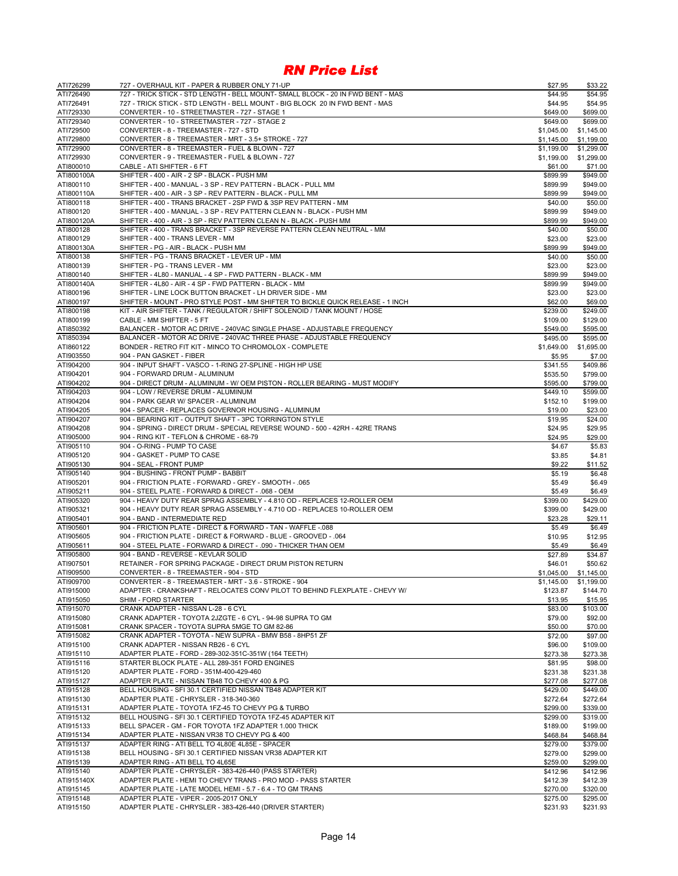| ATI726299               | 727 - OVERHAUL KIT - PAPER & RUBBER ONLY 71-UP                                                                                                  | \$27.95                | \$33.22                |
|-------------------------|-------------------------------------------------------------------------------------------------------------------------------------------------|------------------------|------------------------|
| ATI726490               | 727 - TRICK STICK - STD LENGTH - BELL MOUNT- SMALL BLOCK - 20 IN FWD BENT - MAS                                                                 | \$44.95                | \$54.95                |
| ATI726491               | 727 - TRICK STICK - STD LENGTH - BELL MOUNT - BIG BLOCK 20 IN FWD BENT - MAS                                                                    | \$44.95                | \$54.95                |
| ATI729330               | CONVERTER - 10 - STREETMASTER - 727 - STAGE 1                                                                                                   | \$649.00               | \$699.00               |
| ATI729340<br>ATI729500  | CONVERTER - 10 - STREETMASTER - 727 - STAGE 2<br>CONVERTER - 8 - TREEMASTER - 727 - STD                                                         | \$649.00<br>\$1,045.00 | \$699.00<br>\$1,145.00 |
| ATI729800               | CONVERTER - 8 - TREEMASTER - MRT - 3.5+ STROKE - 727                                                                                            | \$1,145.00             | \$1,199.00             |
| ATI729900               | CONVERTER - 8 - TREEMASTER - FUEL & BLOWN - 727                                                                                                 | \$1,199.00             | \$1,299.00             |
| ATI729930               | CONVERTER - 9 - TREEMASTER - FUEL & BLOWN - 727                                                                                                 | \$1,199.00             | \$1,299.00             |
| ATI800010               | CABLE - ATI SHIFTER - 6 FT                                                                                                                      | \$61.00                | \$71.00                |
| ATI800100A              | SHIFTER - 400 - AIR - 2 SP - BLACK - PUSH MM                                                                                                    | \$899.99               | \$949.00               |
| ATI800110               | SHIFTER - 400 - MANUAL - 3 SP - REV PATTERN - BLACK - PULL MM                                                                                   | \$899.99               | \$949.00               |
| ATI800110A              | SHIFTER - 400 - AIR - 3 SP - REV PATTERN - BLACK - PULL MM                                                                                      | \$899.99               | \$949.00               |
| ATI800118               | SHIFTER - 400 - TRANS BRACKET - 2SP FWD & 3SP REV PATTERN - MM                                                                                  | \$40.00                | \$50.00                |
| ATI800120               | SHIFTER - 400 - MANUAL - 3 SP - REV PATTERN CLEAN N - BLACK - PUSH MM<br>SHIFTER - 400 - AIR - 3 SP - REV PATTERN CLEAN N - BLACK - PUSH MM     | \$899.99               | \$949.00               |
| ATI800120A<br>ATI800128 | SHIFTER - 400 - TRANS BRACKET - 3SP REVERSE PATTERN CLEAN NEUTRAL - MM                                                                          | \$899.99<br>\$40.00    | \$949.00<br>\$50.00    |
| ATI800129               | SHIFTER - 400 - TRANS LEVER - MM                                                                                                                | \$23.00                | \$23.00                |
| ATI800130A              | SHIFTER - PG - AIR - BLACK - PUSH MM                                                                                                            | \$899.99               | \$949.00               |
| ATI800138               | SHIFTER - PG - TRANS BRACKET - LEVER UP - MM                                                                                                    | \$40.00                | \$50.00                |
| ATI800139               | SHIFTER - PG - TRANS LEVER - MM                                                                                                                 | \$23.00                | \$23.00                |
| ATI800140               | SHIFTER - 4L80 - MANUAL - 4 SP - FWD PATTERN - BLACK - MM                                                                                       | \$899.99               | \$949.00               |
| ATI800140A              | SHIFTER - 4L80 - AIR - 4 SP - FWD PATTERN - BLACK - MM                                                                                          | \$899.99               | \$949.00               |
| ATI800196               | SHIFTER - LINE LOCK BUTTON BRACKET - LH DRIVER SIDE - MM                                                                                        | \$23.00                | \$23.00                |
| ATI800197               | SHIFTER - MOUNT - PRO STYLE POST - MM SHIFTER TO BICKLE QUICK RELEASE - 1 INCH                                                                  | \$62.00                | \$69.00                |
| ATI800198               | KIT - AIR SHIFTER - TANK / REGULATOR / SHIFT SOLENOID / TANK MOUNT / HOSE                                                                       | \$239.00               | \$249.00               |
| ATI800199               | CABLE - MM SHIFTER - 5 FT                                                                                                                       | \$109.00               | \$129.00               |
| ATI850392<br>ATI850394  | BALANCER - MOTOR AC DRIVE - 240VAC SINGLE PHASE - ADJUSTABLE FREQUENCY<br>BALANCER - MOTOR AC DRIVE - 240VAC THREE PHASE - ADJUSTABLE FREQUENCY | \$549.00<br>\$495.00   | \$595.00<br>\$595.00   |
| ATI860122               | BONDER - RETRO FIT KIT - MINCO TO CHROMOLOX - COMPLETE                                                                                          | \$1,649.00             | \$1,695.00             |
| ATI903550               | 904 - PAN GASKET - FIBER                                                                                                                        | \$5.95                 | \$7.00                 |
| ATI904200               | 904 - INPUT SHAFT - VASCO - 1-RING 27-SPLINE - HIGH HP USE                                                                                      | \$341.55               | \$409.86               |
| ATI904201               | 904 - FORWARD DRUM - ALUMINUM                                                                                                                   | \$535.50               | \$799.00               |
| ATI904202               | 904 - DIRECT DRUM - ALUMINUM - W/ OEM PISTON - ROLLER BEARING - MUST MODIFY                                                                     | \$595.00               | \$799.00               |
| ATI904203               | 904 - LOW / REVERSE DRUM - ALUMINUM                                                                                                             | \$449.10               | \$599.00               |
| ATI904204               | 904 - PARK GEAR W/ SPACER - ALUMINUM                                                                                                            | \$152.10               | \$199.00               |
| ATI904205               | 904 - SPACER - REPLACES GOVERNOR HOUSING - ALUMINUM                                                                                             | \$19.00                | \$23.00                |
| ATI904207               | 904 - BEARING KIT - OUTPUT SHAFT - 3PC TORRINGTON STYLE                                                                                         | \$19.95                | \$24.00                |
| ATI904208               | 904 - SPRING - DIRECT DRUM - SPECIAL REVERSE WOUND - 500 - 42RH - 42RE TRANS                                                                    | \$24.95                | \$29.95                |
| ATI905000               | 904 - RING KIT - TEFLON & CHROME - 68-79                                                                                                        | \$24.95                | \$29.00                |
| ATI905110<br>ATI905120  | 904 - O-RING - PUMP TO CASE<br>904 - GASKET - PUMP TO CASE                                                                                      | \$4.67<br>\$3.85       | \$5.83<br>\$4.81       |
| ATI905130               | 904 - SEAL - FRONT PUMP                                                                                                                         | \$9.22                 | \$11.52                |
| ATI905140               | 904 - BUSHING - FRONT PUMP - BABBIT                                                                                                             | \$5.19                 | \$6.48                 |
| ATI905201               | 904 - FRICTION PLATE - FORWARD - GREY - SMOOTH - .065                                                                                           | \$5.49                 | \$6.49                 |
| ATI905211               | 904 - STEEL PLATE - FORWARD & DIRECT - .068 - OEM                                                                                               | \$5.49                 | \$6.49                 |
| ATI905320               | 904 - HEAVY DUTY REAR SPRAG ASSEMBLY - 4.810 OD - REPLACES 12-ROLLER OEM                                                                        | \$399.00               | \$429.00               |
| ATI905321               | 904 - HEAVY DUTY REAR SPRAG ASSEMBLY - 4.710 OD - REPLACES 10-ROLLER OEM                                                                        | \$399.00               | \$429.00               |
| ATI905401               | 904 - BAND - INTERMEDIATE RED                                                                                                                   | \$23.28                | \$29.11                |
| ATI905601               | 904 - FRICTION PLATE - DIRECT & FORWARD - TAN - WAFFLE -.088                                                                                    | \$5.49                 | \$6.49                 |
| ATI905605               | 904 - FRICTION PLATE - DIRECT & FORWARD - BLUE - GROOVED - .064                                                                                 | \$10.95                | \$12.95                |
| ATI905611<br>ATI905800  | 904 - STEEL PLATE - FORWARD & DIRECT - .090 - THICKER THAN OEM<br>904 - BAND - REVERSE - KEVLAR SOLID                                           | \$5.49<br>\$27.89      | \$6.49<br>\$34.87      |
| ATI907501               | RETAINER - FOR SPRING PACKAGE - DIRECT DRUM PISTON RETURN                                                                                       | \$46.01                | \$50.62                |
| ATI909500               | CONVERTER - 8 - TREEMASTER - 904 - STD                                                                                                          | \$1,045.00             | \$1,145.00             |
| ATI909700               | CONVERTER - 8 - TREEMASTER - MRT - 3.6 - STROKE - 904                                                                                           | \$1,145.00             | \$1,199.00             |
| ATI915000               | ADAPTER - CRANKSHAFT - RELOCATES CONV PILOT TO BEHIND FLEXPLATE - CHEVY W/                                                                      | \$123.87               | \$144.70               |
| ATI915050               | SHIM - FORD STARTER                                                                                                                             | \$13.95                | \$15.95                |
| ATI915070               | CRANK ADAPTER - NISSAN L-28 - 6 CYL                                                                                                             | \$83.00                | \$103.00               |
| ATI915080               | CRANK ADAPTER - TOYOTA 2JZGTE - 6 CYL - 94-98 SUPRA TO GM                                                                                       | \$79.00                | \$92.00                |
| ATI915081               | CRANK SPACER - TOYOTA SUPRA 5MGE TO GM 82-86                                                                                                    | \$50.00                | \$70.00                |
| ATI915082               |                                                                                                                                                 |                        |                        |
| ATI915100<br>ATI915110  | CRANK ADAPTER - TOYOTA - NEW SUPRA - BMW B58 - 8HP51 ZF                                                                                         | \$72.00                | \$97.00                |
|                         | CRANK ADAPTER - NISSAN RB26 - 6 CYL                                                                                                             | \$96.00                | \$109.00               |
|                         | ADAPTER PLATE - FORD - 289-302-351C-351W (164 TEETH)                                                                                            | \$273.38               | \$273.38               |
| ATI915116               | STARTER BLOCK PLATE - ALL 289-351 FORD ENGINES                                                                                                  | \$81.95                | \$98.00                |
| ATI915120               | ADAPTER PLATE - FORD - 351M-400-429-460                                                                                                         | \$231.38               | \$231.38               |
| ATI915127<br>ATI915128  | ADAPTER PLATE - NISSAN TB48 TO CHEVY 400 & PG<br>BELL HOUSING - SFI 30.1 CERTIFIED NISSAN TB48 ADAPTER KIT                                      | \$277.08<br>\$429.00   | \$277.08<br>\$449.00   |
| ATI915130               | ADAPTER PLATE - CHRYSLER - 318-340-360                                                                                                          | \$272.64               | \$272.64               |
| ATI915131               | ADAPTER PLATE - TOYOTA 1FZ-45 TO CHEVY PG & TURBO                                                                                               | \$299.00               | \$339.00               |
| ATI915132               | BELL HOUSING - SFI 30.1 CERTIFIED TOYOTA 1FZ-45 ADAPTER KIT                                                                                     | \$299.00               | \$319.00               |
| ATI915133               | BELL SPACER - GM - FOR TOYOTA 1FZ ADAPTER 1.000 THICK                                                                                           | \$189.00               | \$199.00               |
| ATI915134               | ADAPTER PLATE - NISSAN VR38 TO CHEVY PG & 400                                                                                                   | \$468.84               | \$468.84               |
| ATI915137               | ADAPTER RING - ATI BELL TO 4L80E 4L85E - SPACER                                                                                                 | \$279.00               | \$379.00               |
| ATI915138               | BELL HOUSING - SFI 30.1 CERTIFIED NISSAN VR38 ADAPTER KIT                                                                                       | \$279.00               | \$299.00               |
| ATI915139               | ADAPTER RING - ATI BELL TO 4L65E                                                                                                                | \$259.00               | \$299.00               |
| ATI915140               | ADAPTER PLATE - CHRYSLER - 383-426-440 (PASS STARTER)                                                                                           | \$412.96               | \$412.96               |
| ATI915140X<br>ATI915145 | ADAPTER PLATE - HEMI TO CHEVY TRANS - PRO MOD - PASS STARTER                                                                                    | \$412.39               | \$412.39               |
| ATI915148               | ADAPTER PLATE - LATE MODEL HEMI - 5.7 - 6.4 - TO GM TRANS<br>ADAPTER PLATE - VIPER - 2005-2017 ONLY                                             | \$270.00<br>\$275.00   | \$320.00<br>\$295.00   |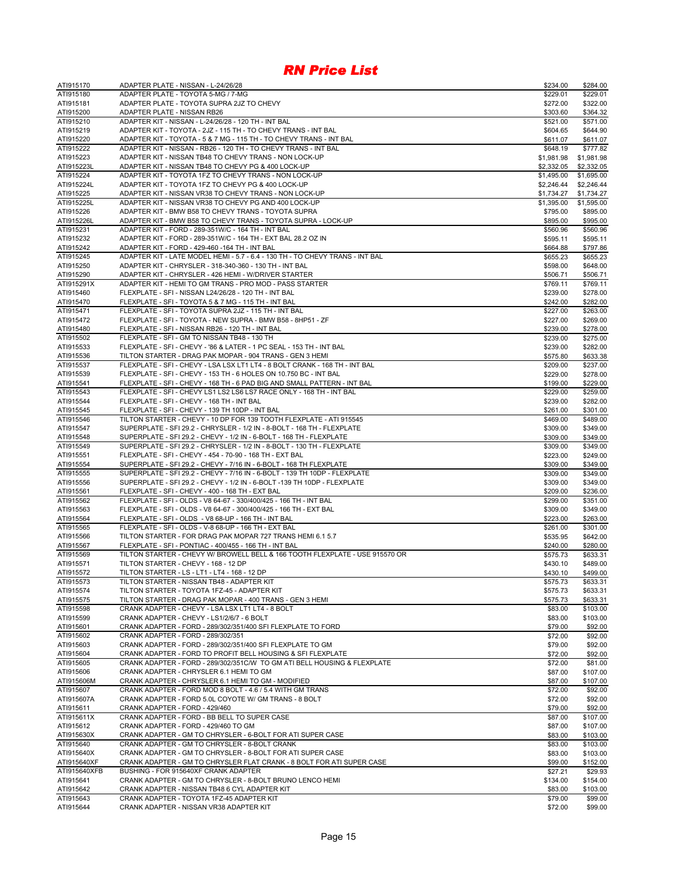| ATI915170               | ADAPTER PLATE - NISSAN - L-24/26/28                                                                                                            | \$234.00             | \$284.00             |
|-------------------------|------------------------------------------------------------------------------------------------------------------------------------------------|----------------------|----------------------|
| ATI915180               | ADAPTER PLATE - TOYOTA 5-MG / 7-MG                                                                                                             | \$229.01             | \$229.01             |
| ATI915181               | ADAPTER PLATE - TOYOTA SUPRA 2JZ TO CHEVY                                                                                                      | \$272.00             | \$322.00             |
| ATI915200               | ADAPTER PLATE - NISSAN RB26                                                                                                                    | \$303.60             | \$364.32             |
| ATI915210               | ADAPTER KIT - NISSAN - L-24/26/28 - 120 TH - INT BAL                                                                                           | \$521.00             | \$571.00             |
| ATI915219               | ADAPTER KIT - TOYOTA - 2JZ - 115 TH - TO CHEVY TRANS - INT BAL<br>ADAPTER KIT - TOYOTA - 5 & 7 MG - 115 TH - TO CHEVY TRANS - INT BAL          | \$604.65             | \$644.90             |
| ATI915220<br>ATI915222  | ADAPTER KIT - NISSAN - RB26 - 120 TH - TO CHEVY TRANS - INT BAL                                                                                | \$611.07<br>\$648.19 | \$611.07<br>\$777.82 |
| ATI915223               | ADAPTER KIT - NISSAN TB48 TO CHEVY TRANS - NON LOCK-UP                                                                                         | \$1,981.98           | \$1,981.98           |
| ATI915223L              | ADAPTER KIT - NISSAN TB48 TO CHEVY PG & 400 LOCK-UP                                                                                            | \$2,332.05           | \$2,332.05           |
| ATI915224               | ADAPTER KIT - TOYOTA 1FZ TO CHEVY TRANS - NON LOCK-UP                                                                                          | \$1,495.00           | \$1,695.00           |
| ATI915224L              | ADAPTER KIT - TOYOTA 1FZ TO CHEVY PG & 400 LOCK-UP                                                                                             | \$2,246.44           | \$2,246.44           |
| ATI915225               | ADAPTER KIT - NISSAN VR38 TO CHEVY TRANS - NON LOCK-UP                                                                                         | \$1,734.27           | \$1,734.27           |
| ATI915225L              | ADAPTER KIT - NISSAN VR38 TO CHEVY PG AND 400 LOCK-UP                                                                                          | \$1,395.00           | \$1,595.00           |
| ATI915226               | ADAPTER KIT - BMW B58 TO CHEVY TRANS - TOYOTA SUPRA                                                                                            | \$795.00             | \$895.00             |
| ATI915226L              | ADAPTER KIT - BMW B58 TO CHEVY TRANS - TOYOTA SUPRA - LOCK-UP                                                                                  | \$895.00             | \$995.00             |
| ATI915231               | ADAPTER KIT - FORD - 289-351W/C - 164 TH - INT BAL                                                                                             | \$560.96             | \$560.96             |
| ATI915232               | ADAPTER KIT - FORD - 289-351W/C - 164 TH - EXT BAL 28.2 OZ IN                                                                                  | \$595.11             | \$595.11             |
| ATI915242               | ADAPTER KIT - FORD - 429-460 -164 TH - INT BAL                                                                                                 | \$664.88             | \$797.86             |
| ATI915245               | ADAPTER KIT - LATE MODEL HEMI - 5.7 - 6.4 - 130 TH - TO CHEVY TRANS - INT BAL                                                                  | \$655.23             | \$655.23             |
| ATI915250               | ADAPTER KIT - CHRYSLER - 318-340-360 - 130 TH - INT BAL                                                                                        | \$598.00             | \$648.00             |
| ATI915290<br>ATI915291X | ADAPTER KIT - CHRYSLER - 426 HEMI - W/DRIVER STARTER<br>ADAPTER KIT - HEMI TO GM TRANS - PRO MOD - PASS STARTER                                | \$506.71             | \$506.71             |
| ATI915460               | FLEXPLATE - SFI - NISSAN L24/26/28 - 120 TH - INT BAL                                                                                          | \$769.11<br>\$239.00 | \$769.11<br>\$278.00 |
| ATI915470               | FLEXPLATE - SFI - TOYOTA 5 & 7 MG - 115 TH - INT BAL                                                                                           | \$242.00             | \$282.00             |
| ATI915471               | FLEXPLATE - SFI - TOYOTA SUPRA 2JZ - 115 TH - INT BAL                                                                                          | \$227.00             | \$263.00             |
| ATI915472               | FLEXPLATE - SFI - TOYOTA - NEW SUPRA - BMW B58 - 8HP51 - ZF                                                                                    | \$227.00             | \$269.00             |
| ATI915480               | FLEXPLATE - SFI - NISSAN RB26 - 120 TH - INT BAL                                                                                               | \$239.00             | \$278.00             |
| ATI915502               | FLEXPLATE - SFI - GM TO NISSAN TB48 - 130 TH                                                                                                   | \$239.00             | \$275.00             |
| ATI915533               | FLEXPLATE - SFI - CHEVY - '86 & LATER - 1 PC SEAL - 153 TH - INT BAL                                                                           | \$239.00             | \$282.00             |
| ATI915536               | TILTON STARTER - DRAG PAK MOPAR - 904 TRANS - GEN 3 HEMI                                                                                       | \$575.80             | \$633.38             |
| ATI915537               | FLEXPLATE - SFI - CHEVY - LSA LSX LT1 LT4 - 8 BOLT CRANK - 168 TH - INT BAL                                                                    | \$209.00             | \$237.00             |
| ATI915539               | FLEXPLATE - SFI - CHEVY - 153 TH - 6 HOLES ON 10.750 BC - INT BAL                                                                              | \$229.00             | \$278.00             |
| ATI915541               | FLEXPLATE - SFI - CHEVY - 168 TH - 6 PAD BIG AND SMALL PATTERN - INT BAL                                                                       | \$199.00             | \$229.00             |
| ATI915543               | FLEXPLATE - SFI - CHEVY LS1 LS2 LS6 LS7 RACE ONLY - 168 TH - INT BAL                                                                           | \$229.00             | \$259.00             |
| ATI915544               | FLEXPLATE - SFI - CHEVY - 168 TH - INT BAL                                                                                                     | \$239.00             | \$282.00             |
| ATI915545               | FLEXPLATE - SFI - CHEVY - 139 TH 10DP - INT BAL                                                                                                | \$261.00             | \$301.00             |
| ATI915546<br>ATI915547  | TILTON STARTER - CHEVY - 10 DP FOR 139 TOOTH FLEXPLATE - ATI 915545<br>SUPERPLATE - SFI 29.2 - CHRYSLER - 1/2 IN - 8-BOLT - 168 TH - FLEXPLATE | \$469.00<br>\$309.00 | \$489.00<br>\$349.00 |
| ATI915548               | SUPERPLATE - SFI 29.2 - CHEVY - 1/2 IN - 6-BOLT - 168 TH - FLEXPLATE                                                                           | \$309.00             | \$349.00             |
| ATI915549               | SUPERPLATE - SFI 29.2 - CHRYSLER - 1/2 IN - 8-BOLT - 130 TH - FLEXPLATE                                                                        | \$309.00             | \$349.00             |
| ATI915551               | FLEXPLATE - SFI - CHEVY - 454 - 70-90 - 168 TH - EXT BAL                                                                                       | \$223.00             | \$249.00             |
| ATI915554               | SUPERPLATE - SFI 29.2 - CHEVY - 7/16 IN - 6-BOLT - 168 TH FLEXPLATE                                                                            | \$309.00             | \$349.00             |
| ATI915555               | SUPERPLATE - SFI 29.2 - CHEVY - 7/16 IN - 6-BOLT - 139 TH 10DP - FLEXPLATE                                                                     | \$309.00             | \$349.00             |
| ATI915556               | SUPERPLATE - SFI 29.2 - CHEVY - 1/2 IN - 6-BOLT -139 TH 10DP - FLEXPLATE                                                                       | \$309.00             | \$349.00             |
| ATI915561               | FLEXPLATE - SFI - CHEVY - 400 - 168 TH - EXT BAL                                                                                               | \$209.00             | \$236.00             |
| ATI915562               | FLEXPLATE - SFI - OLDS - V8 64-67 - 330/400/425 - 166 TH - INT BAL                                                                             | \$299.00             | \$351.00             |
| ATI915563               | FLEXPLATE - SFI - OLDS - V8 64-67 - 300/400/425 - 166 TH - EXT BAL                                                                             | \$309.00             | \$349.00             |
| ATI915564               | FLEXPLATE - SFI - OLDS - V8 68-UP - 166 TH - INT BAL                                                                                           | \$223.00             | \$263.00             |
| ATI915565               | FLEXPLATE - SFI - OLDS - V-8 68-UP - 166 TH - EXT BAL                                                                                          | \$261.00             | \$301.00             |
| ATI915566               | TILTON STARTER - FOR DRAG PAK MOPAR 727 TRANS HEMI 6.1 5.7                                                                                     | \$535.95             | \$642.00             |
| ATI915567<br>ATI915569  | FLEXPLATE - SFI - PONTIAC - 400/455 - 166 TH - INT BAL<br>TILTON STARTER - CHEVY W/ BROWELL BELL & 166 TOOTH FLEXPLATE - USE 915570 OR         | \$240.00<br>\$575.73 | \$280.00<br>\$633.31 |
| ATI915571               | TILTON STARTER - CHEVY - 168 - 12 DP                                                                                                           | \$430.10             | \$489.00             |
| ATI915572               | TILTON STARTER - LS - LT1 - LT4 - 168 - 12 DP                                                                                                  | \$430.10             | \$499.00             |
| ATI915573               | TILTON STARTER - NISSAN TB48 - ADAPTER KIT                                                                                                     | \$575.73             | \$633.31             |
| ATI915574               | TILTON STARTER - TOYOTA 1FZ-45 - ADAPTER KIT                                                                                                   | \$575.73             | \$633.31             |
| ATI915575               | TILTON STARTER - DRAG PAK MOPAR - 400 TRANS - GEN 3 HEMI                                                                                       | \$575.73             | \$633.31             |
| ATI915598               | CRANK ADAPTER - CHEVY - LSA LSX LT1 LT4 - 8 BOLT                                                                                               | \$83.00              | \$103.00             |
| ATI915599               | CRANK ADAPTER - CHEVY - LS1/2/6/7 - 6 BOLT                                                                                                     | \$83.00              | \$103.00             |
| ATI915601               | CRANK ADAPTER - FORD - 289/302/351/400 SFI FLEXPLATE TO FORD                                                                                   | \$79.00              | \$92.00              |
| ATI915602               | CRANK ADAPTER - FORD - 289/302/351                                                                                                             | \$72.00              | \$92.00              |
| ATI915603               | CRANK ADAPTER - FORD - 289/302/351/400 SFI FLEXPLATE TO GM                                                                                     | \$79.00              | \$92.00              |
| ATI915604               | CRANK ADAPTER - FORD TO PROFIT BELL HOUSING & SFI FLEXPLATE                                                                                    | \$72.00              | \$92.00              |
| ATI915605               | CRANK ADAPTER - FORD - 289/302/351C/W TO GM ATI BELL HOUSING & FLEXPLATE                                                                       | \$72.00              | \$81.00              |
| ATI915606               | CRANK ADAPTER - CHRYSLER 6.1 HEMI TO GM<br>CRANK ADAPTER - CHRYSLER 6.1 HEMI TO GM - MODIFIED                                                  | \$87.00              | \$107.00             |
| ATI915606M<br>ATI915607 | CRANK ADAPTER - FORD MOD 8 BOLT - 4.6 / 5.4 WITH GM TRANS                                                                                      | \$87.00<br>\$72.00   | \$107.00<br>\$92.00  |
| ATI915607A              | CRANK ADAPTER - FORD 5.0L COYOTE W/ GM TRANS - 8 BOLT                                                                                          | \$72.00              | \$92.00              |
| ATI915611               | CRANK ADAPTER - FORD - 429/460                                                                                                                 | \$79.00              | \$92.00              |
| ATI915611X              | CRANK ADAPTER - FORD - BB BELL TO SUPER CASE                                                                                                   | \$87.00              | \$107.00             |
| ATI915612               | CRANK ADAPTER - FORD - 429/460 TO GM                                                                                                           | \$87.00              | \$107.00             |
| ATI915630X              | CRANK ADAPTER - GM TO CHRYSLER - 6-BOLT FOR ATI SUPER CASE                                                                                     | \$83.00              | \$103.00             |
| ATI915640               | CRANK ADAPTER - GM TO CHRYSLER - 8-BOLT CRANK                                                                                                  | \$83.00              | \$103.00             |
| ATI915640X              | CRANK ADAPTER - GM TO CHRYSLER - 8-BOLT FOR ATI SUPER CASE                                                                                     | \$83.00              | \$103.00             |
| ATI915640XF             | CRANK ADAPTER - GM TO CHRYSLER FLAT CRANK - 8 BOLT FOR ATI SUPER CASE                                                                          | \$99.00              | \$152.00             |
| ATI915640XFB            | BUSHING - FOR 915640XF CRANK ADAPTER                                                                                                           | \$27.21              | \$29.93              |
| ATI915641               | CRANK ADAPTER - GM TO CHRYSLER - 8-BOLT BRUNO LENCO HEMI                                                                                       | \$134.00             | \$154.00             |
| ATI915642               | CRANK ADAPTER - NISSAN TB48 6 CYL ADAPTER KIT                                                                                                  | \$83.00              | \$103.00             |
| ATI915643<br>ATI915644  | CRANK ADAPTER - TOYOTA 1FZ-45 ADAPTER KIT<br>CRANK ADAPTER - NISSAN VR38 ADAPTER KIT                                                           | \$79.00              | \$99.00              |
|                         |                                                                                                                                                | \$72.00              | \$99.00              |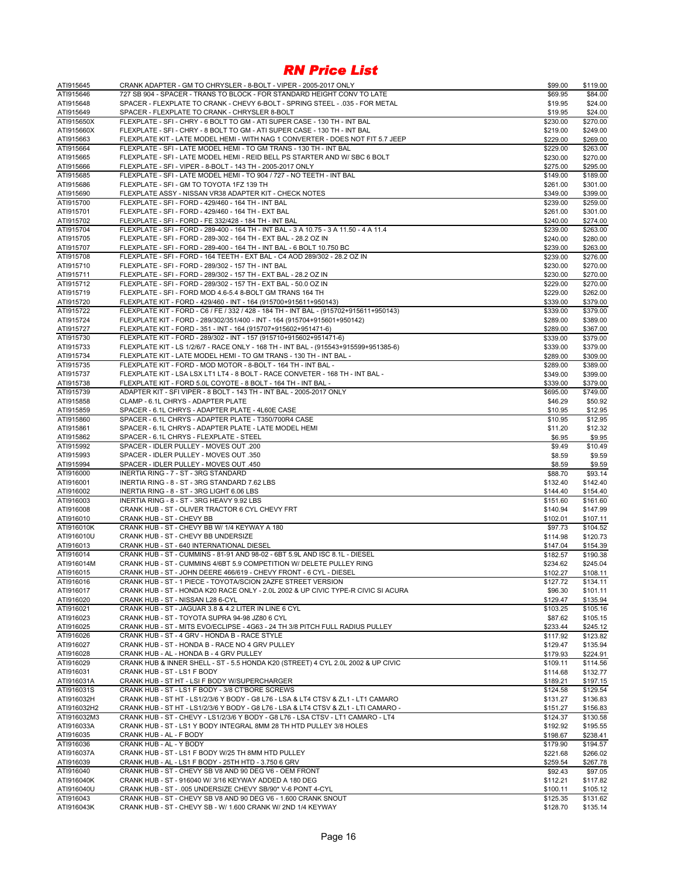| ATI915645                | CRANK ADAPTER - GM TO CHRYSLER - 8-BOLT - VIPER - 2005-2017 ONLY                                                                                                    | \$99.00              | \$119.00             |
|--------------------------|---------------------------------------------------------------------------------------------------------------------------------------------------------------------|----------------------|----------------------|
| ATI915646                | 727 SB 904 - SPACER - TRANS TO BLOCK - FOR STANDARD HEIGHT CONV TO LATE                                                                                             | \$69.95              | \$84.00              |
| ATI915648                | SPACER - FLEXPLATE TO CRANK - CHEVY 6-BOLT - SPRING STEEL - .035 - FOR METAL                                                                                        | \$19.95              | \$24.00              |
| ATI915649                | SPACER - FLEXPLATE TO CRANK - CHRYSLER 8-BOLT                                                                                                                       | \$19.95              | \$24.00              |
| ATI915650X<br>ATI915660X | FLEXPLATE - SFI - CHRY - 6 BOLT TO GM - ATI SUPER CASE - 130 TH - INT BAL<br>FLEXPLATE - SFI - CHRY - 8 BOLT TO GM - ATI SUPER CASE - 130 TH - INT BAL              | \$230.00             | \$270.00<br>\$249.00 |
| ATI915663                | FLEXPLATE KIT - LATE MODEL HEMI - WITH NAG 1 CONVERTER - DOES NOT FIT 5.7 JEEP                                                                                      | \$219.00<br>\$229.00 | \$269.00             |
| ATI915664                | FLEXPLATE - SFI - LATE MODEL HEMI - TO GM TRANS - 130 TH - INT BAL                                                                                                  | \$229.00             | \$263.00             |
| ATI915665                | FLEXPLATE - SFI - LATE MODEL HEMI - REID BELL PS STARTER AND W/ SBC 6 BOLT                                                                                          | \$230.00             | \$270.00             |
| ATI915666                | FLEXPLATE - SFI - VIPER - 8-BOLT - 143 TH - 2005-2017 ONLY                                                                                                          | \$275.00             | \$295.00             |
| ATI915685                | FLEXPLATE - SFI - LATE MODEL HEMI - TO 904 / 727 - NO TEETH - INT BAL                                                                                               | \$149.00             | \$189.00             |
| ATI915686                | FLEXPLATE - SFI - GM TO TOYOTA 1FZ 139 TH                                                                                                                           | \$261.00             | \$301.00             |
| ATI915690                | FLEXPLATE ASSY - NISSAN VR38 ADAPTER KIT - CHECK NOTES                                                                                                              | \$349.00             | \$399.00             |
| ATI915700                | FLEXPLATE - SFI - FORD - 429/460 - 164 TH - INT BAL                                                                                                                 | \$239.00             | \$259.00             |
| ATI915701<br>ATI915702   | FLEXPLATE - SFI - FORD - 429/460 - 164 TH - EXT BAL                                                                                                                 | \$261.00<br>\$240.00 | \$301.00             |
| ATI915704                | FLEXPLATE - SFI - FORD - FE 332/428 - 184 TH - INT BAL<br>FLEXPLATE - SFI - FORD - 289-400 - 164 TH - INT BAL - 3 A 10.75 - 3 A 11.50 - 4 A 11.4                    | \$239.00             | \$274.00<br>\$263.00 |
| ATI915705                | FLEXPLATE - SFI - FORD - 289-302 - 164 TH - EXT BAL - 28.2 OZ IN                                                                                                    | \$240.00             | \$280.00             |
| ATI915707                | FLEXPLATE - SFI - FORD - 289-400 - 164 TH - INT BAL - 6 BOLT 10.750 BC                                                                                              | \$239.00             | \$263.00             |
| ATI915708                | FLEXPLATE - SFI - FORD - 164 TEETH - EXT BAL - C4 AOD 289/302 - 28.2 OZ IN                                                                                          | \$239.00             | \$276.00             |
| ATI915710                | FLEXPLATE - SFI - FORD - 289/302 - 157 TH - INT BAL                                                                                                                 | \$230.00             | \$270.00             |
| ATI915711                | FLEXPLATE - SFI - FORD - 289/302 - 157 TH - EXT BAL - 28.2 OZ IN                                                                                                    | \$230.00             | \$270.00             |
| ATI915712                | FLEXPLATE - SFI - FORD - 289/302 - 157 TH - EXT BAL - 50.0 OZ IN                                                                                                    | \$229.00             | \$270.00             |
| ATI915719                | FLEXPLATE - SFI - FORD MOD 4.6-5.4 8-BOLT GM TRANS 164 TH                                                                                                           | \$229.00             | \$262.00             |
| ATI915720                | FLEXPLATE KIT - FORD - 429/460 - INT - 164 (915700+915611+950143)                                                                                                   | \$339.00             | \$379.00<br>\$379.00 |
| ATI915722<br>ATI915724   | FLEXPLATE KIT - FORD - C6 / FE / 332 / 428 - 184 TH - INT BAL - (915702+915611+950143)<br>FLEXPLATE KIT - FORD - 289/302/351/400 - INT - 164 (915704+915601+950142) | \$339.00<br>\$289.00 | \$389.00             |
| ATI915727                | FLEXPLATE KIT - FORD - 351 - INT - 164 (915707+915602+951471-6)                                                                                                     | \$289.00             | \$367.00             |
| ATI915730                | FLEXPLATE KIT - FORD - 289/302 - INT - 157 (915710+915602+951471-6)                                                                                                 | \$339.00             | \$379.00             |
| ATI915733                | FLEXPLATE KIT - LS 1/2/6/7 - RACE ONLY - 168 TH - INT BAL - (915543+915599+951385-6)                                                                                | \$339.00             | \$379.00             |
| ATI915734                | FLEXPLATE KIT - LATE MODEL HEMI - TO GM TRANS - 130 TH - INT BAL -                                                                                                  | \$289.00             | \$309.00             |
| ATI915735                | FLEXPLATE KIT - FORD - MOD MOTOR - 8-BOLT - 164 TH - INT BAL -                                                                                                      | \$289.00             | \$389.00             |
| ATI915737                | FLEXPLATE KIT - LSA LSX LT1 LT4 - 8 BOLT - RACE CONVETER - 168 TH - INT BAL -                                                                                       | \$349.00             | \$399.00             |
| ATI915738                | FLEXPLATE KIT - FORD 5.0L COYOTE - 8 BOLT - 164 TH - INT BAL -                                                                                                      | \$339.00             | \$379.00             |
| ATI915739                | ADAPTER KIT - SFI VIPER - 8 BOLT - 143 TH - INT BAL - 2005-2017 ONLY                                                                                                | \$695.00             | \$749.00             |
| ATI915858<br>ATI915859   | CLAMP - 6.1L CHRYS - ADAPTER PLATE<br>SPACER - 6.1L CHRYS - ADAPTER PLATE - 4L60E CASE                                                                              | \$46.29<br>\$10.95   | \$50.92<br>\$12.95   |
| ATI915860                | SPACER - 6.1L CHRYS - ADAPTER PLATE - T350/700R4 CASE                                                                                                               | \$10.95              | \$12.95              |
| ATI915861                | SPACER - 6.1L CHRYS - ADAPTER PLATE - LATE MODEL HEMI                                                                                                               | \$11.20              | \$12.32              |
| ATI915862                | SPACER - 6.1L CHRYS - FLEXPLATE - STEEL                                                                                                                             | \$6.95               | \$9.95               |
| ATI915992                | SPACER - IDLER PULLEY - MOVES OUT .200                                                                                                                              | \$9.49               | \$10.49              |
| ATI915993                | SPACER - IDLER PULLEY - MOVES OUT .350                                                                                                                              | \$8.59               | \$9.59               |
| ATI915994                | SPACER - IDLER PULLEY - MOVES OUT .450                                                                                                                              | \$8.59               | \$9.59               |
| ATI916000                | INERTIA RING - 7 - ST - 3RG STANDARD                                                                                                                                | \$88.70              | \$93.14              |
| ATI916001<br>ATI916002   | INERTIA RING - 8 - ST - 3RG STANDARD 7.62 LBS<br>INERTIA RING - 8 - ST - 3RG LIGHT 6.06 LBS                                                                         | \$132.40<br>\$144.40 | \$142.40<br>\$154.40 |
| ATI916003                | INERTIA RING - 8 - ST - 3RG HEAVY 9.92 LBS                                                                                                                          | \$151.60             | \$161.60             |
| ATI916008                | CRANK HUB - ST - OLIVER TRACTOR 6 CYL CHEVY FRT                                                                                                                     | \$140.94             | \$147.99             |
| ATI916010                | CRANK HUB - ST - CHEVY BB                                                                                                                                           | \$102.01             | \$107.11             |
| ATI916010K               | CRANK HUB - ST - CHEVY BB W/ 1/4 KEYWAY A 180                                                                                                                       | \$97.73              | \$104.52             |
| ATI916010U               | CRANK HUB - ST - CHEVY BB UNDERSIZE                                                                                                                                 | \$114.98             | \$120.73             |
| ATI916013                | CRANK HUB - ST - 640 INTERNATIONAL DIESEL                                                                                                                           | \$147.04             | \$154.39             |
| ATI916014                | CRANK HUB - ST - CUMMINS - 81-91 AND 98-02 - 6BT 5.9L AND ISC 8.1L - DIESEL                                                                                         | \$182.57             | \$190.38             |
| ATI916014M               | CRANK HUB - ST - CUMMINS 4/6BT 5.9 COMPETITION W/ DELETE PULLEY RING                                                                                                | \$234.62             | \$245.04             |
| ATI916015<br>ATI916016   | CRANK HUB - ST - JOHN DEERE 466/619 - CHEVY FRONT - 6 CYL - DIESEL                                                                                                  | \$102.27             | \$108.11             |
| ATI916017                | CRANK HUB - ST - 1 PIECE - TOYOTA/SCION 2AZFE STREET VERSION<br>CRANK HUB - ST - HONDA K20 RACE ONLY - 2.0L 2002 & UP CIVIC TYPE-R CIVIC SI ACURA                   | \$127.72<br>\$96.30  | \$134.11<br>\$101.11 |
| ATI916020                | CRANK HUB - ST - NISSAN L28 6-CYL                                                                                                                                   | \$129.47             | \$135.94             |
| ATI916021                | CRANK HUB - ST - JAGUAR 3.8 & 4.2 LITER IN LINE 6 CYL                                                                                                               | \$103.25             | \$105.16             |
| ATI916023                | CRANK HUB - ST - TOYOTA SUPRA 94-98 JZ80 6 CYL                                                                                                                      | \$87.62              | \$105.15             |
| ATI916025                | CRANK HUB - ST - MITS EVO/ECLIPSE - 4G63 - 24 TH 3/8 PITCH FULL RADIUS PULLEY                                                                                       | \$233.44             | \$245.12             |
| ATI916026                | CRANK HUB - ST - 4 GRV - HONDA B - RACE STYLE                                                                                                                       | \$117.92             | \$123.82             |
| ATI916027                | CRANK HUB - ST - HONDA B - RACE NO 4 GRV PULLEY                                                                                                                     | \$129.47             | \$135.94             |
| ATI916028                | CRANK HUB - AL - HONDA B - 4 GRV PULLEY                                                                                                                             | \$179.93             | \$224.91             |
| ATI916029                | CRANK HUB & INNER SHELL - ST - 5.5 HONDA K20 (STREET) 4 CYL 2.0L 2002 & UP CIVIC<br>CRANK HUB - ST - LS1 F BODY                                                     | \$109.11             | \$114.56             |
| ATI916031<br>ATI916031A  | CRANK HUB - ST HT - LSI F BODY W/SUPERCHARGER                                                                                                                       | \$114.68<br>\$189.21 | \$132.77<br>\$197.15 |
| ATI916031S               | CRANK HUB - ST - LS1 F BODY - 3/8 CT'BORE SCREWS                                                                                                                    | \$124.58             | \$129.54             |
| ATI916032H               | CRANK HUB - ST HT - LS1/2/3/6 Y BODY - G8 L76 - LSA & LT4 CTSV & ZL1 - LT1 CAMARO                                                                                   | \$131.27             | \$136.83             |
| ATI916032H2              | CRANK HUB - ST HT - LS1/2/3/6 Y BODY - G8 L76 - LSA & LT4 CTSV & ZL1 - LTI CAMARO -                                                                                 | \$151.27             | \$156.83             |
| ATI916032M3              | CRANK HUB - ST - CHEVY - LS1/2/3/6 Y BODY - G8 L76 - LSA CTSV - LT1 CAMARO - LT4                                                                                    | \$124.37             | \$130.58             |
| ATI916033A               | CRANK HUB - ST - LS1 Y BODY INTEGRAL 8MM 28 TH HTD PULLEY 3/8 HOLES                                                                                                 | \$192.92             | \$195.55             |
| ATI916035                | CRANK HUB - AL - F BODY                                                                                                                                             | \$198.67             | \$238.41             |
| ATI916036                | CRANK HUB - AL - Y BODY                                                                                                                                             | \$179.90             | \$194.57             |
| ATI916037A               | CRANK HUB - ST - LS1 F BODY W/25 TH 8MM HTD PULLEY                                                                                                                  | \$221.68             | \$266.02             |
| ATI916039                | CRANK HUB - AL - LS1 F BODY - 25TH HTD - 3.750 6 GRV                                                                                                                | \$259.54             | \$267.78             |
| ATI916040<br>ATI916040K  | CRANK HUB - ST - CHEVY SB V8 AND 90 DEG V6 - OEM FRONT<br>CRANK HUB - ST - 916040 W/ 3/16 KEYWAY ADDED A 180 DEG                                                    | \$92.43              | \$97.05<br>\$117.82  |
| ATI916040U               | CRANK HUB - ST - .005 UNDERSIZE CHEVY SB/90* V-6 PONT 4-CYL                                                                                                         | \$112.21<br>\$100.11 | \$105.12             |
| ATI916043                | CRANK HUB - ST - CHEVY SB V8 AND 90 DEG V6 - 1.600 CRANK SNOUT                                                                                                      | \$125.35             | \$131.62             |
| ATI916043K               | CRANK HUB - ST - CHEVY SB - W/ 1.600 CRANK W/ 2ND 1/4 KEYWAY                                                                                                        | \$128.70             | \$135.14             |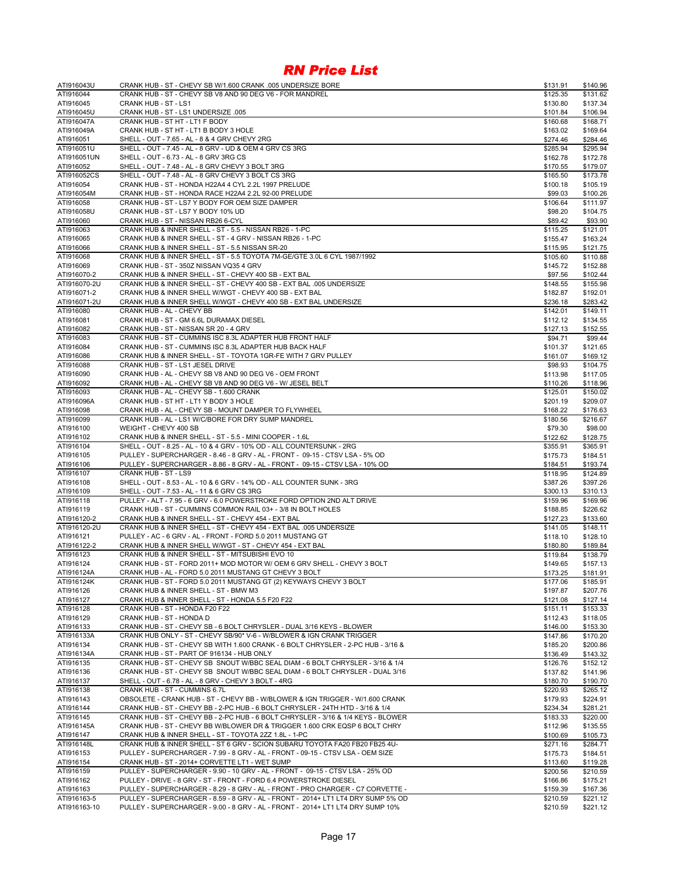| ATI916043U              | CRANK HUB - ST - CHEVY SB W/1.600 CRANK .005 UNDERSIZE BORE                                                            | \$131.91             | \$140.96             |
|-------------------------|------------------------------------------------------------------------------------------------------------------------|----------------------|----------------------|
| ATI916044               | CRANK HUB - ST - CHEVY SB V8 AND 90 DEG V6 - FOR MANDREL                                                               | \$125.35             | \$131.62             |
| ATI916045               | CRANK HUB - ST - LS1                                                                                                   | \$130.80             | \$137.34             |
| ATI916045U              | CRANK HUB - ST - LS1 UNDERSIZE .005                                                                                    | \$101.84             | \$106.94             |
| ATI916047A              | CRANK HUB - ST HT - LT1 F BODY                                                                                         | \$160.68             | \$168.71             |
| ATI916049A              | CRANK HUB - ST HT - LT1 B BODY 3 HOLE                                                                                  | \$163.02             | \$169.64             |
| ATI916051               | SHELL - OUT - 7.65 - AL - 8 & 4 GRV CHEVY 2RG                                                                          | \$274.46             | \$284.46             |
| ATI916051U              | SHELL - OUT - 7.45 - AL - 8 GRV - UD & OEM 4 GRV CS 3RG                                                                | \$285.94             | \$295.94             |
| ATI916051UN             | SHELL - OUT - 6.73 - AL - 8 GRV 3RG CS                                                                                 | \$162.78             | \$172.78             |
| ATI916052               | SHELL - OUT - 7.48 - AL - 8 GRV CHEVY 3 BOLT 3RG                                                                       | \$170.55             | \$179.07             |
| ATI916052CS             | SHELL - OUT - 7.48 - AL - 8 GRV CHEVY 3 BOLT CS 3RG                                                                    | \$165.50             | \$173.78             |
| ATI916054               | CRANK HUB - ST - HONDA H22A4 4 CYL 2.2L 1997 PRELUDE                                                                   | \$100.18             | \$105.19<br>\$100.26 |
| ATI916054M<br>ATI916058 | CRANK HUB - ST - HONDA RACE H22A4 2.2L 92-00 PRELUDE<br>CRANK HUB - ST - LS7 Y BODY FOR OEM SIZE DAMPER                | \$99.03              | \$111.97             |
| ATI916058U              | CRANK HUB - ST - LS7 Y BODY 10% UD                                                                                     | \$106.64<br>\$98.20  | \$104.75             |
| ATI916060               | CRANK HUB - ST - NISSAN RB26 6-CYL                                                                                     | \$89.42              | \$93.90              |
| ATI916063               | CRANK HUB & INNER SHELL - ST - 5.5 - NISSAN RB26 - 1-PC                                                                | \$115.25             | \$121.01             |
| ATI916065               | CRANK HUB & INNER SHELL - ST - 4 GRV - NISSAN RB26 - 1-PC                                                              | \$155.47             | \$163.24             |
| ATI916066               | CRANK HUB & INNER SHELL - ST - 5.5 NISSAN SR-20                                                                        | \$115.95             | \$121.75             |
| ATI916068               | CRANK HUB & INNER SHELL - ST - 5.5 TOYOTA 7M-GE/GTE 3.0L 6 CYL 1987/1992                                               | \$105.60             | \$110.88             |
| ATI916069               | CRANK HUB - ST - 350Z NISSAN VQ35 4 GRV                                                                                | \$145.72             | \$152.88             |
| ATI916070-2             | CRANK HUB & INNER SHELL - ST - CHEVY 400 SB - EXT BAL                                                                  | \$97.56              | \$102.44             |
| ATI916070-2U            | CRANK HUB & INNER SHELL - ST - CHEVY 400 SB - EXT BAL .005 UNDERSIZE                                                   | \$148.55             | \$155.98             |
| ATI916071-2             | CRANK HUB & INNER SHELL W/WGT - CHEVY 400 SB - EXT BAL                                                                 | \$182.87             | \$192.01             |
| ATI916071-2U            | CRANK HUB & INNER SHELL W/WGT - CHEVY 400 SB - EXT BAL UNDERSIZE                                                       | \$236.18             | \$283.42             |
| ATI916080               | CRANK HUB - AL - CHEVY BB                                                                                              | \$142.01             | \$149.11             |
| ATI916081               | CRANK HUB - ST - GM 6.6L DURAMAX DIESEL                                                                                | \$112.12             | \$134.55             |
| ATI916082               | CRANK HUB - ST - NISSAN SR 20 - 4 GRV                                                                                  | \$127.13             | \$152.55             |
| ATI916083               | CRANK HUB - ST - CUMMINS ISC 8.3L ADAPTER HUB FRONT HALF                                                               | \$94.71              | \$99.44              |
| ATI916084               | CRANK HUB - ST - CUMMINS ISC 8.3L ADAPTER HUB BACK HALF                                                                | \$101.37             | \$121.65             |
| ATI916086               | CRANK HUB & INNER SHELL - ST - TOYOTA 1GR-FE WITH 7 GRV PULLEY                                                         | \$161.07             | \$169.12             |
| ATI916088               | CRANK HUB - ST - LS1 JESEL DRIVE                                                                                       | \$98.93              | \$104.75             |
| ATI916090               | CRANK HUB - AL - CHEVY SB V8 AND 90 DEG V6 - OEM FRONT                                                                 | \$113.98             | \$117.05             |
| ATI916092               | CRANK HUB - AL - CHEVY SB V8 AND 90 DEG V6 - W/ JESEL BELT                                                             | \$110.26             | \$118.96             |
| ATI916093               | CRANK HUB - AL - CHEVY SB - 1.600 CRANK                                                                                | \$125.01             | \$150.02             |
| ATI916096A              | CRANK HUB - ST HT - LT1 Y BODY 3 HOLE                                                                                  | \$201.19             | \$209.07             |
| ATI916098               | CRANK HUB - AL - CHEVY SB - MOUNT DAMPER TO FLYWHEEL                                                                   | \$168.22             | \$176.63             |
| ATI916099               | CRANK HUB - AL - LS1 W/C/BORE FOR DRY SUMP MANDREL                                                                     | \$180.56             | \$216.67             |
| ATI916100               | WEIGHT - CHEVY 400 SB                                                                                                  | \$79.30              | \$98.00              |
| ATI916102               | CRANK HUB & INNER SHELL - ST - 5.5 - MINI COOPER - 1.6L                                                                | \$122.62             | \$128.75             |
| ATI916104               | SHELL - OUT - 8.25 - AL - 10 & 4 GRV - 10% OD - ALL COUNTERSUNK - 2RG                                                  | \$355.91             | \$365.91             |
| ATI916105               | PULLEY - SUPERCHARGER - 8.46 - 8 GRV - AL - FRONT - 09-15 - CTSV LSA - 5% OD                                           | \$175.73             | \$184.51             |
| ATI916106               | PULLEY - SUPERCHARGER - 8.86 - 8 GRV - AL - FRONT - 09-15 - CTSV LSA - 10% OD                                          | \$184.51             | \$193.74             |
| ATI916107               | CRANK HUB - ST - LS9                                                                                                   | \$118.95             | \$124.89             |
| ATI916108               | SHELL - OUT - 8.53 - AL - 10 & 6 GRV - 14% OD - ALL COUNTER SUNK - 3RG                                                 | \$387.26             | \$397.26             |
| ATI916109<br>ATI916118  | SHELL - OUT - 7.53 - AL - 11 & 6 GRV CS 3RG<br>PULLEY - ALT - 7.95 - 6 GRV - 6.0 POWERSTROKE FORD OPTION 2ND ALT DRIVE | \$300.13             | \$310.13             |
| ATI916119               | CRANK HUB - ST - CUMMINS COMMON RAIL 03+ - 3/8 IN BOLT HOLES                                                           | \$159.96             | \$169.96<br>\$226.62 |
| ATI916120-2             | CRANK HUB & INNER SHELL - ST - CHEVY 454 - EXT BAL                                                                     | \$188.85<br>\$127.23 | \$133.60             |
| ATI916120-2U            | CRANK HUB & INNER SHELL - ST - CHEVY 454 - EXT BAL .005 UNDERSIZE                                                      | \$141.05             | \$148.11             |
| ATI916121               | PULLEY - AC - 6 GRV - AL - FRONT - FORD 5.0 2011 MUSTANG GT                                                            | \$118.10             | \$128.10             |
| ATI916122-2             | CRANK HUB & INNER SHELL W/WGT - ST - CHEVY 454 - EXT BAL                                                               | \$180.80             | \$189.84             |
| ATI916123               | CRANK HUB & INNER SHELL - ST - MITSUBISHI EVO 10                                                                       | \$119.84             | \$138.79             |
| ATI916124               | CRANK HUB - ST - FORD 2011+ MOD MOTOR W/ OEM 6 GRV SHELL - CHEVY 3 BOLT                                                | \$149.65             | \$157.13             |
| ATI916124A              | CRANK HUB - AL - FORD 5.0 2011 MUSTANG GT CHEVY 3 BOLT                                                                 | \$173.25             | \$181.91             |
| ATI916124K              | CRANK HUB - ST - FORD 5.0 2011 MUSTANG GT (2) KEYWAYS CHEVY 3 BOLT                                                     | \$177.06             | \$185.91             |
| ATI916126               | CRANK HUB & INNER SHELL - ST - BMW M3                                                                                  | \$197.87             | \$207.76             |
| ATI916127               | CRANK HUB & INNER SHELL - ST - HONDA 5.5 F20 F22                                                                       | \$121.08             | \$127.14             |
| ATI916128               | CRANK HUB - ST - HONDA F20 F22                                                                                         | \$151.11             | \$153.33             |
| ATI916129               | CRANK HUB - ST - HONDA D                                                                                               | \$112.43             | \$118.05             |
| ATI916133               | CRANK HUB - ST - CHEVY SB - 6 BOLT CHRYSLER - DUAL 3/16 KEYS - BLOWER                                                  | \$146.00             | \$153.30             |
| ATI916133A              | CRANK HUB ONLY - ST - CHEVY SB/90* V-6 - W/BLOWER & IGN CRANK TRIGGER                                                  | \$147.86             | \$170.20             |
| ATI916134               | CRANK HUB - ST - CHEVY SB WITH 1.600 CRANK - 6 BOLT CHRYSLER - 2-PC HUB - 3/16 &                                       | \$185.20             | \$200.86             |
| ATI916134A              | CRANK HUB - ST - PART OF 916134 - HUB ONLY                                                                             | \$136.49             | \$143.32             |
| ATI916135               | CRANK HUB - ST - CHEVY SB SNOUT W/BBC SEAL DIAM - 6 BOLT CHRYSLER - 3/16 & 1/4                                         | \$126.76             | \$152.12             |
| ATI916136               | CRANK HUB - ST - CHEVY SB SNOUT W/BBC SEAL DIAM - 6 BOLT CHRYSLER - DUAL 3/16                                          | \$137.82             | \$141.96             |
| ATI916137               | SHELL - OUT - 6.78 - AL - 8 GRV - CHEVY 3 BOLT - 4RG                                                                   | \$180.70             | \$190.70             |
| ATI916138               | CRANK HUB - ST - CUMMINS 6.7L                                                                                          | \$220.93             | \$265.12             |
| ATI916143               | OBSOLETE - CRANK HUB - ST - CHEVY BB - W/BLOWER & IGN TRIGGER - W/1.600 CRANK                                          | \$179.93             | \$224.91             |
| ATI916144               | CRANK HUB - ST - CHEVY BB - 2-PC HUB - 6 BOLT CHRYSLER - 24TH HTD - 3/16 & 1/4                                         | \$234.34             | \$281.21             |
| ATI916145               | CRANK HUB - ST - CHEVY BB - 2-PC HUB - 6 BOLT CHRYSLER - 3/16 & 1/4 KEYS - BLOWER                                      | \$183.33             | \$220.00             |
| ATI916145A              | CRANK HUB - ST - CHEVY BB W/BLOWER DR & TRIGGER 1.600 CRK EQSP 6 BOLT CHRY                                             | \$112.96             | \$135.55             |
| ATI916147               | CRANK HUB & INNER SHELL - ST - TOYOTA 2ZZ 1.8L - 1-PC                                                                  | \$100.69             | \$105.73             |
| ATI916148L              | CRANK HUB & INNER SHELL - ST 6 GRV - SCION SUBARU TOYOTA FA20 FB20 FB25 4U-                                            | \$271.16             | \$284.71             |
| ATI916153               | PULLEY - SUPERCHARGER - 7.99 - 8 GRV - AL - FRONT - 09-15 - CTSV LSA - OEM SIZE                                        | \$175.73             | \$184.51             |
| ATI916154               | CRANK HUB - ST - 2014+ CORVETTE LT1 - WET SUMP                                                                         | \$113.60             | \$119.28             |
| ATI916159               | PULLEY - SUPERCHARGER - 9.90 - 10 GRV - AL - FRONT - 09-15 - CTSV LSA - 25% OD                                         | \$200.56             | \$210.59             |
| ATI916162               | PULLEY - DRIVE - 8 GRV - ST - FRONT - FORD 6.4 POWERSTROKE DIESEL                                                      | \$166.86             | \$175.21             |
| ATI916163               | PULLEY - SUPERCHARGER - 8.29 - 8 GRV - AL - FRONT - PRO CHARGER - C7 CORVETTE -                                        | \$159.39             | \$167.36             |
| ATI916163-5             | PULLEY - SUPERCHARGER - 8.59 - 8 GRV - AL - FRONT - 2014+ LT1 LT4 DRY SUMP 5% OD                                       | \$210.59             | \$221.12             |
| ATI916163-10            | PULLEY - SUPERCHARGER - 9.00 - 8 GRV - AL - FRONT - 2014+ LT1 LT4 DRY SUMP 10%                                         | \$210.59             | \$221.12             |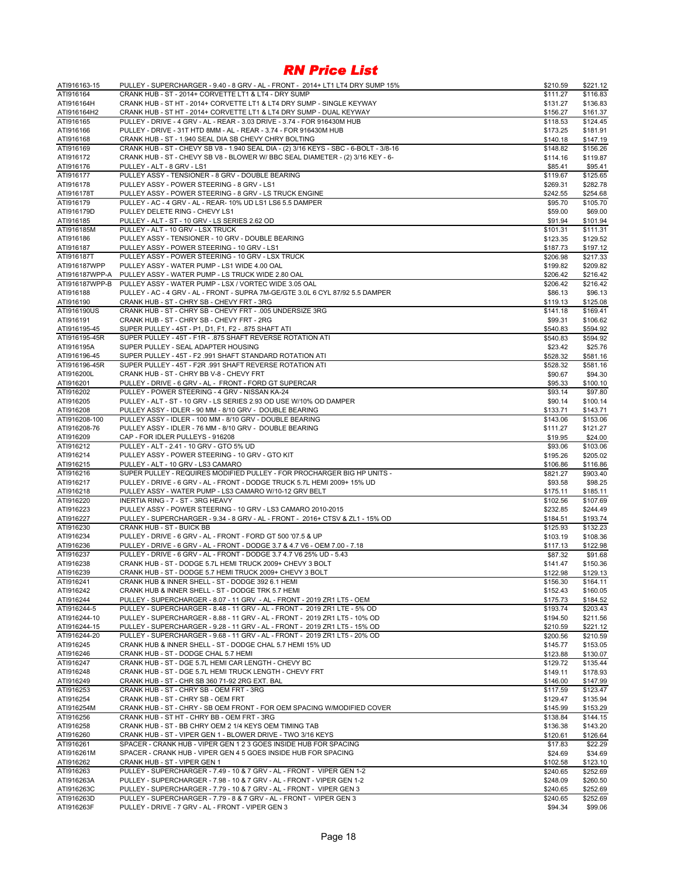| ATI916163-15   | PULLEY - SUPERCHARGER - 9.40 - 8 GRV - AL - FRONT - 2014+ LT1 LT4 DRY SUMP 15%        | \$210.59 | \$221.12 |
|----------------|---------------------------------------------------------------------------------------|----------|----------|
| ATI916164      | CRANK HUB - ST - 2014+ CORVETTE LT1 & LT4 - DRY SUMP                                  | \$111.27 | \$116.83 |
| ATI916164H     | CRANK HUB - ST HT - 2014+ CORVETTE LT1 & LT4 DRY SUMP - SINGLE KEYWAY                 | \$131.27 | \$136.83 |
| ATI916164H2    | CRANK HUB - ST HT - 2014+ CORVETTE LT1 & LT4 DRY SUMP - DUAL KEYWAY                   | \$156.27 | \$161.37 |
| ATI916165      | PULLEY - DRIVE - 4 GRV - AL - REAR - 3.03 DRIVE - 3.74 - FOR 916430M HUB              | \$118.53 | \$124.45 |
| ATI916166      | PULLEY - DRIVE - 31T HTD 8MM - AL - REAR - 3.74 - FOR 916430M HUB                     | \$173.25 | \$181.91 |
| ATI916168      | CRANK HUB - ST - 1.940 SEAL DIA SB CHEVY CHRY BOLTING                                 | \$140.18 | \$147.19 |
| ATI916169      | CRANK HUB - ST - CHEVY SB V8 - 1.940 SEAL DIA - (2) 3/16 KEYS - SBC - 6-BOLT - 3/8-16 | \$148.82 | \$156.26 |
|                |                                                                                       |          |          |
| ATI916172      | CRANK HUB - ST - CHEVY SB V8 - BLOWER W/ BBC SEAL DIAMETER - (2) 3/16 KEY - 6-        | \$114.16 | \$119.87 |
| ATI916176      | PULLEY - ALT - 8 GRV - LS1                                                            | \$85.41  | \$95.41  |
| ATI916177      | PULLEY ASSY - TENSIONER - 8 GRV - DOUBLE BEARING                                      | \$119.67 | \$125.65 |
| ATI916178      | PULLEY ASSY - POWER STEERING - 8 GRV - LS1                                            | \$269.31 | \$282.78 |
| ATI916178T     | PULLEY ASSY - POWER STEERING - 8 GRV - LS TRUCK ENGINE                                | \$242.55 | \$254.68 |
| ATI916179      | PULLEY - AC - 4 GRV - AL - REAR- 10% UD LS1 LS6 5.5 DAMPER                            | \$95.70  | \$105.70 |
| ATI916179D     | PULLEY DELETE RING - CHEVY LS1                                                        | \$59.00  | \$69.00  |
| ATI916185      | PULLEY - ALT - ST - 10 GRV - LS SERIES 2.62 OD                                        | \$91.94  | \$101.94 |
| ATI916185M     | PULLEY - ALT - 10 GRV - LSX TRUCK                                                     | \$101.31 | \$111.31 |
| ATI916186      | PULLEY ASSY - TENSIONER - 10 GRV - DOUBLE BEARING                                     | \$123.35 | \$129.52 |
| ATI916187      | PULLEY ASSY - POWER STEERING - 10 GRV - LS1                                           | \$187.73 | \$197.12 |
| ATI916187T     | PULLEY ASSY - POWER STEERING - 10 GRV - LSX TRUCK                                     | \$206.98 | \$217.33 |
| ATI916187WPP   | PULLEY ASSY - WATER PUMP - LS1 WIDE 4.00 OAL                                          | \$199.82 | \$209.82 |
| ATI916187WPP-A | PULLEY ASSY - WATER PUMP - LS TRUCK WIDE 2.80 OAL                                     | \$206.42 | \$216.42 |
| ATI916187WPP-B | PULLEY ASSY - WATER PUMP - LSX / VORTEC WIDE 3.05 OAL                                 | \$206.42 | \$216.42 |
| ATI916188      | PULLEY - AC - 4 GRV - AL - FRONT - SUPRA 7M-GE/GTE 3.0L 6 CYL 87/92 5.5 DAMPER        | \$86.13  | \$96.13  |
|                |                                                                                       |          |          |
| ATI916190      | CRANK HUB - ST - CHRY SB - CHEVY FRT - 3RG                                            | \$119.13 | \$125.08 |
| ATI916190US    | CRANK HUB - ST - CHRY SB - CHEVY FRT - .005 UNDERSIZE 3RG                             | \$141.18 | \$169.41 |
| ATI916191      | CRANK HUB - ST - CHRY SB - CHEVY FRT - 2RG                                            | \$99.31  | \$106.62 |
| ATI916195-45   | SUPER PULLEY - 45T - P1, D1, F1, F2 - .875 SHAFT ATI                                  | \$540.83 | \$594.92 |
| ATI916195-45R  | SUPER PULLEY - 45T - F1R - .875 SHAFT REVERSE ROTATION ATI                            | \$540.83 | \$594.92 |
| ATI916195A     | SUPER PULLEY - SEAL ADAPTER HOUSING                                                   | \$23.42  | \$25.76  |
| ATI916196-45   | SUPER PULLEY - 45T - F2 .991 SHAFT STANDARD ROTATION ATI                              | \$528.32 | \$581.16 |
| ATI916196-45R  | SUPER PULLEY - 45T - F2R .991 SHAFT REVERSE ROTATION ATI                              | \$528.32 | \$581.16 |
| ATI916200L     | CRANK HUB - ST - CHRY BB V-8 - CHEVY FRT                                              | \$90.67  | \$94.30  |
| ATI916201      | PULLEY - DRIVE - 6 GRV - AL - FRONT - FORD GT SUPERCAR                                | \$95.33  | \$100.10 |
| ATI916202      | PULLEY - POWER STEERING - 4 GRV - NISSAN KA-24                                        | \$93.14  | \$97.80  |
| ATI916205      | PULLEY - ALT - ST - 10 GRV - LS SERIES 2.93 OD USE W/10% OD DAMPER                    | \$90.14  | \$100.14 |
| ATI916208      | PULLEY ASSY - IDLER - 90 MM - 8/10 GRV - DOUBLE BEARING                               | \$133.71 | \$143.71 |
|                | PULLEY ASSY - IDLER - 100 MM - 8/10 GRV - DOUBLE BEARING                              |          |          |
| ATI916208-100  |                                                                                       | \$143.06 | \$153.06 |
| ATI916208-76   | PULLEY ASSY - IDLER - 76 MM - 8/10 GRV - DOUBLE BEARING                               | \$111.27 | \$121.27 |
| ATI916209      | CAP - FOR IDLER PULLEYS - 916208                                                      | \$19.95  | \$24.00  |
| ATI916212      | PULLEY - ALT - 2.41 - 10 GRV - GTO 5% UD                                              | \$93.06  | \$103.06 |
| ATI916214      | PULLEY ASSY - POWER STEERING - 10 GRV - GTO KIT                                       | \$195.26 | \$205.02 |
| ATI916215      | PULLEY - ALT - 10 GRV - LS3 CAMARO                                                    | \$106.86 | \$116.86 |
| ATI916216      | SUPER PULLEY - REQUIRES MODIFIED PULLEY - FOR PROCHARGER BIG HP UNITS -               | \$821.27 | \$903.40 |
| ATI916217      | PULLEY - DRIVE - 6 GRV - AL - FRONT - DODGE TRUCK 5.7L HEMI 2009+ 15% UD              | \$93.58  | \$98.25  |
| ATI916218      | PULLEY ASSY - WATER PUMP - LS3 CAMARO W/10-12 GRV BELT                                | \$175.11 | \$185.11 |
| ATI916220      | INERTIA RING - 7 - ST - 3RG HEAVY                                                     | \$102.56 | \$107.69 |
| ATI916223      | PULLEY ASSY - POWER STEERING - 10 GRV - LS3 CAMARO 2010-2015                          | \$232.85 | \$244.49 |
| ATI916227      | PULLEY - SUPERCHARGER - 9.34 - 8 GRV - AL - FRONT - 2016+ CTSV & ZL1 - 15% OD         | \$184.51 | \$193.74 |
| ATI916230      | CRANK HUB - ST - BUICK BB                                                             | \$125.93 | \$132.23 |
| ATI916234      | PULLEY - DRIVE - 6 GRV - AL - FRONT - FORD GT 500 '07.5 & UP                          | \$103.19 | \$108.36 |
| ATI916236      | PULLEY - DRIVE - 6 GRV - AL - FRONT - DODGE 3.7 & 4.7 V6 - OEM 7.00 - 7.18            | \$117.13 | \$122.98 |
| ATI916237      | PULLEY - DRIVE - 6 GRV - AL - FRONT - DODGE 3.7 4.7 V6 25% UD - 5.43                  | \$87.32  | \$91.68  |
| ATI916238      | CRANK HUB - ST - DODGE 5.7L HEMI TRUCK 2009+ CHEVY 3 BOLT                             | \$141.47 | \$150.36 |
|                |                                                                                       |          |          |
| ATI916239      | CRANK HUB - ST - DODGE 5.7 HEMI TRUCK 2009+ CHEVY 3 BOLT                              | \$122.98 | \$129.13 |
| ATI916241      | CRANK HUB & INNER SHELL - ST - DODGE 392 6.1 HEMI                                     | \$156.30 | \$164.11 |
| ATI916242      | CRANK HUB & INNER SHELL - ST - DODGE TRK 5.7 HEMI                                     | \$152.43 | \$160.05 |
| ATI916244      | PULLEY - SUPERCHARGER - 8.07 - 11 GRV - AL - FRONT - 2019 ZR1 LT5 - OEM               | \$175.73 | \$184.52 |
| ATI916244-5    | PULLEY - SUPERCHARGER - 8.48 - 11 GRV - AL - FRONT - 2019 ZR1 LTE - 5% OD             | \$193.74 | \$203.43 |
| ATI916244-10   | PULLEY - SUPERCHARGER - 8.88 - 11 GRV - AL - FRONT - 2019 ZR1 LT5 - 10% OD            | \$194.50 | \$211.56 |
| ATI916244-15   | PULLEY - SUPERCHARGER - 9.28 - 11 GRV - AL - FRONT - 2019 ZR1 LT5 - 15% OD            | \$210.59 | \$221.12 |
| ATI916244-20   | PULLEY - SUPERCHARGER - 9.68 - 11 GRV - AL - FRONT - 2019 ZR1 LT5 - 20% OD            | \$200.56 | \$210.59 |
| ATI916245      | CRANK HUB & INNER SHELL - ST - DODGE CHAL 5.7 HEMI 15% UD                             | \$145.77 | \$153.05 |
| ATI916246      | CRANK HUB - ST - DODGE CHAL 5.7 HEMI                                                  | \$123.88 | \$130.07 |
| ATI916247      | CRANK HUB - ST - DGE 5.7L HEMI CAR LENGTH - CHEVY BC                                  | \$129.72 | \$135.44 |
| ATI916248      | CRANK HUB - ST - DGE 5.7L HEMI TRUCK LENGTH - CHEVY FRT                               | \$149.11 | \$178.93 |
| ATI916249      | CRANK HUB - ST - CHR SB 360 71-92 2RG EXT. BAL                                        | \$146.00 | \$147.99 |
| ATI916253      | CRANK HUB - ST - CHRY SB - OEM FRT - 3RG                                              | \$117.59 | \$123.47 |
| ATI916254      | CRANK HUB - ST - CHRY SB - OEM FRT                                                    | \$129.47 | \$135.94 |
| ATI916254M     | CRANK HUB - ST - CHRY - SB OEM FRONT - FOR OEM SPACING W/MODIFIED COVER               | \$145.99 | \$153.29 |
| ATI916256      | CRANK HUB - ST HT - CHRY BB - OEM FRT - 3RG                                           |          | \$144.15 |
|                |                                                                                       | \$138.84 |          |
| ATI916258      | CRANK HUB - ST - BB CHRY OEM 2 1/4 KEYS OEM TIMING TAB                                | \$136.38 | \$143.20 |
| ATI916260      | CRANK HUB - ST - VIPER GEN 1 - BLOWER DRIVE - TWO 3/16 KEYS                           | \$120.61 | \$126.64 |
| ATI916261      | SPACER - CRANK HUB - VIPER GEN 1 2 3 GOES INSIDE HUB FOR SPACING                      | \$17.83  | \$22.29  |
| ATI916261M     | SPACER - CRANK HUB - VIPER GEN 4 5 GOES INSIDE HUB FOR SPACING                        | \$24.69  | \$34.69  |
| ATI916262      | CRANK HUB - ST - VIPER GEN 1                                                          | \$102.58 | \$123.10 |
| ATI916263      | PULLEY - SUPERCHARGER - 7.49 - 10 & 7 GRV - AL - FRONT - VIPER GEN 1-2                | \$240.65 | \$252.69 |
| ATI916263A     | PULLEY - SUPERCHARGER - 7.98 - 10 & 7 GRV - AL - FRONT - VIPER GEN 1-2                | \$248.09 | \$260.50 |
| ATI916263C     | PULLEY - SUPERCHARGER - 7.79 - 10 & 7 GRV - AL - FRONT - VIPER GEN 3                  | \$240.65 | \$252.69 |
| ATI916263D     | PULLEY - SUPERCHARGER - 7.79 - 8 & 7 GRV - AL - FRONT - VIPER GEN 3                   | \$240.65 | \$252.69 |
| ATI916263F     | PULLEY - DRIVE - 7 GRV - AL - FRONT - VIPER GEN 3                                     | \$94.34  | \$99.06  |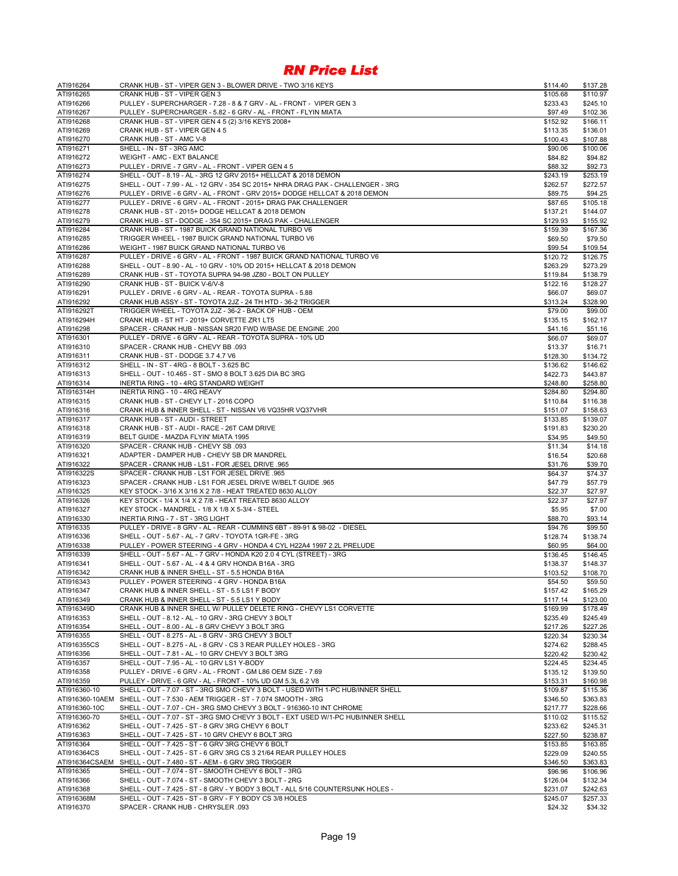| ATI916264                     | CRANK HUB - ST - VIPER GEN 3 - BLOWER DRIVE - TWO 3/16 KEYS                                                                                               | \$114.40             | \$137.28             |
|-------------------------------|-----------------------------------------------------------------------------------------------------------------------------------------------------------|----------------------|----------------------|
| ATI916265                     | CRANK HUB - ST - VIPER GEN 3                                                                                                                              | \$105.68             | \$110.97             |
| ATI916266                     | PULLEY - SUPERCHARGER - 7.28 - 8 & 7 GRV - AL - FRONT - VIPER GEN 3                                                                                       | \$233.43             | \$245.10             |
| ATI916267                     | PULLEY - SUPERCHARGER - 5.82 - 6 GRV - AL - FRONT - FLYIN MIATA                                                                                           | \$97.49              | \$102.36             |
| ATI916268                     | CRANK HUB - ST - VIPER GEN 4 5 (2) 3/16 KEYS 2008+                                                                                                        | \$152.92             | \$166.11             |
| ATI916269                     | CRANK HUB - ST - VIPER GEN 45                                                                                                                             | \$113.35             | \$136.01             |
| ATI916270<br>ATI916271        | CRANK HUB - ST - AMC V-8                                                                                                                                  | \$100.43             | \$107.88             |
| ATI916272                     | SHELL - IN - ST - 3RG AMC<br><b>WEIGHT - AMC - EXT BALANCE</b>                                                                                            | \$90.06<br>\$84.82   | \$100.06<br>\$94.82  |
| ATI916273                     | PULLEY - DRIVE - 7 GRV - AL - FRONT - VIPER GEN 4 5                                                                                                       | \$88.32              | \$92.73              |
| ATI916274                     | SHELL - OUT - 8.19 - AL - 3RG 12 GRV 2015+ HELLCAT & 2018 DEMON                                                                                           | \$243.19             | \$253.19             |
| ATI916275                     | SHELL - OUT - 7.99 - AL - 12 GRV - 354 SC 2015+ NHRA DRAG PAK - CHALLENGER - 3RG                                                                          | \$262.57             | \$272.57             |
| ATI916276                     | PULLEY - DRIVE - 6 GRV - AL - FRONT - GRV 2015+ DODGE HELLCAT & 2018 DEMON                                                                                | \$89.75              | \$94.25              |
| ATI916277                     | PULLEY - DRIVE - 6 GRV - AL - FRONT - 2015+ DRAG PAK CHALLENGER                                                                                           | \$87.65              | \$105.18             |
| ATI916278                     | CRANK HUB - ST - 2015+ DODGE HELLCAT & 2018 DEMON                                                                                                         | \$137.21             | \$144.07             |
| ATI916279                     | CRANK HUB - ST - DODGE - 354 SC 2015+ DRAG PAK - CHALLENGER                                                                                               | \$129.93             | \$155.92             |
| ATI916284                     | CRANK HUB - ST - 1987 BUICK GRAND NATIONAL TURBO V6                                                                                                       | \$159.39             | \$167.36             |
| ATI916285                     | TRIGGER WHEEL - 1987 BUICK GRAND NATIONAL TURBO V6                                                                                                        | \$69.50              | \$79.50              |
| ATI916286                     | WEIGHT - 1987 BUICK GRAND NATIONAL TURBO V6                                                                                                               | \$99.54              | \$109.54             |
| ATI916287                     | PULLEY - DRIVE - 6 GRV - AL - FRONT - 1987 BUICK GRAND NATIONAL TURBO V6                                                                                  | \$120.72             | \$126.75             |
| ATI916288                     | SHELL - OUT - 8.90 - AL - 10 GRV - 10% OD 2015+ HELLCAT & 2018 DEMON                                                                                      | \$263.29             | \$273.29             |
| ATI916289                     | CRANK HUB - ST - TOYOTA SUPRA 94-98 JZ80 - BOLT ON PULLEY                                                                                                 | \$119.84             | \$138.79             |
| ATI916290                     | CRANK HUB - ST - BUICK V-6/V-8                                                                                                                            | \$122.16             | \$128.27             |
| ATI916291                     | PULLEY - DRIVE - 6 GRV - AL - REAR - TOYOTA SUPRA - 5.88                                                                                                  | \$66.07              | \$69.07              |
| ATI916292                     | CRANK HUB ASSY - ST - TOYOTA 2JZ - 24 TH HTD - 36-2 TRIGGER                                                                                               | \$313.24             | \$328.90             |
| ATI916292T                    | TRIGGER WHEEL - TOYOTA 2JZ - 36-2 - BACK OF HUB - OEM                                                                                                     | \$79.00              | \$99.00              |
| ATI916294H<br>ATI916298       | CRANK HUB - ST HT - 2019+ CORVETTE ZR1 LT5                                                                                                                | \$135.15             | \$162.17             |
| ATI916301                     | SPACER - CRANK HUB - NISSAN SR20 FWD W/BASE DE ENGINE .200<br>PULLEY - DRIVE - 6 GRV - AL - REAR - TOYOTA SUPRA - 10% UD                                  | \$41.16<br>\$66.07   | \$51.16<br>\$69.07   |
| ATI916310                     | SPACER - CRANK HUB - CHEVY BB .093                                                                                                                        | \$13.37              | \$16.71              |
| ATI916311                     | CRANK HUB - ST - DODGE 3.7 4.7 V6                                                                                                                         | \$128.30             | \$134.72             |
| ATI916312                     | SHELL - IN - ST - 4RG - 8 BOLT - 3.625 BC                                                                                                                 | \$136.62             | \$146.62             |
| ATI916313                     | SHELL - OUT - 10.465 - ST - SMO 8 BOLT 3.625 DIA BC 3RG                                                                                                   | \$422.73             | \$443.87             |
| ATI916314                     | INERTIA RING - 10 - 4RG STANDARD WEIGHT                                                                                                                   | \$248.80             | \$258.80             |
| ATI916314H                    | INERTIA RING - 10 - 4RG HEAVY                                                                                                                             | \$284.80             | \$294.80             |
| ATI916315                     | CRANK HUB - ST - CHEVY LT - 2016 COPO                                                                                                                     | \$110.84             | \$116.38             |
| ATI916316                     | CRANK HUB & INNER SHELL - ST - NISSAN V6 VQ35HR VQ37VHR                                                                                                   | \$151.07             | \$158.63             |
| ATI916317                     | CRANK HUB - ST - AUDI - STREET                                                                                                                            | \$133.85             | \$139.07             |
| ATI916318                     | CRANK HUB - ST - AUDI - RACE - 26T CAM DRIVE                                                                                                              | \$191.83             | \$230.20             |
| ATI916319                     | BELT GUIDE - MAZDA FLYIN' MIATA 1995                                                                                                                      | \$34.95              | \$49.50              |
| ATI916320                     | SPACER - CRANK HUB - CHEVY SB .093                                                                                                                        | \$11.34              | \$14.18              |
| ATI916321                     | ADAPTER - DAMPER HUB - CHEVY SB DR MANDREL                                                                                                                | \$16.54              | \$20.68              |
| ATI916322                     | SPACER - CRANK HUB - LS1 - FOR JESEL DRIVE .965                                                                                                           | \$31.76              | \$39.70              |
| ATI916322S                    | SPACER - CRANK HUB - LS1 FOR JESEL DRIVE .965                                                                                                             | \$64.37              | \$74.37              |
| ATI916323                     | SPACER - CRANK HUB - LS1 FOR JESEL DRIVE W/BELT GUIDE .965                                                                                                | \$47.79              | \$57.79              |
| ATI916325                     | KEY STOCK - 3/16 X 3/16 X 2 7/8 - HEAT TREATED 8630 ALLOY                                                                                                 | \$22.37              | \$27.97              |
| ATI916326                     | KEY STOCK - 1/4 X 1/4 X 2 7/8 - HEAT TREATED 8630 ALLOY                                                                                                   | \$22.37              | \$27.97              |
| ATI916327                     | KEY STOCK - MANDREL - 1/8 X 1/8 X 5-3/4 - STEEL<br>INERTIA RING - 7 - ST - 3RG LIGHT                                                                      | \$5.95<br>\$88.70    | \$7.00               |
| ATI916330                     | PULLEY - DRIVE - 8 GRV - AL - REAR - CUMMINS 6BT - 89-91 & 98-02 - DIESEL                                                                                 | \$94.76              | \$93.14<br>\$99.50   |
| ATI916335<br>ATI916336        | SHELL - OUT - 5.67 - AL - 7 GRV - TOYOTA 1GR-FE - 3RG                                                                                                     | \$128.74             | \$138.74             |
| ATI916338                     | PULLEY - POWER STEERING - 4 GRV - HONDA 4 CYL H22A4 1997 2.2L PRELUDE                                                                                     | \$60.95              | \$64.00              |
| ATI916339                     | SHELL - OUT - 5.67 - AL - 7 GRV - HONDA K20 2.0 4 CYL (STREET) - 3RG                                                                                      | \$136.45             | \$146.45             |
| ATI916341                     | SHELL - OUT - 5.67 - AL - 4 & 4 GRV HONDA B16A - 3RG                                                                                                      | \$138.37             | \$148.37             |
| ATI916342                     | CRANK HUB & INNER SHELL - ST - 5.5 HONDA B16A                                                                                                             | \$103.52             | \$108.70             |
| ATI916343                     | PULLEY - POWER STEERING - 4 GRV - HONDA B16A                                                                                                              | \$54.50              | \$59.50              |
| ATI916347                     | CRANK HUB & INNER SHELL - ST - 5.5 LS1 F BODY                                                                                                             | \$157.42             | \$165.29             |
| ATI916349                     | CRANK HUB & INNER SHELL - ST - 5.5 LS1 Y BODY                                                                                                             | \$117.14             | \$123.00             |
| ATI916349D                    | CRANK HUB & INNER SHELL W/ PULLEY DELETE RING - CHEVY LS1 CORVETTE                                                                                        | \$169.99             | \$178.49             |
| ATI916353                     | SHELL - OUT - 8.12 - AL - 10 GRV - 3RG CHEVY 3 BOLT                                                                                                       | \$235.49             | \$245.49             |
| ATI916354                     | SHELL - OUT - 8.00 - AL - 8 GRV CHEVY 3 BOLT 3RG                                                                                                          | \$217.26             | \$227.26             |
| ATI916355                     | SHELL - OUT - 8.275 - AL - 8 GRV - 3RG CHEVY 3 BOLT                                                                                                       | \$220.34             | \$230.34             |
| ATI916355CS                   | SHELL - OUT - 8.275 - AL - 8 GRV - CS 3 REAR PULLEY HOLES - 3RG                                                                                           | \$274.62             | \$288.45             |
| ATI916356                     | SHELL - OUT - 7.81 - AL - 10 GRV CHEVY 3 BOLT 3RG                                                                                                         | \$220.42             | \$230.42             |
| ATI916357                     | SHELL - OUT - 7.95 - AL - 10 GRV LS1 Y-BODY                                                                                                               | \$224.45             | \$234.45             |
| ATI916358                     | PULLEY - DRIVE - 6 GRV - AL - FRONT - GM L86 OEM SIZE - 7.69                                                                                              | \$135.12             | \$139.50             |
| ATI916359                     | PULLEY - DRIVE - 6 GRV - AL - FRONT - 10% UD GM 5.3L 6.2 V8                                                                                               | \$153.31             | \$160.98             |
| ATI916360-10                  | SHELL - OUT - 7.07 - ST - 3RG SMO CHEVY 3 BOLT - USED WITH 1-PC HUB/INNER SHELL                                                                           | \$109.87             | \$115.36             |
|                               | ATI916360-10AEM SHELL - OUT - 7.530 - AEM TRIGGER - ST - 7.074 SMOOTH - 3RG                                                                               | \$346.50             | \$363.83             |
| ATI916360-10C<br>ATI916360-70 | SHELL - OUT - 7.07 - CH - 3RG SMO CHEVY 3 BOLT - 916360-10 INT CHROME<br>SHELL - OUT - 7.07 - ST - 3RG SMO CHEVY 3 BOLT - EXT USED W/1-PC HUB/INNER SHELL | \$217.77<br>\$110.02 | \$228.66             |
| ATI916362                     | SHELL - OUT - 7.425 - ST - 8 GRV 3RG CHEVY 6 BOLT                                                                                                         | \$233.62             | \$115.52<br>\$245.31 |
| ATI916363                     | SHELL - OUT - 7.425 - ST - 10 GRV CHEVY 6 BOLT 3RG                                                                                                        | \$227.50             | \$238.87             |
| ATI916364                     | SHELL - OUT - 7.425 - ST - 6 GRV 3RG CHEVY 6 BOLT                                                                                                         | \$153.85             | \$163.85             |
| ATI916364CS                   | SHELL - OUT - 7.425 - ST - 6 GRV 3RG CS 3 21/64 REAR PULLEY HOLES                                                                                         | \$229.09             | \$240.55             |
| ATI916364CSAEM                | SHELL - OUT - 7.480 - ST - AEM - 6 GRV 3RG TRIGGER                                                                                                        | \$346.50             | \$363.83             |
| ATI916365                     | SHELL - OUT - 7.074 - ST - SMOOTH CHEVY 6 BOLT - 3RG                                                                                                      | \$96.96              | \$106.96             |
| ATI916366                     | SHELL - OUT - 7.074 - ST - SMOOTH CHEVY 3 BOLT - 2RG                                                                                                      | \$126.04             | \$132.34             |
| ATI916368                     | SHELL - OUT - 7.425 - ST - 8 GRV - Y BODY 3 BOLT - ALL 5/16 COUNTERSUNK HOLES -                                                                           | \$231.07             | \$242.63             |
| ATI916368M                    | SHELL - OUT - 7.425 - ST - 8 GRV - F Y BODY CS 3/8 HOLES                                                                                                  | \$245.07             | \$257.33             |
| ATI916370                     | SPACER - CRANK HUB - CHRYSLER .093                                                                                                                        | \$24.32              | \$34.32              |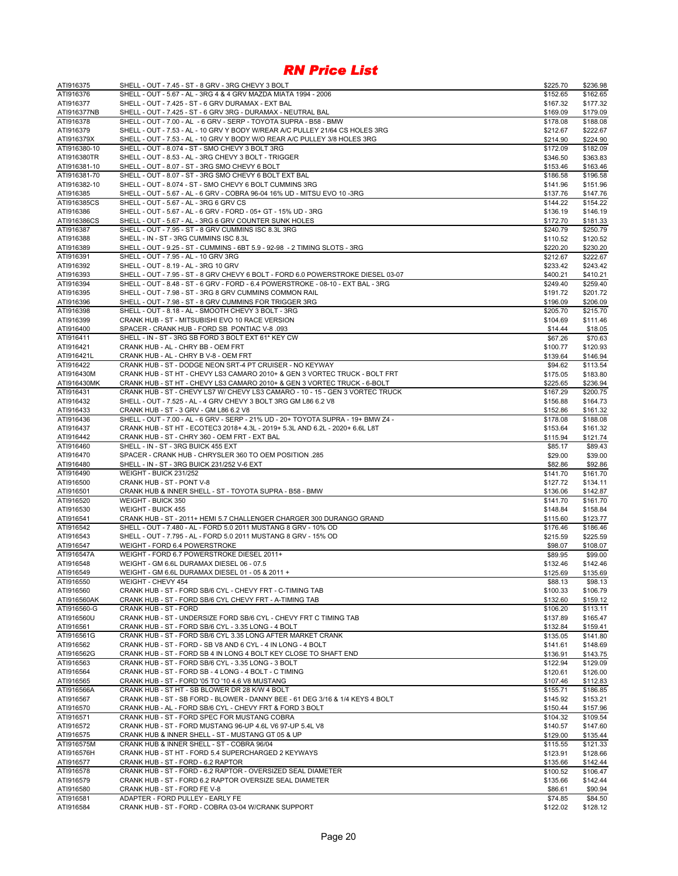| ATI916375    | SHELL - OUT - 7.45 - ST - 8 GRV - 3RG CHEVY 3 BOLT                                | \$225.70 | \$236.98 |
|--------------|-----------------------------------------------------------------------------------|----------|----------|
| ATI916376    | SHELL - OUT - 5.67 - AL - 3RG 4 & 4 GRV MAZDA MIATA 1994 - 2006                   | \$152.65 | \$162.65 |
| ATI916377    | SHELL - OUT - 7.425 - ST - 6 GRV DURAMAX - EXT BAL                                | \$167.32 | \$177.32 |
| ATI916377NB  | SHELL - OUT - 7.425 - ST - 6 GRV 3RG - DURAMAX - NEUTRAL BAL                      | \$169.09 | \$179.09 |
| ATI916378    | SHELL - OUT - 7.00 - AL - 6 GRV - SERP - TOYOTA SUPRA - B58 - BMW                 | \$178.08 | \$188.08 |
| ATI916379    | SHELL - OUT - 7.53 - AL - 10 GRV Y BODY W/REAR A/C PULLEY 21/64 CS HOLES 3RG      | \$212.67 | \$222.67 |
| ATI916379X   | SHELL - OUT - 7.53 - AL - 10 GRV Y BODY W/O REAR A/C PULLEY 3/8 HOLES 3RG         | \$214.90 | \$224.90 |
| ATI916380-10 | SHELL - OUT - 8.074 - ST - SMO CHEVY 3 BOLT 3RG                                   | \$172.09 | \$182.09 |
| ATI916380TR  | SHELL - OUT - 8.53 - AL - 3RG CHEVY 3 BOLT - TRIGGER                              | \$346.50 | \$363.83 |
| ATI916381-10 | SHELL - OUT - 8.07 - ST - 3RG SMO CHEVY 6 BOLT                                    | \$153.46 | \$163.46 |
| ATI916381-70 | SHELL - OUT - 8.07 - ST - 3RG SMO CHEVY 6 BOLT EXT BAL                            | \$186.58 | \$196.58 |
| ATI916382-10 | SHELL - OUT - 8.074 - ST - SMO CHEVY 6 BOLT CUMMINS 3RG                           | \$141.96 | \$151.96 |
| ATI916385    | SHELL - OUT - 5.67 - AL - 6 GRV - COBRA 96-04 16% UD - MITSU EVO 10 -3RG          | \$137.76 | \$147.76 |
| ATI916385CS  | SHELL - OUT - 5.67 - AL - 3RG 6 GRV CS                                            | \$144.22 | \$154.22 |
| ATI916386    | SHELL - OUT - 5.67 - AL - 6 GRV - FORD - 05+ GT - 15% UD - 3RG                    | \$136.19 | \$146.19 |
| ATI916386CS  | SHELL - OUT - 5.67 - AL - 3RG 6 GRV COUNTER SUNK HOLES                            | \$172.70 | \$181.33 |
| ATI916387    | SHELL - OUT - 7.95 - ST - 8 GRV CUMMINS ISC 8.3L 3RG                              | \$240.79 | \$250.79 |
| ATI916388    | SHELL - IN - ST - 3RG CUMMINS ISC 8.3L                                            | \$110.52 | \$120.52 |
| ATI916389    | SHELL - OUT - 9.25 - ST - CUMMINS - 6BT 5.9 - 92-98 - 2 TIMING SLOTS - 3RG        | \$220.20 | \$230.20 |
| ATI916391    | SHELL - OUT - 7.95 - AL - 10 GRV 3RG                                              | \$212.67 | \$222.67 |
| ATI916392    | SHELL - OUT - 8.19 - AL - 3RG 10 GRV                                              | \$233.42 | \$243.42 |
| ATI916393    | SHELL - OUT - 7.95 - ST - 8 GRV CHEVY 6 BOLT - FORD 6.0 POWERSTROKE DIESEL 03-07  | \$400.21 | \$410.21 |
| ATI916394    | SHELL - OUT - 8.48 - ST - 6 GRV - FORD - 6.4 POWERSTROKE - 08-10 - EXT BAL - 3RG  | \$249.40 | \$259.40 |
| ATI916395    | SHELL - OUT - 7.98 - ST - 3RG 8 GRV CUMMINS COMMON RAIL                           | \$191.72 | \$201.72 |
| ATI916396    | SHELL - OUT - 7.98 - ST - 8 GRV CUMMINS FOR TRIGGER 3RG                           | \$196.09 | \$206.09 |
| ATI916398    | SHELL - OUT - 8.18 - AL - SMOOTH CHEVY 3 BOLT - 3RG                               | \$205.70 | \$215.70 |
| ATI916399    | CRANK HUB - ST - MITSUBISHI EVO 10 RACE VERSION                                   | \$104.69 | \$111.46 |
| ATI916400    | SPACER - CRANK HUB - FORD SB PONTIAC V-8 .093                                     | \$14.44  | \$18.05  |
| ATI916411    | SHELL - IN - ST - 3RG SB FORD 3 BOLT EXT 61* KEY CW                               | \$67.26  | \$70.63  |
| ATI916421    | CRANK HUB - AL - CHRY BB - OEM FRT                                                | \$100.77 | \$120.93 |
| ATI916421L   | CRANK HUB - AL - CHRY B V-8 - OEM FRT                                             | \$139.64 | \$146.94 |
| ATI916422    | CRANK HUB - ST - DODGE NEON SRT-4 PT CRUISER - NO KEYWAY                          | \$94.62  | \$113.54 |
| ATI916430M   | CRANK HUB - ST HT - CHEVY LS3 CAMARO 2010+ & GEN 3 VORTEC TRUCK - BOLT FRT        | \$175.05 | \$183.80 |
| ATI916430MK  | CRANK HUB - ST HT - CHEVY LS3 CAMARO 2010+ & GEN 3 VORTEC TRUCK - 6-BOLT          | \$225.65 | \$236.94 |
| ATI916431    | CRANK HUB - ST - CHEVY LS7 W/ CHEVY LS3 CAMARO - 10 - 15 - GEN 3 VORTEC TRUCK     | \$167.29 | \$200.75 |
| ATI916432    | SHELL - OUT - 7.525 - AL - 4 GRV CHEVY 3 BOLT 3RG GM L86 6.2 V8                   | \$156.88 | \$164.73 |
| ATI916433    | CRANK HUB - ST - 3 GRV - GM L86 6.2 V8                                            | \$152.86 | \$161.32 |
| ATI916436    | SHELL - OUT - 7.00 - AL - 6 GRV - SERP - 21% UD - 20+ TOYOTA SUPRA - 19+ BMW Z4 - | \$178.08 | \$188.08 |
| ATI916437    | CRANK HUB - ST HT - ECOTEC3 2018+ 4.3L - 2019+ 5.3L AND 6.2L - 2020+ 6.6L L8T     | \$153.64 | \$161.32 |
| ATI916442    | CRANK HUB - ST - CHRY 360 - OEM FRT - EXT BAL                                     | \$115.94 | \$121.74 |
| ATI916460    | SHELL - IN - ST - 3RG BUICK 455 EXT                                               | \$85.17  | \$89.43  |
| ATI916470    | SPACER - CRANK HUB - CHRYSLER 360 TO OEM POSITION .285                            | \$29.00  | \$39.00  |
| ATI916480    | SHELL - IN - ST - 3RG BUICK 231/252 V-6 EXT                                       | \$82.86  | \$92.86  |
| ATI916490    | WEIGHT - BUICK 231/252                                                            | \$141.70 | \$161.70 |
| ATI916500    | CRANK HUB - ST - PONT V-8                                                         | \$127.72 | \$134.11 |
| ATI916501    | CRANK HUB & INNER SHELL - ST - TOYOTA SUPRA - B58 - BMW                           | \$136.06 | \$142.87 |
| ATI916520    | WEIGHT - BUICK 350                                                                | \$141.70 | \$161.70 |
| ATI916530    | WEIGHT - BUICK 455                                                                | \$148.84 | \$158.84 |
| ATI916541    | CRANK HUB - ST - 2011+ HEMI 5.7 CHALLENGER CHARGER 300 DURANGO GRAND              | \$115.60 | \$123.77 |
| ATI916542    | SHELL - OUT - 7.480 - AL - FORD 5.0 2011 MUSTANG 8 GRV - 10% OD                   | \$176.46 | \$186.46 |
| ATI916543    | SHELL - OUT - 7.795 - AL - FORD 5.0 2011 MUSTANG 8 GRV - 15% OD                   | \$215.59 | \$225.59 |
| ATI916547    | WEIGHT - FORD 6.4 POWERSTROKE                                                     | \$98.07  | \$108.07 |
| ATI916547A   | WEIGHT - FORD 6.7 POWERSTROKE DIESEL 2011+                                        | \$89.95  | \$99.00  |
| ATI916548    | WEIGHT - GM 6.6L DURAMAX DIESEL 06 - 07.5                                         | \$132.46 | \$142.46 |
| ATI916549    | WEIGHT - GM 6.6L DURAMAX DIESEL 01 - 05 & 2011 +                                  | \$125.69 | \$135.69 |
| ATI916550    | WEIGHT - CHEVY 454                                                                | \$88.13  | \$98.13  |
| ATI916560    | CRANK HUB - ST - FORD SB/6 CYL - CHEVY FRT - C-TIMING TAB                         | \$100.33 | \$106.79 |
| ATI916560AK  | CRANK HUB - ST - FORD SB/6 CYL CHEVY FRT - A-TIMING TAB                           | \$132.60 | \$159.12 |
| ATI916560-G  | CRANK HUB - ST - FORD                                                             | \$106.20 | \$113.11 |
| ATI916560U   | CRANK HUB - ST - UNDERSIZE FORD SB/6 CYL - CHEVY FRT C TIMING TAB                 | \$137.89 | \$165.47 |
| ATI916561    | CRANK HUB - ST - FORD SB/6 CYL - 3.35 LONG - 4 BOLT                               | \$132.84 | \$159.41 |
| ATI916561G   | CRANK HUB - ST - FORD SB/6 CYL 3.35 LONG AFTER MARKET CRANK                       | \$135.05 | \$141.80 |
| ATI916562    | CRANK HUB - ST - FORD - SB V8 AND 6 CYL - 4 IN LONG - 4 BOLT                      | \$141.61 | \$148.69 |
| ATI916562G   | CRANK HUB - ST - FORD SB 4 IN LONG 4 BOLT KEY CLOSE TO SHAFT END                  | \$136.91 | \$143.75 |
| ATI916563    | CRANK HUB - ST - FORD SB/6 CYL - 3.35 LONG - 3 BOLT                               | \$122.94 | \$129.09 |
| ATI916564    | CRANK HUB - ST - FORD SB - 4 LONG - 4 BOLT - C TIMING                             | \$120.61 | \$126.00 |
| ATI916565    | CRANK HUB - ST - FORD '05 TO '10 4.6 V8 MUSTANG                                   | \$107.46 | \$112.83 |
| ATI916566A   | CRANK HUB - ST HT - SB BLOWER DR 28 K/W 4 BOLT                                    | \$155.71 | \$186.85 |
| ATI916567    | CRANK HUB - ST - SB FORD - BLOWER - DANNY BEE - 61 DEG 3/16 & 1/4 KEYS 4 BOLT     | \$145.92 | \$153.21 |
| ATI916570    | CRANK HUB - AL - FORD SB/6 CYL - CHEVY FRT & FORD 3 BOLT                          | \$150.44 | \$157.96 |
| ATI916571    | CRANK HUB - ST - FORD SPEC FOR MUSTANG COBRA                                      | \$104.32 | \$109.54 |
| ATI916572    | CRANK HUB - ST - FORD MUSTANG 96-UP 4.6L V6 97-UP 5.4L V8                         | \$140.57 | \$147.60 |
| ATI916575    | CRANK HUB & INNER SHELL - ST - MUSTANG GT 05 & UP                                 | \$129.00 | \$135.44 |
| ATI916575M   | CRANK HUB & INNER SHELL - ST - COBRA 96/04                                        | \$115.55 | \$121.33 |
| ATI916576H   | CRANK HUB - ST HT - FORD 5.4 SUPERCHARGED 2 KEYWAYS                               | \$123.91 | \$128.66 |
| ATI916577    | CRANK HUB - ST - FORD - 6.2 RAPTOR                                                | \$135.66 | \$142.44 |
| ATI916578    | CRANK HUB - ST - FORD - 6.2 RAPTOR - OVERSIZED SEAL DIAMETER                      | \$100.52 | \$106.47 |
| ATI916579    | CRANK HUB - ST - FORD 6.2 RAPTOR OVERSIZE SEAL DIAMETER                           | \$135.66 | \$142.44 |
| ATI916580    | CRANK HUB - ST - FORD FE V-8                                                      | \$86.61  | \$90.94  |
| ATI916581    | ADAPTER - FORD PULLEY - EARLY FE                                                  | \$74.85  | \$84.50  |
| ATI916584    | CRANK HUB - ST - FORD - COBRA 03-04 W/CRANK SUPPORT                               | \$122.02 | \$128.12 |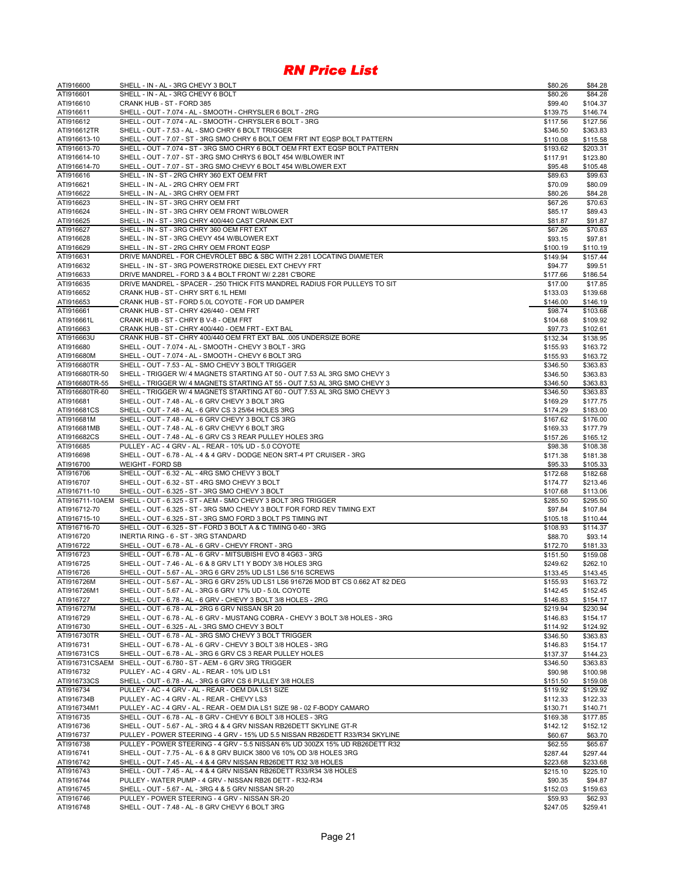| ATI916600                        | SHELL - IN - AL - 3RG CHEVY 3 BOLT                                                                                                                     | \$80.26              | \$84.28              |
|----------------------------------|--------------------------------------------------------------------------------------------------------------------------------------------------------|----------------------|----------------------|
| ATI916601                        | SHELL - IN - AL - 3RG CHEVY 6 BOLT                                                                                                                     | \$80.26              | \$84.28              |
| ATI916610<br>ATI916611           | CRANK HUB - ST - FORD 385<br>SHELL - OUT - 7.074 - AL - SMOOTH - CHRYSLER 6 BOLT - 2RG                                                                 | \$99.40<br>\$139.75  | \$104.37<br>\$146.74 |
| ATI916612                        | SHELL - OUT - 7.074 - AL - SMOOTH - CHRYSLER 6 BOLT - 3RG                                                                                              | \$117.56             | \$127.56             |
| ATI916612TR                      | SHELL - OUT - 7.53 - AL - SMO CHRY 6 BOLT TRIGGER                                                                                                      | \$346.50             | \$363.83             |
| ATI916613-10                     | SHELL - OUT - 7.07 - ST - 3RG SMO CHRY 6 BOLT OEM FRT INT EQSP BOLT PATTERN                                                                            | \$110.08             | \$115.58             |
| ATI916613-70                     | SHELL - OUT - 7.074 - ST - 3RG SMO CHRY 6 BOLT OEM FRT EXT EQSP BOLT PATTERN                                                                           | \$193.62             | \$203.31             |
| ATI916614-10                     | SHELL - OUT - 7.07 - ST - 3RG SMO CHRYS 6 BOLT 454 W/BLOWER INT                                                                                        | \$117.91             | \$123.80             |
| ATI916614-70                     | SHELL - OUT - 7.07 - ST - 3RG SMO CHEVY 6 BOLT 454 W/BLOWER EXT                                                                                        | \$95.48              | \$105.48             |
| ATI916616<br>ATI916621           | SHELL - IN - ST - 2RG CHRY 360 EXT OEM FRT<br>SHELL - IN - AL - 2RG CHRY OEM FRT                                                                       | \$89.63<br>\$70.09   | \$99.63<br>\$80.09   |
| ATI916622                        | SHELL - IN - AL - 3RG CHRY OEM FRT                                                                                                                     | \$80.26              | \$84.28              |
| ATI916623                        | SHELL - IN - ST - 3RG CHRY OEM FRT                                                                                                                     | \$67.26              | \$70.63              |
| ATI916624                        | SHELL - IN - ST - 3RG CHRY OEM FRONT W/BLOWER                                                                                                          | \$85.17              | \$89.43              |
| ATI916625                        | SHELL - IN - ST - 3RG CHRY 400/440 CAST CRANK EXT                                                                                                      | \$81.87              | \$91.87              |
| ATI916627                        | SHELL - IN - ST - 3RG CHRY 360 OEM FRT EXT                                                                                                             | \$67.26              | \$70.63              |
| ATI916628                        | SHELL - IN - ST - 3RG CHEVY 454 W/BLOWER EXT                                                                                                           | \$93.15              | \$97.81              |
| ATI916629<br>ATI916631           | SHELL - IN - ST - 2RG CHRY OEM FRONT EQSP<br>DRIVE MANDREL - FOR CHEVROLET BBC & SBC WITH 2.281 LOCATING DIAMETER                                      | \$100.19<br>\$149.94 | \$110.19<br>\$157.44 |
| ATI916632                        | SHELL - IN - ST - 3RG POWERSTROKE DIESEL EXT CHEVY FRT                                                                                                 | \$94.77              | \$99.51              |
| ATI916633                        | DRIVE MANDREL - FORD 3 & 4 BOLT FRONT W/ 2.281 C'BORE                                                                                                  | \$177.66             | \$186.54             |
| ATI916635                        | DRIVE MANDREL - SPACER - .250 THICK FITS MANDREL RADIUS FOR PULLEYS TO SIT                                                                             | \$17.00              | \$17.85              |
| ATI916652                        | CRANK HUB - ST - CHRY SRT 6.1L HEMI                                                                                                                    | \$133.03             | \$139.68             |
| ATI916653                        | CRANK HUB - ST - FORD 5.0L COYOTE - FOR UD DAMPER                                                                                                      | \$146.00             | \$146.19             |
| ATI916661<br>ATI916661L          | CRANK HUB - ST - CHRY 426/440 - OEM FRT<br>CRANK HUB - ST - CHRY B V-8 - OEM FRT                                                                       | \$98.74              | \$103.68             |
| ATI916663                        | CRANK HUB - ST - CHRY 400/440 - OEM FRT - EXT BAL                                                                                                      | \$104.68<br>\$97.73  | \$109.92<br>\$102.61 |
| ATI916663U                       | CRANK HUB - ST - CHRY 400/440 OEM FRT EXT BAL .005 UNDERSIZE BORE                                                                                      | \$132.34             | \$138.95             |
| ATI916680                        | SHELL - OUT - 7.074 - AL - SMOOTH - CHEVY 3 BOLT - 3RG                                                                                                 | \$155.93             | \$163.72             |
| ATI916680M                       | SHELL - OUT - 7.074 - AL - SMOOTH - CHEVY 6 BOLT 3RG                                                                                                   | \$155.93             | \$163.72             |
| ATI916680TR                      | SHELL - OUT - 7.53 - AL - SMO CHEVY 3 BOLT TRIGGER                                                                                                     | \$346.50             | \$363.83             |
| ATI916680TR-50                   | SHELL - TRIGGER W/ 4 MAGNETS STARTING AT 50 - OUT 7.53 AL 3RG SMO CHEVY 3                                                                              | \$346.50             | \$363.83             |
| ATI916680TR-55<br>ATI916680TR-60 | SHELL - TRIGGER W/ 4 MAGNETS STARTING AT 55 - OUT 7.53 AL 3RG SMO CHEVY 3<br>SHELL - TRIGGER W/ 4 MAGNETS STARTING AT 60 - OUT 7.53 AL 3RG SMO CHEVY 3 | \$346.50<br>\$346.50 | \$363.83<br>\$363.83 |
| ATI916681                        | SHELL - OUT - 7.48 - AL - 6 GRV CHEVY 3 BOLT 3RG                                                                                                       | \$169.29             | \$177.75             |
| ATI916681CS                      | SHELL - OUT - 7.48 - AL - 6 GRV CS 3 25/64 HOLES 3RG                                                                                                   | \$174.29             | \$183.00             |
| ATI916681M                       | SHELL - OUT - 7.48 - AL - 6 GRV CHEVY 3 BOLT CS 3RG                                                                                                    | \$167.62             | \$176.00             |
| ATI916681MB                      | SHELL - OUT - 7.48 - AL - 6 GRV CHEVY 6 BOLT 3RG                                                                                                       | \$169.33             | \$177.79             |
| ATI916682CS                      | SHELL - OUT - 7.48 - AL - 6 GRV CS 3 REAR PULLEY HOLES 3RG                                                                                             | \$157.26             | \$165.12             |
| ATI916685                        | PULLEY - AC - 4 GRV - AL - REAR - 10% UD - 5.0 COYOTE                                                                                                  | \$98.38              | \$108.38             |
| ATI916698<br>ATI916700           | SHELL - OUT - 6.78 - AL - 4 & 4 GRV - DODGE NEON SRT-4 PT CRUISER - 3RG<br>WEIGHT - FORD SB                                                            | \$171.38<br>\$95.33  | \$181.38<br>\$105.33 |
| ATI916706                        | SHELL - OUT - 6.32 - AL - 4RG SMO CHEVY 3 BOLT                                                                                                         | \$172.68             | \$182.68             |
| ATI916707                        | SHELL - OUT - 6.32 - ST - 4RG SMO CHEVY 3 BOLT                                                                                                         | \$174.77             | \$213.46             |
| ATI916711-10                     | SHELL - OUT - 6.325 - ST - 3RG SMO CHEVY 3 BOLT                                                                                                        | \$107.68             | \$113.06             |
|                                  | ATI916711-10AEM SHELL - OUT - 6.325 - ST - AEM - SMO CHEVY 3 BOLT 3RG TRIGGER                                                                          | \$285.50             | \$295.50             |
| ATI916712-70                     | SHELL - OUT - 6.325 - ST - 3RG SMO CHEVY 3 BOLT FOR FORD REV TIMING EXT                                                                                | \$97.84              | \$107.84             |
| ATI916715-10<br>ATI916716-70     | SHELL - OUT - 6.325 - ST - 3RG SMO FORD 3 BOLT PS TIMING INT<br>SHELL - OUT - 6.325 - ST - FORD 3 BOLT A & C TIMING 0-60 - 3RG                         | \$105.18             | \$110.44<br>\$114.37 |
| ATI916720                        | INERTIA RING - 6 - ST - 3RG STANDARD                                                                                                                   | \$108.93<br>\$88.70  | \$93.14              |
| ATI916722                        | SHELL - OUT - 6.78 - AL - 6 GRV - CHEVY FRONT - 3RG                                                                                                    | \$172.70             | \$181.33             |
| ATI916723                        | SHELL - OUT - 6.78 - AL - 6 GRV - MITSUBISHI EVO 8 4G63 - 3RG                                                                                          | \$151.50             | \$159.08             |
| ATI916725                        | SHELL - OUT - 7.46 - AL - 6 & 8 GRV LT1 Y BODY 3/8 HOLES 3RG                                                                                           | \$249.62             | \$262.10             |
| ATI916726                        | SHELL - OUT - 5.67 - AL - 3RG 6 GRV 25% UD LS1 LS6 5/16 SCREWS                                                                                         | \$133.45             | \$143.45             |
| ATI916726M                       | SHELL - OUT - 5.67 - AL - 3RG 6 GRV 25% UD LS1 LS6 916726 MOD BT CS 0.662 AT 82 DEG                                                                    | \$155.93             | \$163.72<br>\$152.45 |
| ATI916726M1                      | SHELL - OUT - 5.67 - AL - 3RG 6 GRV 17% UD - 5.0L COYOTE                                                                                               |                      |                      |
|                                  |                                                                                                                                                        | \$142.45             |                      |
| ATI916727                        | SHELL - OUT - 6.78 - AL - 6 GRV - CHEVY 3 BOLT 3/8 HOLES - 2RG                                                                                         | \$146.83             | \$154.17             |
| ATI916727M<br>ATI916729          | SHELL - OUT - 6.78 - AL - 2RG 6 GRV NISSAN SR 20<br>SHELL - OUT - 6.78 - AL - 6 GRV - MUSTANG COBRA - CHEVY 3 BOLT 3/8 HOLES - 3RG                     | \$219.94<br>\$146.83 | \$230.94<br>\$154.17 |
| ATI916730                        | SHELL - OUT - 6.325 - AL - 3RG SMO CHEVY 3 BOLT                                                                                                        | \$114.92             | \$124.92             |
| ATI916730TR                      | SHELL - OUT - 6.78 - AL - 3RG SMO CHEVY 3 BOLT TRIGGER                                                                                                 | \$346.50             | \$363.83             |
| ATI916731                        | SHELL - OUT - 6.78 - AL - 6 GRV - CHEVY 3 BOLT 3/8 HOLES - 3RG                                                                                         | \$146.83             | \$154.17             |
| ATI916731CS                      | SHELL - OUT - 6.78 - AL - 3RG 6 GRV CS 3 REAR PULLEY HOLES                                                                                             | \$137.37             | \$144.23             |
| ATI916731CSAEM                   | SHELL - OUT - 6.780 - ST - AEM - 6 GRV 3RG TRIGGER                                                                                                     | \$346.50             | \$363.83             |
| ATI916732                        | PULLEY - AC - 4 GRV - AL - REAR - 10% U/D LS1                                                                                                          | \$90.98              | \$100.98             |
| ATI916733CS<br>ATI916734         | SHELL - OUT - 6.78 - AL - 3RG 6 GRV CS 6 PULLEY 3/8 HOLES<br>PULLEY - AC - 4 GRV - AL - REAR - OEM DIA LS1 SIZE                                        | \$151.50<br>\$119.92 | \$159.08<br>\$129.92 |
| ATI916734B                       | PULLEY - AC - 4 GRV - AL - REAR - CHEVY LS3                                                                                                            | \$112.33             | \$122.33             |
| ATI916734M1                      | PULLEY - AC - 4 GRV - AL - REAR - OEM DIA LS1 SIZE 98 - 02 F-BODY CAMARO                                                                               | \$130.71             | \$140.71             |
| ATI916735                        | SHELL - OUT - 6.78 - AL - 8 GRV - CHEVY 6 BOLT 3/8 HOLES - 3RG                                                                                         | \$169.38             | \$177.85             |
| ATI916736                        | SHELL - OUT - 5.67 - AL - 3RG 4 & 4 GRV NISSAN RB26DETT SKYLINE GT-R                                                                                   | \$142.12             | \$152.12             |
| ATI916737                        | PULLEY - POWER STEERING - 4 GRV - 15% UD 5.5 NISSAN RB26DETT R33/R34 SKYLINE                                                                           | \$60.67              | \$63.70              |
| ATI916738<br>ATI916741           | PULLEY - POWER STEERING - 4 GRV - 5.5 NISSAN 6% UD 300ZX 15% UD RB26DETT R32<br>SHELL - OUT - 7.75 - AL - 6 & 8 GRV BUICK 3800 V6 10% OD 3/8 HOLES 3RG | \$62.55<br>\$287.44  | \$65.67<br>\$297.44  |
| ATI916742                        | SHELL - OUT - 7.45 - AL - 4 & 4 GRV NISSAN RB26DETT R32 3/8 HOLES                                                                                      | \$223.68             | \$233.68             |
| ATI916743                        | SHELL - OUT - 7.45 - AL - 4 & 4 GRV NISSAN RB26DETT R33/R34 3/8 HOLES                                                                                  | \$215.10             | \$225.10             |
| ATI916744                        | PULLEY - WATER PUMP - 4 GRV - NISSAN RB26 DETT - R32-R34                                                                                               | \$90.35              | \$94.87              |
| ATI916745<br>ATI916746           | SHELL - OUT - 5.67 - AL - 3RG 4 & 5 GRV NISSAN SR-20<br>PULLEY - POWER STEERING - 4 GRV - NISSAN SR-20                                                 | \$152.03<br>\$59.93  | \$159.63<br>\$62.93  |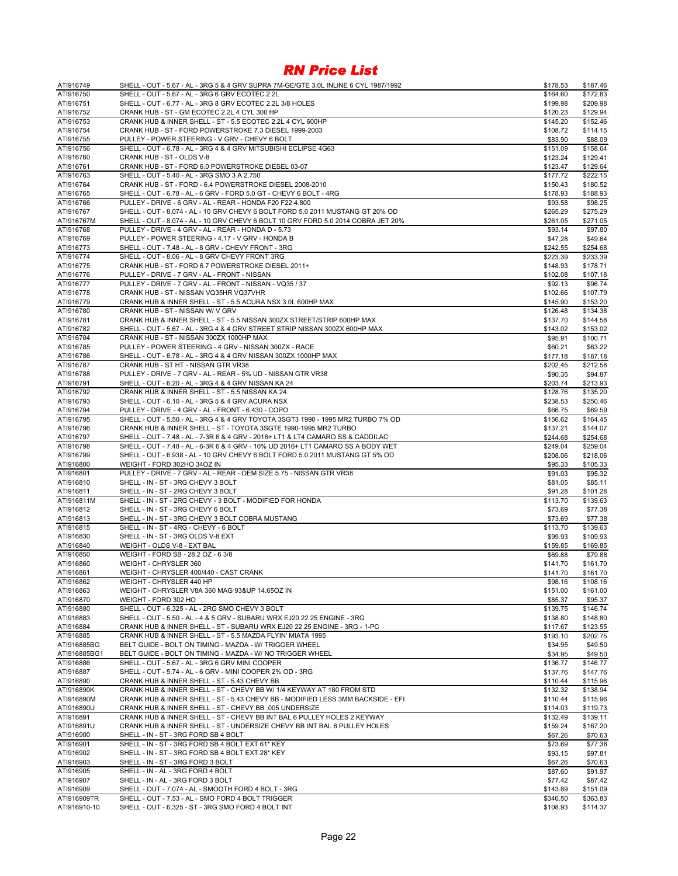| ATI916749                 | SHELL - OUT - 5.67 - AL - 3RG 5 & 4 GRV SUPRA 7M-GE/GTE 3.0L INLINE 6 CYL 1987/1992                               | \$178.53             | \$187.46             |
|---------------------------|-------------------------------------------------------------------------------------------------------------------|----------------------|----------------------|
| ATI916750                 | SHELL - OUT - 5.67 - AL - 3RG 6 GRV ECOTEC 2.2L                                                                   | \$164.60             | \$172.83             |
| ATI916751                 | SHELL - OUT - 6.77 - AL - 3RG 8 GRV ECOTEC 2.2L 3/8 HOLES                                                         | \$199.98             | \$209.98             |
| ATI916752                 | CRANK HUB - ST - GM ECOTEC 2.2L 4 CYL 300 HP                                                                      | \$120.23             | \$129.94             |
| ATI916753                 | CRANK HUB & INNER SHELL - ST - 5.5 ECOTEC 2.2L 4 CYL 600HP                                                        | \$145.20             | \$152.46             |
| ATI916754                 | CRANK HUB - ST - FORD POWERSTROKE 7.3 DIESEL 1999-2003                                                            | \$108.72             | \$114.15             |
| ATI916755<br>ATI916756    | PULLEY - POWER STEERING - V GRV - CHEVY 6 BOLT<br>SHELL - OUT - 6.78 - AL - 3RG 4 & 4 GRV MITSUBISHI ECLIPSE 4G63 | \$83.90<br>\$151.09  | \$88.09<br>\$158.64  |
| ATI916760                 | CRANK HUB - ST - OLDS V-8                                                                                         | \$123.24             | \$129.41             |
| ATI916761                 | CRANK HUB - ST - FORD 6.0 POWERSTROKE DIESEL 03-07                                                                | \$123.47             | \$129.64             |
| ATI916763                 | SHELL - OUT - 5.40 - AL - 3RG SMO 3 A 2.750                                                                       | \$177.72             | \$222.15             |
| ATI916764                 | CRANK HUB - ST - FORD - 6.4 POWERSTROKE DIESEL 2008-2010                                                          | \$150.43             | \$180.52             |
| ATI916765                 | SHELL - OUT - 6.78 - AL - 6 GRV - FORD 5.0 GT - CHEVY 6 BOLT - 4RG                                                | \$178.93             | \$188.93             |
| ATI916766                 | PULLEY - DRIVE - 6 GRV - AL - REAR - HONDA F20 F22 4.800                                                          | \$93.58              | \$98.25              |
| ATI916767                 | SHELL - OUT - 8.074 - AL - 10 GRV CHEVY 6 BOLT FORD 5.0 2011 MUSTANG GT 20% OD                                    | \$265.29             | \$275.29             |
| ATI916767M                | SHELL - OUT - 8.074 - AL - 10 GRV CHEVY 6 BOLT 10 GRV FORD 5.0 2014 COBRA JET 20%                                 | \$261.05             | \$271.05             |
| ATI916768                 | PULLEY - DRIVE - 4 GRV - AL - REAR - HONDA D - 5.73                                                               | \$93.14              | \$97.80              |
| ATI916769                 | PULLEY - POWER STEERING - 4.17 - V GRV - HONDA B                                                                  | \$47.28              | \$49.64              |
| ATI916773                 | SHELL - OUT - 7.48 - AL - 8 GRV - CHEVY FRONT - 3RG                                                               | \$242.55             | \$254.68             |
| ATI916774                 | SHELL - OUT - 8.06 - AL - 8 GRV CHEVY FRONT 3RG                                                                   | \$223.39             | \$233.39             |
| ATI916775                 | CRANK HUB - ST - FORD 6.7 POWERSTROKE DIESEL 2011+                                                                | \$148.93             | \$178.71             |
| ATI916776                 | PULLEY - DRIVE - 7 GRV - AL - FRONT - NISSAN                                                                      | \$102.08             | \$107.18             |
| ATI916777                 | PULLEY - DRIVE - 7 GRV - AL - FRONT - NISSAN - VQ35 / 37                                                          | \$92.13              | \$96.74              |
| ATI916778                 | CRANK HUB - ST - NISSAN VQ35HR VQ37VHR                                                                            | \$102.66             | \$107.79             |
| ATI916779<br>ATI916780    | CRANK HUB & INNER SHELL - ST - 5.5 ACURA NSX 3.0L 600HP MAX<br>CRANK HUB - ST - NISSAN W/ V GRV                   | \$145.90<br>\$126.48 | \$153.20<br>\$134.38 |
| ATI916781                 | CRANK HUB & INNER SHELL - ST - 5.5 NISSAN 300ZX STREET/STRIP 600HP MAX                                            | \$137.70             | \$144.58             |
| ATI916782                 | SHELL - OUT - 5.67 - AL - 3RG 4 & 4 GRV STREET STRIP NISSAN 300ZX 600HP MAX                                       | \$143.02             | \$153.02             |
| ATI916784                 | CRANK HUB - ST - NISSAN 300ZX 1000HP MAX                                                                          | \$95.91              | \$100.71             |
| ATI916785                 | PULLEY - POWER STEERING - 4 GRV - NISSAN 300ZX - RACE                                                             | \$60.21              | \$63.22              |
| ATI916786                 | SHELL - OUT - 6.78 - AL - 3RG 4 & 4 GRV NISSAN 300ZX 1000HP MAX                                                   | \$177.18             | \$187.18             |
| ATI916787                 | CRANK HUB - ST HT - NISSAN GTR VR38                                                                               | \$202.45             | \$212.58             |
| ATI916788                 | PULLEY - DRIVE - 7 GRV - AL - REAR - 5% UD - NISSAN GTR VR38                                                      | \$90.35              | \$94.87              |
| ATI916791                 | SHELL - OUT - 6.20 - AL - 3RG 4 & 4 GRV NISSAN KA 24                                                              | \$203.74             | \$213.93             |
| ATI916792                 | CRANK HUB & INNER SHELL - ST - 5.5 NISSAN KA 24                                                                   | \$128.76             | \$135.20             |
| ATI916793                 | SHELL - OUT - 6.10 - AL - 3RG 5 & 4 GRV ACURA NSX                                                                 | \$238.53             | \$250.46             |
| ATI916794                 | PULLEY - DRIVE - 4 GRV - AL - FRONT - 6.430 - COPO                                                                | \$66.75              | \$69.59              |
| ATI916795                 | SHELL - OUT - 5.50 - AL - 3RG 4 & 4 GRV TOYOTA 3SGT3 1990 - 1995 MR2 TURBO 7% OD                                  | \$156.62             | \$164.45             |
| ATI916796                 | CRANK HUB & INNER SHELL - ST - TOYOTA 3SGTE 1990-1995 MR2 TURBO                                                   | \$137.21             | \$144.07             |
| ATI916797                 | SHELL - OUT - 7.48 - AL - 7-3R 6 & 4 GRV - 2016+ LT1 & LT4 CAMARO SS & CADDILAC                                   | \$244.68             | \$254.68             |
| ATI916798                 | SHELL - OUT - 7.48 - AL - 6-3R 6 & 4 GRV - 10% UD 2016+ LT1 CAMARO SS A BODY WET                                  | \$249.04             | \$259.04             |
| ATI916799                 | SHELL - OUT - 6.938 - AL - 10 GRV CHEVY 6 BOLT FORD 5.0 2011 MUSTANG GT 5% OD                                     | \$208.06             | \$218.06             |
| ATI916800                 | WEIGHT - FORD 302HO 34OZ IN                                                                                       | \$95.33              | \$105.33             |
| ATI916801                 | PULLEY - DRIVE - 7 GRV - AL - REAR - OEM SIZE 5.75 - NISSAN GTR VR38                                              | \$91.03              | \$95.32              |
| ATI916810<br>ATI916811    | SHELL - IN - ST - 3RG CHEVY 3 BOLT                                                                                | \$81.05              | \$85.11              |
| ATI916811M                | SHELL - IN - ST - 2RG CHEVY 3 BOLT<br>SHELL - IN - ST - 2RG CHEVY - 3 BOLT - MODIFIED FOR HONDA                   | \$91.28<br>\$113.70  | \$101.28<br>\$139.63 |
| ATI916812                 | SHELL - IN - ST - 3RG CHEVY 6 BOLT                                                                                | \$73.69              | \$77.38              |
| ATI916813                 | SHELL - IN - ST - 3RG CHEVY 3 BOLT COBRA MUSTANG                                                                  | \$73.69              | \$77.38              |
| ATI916815                 | SHELL - IN - ST - 4RG - CHEVY - 6 BOLT                                                                            | \$113.70             | \$139.63             |
| ATI916830                 | SHELL - IN - ST - 3RG OLDS V-8 EXT                                                                                | \$99.93              | \$109.93             |
| ATI916840                 | WEIGHT - OLDS V-8 - EXT BAL                                                                                       | \$159.85             | \$169.85             |
| ATI916850                 | WEIGHT - FORD SB - 28.2 OZ - 6 3/8                                                                                | \$69.88              | \$79.88              |
| ATI916860                 | WEIGHT - CHRYSLER 360                                                                                             | \$141.70             | \$161.70             |
| ATI916861                 | WEIGHT - CHRYSLER 400/440 - CAST CRANK                                                                            | \$141.70             | \$161.70             |
| ATI916862                 | WEIGHT - CHRYSLER 440 HP                                                                                          | \$98.16              | \$108.16             |
| ATI916863                 | WEIGHT - CHRYSLER V8A 360 MAG 93&UP 14.65OZ IN                                                                    | \$151.00             | \$161.00             |
| ATI916870                 | WEIGHT - FORD 302 HO                                                                                              | \$85.37              | \$95.37              |
| ATI916880                 | SHELL - OUT - 6.325 - AL - 2RG SMO CHEVY 3 BOLT                                                                   | \$139.75             | \$146.74             |
| ATI916883                 | SHELL - OUT - 5.50 - AL - 4 & 5 GRV - SUBARU WRX EJ20 22 25 ENGINE - 3RG                                          | \$138.80             | \$148.80             |
| ATI916884                 | CRANK HUB & INNER SHELL - ST - SUBARU WRX EJ20 22 25 ENGINE - 3RG - 1-PC                                          | \$117.67             | \$123.55             |
| ATI916885                 | CRANK HUB & INNER SHELL - ST - 5.5 MAZDA FLYIN' MIATA 1995                                                        | \$193.10             | \$202.75             |
| ATI916885BG               | BELT GUIDE - BOLT ON TIMING - MAZDA - W/ TRIGGER WHEEL                                                            | \$34.95              | \$49.50              |
| ATI916885BG1<br>ATI916886 | BELT GUIDE - BOLT ON TIMING - MAZDA - W/ NO TRIGGER WHEEL<br>SHELL - OUT - 5.67 - AL - 3RG 6 GRV MINI COOPER      | \$34.95              | \$49.50<br>\$146.77  |
| ATI916887                 | SHELL - OUT - 5.74 - AL - 6 GRV - MINI COOPER 2% OD - 3RG                                                         | \$136.77             |                      |
| ATI916890                 | CRANK HUB & INNER SHELL - ST - 5.43 CHEVY BB                                                                      | \$137.76<br>\$110.44 | \$147.76<br>\$115.96 |
| ATI916890K                | CRANK HUB & INNER SHELL - ST - CHEVY BB W/ 1/4 KEYWAY AT 180 FROM STD                                             | \$132.32             | \$138.94             |
| ATI916890M                | CRANK HUB & INNER SHELL - ST - 5.43 CHEVY BB - MODIFIED LESS 3MM BACKSIDE - EFI                                   | \$110.44             | \$115.96             |
| ATI916890U                | CRANK HUB & INNER SHELL - ST - CHEVY BB .005 UNDERSIZE                                                            | \$114.03             | \$119.73             |
| ATI916891                 | CRANK HUB & INNER SHELL - ST - CHEVY BB INT BAL 6 PULLEY HOLES 2 KEYWAY                                           | \$132.49             | \$139.11             |
| ATI916891U                | CRANK HUB & INNER SHELL - ST - UNDERSIZE CHEVY BB INT BAL 6 PULLEY HOLES                                          | \$159.24             | \$167.20             |
| ATI916900                 | SHELL - IN - ST - 3RG FORD SB 4 BOLT                                                                              | \$67.26              | \$70.63              |
| ATI916901                 | SHELL - IN - ST - 3RG FORD SB 4 BOLT EXT 61* KEY                                                                  | \$73.69              | \$77.38              |
| ATI916902                 | SHELL - IN - ST - 3RG FORD SB 4 BOLT EXT 28* KEY                                                                  | \$93.15              | \$97.81              |
| ATI916903                 | SHELL - IN - ST - 3RG FORD 3 BOLT                                                                                 | \$67.26              | \$70.63              |
| ATI916905                 | SHELL - IN - AL - 3RG FORD 4 BOLT                                                                                 | \$87.60              | \$91.97              |
| ATI916907                 | SHELL - IN - AL - 3RG FORD 3 BOLT                                                                                 | \$77.42              | \$87.42              |
| ATI916909                 | SHELL - OUT - 7.074 - AL - SMOOTH FORD 4 BOLT - 3RG                                                               | \$143.89             | \$151.09             |
| ATI916909TR               | SHELL - OUT - 7.53 - AL - SMO FORD 4 BOLT TRIGGER                                                                 | \$346.50             | \$363.83             |
| ATI916910-10              | SHELL - OUT - 6.325 - ST - 3RG SMO FORD 4 BOLT INT                                                                | \$108.93             | \$114.37             |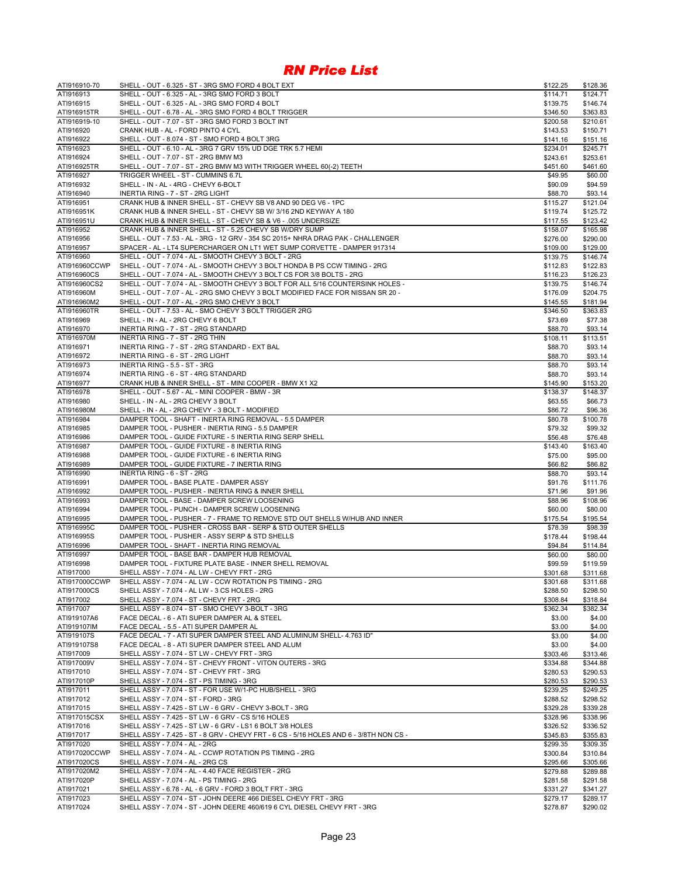| ATI916910-70              | SHELL - OUT - 6.325 - ST - 3RG SMO FORD 4 BOLT EXT                                                            | \$122.25             | \$128.36             |
|---------------------------|---------------------------------------------------------------------------------------------------------------|----------------------|----------------------|
| ATI916913                 | SHELL - OUT - 6.325 - AL - 3RG SMO FORD 3 BOLT                                                                | \$114.71             | \$124.71             |
| ATI916915                 | SHELL - OUT - 6.325 - AL - 3RG SMO FORD 4 BOLT                                                                | \$139.75             | \$146.74             |
| ATI916915TR               | SHELL - OUT - 6.78 - AL - 3RG SMO FORD 4 BOLT TRIGGER                                                         | \$346.50             | \$363.83             |
| ATI916919-10              | SHELL - OUT - 7.07 - ST - 3RG SMO FORD 3 BOLT INT                                                             | \$200.58             | \$210.61             |
| ATI916920                 | CRANK HUB - AL - FORD PINTO 4 CYL                                                                             | \$143.53             | \$150.71             |
| ATI916922                 | SHELL - OUT - 8.074 - ST - SMO FORD 4 BOLT 3RG<br>SHELL - OUT - 6.10 - AL - 3RG 7 GRV 15% UD DGE TRK 5.7 HEMI | \$141.16             | \$151.16<br>\$245.71 |
| ATI916923<br>ATI916924    | SHELL - OUT - 7.07 - ST - 2RG BMW M3                                                                          | \$234.01<br>\$243.61 | \$253.61             |
| ATI916925TR               | SHELL - OUT - 7.07 - ST - 2RG BMW M3 WITH TRIGGER WHEEL 60(-2) TEETH                                          | \$451.60             | \$461.60             |
| ATI916927                 | TRIGGER WHEEL - ST - CUMMINS 6.7L                                                                             | \$49.95              | \$60.00              |
| ATI916932                 | SHELL - IN - AL - 4RG - CHEVY 6-BOLT                                                                          | \$90.09              | \$94.59              |
| ATI916940                 | INERTIA RING - 7 - ST - 2RG LIGHT                                                                             | \$88.70              | \$93.14              |
| ATI916951                 | CRANK HUB & INNER SHELL - ST - CHEVY SB V8 AND 90 DEG V6 - 1PC                                                | \$115.27             | \$121.04             |
| ATI916951K                | CRANK HUB & INNER SHELL - ST - CHEVY SB W/ 3/16 2ND KEYWAY A 180                                              | \$119.74             | \$125.72             |
| ATI916951U                | CRANK HUB & INNER SHELL - ST - CHEVY SB & V6 - .005 UNDERSIZE                                                 | \$117.55             | \$123.42             |
| ATI916952                 | CRANK HUB & INNER SHELL - ST - 5.25 CHEVY SB W/DRY SUMP                                                       | \$158.07             | \$165.98             |
| ATI916956                 | SHELL - OUT - 7.53 - AL - 3RG - 12 GRV - 354 SC 2015+ NHRA DRAG PAK - CHALLENGER                              | \$276.00             | \$290.00             |
| ATI916957                 | SPACER - AL - LT4 SUPERCHARGER ON LT1 WET SUMP CORVETTE - DAMPER 917314                                       | \$109.00             | \$129.00             |
| ATI916960                 | SHELL - OUT - 7.074 - AL - SMOOTH CHEVY 3 BOLT - 2RG                                                          | \$139.75             | \$146.74             |
| ATI916960CCWP             | SHELL - OUT - 7.074 - AL - SMOOTH CHEVY 3 BOLT HONDA B PS CCW TIMING - 2RG                                    | \$112.83             | \$122.83             |
| ATI916960CS               | SHELL - OUT - 7.074 - AL - SMOOTH CHEVY 3 BOLT CS FOR 3/8 BOLTS - 2RG                                         | \$116.23             | \$126.23             |
| ATI916960CS2              | SHELL - OUT - 7.074 - AL - SMOOTH CHEVY 3 BOLT FOR ALL 5/16 COUNTERSINK HOLES -                               | \$139.75             | \$146.74             |
| ATI916960M                | SHELL - OUT - 7.07 - AL - 2RG SMO CHEVY 3 BOLT MODIFIED FACE FOR NISSAN SR 20 -                               | \$176.09             | \$204.75             |
| ATI916960M2               | SHELL - OUT - 7.07 - AL - 2RG SMO CHEVY 3 BOLT                                                                | \$145.55             | \$181.94             |
| ATI916960TR               | SHELL - OUT - 7.53 - AL - SMO CHEVY 3 BOLT TRIGGER 2RG                                                        | \$346.50             | \$363.83             |
| ATI916969                 | SHELL - IN - AL - 2RG CHEVY 6 BOLT                                                                            | \$73.69              | \$77.38              |
| ATI916970                 | INERTIA RING - 7 - ST - 2RG STANDARD                                                                          | \$88.70              | \$93.14              |
| ATI916970M<br>ATI916971   | INERTIA RING - 7 - ST - 2RG THIN<br>INERTIA RING - 7 - ST - 2RG STANDARD - EXT BAL                            | \$108.11<br>\$88.70  | \$113.51<br>\$93.14  |
| ATI916972                 | INERTIA RING - 6 - ST - 2RG LIGHT                                                                             | \$88.70              | \$93.14              |
| ATI916973                 | INERTIA RING - 5.5 - ST - 3RG                                                                                 | \$88.70              | \$93.14              |
| ATI916974                 | INERTIA RING - 6 - ST - 4RG STANDARD                                                                          | \$88.70              | \$93.14              |
| ATI916977                 | CRANK HUB & INNER SHELL - ST - MINI COOPER - BMW X1 X2                                                        | \$145.90             | \$153.20             |
| ATI916978                 | SHELL - OUT - 5.67 - AL - MINI COOPER - BMW - 3R                                                              | \$138.37             | \$148.37             |
| ATI916980                 | SHELL - IN - AL - 2RG CHEVY 3 BOLT                                                                            | \$63.55              | \$66.73              |
| ATI916980M                | SHELL - IN - AL - 2RG CHEVY - 3 BOLT - MODIFIED                                                               | \$86.72              | \$96.36              |
| ATI916984                 | DAMPER TOOL - SHAFT - INERTA RING REMOVAL - 5.5 DAMPER                                                        | \$80.78              | \$100.78             |
| ATI916985                 | DAMPER TOOL - PUSHER - INERTIA RING - 5.5 DAMPER                                                              | \$79.32              | \$99.32              |
| ATI916986                 | DAMPER TOOL - GUIDE FIXTURE - 5 INERTIA RING SERP SHELL                                                       | \$56.48              | \$76.48              |
| ATI916987                 | DAMPER TOOL - GUIDE FIXTURE - 8 INERTIA RING                                                                  | \$143.40             | \$163.40             |
| ATI916988                 | DAMPER TOOL - GUIDE FIXTURE - 6 INERTIA RING                                                                  | \$75.00              | \$95.00              |
| ATI916989                 | DAMPER TOOL - GUIDE FIXTURE - 7 INERTIA RING                                                                  | \$66.82              | \$86.82              |
| ATI916990                 | INERTIA RING - 6 - ST - 2RG                                                                                   | \$88.70              | \$93.14              |
| ATI916991                 | DAMPER TOOL - BASE PLATE - DAMPER ASSY                                                                        | \$91.76              | \$111.76             |
| ATI916992                 | DAMPER TOOL - PUSHER - INERTIA RING & INNER SHELL                                                             | \$71.96              | \$91.96              |
| ATI916993                 | DAMPER TOOL - BASE - DAMPER SCREW LOOSENING                                                                   | \$88.96              | \$108.96             |
| ATI916994                 | DAMPER TOOL - PUNCH - DAMPER SCREW LOOSENING                                                                  | \$60.00              | \$80.00              |
| ATI916995<br>ATI916995C   | DAMPER TOOL - PUSHER - 7 - FRAME TO REMOVE STD OUT SHELLS W/HUB AND INNER                                     | \$175.54             | \$195.54             |
| ATI916995S                | DAMPER TOOL - PUSHER - CROSS BAR - SERP & STD OUTER SHELLS<br>DAMPER TOOL - PUSHER - ASSY SERP & STD SHELLS   | \$78.39              | \$98.39<br>\$198.44  |
| ATI916996                 | DAMPER TOOL - SHAFT - INERTIA RING REMOVAL                                                                    | \$178.44<br>\$94.84  | \$114.84             |
| ATI916997                 | DAMPER TOOL - BASE BAR - DAMPER HUB REMOVAL                                                                   | \$60.00              | \$80.00              |
| ATI916998                 | DAMPER TOOL - FIXTURE PLATE BASE - INNER SHELL REMOVAL                                                        | \$99.59              | \$119.59             |
| ATI917000                 | SHELL ASSY - 7.074 - AL LW - CHEVY FRT - 2RG                                                                  | \$301.68             | \$311.68             |
| ATI917000CCWP             | SHELL ASSY - 7.074 - AL LW - CCW ROTATION PS TIMING - 2RG                                                     | \$301.68             | \$311.68             |
| ATI917000CS               | SHELL ASSY - 7.074 - AL LW - 3 CS HOLES - 2RG                                                                 | \$288.50             | \$298.50             |
| ATI917002                 | SHELL ASSY - 7.074 - ST - CHEVY FRT - 2RG                                                                     | \$308.84             | \$318.84             |
| ATI917007                 | SHELL ASSY - 8.074 - ST - SMO CHEVY 3-BOLT - 3RG                                                              | \$362.34             | \$382.34             |
| ATI919107A6               | FACE DECAL - 6 - ATI SUPER DAMPER AL & STEEL                                                                  | \$3.00               | \$4.00               |
| ATI919107IM               | FACE DECAL - 5.5 - ATI SUPER DAMPER AL                                                                        | \$3.00               | \$4.00               |
| ATI919107S                | FACE DECAL - 7 - ATI SUPER DAMPER STEEL AND ALUMINUM SHELL- 4.763 ID"                                         | \$3.00               | \$4.00               |
| ATI919107S8               | FACE DECAL - 8 - ATI SUPER DAMPER STEEL AND ALUM                                                              | \$3.00               | \$4.00               |
| ATI917009                 | SHELL ASSY - 7.074 - ST LW - CHEVY FRT - 3RG                                                                  | \$303.46             | \$313.46             |
| ATI917009V                | SHELL ASSY - 7.074 - ST - CHEVY FRONT - VITON OUTERS - 3RG                                                    | \$334.88             | \$344.88             |
| ATI917010                 | SHELL ASSY - 7.074 - ST - CHEVY FRT - 3RG                                                                     | \$280.53             | \$290.53             |
| ATI917010P                | SHELL ASSY - 7.074 - ST - PS TIMING - 3RG                                                                     | \$280.53             | \$290.53             |
| ATI917011                 | SHELL ASSY - 7.074 - ST - FOR USE W/1-PC HUB/SHELL - 3RG                                                      | \$239.25             | \$249.25             |
| ATI917012<br>ATI917015    | SHELL ASSY - 7.074 - ST - FORD - 3RG                                                                          | \$288.52             | \$298.52             |
|                           | SHELL ASSY - 7.425 - ST LW - 6 GRV - CHEVY 3-BOLT - 3RG<br>SHELL ASSY - 7.425 - ST LW - 6 GRV - CS 5/16 HOLES | \$329.28             | \$339.28<br>\$338.96 |
| ATI917015CSX<br>ATI917016 | SHELL ASSY - 7.425 - ST LW - 6 GRV - LS1 6 BOLT 3/8 HOLES                                                     | \$328.96<br>\$326.52 | \$336.52             |
| ATI917017                 | SHELL ASSY - 7.425 - ST - 8 GRV - CHEVY FRT - 6 CS - 5/16 HOLES AND 6 - 3/8TH NON CS -                        | \$345.83             | \$355.83             |
| ATI917020                 | SHELL ASSY - 7.074 - AL - 2RG                                                                                 | \$299.35             | \$309.35             |
| ATI917020CCWP             | SHELL ASSY - 7.074 - AL - CCWP ROTATION PS TIMING - 2RG                                                       | \$300.84             | \$310.84             |
| ATI917020CS               | SHELL ASSY - 7.074 - AL - 2RG CS                                                                              | \$295.66             | \$305.66             |
| ATI917020M2               | SHELL ASSY - 7.074 - AL - 4.40 FACE REGISTER - 2RG                                                            | \$279.88             | \$289.88             |
| ATI917020P                | SHELL ASSY - 7.074 - AL - PS TIMING - 2RG                                                                     | \$281.58             | \$291.58             |
| ATI917021                 | SHELL ASSY - 6.78 - AL - 6 GRV - FORD 3 BOLT FRT - 3RG                                                        | \$331.27             | \$341.27             |
| ATI917023                 | SHELL ASSY - 7.074 - ST - JOHN DEERE 466 DIESEL CHEVY FRT - 3RG                                               | \$279.17             | \$289.17             |
| ATI917024                 | SHELL ASSY - 7.074 - ST - JOHN DEERE 460/619 6 CYL DIESEL CHEVY FRT - 3RG                                     | \$278.87             | \$290.02             |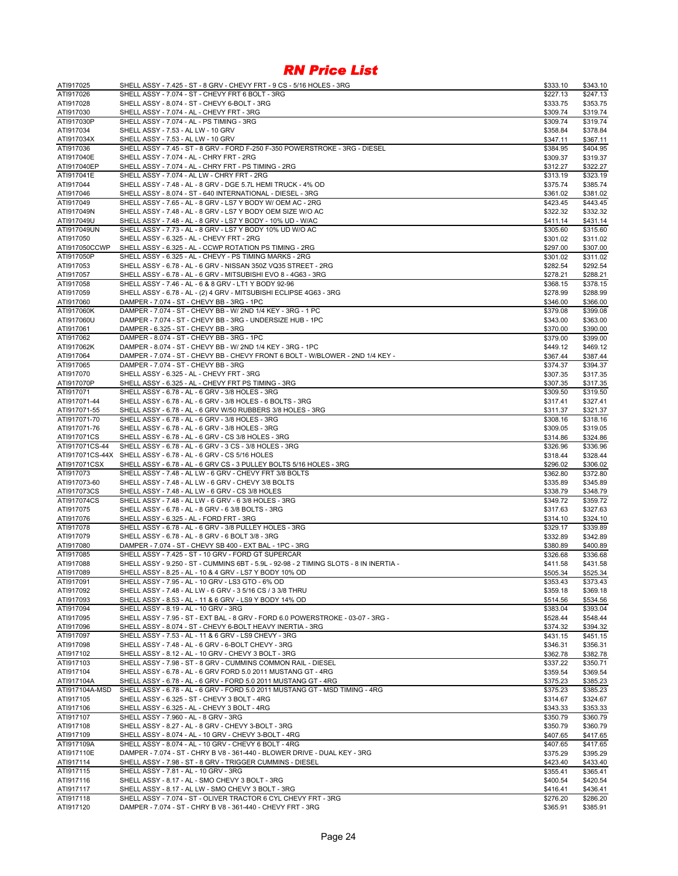| ATI917025                  | SHELL ASSY - 7.425 - ST - 8 GRV - CHEVY FRT - 9 CS - 5/16 HOLES - 3RG                                                     | \$333.10             | \$343.10             |
|----------------------------|---------------------------------------------------------------------------------------------------------------------------|----------------------|----------------------|
| ATI917026                  | SHELL ASSY - 7.074 - ST - CHEVY FRT 6 BOLT - 3RG                                                                          | \$227.13             | \$247.13             |
| ATI917028                  | SHELL ASSY - 8.074 - ST - CHEVY 6-BOLT - 3RG                                                                              | \$333.75             | \$353.75             |
| ATI917030                  | SHELL ASSY - 7.074 - AL - CHEVY FRT - 3RG                                                                                 | \$309.74             | \$319.74             |
| ATI917030P                 | SHELL ASSY - 7.074 - AL - PS TIMING - 3RG                                                                                 | \$309.74             | \$319.74             |
| ATI917034                  | SHELL ASSY - 7.53 - AL LW - 10 GRV                                                                                        | \$358.84             | \$378.84             |
| ATI917034X                 | SHELL ASSY - 7.53 - AL LW - 10 GRV                                                                                        | \$347.11             | \$367.11             |
| ATI917036                  | SHELL ASSY - 7.45 - ST - 8 GRV - FORD F-250 F-350 POWERSTROKE - 3RG - DIESEL                                              | \$384.95             | \$404.95             |
| ATI917040E                 | SHELL ASSY - 7.074 - AL - CHRY FRT - 2RG                                                                                  | \$309.37             | \$319.37             |
| ATI917040EP                | SHELL ASSY - 7.074 - AL - CHRY FRT - PS TIMING - 2RG                                                                      | \$312.27             | \$322.27             |
| ATI917041E                 | SHELL ASSY - 7.074 - AL LW - CHRY FRT - 2RG                                                                               | \$313.19             | \$323.19             |
| ATI917044                  | SHELL ASSY - 7.48 - AL - 8 GRV - DGE 5.7L HEMI TRUCK - 4% OD                                                              | \$375.74             | \$385.74             |
| ATI917046<br>ATI917049     | SHELL ASSY - 8.074 - ST - 640 INTERNATIONAL - DIESEL - 3RG<br>SHELL ASSY - 7.65 - AL - 8 GRV - LS7 Y BODY W/ OEM AC - 2RG | \$361.02             | \$381.02<br>\$443.45 |
| ATI917049N                 | SHELL ASSY - 7.48 - AL - 8 GRV - LS7 Y BODY OEM SIZE W/O AC                                                               | \$423.45<br>\$322.32 | \$332.32             |
| ATI917049U                 | SHELL ASSY - 7.48 - AL - 8 GRV - LS7 Y BODY - 10% UD - W/AC                                                               | \$411.14             | \$431.14             |
| ATI917049UN                | SHELL ASSY - 7.73 - AL - 8 GRV - LS7 Y BODY 10% UD W/O AC                                                                 | \$305.60             | \$315.60             |
| ATI917050                  | SHELL ASSY - 6.325 - AL - CHEVY FRT - 2RG                                                                                 | \$301.02             | \$311.02             |
| ATI917050CCWP              | SHELL ASSY - 6.325 - AL - CCWP ROTATION PS TIMING - 2RG                                                                   | \$297.00             | \$307.00             |
| ATI917050P                 | SHELL ASSY - 6.325 - AL - CHEVY - PS TIMING MARKS - 2RG                                                                   | \$301.02             | \$311.02             |
| ATI917053                  | SHELL ASSY - 6.78 - AL - 6 GRV - NISSAN 350Z VQ35 STREET - 2RG                                                            | \$282.54             | \$292.54             |
| ATI917057                  | SHELL ASSY - 6.78 - AL - 6 GRV - MITSUBISHI EVO 8 - 4G63 - 3RG                                                            | \$278.21             | \$288.21             |
| ATI917058                  | SHELL ASSY - 7.46 - AL - 6 & 8 GRV - LT1 Y BODY 92-96                                                                     | \$368.15             | \$378.15             |
| ATI917059                  | SHELL ASSY - 6.78 - AL - (2) 4 GRV - MITSUBISHI ECLIPSE 4G63 - 3RG                                                        | \$278.99             | \$288.99             |
| ATI917060                  | DAMPER - 7.074 - ST - CHEVY BB - 3RG - 1PC                                                                                | \$346.00             | \$366.00             |
| ATI917060K                 | DAMPER - 7.074 - ST - CHEVY BB - W/ 2ND 1/4 KEY - 3RG - 1 PC                                                              | \$379.08             | \$399.08             |
| ATI917060U                 | DAMPER - 7.074 - ST - CHEVY BB - 3RG - UNDERSIZE HUB - 1PC                                                                | \$343.00             | \$363.00             |
| ATI917061                  | DAMPER - 6.325 - ST - CHEVY BB - 3RG                                                                                      | \$370.00             | \$390.00             |
| ATI917062                  | DAMPER - 8.074 - ST - CHEVY BB - 3RG - 1PC                                                                                | \$379.00             | \$399.00             |
| ATI917062K                 | DAMPER - 8.074 - ST - CHEVY BB - W/ 2ND 1/4 KEY - 3RG - 1PC                                                               | \$449.12             | \$469.12             |
| ATI917064                  | DAMPER - 7.074 - ST - CHEVY BB - CHEVY FRONT 6 BOLT - W/BLOWER - 2ND 1/4 KEY -                                            | \$367.44             | \$387.44             |
| ATI917065                  | DAMPER - 7.074 - ST - CHEVY BB - 3RG                                                                                      | \$374.37             | \$394.37             |
| ATI917070                  | SHELL ASSY - 6.325 - AL - CHEVY FRT - 3RG                                                                                 | \$307.35             | \$317.35             |
| ATI917070P                 | SHELL ASSY - 6.325 - AL - CHEVY FRT PS TIMING - 3RG                                                                       | \$307.35             | \$317.35             |
| ATI917071                  | SHELL ASSY - 6.78 - AL - 6 GRV - 3/8 HOLES - 3RG                                                                          | \$309.50             | \$319.50             |
| ATI917071-44               | SHELL ASSY - 6.78 - AL - 6 GRV - 3/8 HOLES - 6 BOLTS - 3RG                                                                | \$317.41             | \$327.41             |
| ATI917071-55               | SHELL ASSY - 6.78 - AL - 6 GRV W/50 RUBBERS 3/8 HOLES - 3RG                                                               | \$311.37             | \$321.37             |
| ATI917071-70               | SHELL ASSY - 6.78 - AL - 6 GRV - 3/8 HOLES - 3RG                                                                          | \$308.16             | \$318.16             |
| ATI917071-76               | SHELL ASSY - 6.78 - AL - 6 GRV - 3/8 HOLES - 3RG                                                                          | \$309.05             | \$319.05             |
| ATI917071CS                | SHELL ASSY - 6.78 - AL - 6 GRV - CS 3/8 HOLES - 3RG                                                                       | \$314.86             | \$324.86             |
| ATI917071CS-44             | SHELL ASSY - 6.78 - AL - 6 GRV - 3 CS - 3/8 HOLES - 3RG                                                                   | \$326.96             | \$336.96             |
|                            | ATI917071CS-44X SHELL ASSY - 6.78 - AL - 6 GRV - CS 5/16 HOLES                                                            | \$318.44             | \$328.44             |
| ATI917071CSX               | SHELL ASSY - 6.78 - AL - 6 GRV CS - 3 PULLEY BOLTS 5/16 HOLES - 3RG                                                       | \$296.02             | \$306.02             |
| ATI917073                  | SHELL ASSY - 7.48 - AL LW - 6 GRV - CHEVY FRT 3/8 BOLTS                                                                   | \$362.80             | \$372.80             |
| ATI917073-60               | SHELL ASSY - 7.48 - AL LW - 6 GRV - CHEVY 3/8 BOLTS                                                                       | \$335.89             | \$345.89             |
| ATI917073CS<br>ATI917074CS | SHELL ASSY - 7.48 - AL LW - 6 GRV - CS 3/8 HOLES<br>SHELL ASSY - 7.48 - AL LW - 6 GRV - 6 3/8 HOLES - 3RG                 | \$338.79             | \$348.79             |
| ATI917075                  | SHELL ASSY - 6.78 - AL - 8 GRV - 6 3/8 BOLTS - 3RG                                                                        | \$349.72<br>\$317.63 | \$359.72<br>\$327.63 |
| ATI917076                  | SHELL ASSY - 6.325 - AL - FORD FRT - 3RG                                                                                  | \$314.10             | \$324.10             |
| ATI917078                  | SHELL ASSY - 6.78 - AL - 6 GRV - 3/8 PULLEY HOLES - 3RG                                                                   | \$329.17             | \$339.89             |
| ATI917079                  | SHELL ASSY - 6.78 - AL - 8 GRV - 6 BOLT 3/8 - 3RG                                                                         | \$332.89             | \$342.89             |
| ATI917080                  | DAMPER - 7.074 - ST - CHEVY SB 400 - EXT BAL - 1PC - 3RG                                                                  | \$380.89             | \$400.89             |
| ATI917085                  | SHELL ASSY - 7.425 - ST - 10 GRV - FORD GT SUPERCAR                                                                       | \$326.68             | \$336.68             |
| ATI917088                  | SHELL ASSY - 9.250 - ST - CUMMINS 6BT - 5.9L - 92-98 - 2 TIMING SLOTS - 8 IN INERTIA -                                    | \$411.58             | \$431.58             |
| ATI917089                  | SHELL ASSY - 8.25 - AL - 10 & 4 GRV - LS7 Y BODY 10% OD                                                                   | \$505.34             | \$525.34             |
| ATI917091                  | SHELL ASSY - 7.95 - AL - 10 GRV - LS3 GTO - 6% OD                                                                         | \$353.43             | \$373.43             |
| ATI917092                  | SHELL ASSY - 7.48 - AL LW - 6 GRV - 3 5/16 CS / 3 3/8 THRU                                                                | \$359.18             | \$369.18             |
| ATI917093                  | SHELL ASSY - 8.53 - AL - 11 & 6 GRV - LS9 Y BODY 14% OD                                                                   | \$514.56             | \$534.56             |
| ATI917094                  | SHELL ASSY - 8.19 - AL - 10 GRV - 3RG                                                                                     | \$383.04             | \$393.04             |
| ATI917095                  | SHELL ASSY - 7.95 - ST - EXT BAL - 8 GRV - FORD 6.0 POWERSTROKE - 03-07 - 3RG -                                           | \$528.44             | \$548.44             |
| ATI917096                  | SHELL ASSY - 8.074 - ST - CHEVY 6-BOLT HEAVY INERTIA - 3RG                                                                | \$374.32             | \$394.32             |
| ATI917097                  | SHELL ASSY - 7.53 - AL - 11 & 6 GRV - LS9 CHEVY - 3RG                                                                     | \$431.15             | \$451.15             |
| ATI917098                  | SHELL ASSY - 7.48 - AL - 6 GRV - 6-BOLT CHEVY - 3RG                                                                       | \$346.31             | \$356.31             |
| ATI917102                  | SHELL ASSY - 8.12 - AL - 10 GRV - CHEVY 3 BOLT - 3RG                                                                      | \$362.78             | \$382.78             |
| ATI917103                  | SHELL ASSY - 7.98 - ST - 8 GRV - CUMMINS COMMON RAIL - DIESEL                                                             | \$337.22             | \$350.71             |
| ATI917104                  | SHELL ASSY - 6.78 - AL - 6 GRV FORD 5.0 2011 MUSTANG GT - 4RG                                                             | \$359.54             | \$369.54             |
| ATI917104A                 | SHELL ASSY - 6.78 - AL - 6 GRV - FORD 5.0 2011 MUSTANG GT - 4RG                                                           | \$375.23             | \$385.23             |
| ATI917104A-MSD             | SHELL ASSY - 6.78 - AL - 6 GRV - FORD 5.0 2011 MUSTANG GT - MSD TIMING - 4RG                                              | \$375.23             | \$385.23             |
| ATI917105                  | SHELL ASSY - 6.325 - ST - CHEVY 3 BOLT - 4RG                                                                              | \$314.67             | \$324.67             |
| ATI917106                  | SHELL ASSY - 6.325 - AL - CHEVY 3 BOLT - 4RG                                                                              | \$343.33             | \$353.33             |
| ATI917107                  | SHELL ASSY - 7.960 - AL - 8 GRV - 3RG                                                                                     | \$350.79             | \$360.79             |
| ATI917108                  | SHELL ASSY - 8.27 - AL - 8 GRV - CHEVY 3-BOLT - 3RG                                                                       | \$350.79             | \$360.79             |
| ATI917109                  | SHELL ASSY - 8.074 - AL - 10 GRV - CHEVY 3-BOLT - 4RG                                                                     | \$407.65             | \$417.65             |
| ATI917109A                 | SHELL ASSY - 8.074 - AL - 10 GRV - CHEVY 6 BOLT - 4RG                                                                     | \$407.65             | \$417.65             |
| ATI917110E                 | DAMPER - 7.074 - ST - CHRY B V8 - 361-440 - BLOWER DRIVE - DUAL KEY - 3RG                                                 | \$375.29             | \$395.29             |
| ATI917114                  | SHELL ASSY - 7.98 - ST - 8 GRV - TRIGGER CUMMINS - DIESEL                                                                 | \$423.40             | \$433.40             |
| ATI917115                  | SHELL ASSY - 7.81 - AL - 10 GRV - 3RG                                                                                     | \$355.41             | \$365.41             |
| ATI917116                  | SHELL ASSY - 8.17 - AL - SMO CHEVY 3 BOLT - 3RG                                                                           | \$400.54             | \$420.54             |
| ATI917117                  | SHELL ASSY - 8.17 - AL LW - SMO CHEVY 3 BOLT - 3RG                                                                        | \$416.41             | \$436.41             |
| ATI917118                  | SHELL ASSY - 7.074 - ST - OLIVER TRACTOR 6 CYL CHEVY FRT - 3RG                                                            | \$276.20             | \$286.20             |
| ATI917120                  | DAMPER - 7.074 - ST - CHRY B V8 - 361-440 - CHEVY FRT - 3RG                                                               | \$365.91             | \$385.91             |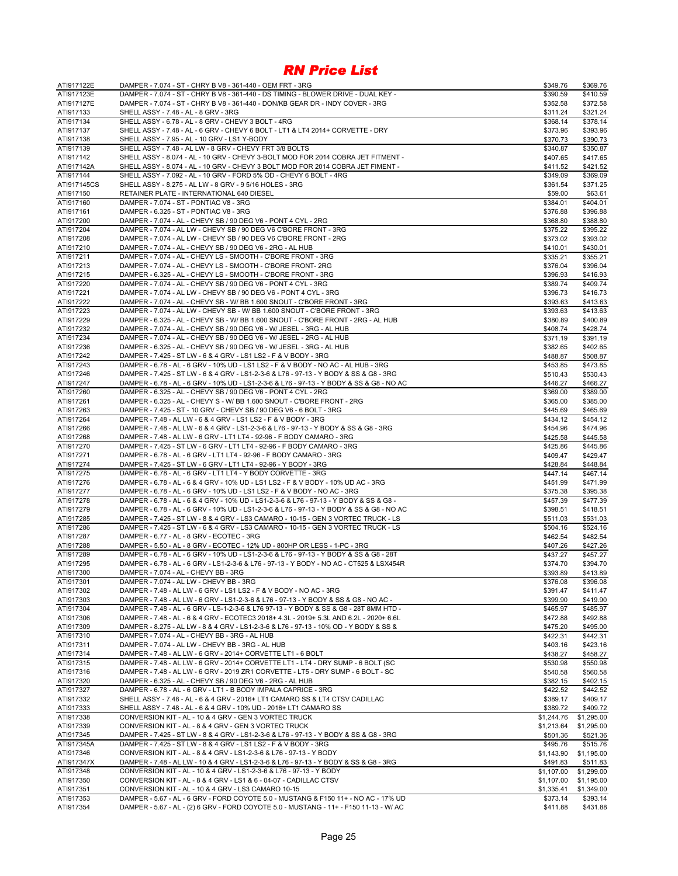| ATI917122E  | DAMPER - 7.074 - ST - CHRY B V8 - 361-440 - OEM FRT - 3RG                                | \$349.76   | \$369.76   |
|-------------|------------------------------------------------------------------------------------------|------------|------------|
| ATI917123E  | DAMPER - 7.074 - ST - CHRY B V8 - 361-440 - DS TIMING - BLOWER DRIVE - DUAL KEY -        | \$390.59   | \$410.59   |
| ATI917127E  | DAMPER - 7.074 - ST - CHRY B V8 - 361-440 - DON/KB GEAR DR - INDY COVER - 3RG            | \$352.58   | \$372.58   |
| ATI917133   | SHELL ASSY - 7.48 - AL - 8 GRV - 3RG                                                     | \$311.24   | \$321.24   |
| ATI917134   | SHELL ASSY - 6.78 - AL - 8 GRV - CHEVY 3 BOLT - 4RG                                      | \$368.14   | \$378.14   |
| ATI917137   | SHELL ASSY - 7.48 - AL - 6 GRV - CHEVY 6 BOLT - LT1 & LT4 2014+ CORVETTE - DRY           | \$373.96   | \$393.96   |
| ATI917138   | SHELL ASSY - 7.95 - AL - 10 GRV - LS1 Y-BODY                                             | \$370.73   | \$390.73   |
| ATI917139   | SHELL ASSY - 7.48 - AL LW - 8 GRV - CHEVY FRT 3/8 BOLTS                                  |            | \$350.87   |
|             |                                                                                          | \$340.87   |            |
| ATI917142   | SHELL ASSY - 8.074 - AL - 10 GRV - CHEVY 3-BOLT MOD FOR 2014 COBRA JET FITMENT -         | \$407.65   | \$417.65   |
| ATI917142A  | SHELL ASSY - 8.074 - AL - 10 GRV - CHEVY 3 BOLT MOD FOR 2014 COBRA JET FIMENT -          | \$411.52   | \$421.52   |
| ATI917144   | SHELL ASSY - 7.092 - AL - 10 GRV - FORD 5% OD - CHEVY 6 BOLT - 4RG                       | \$349.09   | \$369.09   |
| ATI917145CS | SHELL ASSY - 8.275 - AL LW - 8 GRV - 9 5/16 HOLES - 3RG                                  | \$361.54   | \$371.25   |
| ATI917150   | RETAINER PLATE - INTERNATIONAL 640 DIESEL                                                | \$59.00    | \$63.61    |
| ATI917160   | DAMPER - 7.074 - ST - PONTIAC V8 - 3RG                                                   | \$384.01   | \$404.01   |
| ATI917161   | DAMPER - 6.325 - ST - PONTIAC V8 - 3RG                                                   | \$376.88   | \$396.88   |
| ATI917200   | DAMPER - 7.074 - AL - CHEVY SB / 90 DEG V6 - PONT 4 CYL - 2RG                            | \$368.80   | \$388.80   |
| ATI917204   | DAMPER - 7.074 - AL LW - CHEVY SB / 90 DEG V6 C'BORE FRONT - 3RG                         | \$375.22   | \$395.22   |
| ATI917208   | DAMPER - 7.074 - AL LW - CHEVY SB / 90 DEG V6 C'BORE FRONT - 2RG                         | \$373.02   | \$393.02   |
| ATI917210   | DAMPER - 7.074 - AL - CHEVY SB / 90 DEG V6 - 2RG - AL HUB                                | \$410.01   | \$430.01   |
| ATI917211   | DAMPER - 7.074 - AL - CHEVY LS - SMOOTH - C'BORE FRONT - 3RG                             | \$335.21   | \$355.21   |
| ATI917213   | DAMPER - 7.074 - AL - CHEVY LS - SMOOTH - C'BORE FRONT- 2RG                              | \$376.04   | \$396.04   |
|             |                                                                                          |            |            |
| ATI917215   | DAMPER - 6.325 - AL - CHEVY LS - SMOOTH - C'BORE FRONT - 3RG                             | \$396.93   | \$416.93   |
| ATI917220   | DAMPER - 7.074 - AL - CHEVY SB / 90 DEG V6 - PONT 4 CYL - 3RG                            | \$389.74   | \$409.74   |
| ATI917221   | DAMPER - 7.074 - AL LW - CHEVY SB / 90 DEG V6 - PONT 4 CYL - 3RG                         | \$396.73   | \$416.73   |
| ATI917222   | DAMPER - 7.074 - AL - CHEVY SB - W/ BB 1.600 SNOUT - C'BORE FRONT - 3RG                  | \$393.63   | \$413.63   |
| ATI917223   | DAMPER - 7.074 - AL LW - CHEVY SB - W/BB 1.600 SNOUT - C'BORE FRONT - 3RG                | \$393.63   | \$413.63   |
| ATI917229   | DAMPER - 6.325 - AL - CHEVY SB - W/ BB 1.600 SNOUT - C'BORE FRONT - 2RG - AL HUB         | \$380.89   | \$400.89   |
| ATI917232   | DAMPER - 7.074 - AL - CHEVY SB / 90 DEG V6 - W/ JESEL - 3RG - AL HUB                     | \$408.74   | \$428.74   |
| ATI917234   | DAMPER - 7.074 - AL - CHEVY SB / 90 DEG V6 - W/ JESEL - 2RG - AL HUB                     | \$371.19   | \$391.19   |
| ATI917236   | DAMPER - 6.325 - AL - CHEVY SB / 90 DEG V6 - W/ JESEL - 3RG - AL HUB                     | \$382.65   | \$402.65   |
| ATI917242   | DAMPER - 7.425 - ST LW - 6 & 4 GRV - LS1 LS2 - F & V BODY - 3RG                          | \$488.87   | \$508.87   |
| ATI917243   | DAMPER - 6.78 - AL - 6 GRV - 10% UD - LS1 LS2 - F & V BODY - NO AC - AL HUB - 3RG        | \$453.85   | \$473.85   |
| ATI917246   | DAMPER - 7.425 - ST LW - 6 & 4 GRV - LS1-2-3-6 & L76 - 97-13 - Y BODY & SS & G8 - 3RG    | \$510.43   | \$530.43   |
|             | DAMPER - 6.78 - AL - 6 GRV - 10% UD - LS1-2-3-6 & L76 - 97-13 - Y BODY & SS & G8 - NO AC |            | \$466.27   |
| ATI917247   |                                                                                          | \$446.27   |            |
| ATI917260   | DAMPER - 6.325 - AL - CHEVY SB / 90 DEG V6 - PONT 4 CYL - 2RG                            | \$369.00   | \$389.00   |
| ATI917261   | DAMPER - 6.325 - AL - CHEVY S - W/ BB 1.600 SNOUT - C'BORE FRONT - 2RG                   | \$365.00   | \$385.00   |
| ATI917263   | DAMPER - 7.425 - ST - 10 GRV - CHEVY SB / 90 DEG V6 - 6 BOLT - 3RG                       | \$445.69   | \$465.69   |
| ATI917264   | DAMPER - 7.48 - AL LW - 6 & 4 GRV - LS1 LS2 - F & V BODY - 3RG                           | \$434.12   | \$454.12   |
| ATI917266   | DAMPER - 7.48 - AL LW - 6 & 4 GRV - LS1-2-3-6 & L76 - 97-13 - Y BODY & SS & G8 - 3RG     | \$454.96   | \$474.96   |
| ATI917268   | DAMPER - 7.48 - AL LW - 6 GRV - LT1 LT4 - 92-96 - F BODY CAMARO - 3RG                    | \$425.58   | \$445.58   |
| ATI917270   | DAMPER - 7.425 - ST LW - 6 GRV - LT1 LT4 - 92-96 - F BODY CAMARO - 3RG                   | \$425.86   | \$445.86   |
| ATI917271   | DAMPER - 6.78 - AL - 6 GRV - LT1 LT4 - 92-96 - F BODY CAMARO - 3RG                       | \$409.47   | \$429.47   |
| ATI917274   | DAMPER - 7.425 - ST LW - 6 GRV - LT1 LT4 - 92-96 - Y BODY - 3RG                          | \$428.84   | \$448.84   |
| ATI917275   | DAMPER - 6.78 - AL - 6 GRV - LT1 LT4 - Y BODY CORVETTE - 3RG                             | \$447.14   | \$467.14   |
| ATI917276   | DAMPER - 6.78 - AL - 6 & 4 GRV - 10% UD - LS1 LS2 - F & V BODY - 10% UD AC - 3RG         | \$451.99   | \$471.99   |
| ATI917277   | DAMPER - 6.78 - AL - 6 GRV - 10% UD - LS1 LS2 - F & V BODY - NO AC - 3RG                 | \$375.38   | \$395.38   |
| ATI917278   | DAMPER - 6.78 - AL - 6 & 4 GRV - 10% UD - LS1-2-3-6 & L76 - 97-13 - Y BODY & SS & G8 -   | \$457.39   | \$477.39   |
| ATI917279   | DAMPER - 6.78 - AL - 6 GRV - 10% UD - LS1-2-3-6 & L76 - 97-13 - Y BODY & SS & G8 - NO AC |            | \$418.51   |
|             |                                                                                          | \$398.51   |            |
| ATI917285   | DAMPER - 7.425 - ST LW - 8 & 4 GRV - LS3 CAMARO - 10-15 - GEN 3 VORTEC TRUCK - LS        | \$511.03   | \$531.03   |
| ATI917286   | DAMPER - 7.425 - ST LW - 6 & 4 GRV - LS3 CAMARO - 10-15 - GEN 3 VORTEC TRUCK - LS        | \$504.16   | \$524.16   |
| ATI917287   | DAMPER - 6.77 - AL - 8 GRV - ECOTEC - 3RG                                                | \$462.54   | \$482.54   |
| ATI917288   | DAMPER - 5.50 - AL - 8 GRV - ECOTEC - 12% UD - 800HP OR LESS - 1-PC - 3RG                | \$407.26   | \$427.26   |
| ATI917289   | DAMPER - 6.78 - AL - 6 GRV - 10% UD - LS1-2-3-6 & L76 - 97-13 - Y BODY & SS & G8 - 28T   | \$437.27   | \$457.27   |
| ATI917295   | DAMPER - 6.78 - AL - 6 GRV - LS1-2-3-6 & L76 - 97-13 - Y BODY - NO AC - CT525 & LSX454R  | \$374.70   | \$394.70   |
| ATI917300   | DAMPER - 7.074 - AL - CHEVY BB - 3RG                                                     | \$393.89   | \$413.89   |
| ATI917301   | DAMPER - 7.074 - AL LW - CHEVY BB - 3RG                                                  | \$376.08   | \$396.08   |
| ATI917302   | DAMPER - 7.48 - AL LW - 6 GRV - LS1 LS2 - F & V BODY - NO AC - 3RG                       | \$391.47   | \$411.47   |
| ATI917303   | DAMPER - 7.48 - AL LW - 6 GRV - LS1-2-3-6 & L76 - 97-13 - Y BODY & SS & G8 - NO AC -     | \$399.90   | \$419.90   |
| ATI917304   | DAMPER - 7.48 - AL - 6 GRV - LS-1-2-3-6 & L76 97-13 - Y BODY & SS & G8 - 28T 8MM HTD -   | \$465.97   | \$485.97   |
| ATI917306   | DAMPER - 7.48 - AL - 6 & 4 GRV - ECOTEC3 2018+ 4.3L - 2019+ 5.3L AND 6.2L - 2020+ 6.6L   | \$472.88   | \$492.88   |
| ATI917309   | DAMPER - 8.275 - AL LW - 8 & 4 GRV - LS1-2-3-6 & L76 - 97-13 - 10% OD - Y BODY & SS &    | \$475.20   | \$495.00   |
| ATI917310   | DAMPER - 7.074 - AL - CHEVY BB - 3RG - AL HUB                                            | \$422.31   | \$442.31   |
| ATI917311   | DAMPER - 7.074 - AL LW - CHEVY BB - 3RG - AL HUB                                         | \$403.16   | \$423.16   |
| ATI917314   |                                                                                          |            |            |
|             | DAMPER - 7.48 - AL LW - 6 GRV - 2014+ CORVETTE LT1 - 6 BOLT                              | \$438.27   | \$458.27   |
| ATI917315   | DAMPER - 7.48 - AL LW - 6 GRV - 2014+ CORVETTE LT1 - LT4 - DRY SUMP - 6 BOLT (SC         | \$530.98   | \$550.98   |
| ATI917316   | DAMPER - 7.48 - AL LW - 6 GRV - 2019 ZR1 CORVETTE - LT5 - DRY SUMP - 6 BOLT - SC         | \$540.58   | \$560.58   |
| ATI917320   | DAMPER - 6.325 - AL - CHEVY SB / 90 DEG V6 - 2RG - AL HUB                                | \$382.15   | \$402.15   |
| ATI917327   | DAMPER - 6.78 - AL - 6 GRV - LT1 - B BODY IMPALA CAPRICE - 3RG                           | \$422.52   | \$442.52   |
| ATI917332   | SHELL ASSY - 7.48 - AL - 6 & 4 GRV - 2016+ LT1 CAMARO SS & LT4 CTSV CADILLAC             | \$389.17   | \$409.17   |
| ATI917333   | SHELL ASSY - 7.48 - AL - 6 & 4 GRV - 10% UD - 2016+ LT1 CAMARO SS                        | \$389.72   | \$409.72   |
| ATI917338   | CONVERSION KIT - AL - 10 & 4 GRV - GEN 3 VORTEC TRUCK                                    | \$1,244.76 | \$1,295.00 |
| ATI917339   | CONVERSION KIT - AL - 8 & 4 GRV - GEN 3 VORTEC TRUCK                                     | \$1,213.64 | \$1,295.00 |
| ATI917345   | DAMPER - 7.425 - ST LW - 8 & 4 GRV - LS1-2-3-6 & L76 - 97-13 - Y BODY & SS & G8 - 3RG    | \$501.36   | \$521.36   |
| ATI917345A  | DAMPER - 7.425 - ST LW - 8 & 4 GRV - LS1 LS2 - F & V BODY - 3RG                          | \$495.76   | \$515.76   |
| ATI917346   | CONVERSION KIT - AL - 8 & 4 GRV - LS1-2-3-6 & L76 - 97-13 - Y BODY                       | \$1,143.90 | \$1,195.00 |
| ATI917347X  | DAMPER - 7.48 - AL LW - 10 & 4 GRV - LS1-2-3-6 & L76 - 97-13 - Y BODY & SS & G8 - 3RG    | \$491.83   | \$511.83   |
| ATI917348   | CONVERSION KIT - AL - 10 & 4 GRV - LS1-2-3-6 & L76 - 97-13 - Y BODY                      | \$1,107.00 | \$1,299.00 |
| ATI917350   | CONVERSION KIT - AL - 8 & 4 GRV - LS1 & 6 - 04-07 - CADILLAC CTSV                        | \$1,107.00 | \$1,195.00 |
| ATI917351   | CONVERSION KIT - AL - 10 & 4 GRV - LS3 CAMARO 10-15                                      | \$1,335.41 | \$1,349.00 |
|             |                                                                                          |            |            |
| ATI917353   | DAMPER - 5.67 - AL - 6 GRV - FORD COYOTE 5.0 - MUSTANG & F150 11+ - NO AC - 17% UD       | \$373.14   | \$393.14   |
| ATI917354   | DAMPER - 5.67 - AL - (2) 6 GRV - FORD COYOTE 5.0 - MUSTANG - 11+ - F150 11-13 - W/ AC    | \$411.88   | \$431.88   |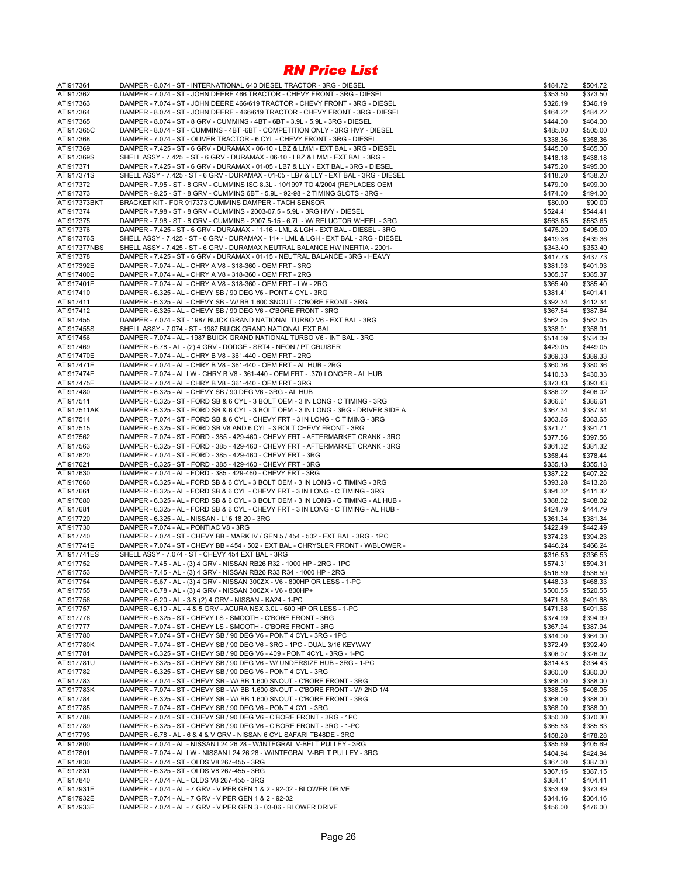| ATI917361               | DAMPER - 8.074 - ST - INTERNATIONAL 640 DIESEL TRACTOR - 3RG - DIESEL                  | \$484.72 | \$504.72 |
|-------------------------|----------------------------------------------------------------------------------------|----------|----------|
| ATI917362               | DAMPER - 7.074 - ST - JOHN DEERE 466 TRACTOR - CHEVY FRONT - 3RG - DIESEL              | \$353.50 | \$373.50 |
| ATI917363               | DAMPER - 7.074 - ST - JOHN DEERE 466/619 TRACTOR - CHEVY FRONT - 3RG - DIESEL          | \$326.19 | \$346.19 |
| ATI917364               | DAMPER - 8.074 - ST - JOHN DEERE - 466/619 TRACTOR - CHEVY FRONT - 3RG - DIESEL        | \$464.22 | \$484.22 |
| ATI917365               | DAMPER - 8.074 - ST - 8 GRV - CUMMINS - 4BT - 6BT - 3.9L - 5.9L - 3RG - DIESEL         | \$444.00 | \$464.00 |
| ATI917365C              | DAMPER - 8.074 - ST - CUMMINS - 4BT - 6BT - COMPETITION ONLY - 3RG HVY - DIESEL        | \$485.00 | \$505.00 |
| ATI917368               | DAMPER - 7.074 - ST - OLIVER TRACTOR - 6 CYL - CHEVY FRONT - 3RG - DIESEL              | \$338.36 | \$358.36 |
| ATI917369               | DAMPER - 7.425 - ST - 6 GRV - DURAMAX - 06-10 - LBZ & LMM - EXT BAL - 3RG - DIESEL     |          | \$465.00 |
|                         |                                                                                        | \$445.00 |          |
| ATI917369S              | SHELL ASSY - 7.425 - ST - 6 GRV - DURAMAX - 06-10 - LBZ & LMM - EXT BAL - 3RG -        | \$418.18 | \$438.18 |
| ATI917371               | DAMPER - 7.425 - ST - 6 GRV - DURAMAX - 01-05 - LB7 & LLY - EXT BAL - 3RG - DIESEL     | \$475.20 | \$495.00 |
| ATI917371S              | SHELL ASSY - 7.425 - ST - 6 GRV - DURAMAX - 01-05 - LB7 & LLY - EXT BAL - 3RG - DIESEL | \$418.20 | \$438.20 |
| ATI917372               | DAMPER - 7.95 - ST - 8 GRV - CUMMINS ISC 8.3L - 10/1997 TO 4/2004 (REPLACES OEM        | \$479.00 | \$499.00 |
| ATI917373               | DAMPER - 9.25 - ST - 8 GRV - CUMMINS 6BT - 5.9L - 92-98 - 2 TIMING SLOTS - 3RG -       | \$474.00 | \$494.00 |
| ATI917373BKT            | BRACKET KIT - FOR 917373 CUMMINS DAMPER - TACH SENSOR                                  | \$80.00  | \$90.00  |
| ATI917374               | DAMPER - 7.98 - ST - 8 GRV - CUMMINS - 2003-07.5 - 5.9L - 3RG HVY - DIESEL             | \$524.41 | \$544.41 |
| ATI917375               | DAMPER - 7.98 - ST - 8 GRV - CUMMINS - 2007.5-15 - 6.7L - W/ RELUCTOR WHEEL - 3RG      | \$563.65 | \$583.65 |
| ATI917376               | DAMPER - 7.425 - ST - 6 GRV - DURAMAX - 11-16 - LML & LGH - EXT BAL - DIESEL - 3RG     | \$475.20 | \$495.00 |
| ATI917376S              | SHELL ASSY - 7.425 - ST - 6 GRV - DURAMAX - 11+ - LML & LGH - EXT BAL - 3RG - DIESEL   | \$419.36 | \$439.36 |
| ATI917377NBS            | SHELL ASSY - 7.425 - ST - 6 GRV - DURAMAX NEUTRAL BALANCE HW INERTIA - 2001-           | \$343.40 | \$353.40 |
| ATI917378               | DAMPER - 7.425 - ST - 6 GRV - DURAMAX - 01-15 - NEUTRAL BALANCE - 3RG - HEAVY          | \$417.73 | \$437.73 |
| ATI917392E              | DAMPER - 7.074 - AL - CHRY A V8 - 318-360 - OEM FRT - 3RG                              | \$381.93 | \$401.93 |
| ATI917400E              | DAMPER - 7.074 - AL - CHRY A V8 - 318-360 - OEM FRT - 2RG                              | \$365.37 | \$385.37 |
| ATI917401E              | DAMPER - 7.074 - AL - CHRY A V8 - 318-360 - OEM FRT - LW - 2RG                         | \$365.40 | \$385.40 |
| ATI917410               | DAMPER - 6.325 - AL - CHEVY SB / 90 DEG V6 - PONT 4 CYL - 3RG                          | \$381.41 | \$401.41 |
| ATI917411               | DAMPER - 6.325 - AL - CHEVY SB - W/ BB 1.600 SNOUT - C'BORE FRONT - 3RG                | \$392.34 | \$412.34 |
| ATI917412               | DAMPER - 6.325 - AL - CHEVY SB / 90 DEG V6 - C'BORE FRONT - 3RG                        |          | \$387.64 |
|                         |                                                                                        | \$367.64 |          |
| ATI917455               | DAMPER - 7.074 - ST - 1987 BUICK GRAND NATIONAL TURBO V6 - EXT BAL - 3RG               | \$562.05 | \$582.05 |
| ATI917455S              | SHELL ASSY - 7.074 - ST - 1987 BUICK GRAND NATIONAL EXT BAL                            | \$338.91 | \$358.91 |
| ATI917456               | DAMPER - 7.074 - AL - 1987 BUICK GRAND NATIONAL TURBO V6 - INT BAL - 3RG               | \$514.09 | \$534.09 |
| ATI917469               | DAMPER - 6.78 - AL - (2) 4 GRV - DODGE - SRT4 - NEON / PT CRUISER                      | \$429.05 | \$449.05 |
| ATI917470E              | DAMPER - 7.074 - AL - CHRY B V8 - 361-440 - OEM FRT - 2RG                              | \$369.33 | \$389.33 |
| ATI917471E              | DAMPER - 7.074 - AL - CHRY B V8 - 361-440 - OEM FRT - AL HUB - 2RG                     | \$360.36 | \$380.36 |
| ATI917474E              | DAMPER - 7.074 - AL LW - CHRY B V8 - 361-440 - OEM FRT - .370 LONGER - AL HUB          | \$410.33 | \$430.33 |
| ATI917475E              | DAMPER - 7.074 - AL - CHRY B V8 - 361-440 - OEM FRT - 3RG                              | \$373.43 | \$393.43 |
| ATI917480               | DAMPER - 6.325 - AL - CHEVY SB / 90 DEG V6 - 3RG - AL HUB                              | \$386.02 | \$406.02 |
| ATI917511               | DAMPER - 6.325 - ST - FORD SB & 6 CYL - 3 BOLT OEM - 3 IN LONG - C TIMING - 3RG        | \$366.61 | \$386.61 |
| ATI917511AK             | DAMPER - 6.325 - ST - FORD SB & 6 CYL - 3 BOLT OEM - 3 IN LONG - 3RG - DRIVER SIDE A   | \$367.34 | \$387.34 |
| ATI917514               | DAMPER - 7.074 - ST - FORD SB & 6 CYL - CHEVY FRT - 3 IN LONG - C TIMING - 3RG         | \$363.65 | \$383.65 |
| ATI917515               | DAMPER - 6.325 - ST - FORD SB V8 AND 6 CYL - 3 BOLT CHEVY FRONT - 3RG                  | \$371.71 | \$391.71 |
| ATI917562               | DAMPER - 7.074 - ST - FORD - 385 - 429-460 - CHEVY FRT - AFTERMARKET CRANK - 3RG       | \$377.56 | \$397.56 |
| ATI917563               | DAMPER - 6.325 - ST - FORD - 385 - 429-460 - CHEVY FRT - AFTERMARKET CRANK - 3RG       | \$361.32 | \$381.32 |
| ATI917620               | DAMPER - 7.074 - ST - FORD - 385 - 429-460 - CHEVY FRT - 3RG                           | \$358.44 | \$378.44 |
| ATI917621               | DAMPER - 6.325 - ST - FORD - 385 - 429-460 - CHEVY FRT - 3RG                           | \$335.13 | \$355.13 |
| ATI917630               | DAMPER - 7.074 - AL - FORD - 385 - 429-460 - CHEVY FRT - 3RG                           | \$387.22 | \$407.22 |
| ATI917660               | DAMPER - 6.325 - AL - FORD SB & 6 CYL - 3 BOLT OEM - 3 IN LONG - C TIMING - 3RG        | \$393.28 | \$413.28 |
|                         |                                                                                        |          |          |
| ATI917661               | DAMPER - 6.325 - AL - FORD SB & 6 CYL - CHEVY FRT - 3 IN LONG - C TIMING - 3RG         | \$391.32 | \$411.32 |
| ATI917680               | DAMPER - 6.325 - AL - FORD SB & 6 CYL - 3 BOLT OEM - 3 IN LONG - C TIMING - AL HUB -   | \$388.02 | \$408.02 |
| ATI917681               | DAMPER - 6.325 - AL - FORD SB & 6 CYL - CHEVY FRT - 3 IN LONG - C TIMING - AL HUB -    | \$424.79 | \$444.79 |
| ATI917720               | DAMPER - 6.325 - AL - NISSAN - L16 18 20 - 3RG                                         | \$361.34 | \$381.34 |
| ATI917730               | DAMPER - 7.074 - AL - PONTIAC V8 - 3RG                                                 | \$422.49 | \$442.49 |
| ATI917740               | DAMPER - 7.074 - ST - CHEVY BB - MARK IV / GEN 5 / 454 - 502 - EXT BAL - 3RG - 1PC     | \$374.23 | \$394.23 |
| ATI917741E              | DAMPER - 7.074 - ST - CHEVY BB - 454 - 502 - EXT BAL - CHRYSLER FRONT - W/BLOWER -     | \$446.24 | \$466.24 |
| ATI917741ES             | SHELL ASSY - 7.074 - ST - CHEVY 454 EXT BAL - 3RG                                      | \$316.53 | \$336.53 |
| ATI917752               | DAMPER - 7.45 - AL - (3) 4 GRV - NISSAN RB26 R32 - 1000 HP - 2RG - 1PC                 | \$574.31 | \$594.31 |
| ATI917753               | DAMPER - 7.45 - AL - (3) 4 GRV - NISSAN RB26 R33 R34 - 1000 HP - 2RG                   | \$516.59 | \$536.59 |
| ATI917754               | DAMPER - 5.67 - AL - (3) 4 GRV - NISSAN 300ZX - V6 - 800HP OR LESS - 1-PC              | \$448.33 | \$468.33 |
| ATI917755               | DAMPER - 6.78 - AL - (3) 4 GRV - NISSAN 300ZX - V6 - 800HP+                            | \$500.55 | \$520.55 |
| ATI917756               | DAMPER - 6.20 - AL - 3 & (2) 4 GRV - NISSAN - KA24 - 1-PC                              | \$471.68 | \$491.68 |
| ATI917757               | DAMPER - 6.10 - AL - 4 & 5 GRV - ACURA NSX 3.0L - 600 HP OR LESS - 1-PC                | \$471.68 | \$491.68 |
| ATI917776               | DAMPER - 6.325 - ST - CHEVY LS - SMOOTH - C'BORE FRONT - 3RG                           | \$374.99 | \$394.99 |
| ATI917777               | DAMPER - 7.074 - ST - CHEVY LS - SMOOTH - C'BORE FRONT - 3RG                           | \$367.94 | \$387.94 |
| ATI917780               | DAMPER - 7.074 - ST - CHEVY SB / 90 DEG V6 - PONT 4 CYL - 3RG - 1PC                    | \$344.00 | \$364.00 |
| ATI917780K              | DAMPER - 7.074 - ST - CHEVY SB / 90 DEG V6 - 3RG - 1PC - DUAL 3/16 KEYWAY              | \$372.49 | \$392.49 |
| ATI917781               | DAMPER - 6.325 - ST - CHEVY SB / 90 DEG V6 - 409 - PONT 4CYL - 3RG - 1-PC              | \$306.07 | \$326.07 |
|                         | DAMPER - 6.325 - ST - CHEVY SB / 90 DEG V6 - W/ UNDERSIZE HUB - 3RG - 1-PC             |          | \$334.43 |
| ATI917781U<br>ATI917782 | DAMPER - 6.325 - ST - CHEVY SB / 90 DEG V6 - PONT 4 CYL - 3RG                          | \$314.43 |          |
|                         |                                                                                        | \$360.00 | \$380.00 |
| ATI917783               | DAMPER - 7.074 - ST - CHEVY SB - W/ BB 1.600 SNOUT - C'BORE FRONT - 3RG                | \$368.00 | \$388.00 |
| ATI917783K              | DAMPER - 7.074 - ST - CHEVY SB - W/ BB 1.600 SNOUT - C'BORE FRONT - W/ 2ND 1/4         | \$388.05 | \$408.05 |
| ATI917784               | DAMPER - 6.325 - ST - CHEVY SB - W/ BB 1.600 SNOUT - C'BORE FRONT - 3RG                | \$368.00 | \$388.00 |
| ATI917785               | DAMPER - 7.074 - ST - CHEVY SB / 90 DEG V6 - PONT 4 CYL - 3RG                          | \$368.00 | \$388.00 |
| ATI917788               | DAMPER - 7.074 - ST - CHEVY SB / 90 DEG V6 - C'BORE FRONT - 3RG - 1PC                  | \$350.30 | \$370.30 |
| ATI917789               | DAMPER - 6.325 - ST - CHEVY SB / 90 DEG V6 - C'BORE FRONT - 3RG - 1-PC                 | \$365.83 | \$385.83 |
| ATI917793               | DAMPER - 6.78 - AL - 6 & 4 & V GRV - NISSAN 6 CYL SAFARI TB48DE - 3RG                  | \$458.28 | \$478.28 |
| ATI917800               | DAMPER - 7.074 - AL - NISSAN L24 26 28 - W/INTEGRAL V-BELT PULLEY - 3RG                | \$385.69 | \$405.69 |
| ATI917801               | DAMPER - 7.074 - AL LW - NISSAN L24 26 28 - W/INTEGRAL V-BELT PULLEY - 3RG             | \$404.94 | \$424.94 |
| ATI917830               | DAMPER - 7.074 - ST - OLDS V8 267-455 - 3RG                                            | \$367.00 | \$387.00 |
| ATI917831               | DAMPER - 6.325 - ST - OLDS V8 267-455 - 3RG                                            | \$367.15 | \$387.15 |
| ATI917840               | DAMPER - 7.074 - AL - OLDS V8 267-455 - 3RG                                            | \$384.41 | \$404.41 |
| ATI917931E              | DAMPER - 7.074 - AL - 7 GRV - VIPER GEN 1 & 2 - 92-02 - BLOWER DRIVE                   | \$353.49 | \$373.49 |
| ATI917932E              | DAMPER - 7.074 - AL - 7 GRV - VIPER GEN 1 & 2 - 92-02                                  | \$344.16 | \$364.16 |
| ATI917933E              | DAMPER - 7.074 - AL - 7 GRV - VIPER GEN 3 - 03-06 - BLOWER DRIVE                       | \$456.00 | \$476.00 |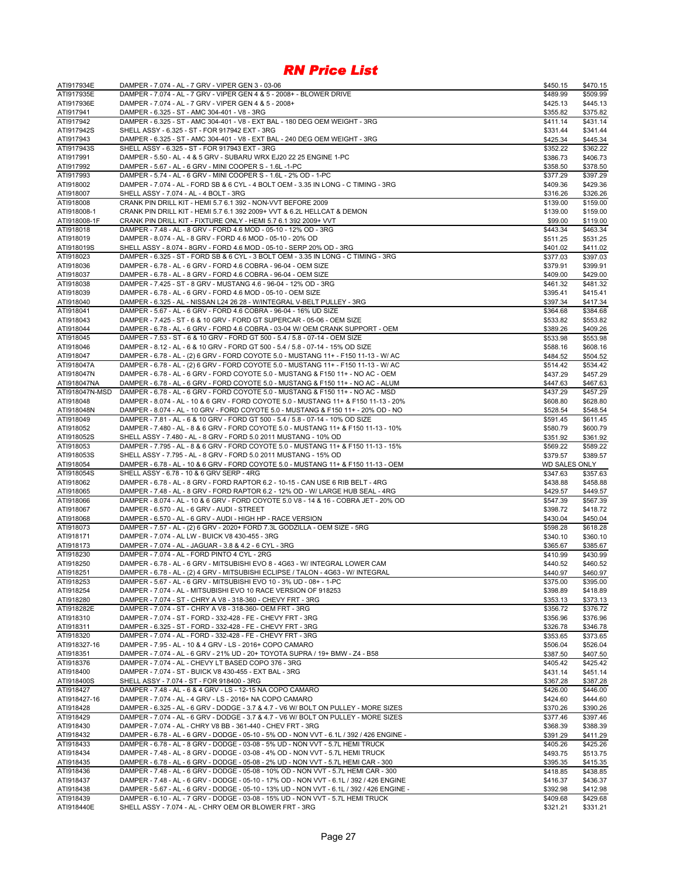| ATI917934E               | DAMPER - 7.074 - AL - 7 GRV - VIPER GEN 3 - 03-06                                                                                         | \$450.15             | \$470.15             |
|--------------------------|-------------------------------------------------------------------------------------------------------------------------------------------|----------------------|----------------------|
| ATI917935E               | DAMPER - 7.074 - AL - 7 GRV - VIPER GEN 4 & 5 - 2008+ - BLOWER DRIVE                                                                      | \$489.99             | \$509.99             |
| ATI917936E               | DAMPER - 7.074 - AL - 7 GRV - VIPER GEN 4 & 5 - 2008+                                                                                     | \$425.13             | \$445.13             |
| ATI917941                | DAMPER - 6.325 - ST - AMC 304-401 - V8 - 3RG                                                                                              | \$355.82             | \$375.82             |
| ATI917942                | DAMPER - 6.325 - ST - AMC 304-401 - V8 - EXT BAL - 180 DEG OEM WEIGHT - 3RG                                                               | \$411.14             | \$431.14             |
| ATI917942S               | SHELL ASSY - 6.325 - ST - FOR 917942 EXT - 3RG                                                                                            | \$331.44             | \$341.44             |
| ATI917943                | DAMPER - 6.325 - ST - AMC 304-401 - V8 - EXT BAL - 240 DEG OEM WEIGHT - 3RG                                                               | \$425.34             | \$445.34             |
| ATI917943S               | SHELL ASSY - 6.325 - ST - FOR 917943 EXT - 3RG                                                                                            | \$352.22             | \$362.22             |
| ATI917991                | DAMPER - 5.50 - AL - 4 & 5 GRV - SUBARU WRX EJ20 22 25 ENGINE 1-PC                                                                        | \$386.73             | \$406.73             |
| ATI917992                | DAMPER - 5.67 - AL - 6 GRV - MINI COOPER S - 1.6L -1-PC                                                                                   | \$358.50             | \$378.50             |
| ATI917993                | DAMPER - 5.74 - AL - 6 GRV - MINI COOPER S - 1.6L - 2% OD - 1-PC                                                                          | \$377.29             | \$397.29             |
| ATI918002                | DAMPER - 7.074 - AL - FORD SB & 6 CYL - 4 BOLT OEM - 3.35 IN LONG - C TIMING - 3RG                                                        | \$409.36             | \$429.36             |
| ATI918007                | SHELL ASSY - 7.074 - AL - 4 BOLT - 3RG<br>CRANK PIN DRILL KIT - HEMI 5.7 6.1 392 - NON-VVT BEFORE 2009                                    | \$316.26             | \$326.26             |
| ATI918008<br>ATI918008-1 | CRANK PIN DRILL KIT - HEMI 5.7 6.1 392 2009+ VVT & 6.2L HELLCAT & DEMON                                                                   | \$139.00<br>\$139.00 | \$159.00<br>\$159.00 |
| ATI918008-1F             | CRANK PIN DRILL KIT - FIXTURE ONLY - HEMI 5.7 6.1 392 2009+ VVT                                                                           | \$99.00              | \$119.00             |
| ATI918018                | DAMPER - 7.48 - AL - 8 GRV - FORD 4.6 MOD - 05-10 - 12% OD - 3RG                                                                          | \$443.34             | \$463.34             |
| ATI918019                | DAMPER - 8.074 - AL - 8 GRV - FORD 4.6 MOD - 05-10 - 20% OD                                                                               | \$511.25             | \$531.25             |
| ATI918019S               | SHELL ASSY - 8.074 - 8GRV - FORD 4.6 MOD - 05-10 - SERP 20% OD - 3RG                                                                      | \$401.02             | \$411.02             |
| ATI918023                | DAMPER - 6.325 - ST - FORD SB & 6 CYL - 3 BOLT OEM - 3.35 IN LONG - C TIMING - 3RG                                                        | \$377.03             | \$397.03             |
| ATI918036                | DAMPER - 6.78 - AL - 6 GRV - FORD 4.6 COBRA - 96-04 - OEM SIZE                                                                            | \$379.91             | \$399.91             |
| ATI918037                | DAMPER - 6.78 - AL - 8 GRV - FORD 4.6 COBRA - 96-04 - OEM SIZE                                                                            | \$409.00             | \$429.00             |
| ATI918038                | DAMPER - 7.425 - ST - 8 GRV - MUSTANG 4.6 - 96-04 - 12% OD - 3RG                                                                          | \$461.32             | \$481.32             |
| ATI918039                | DAMPER - 6.78 - AL - 6 GRV - FORD 4.6 MOD - 05-10 - OEM SIZE                                                                              | \$395.41             | \$415.41             |
| ATI918040                | DAMPER - 6.325 - AL - NISSAN L24 26 28 - W/INTEGRAL V-BELT PULLEY - 3RG                                                                   | \$397.34             | \$417.34             |
| ATI918041                | DAMPER - 5.67 - AL - 6 GRV - FORD 4.6 COBRA - 96-04 - 16% UD SIZE                                                                         | \$364.68             | \$384.68             |
| ATI918043                | DAMPER - 7.425 - ST - 6 & 10 GRV - FORD GT SUPERCAR - 05-06 - OEM SIZE                                                                    | \$533.82             | \$553.82             |
| ATI918044                | DAMPER - 6.78 - AL - 6 GRV - FORD 4.6 COBRA - 03-04 W/ OEM CRANK SUPPORT - OEM                                                            | \$389.26             | \$409.26             |
| ATI918045                | DAMPER - 7.53 - ST - 6 & 10 GRV - FORD GT 500 - 5.4 / 5.8 - 07-14 - OEM SIZE                                                              | \$533.98             | \$553.98             |
| ATI918046                | DAMPER - 8.12 - AL - 6 & 10 GRV - FORD GT 500 - 5.4 / 5.8 - 07-14 - 15% OD SIZE                                                           | \$588.16             | \$608.16             |
| ATI918047                | DAMPER - 6.78 - AL - (2) 6 GRV - FORD COYOTE 5.0 - MUSTANG 11+ - F150 11-13 - W/ AC                                                       | \$484.52             | \$504.52             |
| ATI918047A               | DAMPER - 6.78 - AL - (2) 6 GRV - FORD COYOTE 5.0 - MUSTANG 11+ - F150 11-13 - W/ AC                                                       | \$514.42             | \$534.42             |
| ATI918047N               | DAMPER - 6.78 - AL - 6 GRV - FORD COYOTE 5.0 - MUSTANG & F150 11+ - NO AC - OEM                                                           | \$437.29             | \$457.29             |
| ATI918047NA              | DAMPER - 6.78 - AL - 6 GRV - FORD COYOTE 5.0 - MUSTANG & F150 11+ - NO AC - ALUM                                                          | \$447.63             | \$467.63             |
| ATI918047N-MSD           | DAMPER - 6.78 - AL - 6 GRV - FORD COYOTE 5.0 - MUSTANG & F150 11+ - NO AC - MSD                                                           | \$437.29             | \$457.29             |
| ATI918048                | DAMPER - 8.074 - AL - 10 & 6 GRV - FORD COYOTE 5.0 - MUSTANG 11+ & F150 11-13 - 20%                                                       | \$608.80             | \$628.80             |
| ATI918048N               | DAMPER - 8.074 - AL - 10 GRV - FORD COYOTE 5.0 - MUSTANG & F150 11+ - 20% OD - NO                                                         | \$528.54             | \$548.54             |
| ATI918049                | DAMPER - 7.81 - AL - 6 & 10 GRV - FORD GT 500 - 5.4 / 5.8 - 07-14 - 10% OD SIZE                                                           | \$591.45             | \$611.45             |
| ATI918052                | DAMPER - 7.480 - AL - 8 & 6 GRV - FORD COYOTE 5.0 - MUSTANG 11+ & F150 11-13 - 10%                                                        | \$580.79             | \$600.79             |
| ATI918052S               | SHELL ASSY - 7.480 - AL - 8 GRV - FORD 5.0 2011 MUSTANG - 10% OD                                                                          | \$351.92             | \$361.92             |
| ATI918053                | DAMPER - 7.795 - AL - 8 & 6 GRV - FORD COYOTE 5.0 - MUSTANG 11+ & F150 11-13 - 15%                                                        | \$569.22             | \$589.22             |
|                          |                                                                                                                                           |                      |                      |
| ATI918053S               | SHELL ASSY - 7.795 - AL - 8 GRV - FORD 5.0 2011 MUSTANG - 15% OD                                                                          | \$379.57             | \$389.57             |
| ATI918054                | DAMPER - 6.78 - AL - 10 & 6 GRV - FORD COYOTE 5.0 - MUSTANG 11+ & F150 11-13 - OEM                                                        | <b>WD SALES ONLY</b> |                      |
| ATI918054S               | SHELL ASSY - 6.78 - 10 & 6 GRV SERP - 4RG                                                                                                 | \$347.63             | \$357.63             |
| ATI918062                | DAMPER - 6.78 - AL - 8 GRV - FORD RAPTOR 6.2 - 10-15 - CAN USE 6 RIB BELT - 4RG                                                           | \$438.88             | \$458.88             |
| ATI918065                | DAMPER - 7.48 - AL - 8 GRV - FORD RAPTOR 6.2 - 12% OD - W/ LARGE HUB SEAL - 4RG                                                           | \$429.57             | \$449.57             |
| ATI918066                | DAMPER - 8.074 - AL - 10 & 6 GRV - FORD COYOTE 5.0 V8 - 14 & 16 - COBRA JET - 20% OD                                                      | \$547.39             | \$567.39             |
| ATI918067                | DAMPER - 6.570 - AL - 6 GRV - AUDI - STREET                                                                                               | \$398.72             | \$418.72             |
| ATI918068                | DAMPER - 6.570 - AL - 6 GRV - AUDI - HIGH HP - RACE VERSION                                                                               | \$430.04             | \$450.04             |
| ATI918073                | DAMPER - 7.57 - AL - (2) 6 GRV - 2020+ FORD 7.3L GODZILLA - OEM SIZE - 5RG                                                                | \$598.28             | \$618.28             |
| ATI918171                | DAMPER - 7.074 - AL LW - BUICK V8 430-455 - 3RG                                                                                           | \$340.10             | \$360.10             |
| ATI918173                | DAMPER - 7.074 - AL - JAGUAR - 3.8 & 4.2 - 6 CYL - 3RG                                                                                    | \$365.67             | \$385.67             |
| ATI918230                | DAMPER - 7.074 - AL - FORD PINTO 4 CYL - 2RG                                                                                              | \$410.99             | \$430.99             |
| ATI918250                | DAMPER - 6.78 - AL - 6 GRV - MITSUBISHI EVO 8 - 4G63 - W/ INTEGRAL LOWER CAM                                                              | \$440.52             | \$460.52             |
| ATI918251                | DAMPER - 6.78 - AL - (2) 4 GRV - MITSUBISHI ECLIPSE / TALON - 4G63 - W/ INTEGRAL                                                          | \$440.97             | \$460.97             |
| ATI918253                | DAMPER - 5.67 - AL - 6 GRV - MITSUBISHI EVO 10 - 3% UD - 08+ - 1-PC                                                                       | \$375.00             | \$395.00             |
| ATI918254<br>ATI918280   | DAMPER - 7.074 - AL - MITSUBISHI EVO 10 RACE VERSION OF 918253<br>DAMPER - 7.074 - ST - CHRY A V8 - 318-360 - CHEVY FRT - 3RG             | \$398.89<br>\$353.13 | \$418.89             |
| ATI918282E               | DAMPER - 7.074 - ST - CHRY A V8 - 318-360- OEM FRT - 3RG                                                                                  |                      | \$373.13<br>\$376.72 |
|                          | DAMPER - 7.074 - ST - FORD - 332-428 - FE - CHEVY FRT - 3RG                                                                               | \$356.72             |                      |
| ATI918310<br>ATI918311   | DAMPER - 6.325 - ST - FORD - 332-428 - FE - CHEVY FRT - 3RG                                                                               | \$356.96<br>\$326.78 | \$376.96<br>\$346.78 |
| ATI918320                | DAMPER - 7.074 - AL - FORD - 332-428 - FE - CHEVY FRT - 3RG                                                                               | \$353.65             | \$373.65             |
| ATI918327-16             | DAMPER - 7.95 - AL - 10 & 4 GRV - LS - 2016+ COPO CAMARO                                                                                  | \$506.04             | \$526.04             |
| ATI918351                | DAMPER - 7.074 - AL - 6 GRV - 21% UD - 20+ TOYOTA SUPRA / 19+ BMW - Z4 - B58                                                              | \$387.50             | \$407.50             |
| ATI918376                | DAMPER - 7.074 - AL - CHEVY LT BASED COPO 376 - 3RG                                                                                       | \$405.42             | \$425.42             |
| ATI918400                | DAMPER - 7.074 - ST - BUICK V8 430-455 - EXT BAL - 3RG                                                                                    | \$431.14             | \$451.14             |
| ATI918400S               | SHELL ASSY - 7.074 - ST - FOR 918400 - 3RG                                                                                                | \$367.28             | \$387.28             |
| ATI918427                | DAMPER - 7.48 - AL - 6 & 4 GRV - LS - 12-15 NA COPO CAMARO                                                                                | \$426.00             | \$446.00             |
| ATI918427-16             | DAMPER - 7.074 - AL - 4 GRV - LS - 2016+ NA COPO CAMARO                                                                                   | \$424.60             | \$444.60             |
| ATI918428                | DAMPER - 6.325 - AL - 6 GRV - DODGE - 3.7 & 4.7 - V6 W/ BOLT ON PULLEY - MORE SIZES                                                       | \$370.26             | \$390.26             |
| ATI918429                | DAMPER - 7.074 - AL - 6 GRV - DODGE - 3.7 & 4.7 - V6 W/ BOLT ON PULLEY - MORE SIZES                                                       | \$377.46             | \$397.46             |
| ATI918430                | DAMPER - 7.074 - AL - CHRY V8 BB - 361-440 - CHEV FRT - 3RG                                                                               | \$368.39             | \$388.39             |
| ATI918432                | DAMPER - 6.78 - AL - 6 GRV - DODGE - 05-10 - 5% OD - NON VVT - 6.1L / 392 / 426 ENGINE -                                                  | \$391.29             | \$411.29             |
| ATI918433                | DAMPER - 6.78 - AL - 8 GRV - DODGE - 03-08 - 5% UD - NON VVT - 5.7L HEMI TRUCK                                                            | \$405.26             | \$425.26             |
| ATI918434                | DAMPER - 7.48 - AL - 8 GRV - DODGE - 03-08 - 4% OD - NON VVT - 5.7L HEMI TRUCK                                                            | \$493.75             | \$513.75             |
| ATI918435                | DAMPER - 6.78 - AL - 6 GRV - DODGE - 05-08 - 2% UD - NON VVT - 5.7L HEMI CAR - 300                                                        | \$395.35             | \$415.35             |
| ATI918436                | DAMPER - 7.48 - AL - 6 GRV - DODGE - 05-08 - 10% OD - NON VVT - 5.7L HEMI CAR - 300                                                       | \$418.85             | \$438.85             |
| ATI918437                | DAMPER - 7.48 - AL - 6 GRV - DODGE - 05-10 - 17% OD - NON VVT - 6.1L / 392 / 426 ENGINE                                                   | \$416.37             | \$436.37             |
| ATI918438                | DAMPER - 5.67 - AL - 6 GRV - DODGE - 05-10 - 13% UD - NON VVT - 6.1L / 392 / 426 ENGINE -                                                 | \$392.98             | \$412.98             |
| ATI918439<br>ATI918440E  | DAMPER - 6.10 - AL - 7 GRV - DODGE - 03-08 - 15% UD - NON VVT - 5.7L HEMI TRUCK<br>SHELL ASSY - 7.074 - AL - CHRY OEM OR BLOWER FRT - 3RG | \$409.68<br>\$321.21 | \$429.68<br>\$331.21 |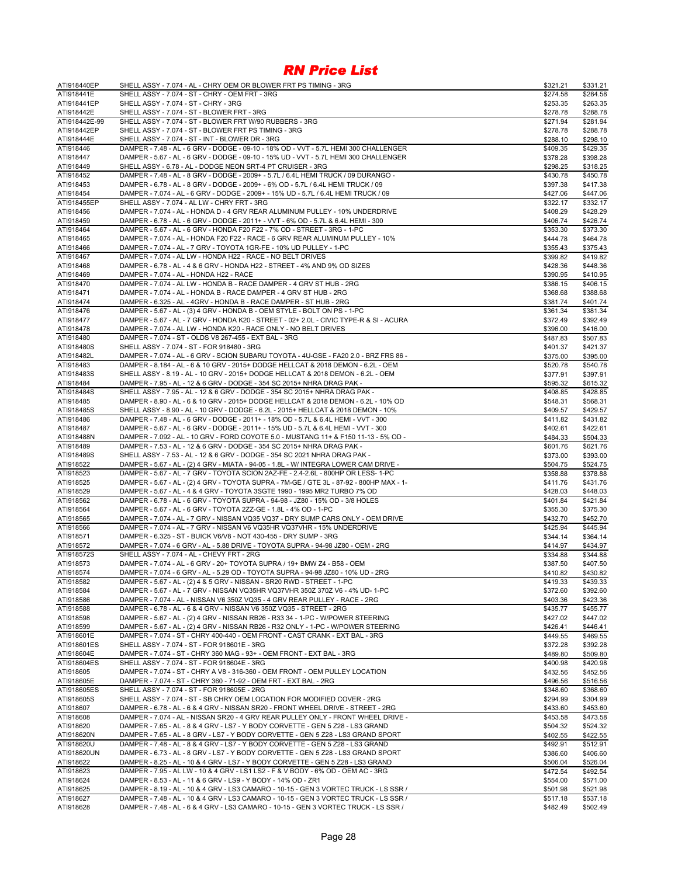| ATI918440EP   | SHELL ASSY - 7.074 - AL - CHRY OEM OR BLOWER FRT PS TIMING - 3RG                        | \$321.21 | \$331.21 |
|---------------|-----------------------------------------------------------------------------------------|----------|----------|
| ATI918441E    | SHELL ASSY - 7.074 - ST - CHRY - OEM FRT - 3RG                                          | \$274.58 | \$284.58 |
| ATI918441EP   | SHELL ASSY - 7.074 - ST - CHRY - 3RG                                                    | \$253.35 | \$263.35 |
| ATI918442E    | SHELL ASSY - 7.074 - ST - BLOWER FRT - 3RG                                              | \$278.78 | \$288.78 |
| ATI918442E-99 | SHELL ASSY - 7.074 - ST - BLOWER FRT W/90 RUBBERS - 3RG                                 | \$271.94 | \$281.94 |
| ATI918442EP   | SHELL ASSY - 7.074 - ST - BLOWER FRT PS TIMING - 3RG                                    | \$278.78 | \$288.78 |
| ATI918444E    | SHELL ASSY - 7.074 - ST - INT - BLOWER DR - 3RG                                         | \$288.10 | \$298.10 |
| ATI918446     | DAMPER - 7.48 - AL - 6 GRV - DODGE - 09-10 - 18% OD - VVT - 5.7L HEMI 300 CHALLENGER    | \$409.35 | \$429.35 |
|               |                                                                                         |          |          |
| ATI918447     | DAMPER - 5.67 - AL - 6 GRV - DODGE - 09-10 - 15% UD - VVT - 5.7L HEMI 300 CHALLENGER    | \$378.28 | \$398.28 |
| ATI918449     | SHELL ASSY - 6.78 - AL - DODGE NEON SRT-4 PT CRUISER - 3RG                              | \$298.25 | \$318.25 |
| ATI918452     | DAMPER - 7.48 - AL - 8 GRV - DODGE - 2009+ - 5.7L / 6.4L HEMI TRUCK / 09 DURANGO -      | \$430.78 | \$450.78 |
| ATI918453     | DAMPER - 6.78 - AL - 8 GRV - DODGE - 2009+ - 6% OD - 5.7L / 6.4L HEMI TRUCK / 09        | \$397.38 | \$417.38 |
| ATI918454     | DAMPER - 7.074 - AL - 6 GRV - DODGE - 2009+ - 15% UD - 5.7L / 6.4L HEMI TRUCK / 09      | \$427.06 | \$447.06 |
| ATI918455EP   | SHELL ASSY - 7.074 - AL LW - CHRY FRT - 3RG                                             | \$322.17 | \$332.17 |
| ATI918456     | DAMPER - 7.074 - AL - HONDA D - 4 GRV REAR ALUMINUM PULLEY - 10% UNDERDRIVE             | \$408.29 | \$428.29 |
| ATI918459     | DAMPER - 6.78 - AL - 6 GRV - DODGE - 2011+ - VVT - 6% OD - 5.7L & 6.4L HEMI - 300       | \$406.74 | \$426.74 |
| ATI918464     | DAMPER - 5.67 - AL - 6 GRV - HONDA F20 F22 - 7% OD - STREET - 3RG - 1-PC                | \$353.30 | \$373.30 |
| ATI918465     | DAMPER - 7.074 - AL - HONDA F20 F22 - RACE - 6 GRV REAR ALUMINUM PULLEY - 10%           | \$444.78 | \$464.78 |
| ATI918466     | DAMPER - 7.074 - AL - 7 GRV - TOYOTA 1GR-FE - 10% UD PULLEY - 1-PC                      | \$355.43 | \$375.43 |
| ATI918467     | DAMPER - 7.074 - AL LW - HONDA H22 - RACE - NO BELT DRIVES                              | \$399.82 | \$419.82 |
| ATI918468     | DAMPER - 6.78 - AL - 4 & 6 GRV - HONDA H22 - STREET - 4% AND 9% OD SIZES                | \$428.36 | \$448.36 |
| ATI918469     | DAMPER - 7.074 - AL - HONDA H22 - RACE                                                  | \$390.95 | \$410.95 |
| ATI918470     | DAMPER - 7.074 - AL LW - HONDA B - RACE DAMPER - 4 GRV ST HUB - 2RG                     |          |          |
|               |                                                                                         | \$386.15 | \$406.15 |
| ATI918471     | DAMPER - 7.074 - AL - HONDA B - RACE DAMPER - 4 GRV ST HUB - 2RG                        | \$368.68 | \$388.68 |
| ATI918474     | DAMPER - 6.325 - AL - 4GRV - HONDA B - RACE DAMPER - ST HUB - 2RG                       | \$381.74 | \$401.74 |
| ATI918476     | DAMPER - 5.67 - AL - (3) 4 GRV - HONDA B - OEM STYLE - BOLT ON PS - 1-PC                | \$361.34 | \$381.34 |
| ATI918477     | DAMPER - 5.67 - AL - 7 GRV - HONDA K20 - STREET - 02+ 2.0L - CIVIC TYPE-R & SI - ACURA  | \$372.49 | \$392.49 |
| ATI918478     | DAMPER - 7.074 - AL LW - HONDA K20 - RACE ONLY - NO BELT DRIVES                         | \$396.00 | \$416.00 |
| ATI918480     | DAMPER - 7.074 - ST - OLDS V8 267-455 - EXT BAL - 3RG                                   | \$487.83 | \$507.83 |
| ATI918480S    | SHELL ASSY - 7.074 - ST - FOR 918480 - 3RG                                              | \$401.37 | \$421.37 |
| ATI918482L    | DAMPER - 7.074 - AL - 6 GRV - SCION SUBARU TOYOTA - 4U-GSE - FA20 2.0 - BRZ FRS 86 -    | \$375.00 | \$395.00 |
| ATI918483     | DAMPER - 8.184 - AL - 6 & 10 GRV - 2015+ DODGE HELLCAT & 2018 DEMON - 6.2L - OEM        | \$520.78 | \$540.78 |
| ATI918483S    | SHELL ASSY - 8.19 - AL - 10 GRV - 2015+ DODGE HELLCAT & 2018 DEMON - 6.2L - OEM         | \$377.91 | \$397.91 |
| ATI918484     | DAMPER - 7.95 - AL - 12 & 6 GRV - DODGE - 354 SC 2015+ NHRA DRAG PAK -                  | \$595.32 | \$615.32 |
| ATI918484S    | SHELL ASSY - 7.95 - AL - 12 & 6 GRV - DODGE - 354 SC 2015+ NHRA DRAG PAK -              | \$408.85 | \$428.85 |
| ATI918485     | DAMPER - 8.90 - AL - 6 & 10 GRV - 2015+ DODGE HELLCAT & 2018 DEMON - 6.2L - 10% OD      | \$548.31 | \$568.31 |
|               |                                                                                         |          |          |
| ATI918485S    | SHELL ASSY - 8.90 - AL - 10 GRV - DODGE - 6.2L - 2015+ HELLCAT & 2018 DEMON - 10%       | \$409.57 | \$429.57 |
| ATI918486     | DAMPER - 7.48 - AL - 6 GRV - DODGE - 2011+ - 18% OD - 5.7L & 6.4L HEMI - VVT - 300      | \$411.82 | \$431.82 |
| ATI918487     | DAMPER - 5.67 - AL - 6 GRV - DODGE - 2011+ - 15% UD - 5.7L & 6.4L HEMI - VVT - 300      | \$402.61 | \$422.61 |
| ATI918488N    | DAMPER - 7.092 - AL - 10 GRV - FORD COYOTE 5.0 - MUSTANG 11+ & F150 11-13 - 5% OD -     | \$484.33 | \$504.33 |
| ATI918489     | DAMPER - 7.53 - AL - 12 & 6 GRV - DODGE - 354 SC 2015+ NHRA DRAG PAK -                  | \$601.76 | \$621.76 |
| ATI918489S    | SHELL ASSY - 7.53 - AL - 12 & 6 GRV - DODGE - 354 SC 2021 NHRA DRAG PAK -               | \$373.00 | \$393.00 |
| ATI918522     | DAMPER - 5.67 - AL - (2) 4 GRV - MIATA - 94-05 - 1.8L - W/ INTEGRA LOWER CAM DRIVE -    | \$504.75 | \$524.75 |
| ATI918523     | DAMPER - 5.67 - AL - 7 GRV - TOYOTA SCION 2AZ-FE - 2.4-2.6L - 800HP OR LESS- 1-PC       | \$358.88 | \$378.88 |
| ATI918525     | DAMPER - 5.67 - AL - (2) 4 GRV - TOYOTA SUPRA - 7M-GE / GTE 3L - 87-92 - 800HP MAX - 1- | \$411.76 | \$431.76 |
| ATI918529     | DAMPER - 5.67 - AL - 4 & 4 GRV - TOYOTA 3SGTE 1990 - 1995 MR2 TURBO 7% OD               | \$428.03 | \$448.03 |
| ATI918562     | DAMPER - 6.78 - AL - 6 GRV - TOYOTA SUPRA - 94-98 - JZ80 - 15% OD - 3/8 HOLES           | \$401.84 | \$421.84 |
| ATI918564     | DAMPER - 5.67 - AL - 6 GRV - TOYOTA 2ZZ-GE - 1.8L - 4% OD - 1-PC                        | \$355.30 | \$375.30 |
| ATI918565     | DAMPER - 7.074 - AL - 7 GRV - NISSAN VQ35 VQ37 - DRY SUMP CARS ONLY - OEM DRIVE         | \$432.70 | \$452.70 |
| ATI918566     | DAMPER - 7.074 - AL - 7 GRV - NISSAN V6 VQ35HR VQ37VHR - 15% UNDERDRIVE                 | \$425.94 | \$445.94 |
| ATI918571     | DAMPER - 6.325 - ST - BUICK V6/V8 - NOT 430-455 - DRY SUMP - 3RG                        | \$344.14 | \$364.14 |
| ATI918572     | DAMPER - 7.074 - 6 GRV - AL - 5.88 DRIVE - TOYOTA SUPRA - 94-98 JZ80 - OEM - 2RG        | \$414.97 | \$434.97 |
| ATI918572S    | SHELL ASSY - 7.074 - AL - CHEVY FRT - 2RG                                               |          | \$344.88 |
|               |                                                                                         | \$334.88 |          |
| ATI918573     | DAMPER - 7.074 - AL - 6 GRV - 20+ TOYOTA SUPRA / 19+ BMW Z4 - B58 - OEM                 | \$387.50 | \$407.50 |
| ATI918574     | DAMPER - 7.074 - 6 GRV - AL - 5.29 OD - TOYOTA SUPRA - 94-98 JZ80 - 10% UD - 2RG        | \$410.82 | \$430.82 |
| ATI918582     | DAMPER - 5.67 - AL - (2) 4 & 5 GRV - NISSAN - SR20 RWD - STREET - 1-PC                  | \$419.33 | \$439.33 |
| ATI918584     | DAMPER - 5.67 - AL - 7 GRV - NISSAN VQ35HR VQ37VHR 350Z 370Z V6 - 4% UD- 1-PC           | \$372.60 | \$392.60 |
| ATI918586     | DAMPER - 7.074 - AL - NISSAN V6 350Z VQ35 - 4 GRV REAR PULLEY - RACE - 2RG              | \$403.36 | \$423.36 |
| ATI918588     | DAMPER - 6.78 - AL - 6 & 4 GRV - NISSAN V6 350Z VQ35 - STREET - 2RG                     | \$435.77 | \$455.77 |
| ATI918598     | DAMPER - 5.67 - AL - (2) 4 GRV - NISSAN RB26 - R33 34 - 1-PC - W/POWER STEERING         | \$427.02 | \$447.02 |
| ATI918599     | DAMPER - 5.67 - AL - (2) 4 GRV - NISSAN RB26 - R32 ONLY - 1-PC - W/POWER STEERING       | \$426.41 | \$446.41 |
| ATI918601E    | DAMPER - 7.074 - ST - CHRY 400-440 - OEM FRONT - CAST CRANK - EXT BAL - 3RG             | \$449.55 | \$469.55 |
| ATI918601ES   | SHELL ASSY - 7.074 - ST - FOR 918601E - 3RG                                             | \$372.28 | \$392.28 |
| ATI918604E    | DAMPER - 7.074 - ST - CHRY 360 MAG - 93+ - OEM FRONT - EXT BAL - 3RG                    | \$489.80 | \$509.80 |
| ATI918604ES   | SHELL ASSY - 7.074 - ST - FOR 918604E - 3RG                                             | \$400.98 | \$420.98 |
| ATI918605     | DAMPER - 7.074 - ST - CHRY A V8 - 316-360 - OEM FRONT - OEM PULLEY LOCATION             | \$432.56 | \$452.56 |
| ATI918605E    | DAMPER - 7.074 - ST - CHRY 360 - 71-92 - OEM FRT - EXT BAL - 2RG                        | \$496.56 | \$516.56 |
| ATI918605ES   | SHELL ASSY - 7.074 - ST - FOR 918605E - 2RG                                             | \$348.60 | \$368.60 |
| ATI918605S    | SHELL ASSY - 7.074 - ST - SB CHRY OEM LOCATION FOR MODIFIED COVER - 2RG                 | \$294.99 | \$304.99 |
| ATI918607     | DAMPER - 6.78 - AL - 6 & 4 GRV - NISSAN SR20 - FRONT WHEEL DRIVE - STREET - 2RG         | \$433.60 | \$453.60 |
|               | DAMPER - 7.074 - AL - NISSAN SR20 - 4 GRV REAR PULLEY ONLY - FRONT WHEEL DRIVE -        |          |          |
| ATI918608     |                                                                                         | \$453.58 | \$473.58 |
| ATI918620     | DAMPER - 7.65 - AL - 8 & 4 GRV - LS7 - Y BODY CORVETTE - GEN 5 Z28 - LS3 GRAND          | \$504.32 | \$524.32 |
| ATI918620N    | DAMPER - 7.65 - AL - 8 GRV - LS7 - Y BODY CORVETTE - GEN 5 Z28 - LS3 GRAND SPORT        | \$402.55 | \$422.55 |
| ATI918620U    | DAMPER - 7.48 - AL - 8 & 4 GRV - LS7 - Y BODY CORVETTE - GEN 5 Z28 - LS3 GRAND          | \$492.91 | \$512.91 |
| ATI918620UN   | DAMPER - 6.73 - AL - 8 GRV - LS7 - Y BODY CORVETTE - GEN 5 Z28 - LS3 GRAND SPORT        | \$386.60 | \$406.60 |
| ATI918622     | DAMPER - 8.25 - AL - 10 & 4 GRV - LS7 - Y BODY CORVETTE - GEN 5 Z28 - LS3 GRAND         | \$506.04 | \$526.04 |
| ATI918623     | DAMPER - 7.95 - AL LW - 10 & 4 GRV - LS1 LS2 - F & V BODY - 6% OD - OEM AC - 3RG        | \$472.54 | \$492.54 |
| ATI918624     | DAMPER - 8.53 - AL - 11 & 6 GRV - LS9 - Y BODY - 14% OD - ZR1                           | \$554.00 | \$571.00 |
| ATI918625     | DAMPER - 8.19 - AL - 10 & 4 GRV - LS3 CAMARO - 10-15 - GEN 3 VORTEC TRUCK - LS SSR /    | \$501.98 | \$521.98 |
| ATI918627     | DAMPER - 7.48 - AL - 10 & 4 GRV - LS3 CAMARO - 10-15 - GEN 3 VORTEC TRUCK - LS SSR /    | \$517.18 | \$537.18 |
| ATI918628     | DAMPER - 7.48 - AL - 6 & 4 GRV - LS3 CAMARO - 10-15 - GEN 3 VORTEC TRUCK - LS SSR /     | \$482.49 | \$502.49 |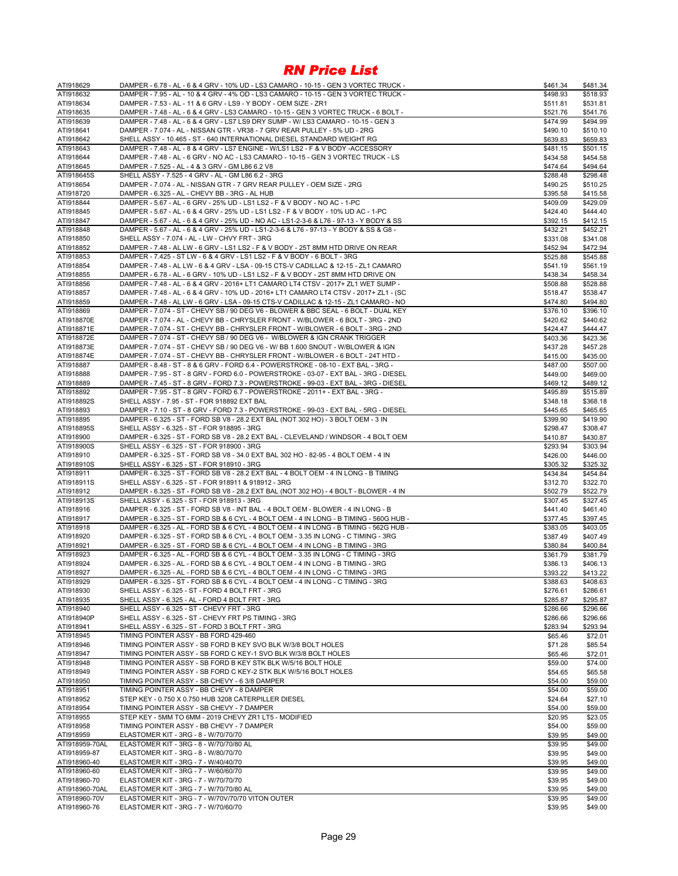| ATI918629              | DAMPER - 6.78 - AL - 6 & 4 GRV - 10% UD - LS3 CAMARO - 10-15 - GEN 3 VORTEC TRUCK -                                                                                   | \$461.34             | \$481.34             |
|------------------------|-----------------------------------------------------------------------------------------------------------------------------------------------------------------------|----------------------|----------------------|
| ATI918632              | DAMPER - 7.95 - AL - 10 & 4 GRV - 4% OD - LS3 CAMARO - 10-15 - GEN 3 VORTEC TRUCK -                                                                                   | \$498.93             | \$518.93             |
| ATI918634              | DAMPER - 7.53 - AL - 11 & 6 GRV - LS9 - Y BODY - OEM SIZE - ZR1                                                                                                       | \$511.81             | \$531.81             |
| ATI918635              | DAMPER - 7.48 - AL - 6 & 4 GRV - LS3 CAMARO - 10-15 - GEN 3 VORTEC TRUCK - 6 BOLT -                                                                                   | \$521.76             | \$541.76             |
| ATI918639              | DAMPER - 7.48 - AL - 6 & 4 GRV - LS7 LS9 DRY SUMP - W/ LS3 CAMARO - 10-15 - GEN 3                                                                                     | \$474.99             | \$494.99             |
| ATI918641              | DAMPER - 7.074 - AL - NISSAN GTR - VR38 - 7 GRV REAR PULLEY - 5% UD - 2RG                                                                                             | \$490.10             | \$510.10             |
| ATI918642              | SHELL ASSY - 10.465 - ST - 640 INTERNATIONAL DIESEL STANDARD WEIGHT RG                                                                                                | \$639.83             | \$659.83             |
| ATI918643              | DAMPER - 7.48 - AL - 8 & 4 GRV - LS7 ENGINE - W/LS1 LS2 - F & V BODY -ACCESSORY<br>DAMPER - 7.48 - AL - 6 GRV - NO AC - LS3 CAMARO - 10-15 - GEN 3 VORTEC TRUCK - LS  | \$481.15             | \$501.15             |
| ATI918644<br>ATI918645 | DAMPER - 7.525 - AL - 4 & 3 GRV - GM L86 6.2 V8                                                                                                                       | \$434.58<br>\$474.64 | \$454.58<br>\$494.64 |
| ATI918645S             | SHELL ASSY - 7.525 - 4 GRV - AL - GM L86 6.2 - 3RG                                                                                                                    | \$288.48             | \$298.48             |
| ATI918654              | DAMPER - 7.074 - AL - NISSAN GTR - 7 GRV REAR PULLEY - OEM SIZE - 2RG                                                                                                 | \$490.25             | \$510.25             |
| ATI918720              | DAMPER - 6.325 - AL - CHEVY BB - 3RG - AL HUB                                                                                                                         | \$395.58             | \$415.58             |
| ATI918844              | DAMPER - 5.67 - AL - 6 GRV - 25% UD - LS1 LS2 - F & V BODY - NO AC - 1-PC                                                                                             | \$409.09             | \$429.09             |
| ATI918845              | DAMPER - 5.67 - AL - 6 & 4 GRV - 25% UD - LS1 LS2 - F & V BODY - 10% UD AC - 1-PC                                                                                     | \$424.40             | \$444.40             |
| ATI918847              | DAMPER - 5.67 - AL - 6 & 4 GRV - 25% UD - NO AC - LS1-2-3-6 & L76 - 97-13 - Y BODY & SS                                                                               | \$392.15             | \$412.15             |
| ATI918848              | DAMPER - 5.67 - AL - 6 & 4 GRV - 25% UD - LS1-2-3-6 & L76 - 97-13 - Y BODY & SS & G8 -                                                                                | \$432.21             | \$452.21             |
| ATI918850              | SHELL ASSY - 7.074 - AL - LW - CHVY FRT - 3RG                                                                                                                         | \$331.08             | \$341.08             |
| ATI918852              | DAMPER - 7.48 - AL LW - 6 GRV - LS1 LS2 - F & V BODY - 25T 8MM HTD DRIVE ON REAR                                                                                      | \$452.94             | \$472.94             |
| ATI918853              | DAMPER - 7.425 - ST LW - 6 & 4 GRV - LS1 LS2 - F & V BODY - 6 BOLT - 3RG                                                                                              | \$525.88             | \$545.88             |
| ATI918854              | DAMPER - 7.48 - AL LW - 6 & 4 GRV - LSA - 09-15 CTS-V CADILLAC & 12-15 - ZL1 CAMARO                                                                                   | \$541.19             | \$561.19             |
| ATI918855              | DAMPER - 6.78 - AL - 6 GRV - 10% UD - LS1 LS2 - F & V BODY - 25T 8MM HTD DRIVE ON                                                                                     | \$438.34             | \$458.34             |
| ATI918856              | DAMPER - 7.48 - AL - 6 & 4 GRV - 2016+ LT1 CAMARO LT4 CTSV - 2017+ ZL1 WET SUMP -                                                                                     | \$508.88             | \$528.88             |
| ATI918857              | DAMPER - 7.48 - AL - 6 & 4 GRV - 10% UD - 2016+ LT1 CAMARO LT4 CTSV - 2017+ ZL1 - (SC                                                                                 | \$518.47             | \$538.47             |
| ATI918859              | DAMPER - 7.48 - AL LW - 6 GRV - LSA - 09-15 CTS-V CADILLAC & 12-15 - ZL1 CAMARO - NO                                                                                  | \$474.80             | \$494.80             |
| ATI918869              | DAMPER - 7.074 - ST - CHEVY SB / 90 DEG V6 - BLOWER & BBC SEAL - 6 BOLT - DUAL KEY                                                                                    | \$376.10             | \$396.10             |
| ATI918870E             | DAMPER - 7.074 - AL - CHEVY BB - CHRYSLER FRONT - W/BLOWER - 6 BOLT - 3RG - 2ND                                                                                       | \$420.62             | \$440.62             |
| ATI918871E             | DAMPER - 7.074 - ST - CHEVY BB - CHRYSLER FRONT - W/BLOWER - 6 BOLT - 3RG - 2ND                                                                                       | \$424.47             | \$444.47             |
| ATI918872E             | DAMPER - 7.074 - ST - CHEVY SB / 90 DEG V6 - W/BLOWER & IGN CRANK TRIGGER                                                                                             | \$403.36             | \$423.36             |
| ATI918873E             | DAMPER - 7.074 - ST - CHEVY SB / 90 DEG V6 - W/ BB 1.600 SNOUT - W/BLOWER & IGN                                                                                       | \$437.28             | \$457.28             |
| ATI918874E             | DAMPER - 7.074 - ST - CHEVY BB - CHRYSLER FRONT - W/BLOWER - 6 BOLT - 24T HTD -                                                                                       | \$415.00             | \$435.00             |
| ATI918887              | DAMPER - 8.48 - ST - 8 & 6 GRV - FORD 6.4 - POWERSTROKE - 08-10 - EXT BAL - 3RG -                                                                                     | \$487.00             | \$507.00             |
| ATI918888              | DAMPER - 7.95 - ST - 8 GRV - FORD 6.0 - POWERSTROKE - 03-07 - EXT BAL - 3RG - DIESEL                                                                                  | \$449.00             | \$469.00             |
| ATI918889<br>ATI918892 | DAMPER - 7.45 - ST - 8 GRV - FORD 7.3 - POWERSTROKE - 99-03 - EXT BAL - 3RG - DIESEL<br>DAMPER - 7.95 - ST - 8 GRV - FORD 6.7 - POWERSTROKE - 2011+ - EXT BAL - 3RG - | \$469.12<br>\$495.89 | \$489.12             |
| ATI918892S             | SHELL ASSY - 7.95 - ST - FOR 918892 EXT BAL                                                                                                                           | \$348.18             | \$515.89<br>\$368.18 |
| ATI918893              | DAMPER - 7.10 - ST - 8 GRV - FORD 7.3 - POWERSTROKE - 99-03 - EXT BAL - 5RG - DIESEL                                                                                  | \$445.65             | \$465.65             |
| ATI918895              | DAMPER - 6.325 - ST - FORD SB V8 - 28.2 EXT BAL (NOT 302 HO) - 3 BOLT OEM - 3 IN                                                                                      | \$399.90             | \$419.90             |
| ATI918895S             | SHELL ASSY - 6.325 - ST - FOR 918895 - 3RG                                                                                                                            | \$298.47             | \$308.47             |
| ATI918900              | DAMPER - 6.325 - ST - FORD SB V8 - 28.2 EXT BAL - CLEVELAND / WINDSOR - 4 BOLT OEM                                                                                    | \$410.87             | \$430.87             |
| ATI918900S             | SHELL ASSY - 6.325 - ST - FOR 918900 - 3RG                                                                                                                            | \$293.94             | \$303.94             |
| ATI918910              | DAMPER - 6.325 - ST - FORD SB V8 - 34.0 EXT BAL 302 HO - 82-95 - 4 BOLT OEM - 4 IN                                                                                    | \$426.00             | \$446.00             |
| ATI918910S             | SHELL ASSY - 6.325 - ST - FOR 918910 - 3RG                                                                                                                            | \$305.32             | \$325.32             |
| ATI918911              | DAMPER - 6.325 - ST - FORD SB V8 - 28.2 EXT BAL - 4 BOLT OEM - 4 IN LONG - B TIMING                                                                                   | \$434.84             | \$454.84             |
| ATI918911S             | SHELL ASSY - 6.325 - ST - FOR 918911 & 918912 - 3RG                                                                                                                   | \$312.70             | \$322.70             |
| ATI918912              | DAMPER - 6.325 - ST - FORD SB V8 - 28.2 EXT BAL (NOT 302 HO) - 4 BOLT - BLOWER - 4 IN                                                                                 | \$502.79             | \$522.79             |
| ATI918913S             | SHELL ASSY - 6.325 - ST - FOR 918913 - 3RG                                                                                                                            | \$307.45             | \$327.45             |
| ATI918916              | DAMPER - 6.325 - ST - FORD SB V8 - INT BAL - 4 BOLT OEM - BLOWER - 4 IN LONG - B                                                                                      | \$441.40             | \$461.40             |
| ATI918917              | DAMPER - 6.325 - ST - FORD SB & 6 CYL - 4 BOLT OEM - 4 IN LONG - B TIMING - 560G HUB -                                                                                | \$377.45             | \$397.45             |
| ATI918918              | DAMPER - 6.325 - AL - FORD SB & 6 CYL - 4 BOLT OEM - 4 IN LONG - B TIMING - 562G HUB -                                                                                | \$383.05             | \$403.05             |
| ATI918920              | DAMPER - 6.325 - ST - FORD SB & 6 CYL - 4 BOLT OEM - 3.35 IN LONG - C TIMING - 3RG                                                                                    | \$387.49             | \$407.49             |
| ATI918921              | DAMPER - 6.325 - ST - FORD SB & 6 CYL - 4 BOLT OEM - 4 IN LONG - B TIMING - 3RG                                                                                       | \$380.84             | \$400.84             |
| ATI918923              | DAMPER - 6.325 - AL - FORD SB & 6 CYL - 4 BOLT OEM - 3.35 IN LONG - C TIMING - 3RG                                                                                    | \$361.79             | \$381.79             |
| ATI918924              | DAMPER - 6.325 - AL - FORD SB & 6 CYL - 4 BOLT OEM - 4 IN LONG - B TIMING - 3RG                                                                                       | \$386.13             | \$406.13             |
| ATI918927              | DAMPER - 6.325 - AL - FORD SB & 6 CYL - 4 BOLT OEM - 4 IN LONG - C TIMING - 3RG                                                                                       | \$393.22             | \$413.22             |
| ATI918929              | DAMPER - 6.325 - ST - FORD SB & 6 CYL - 4 BOLT OEM - 4 IN LONG - C TIMING - 3RG                                                                                       | \$388.63             | \$408.63             |
| ATI918930              | SHELL ASSY - 6.325 - ST - FORD 4 BOLT FRT - 3RG                                                                                                                       | \$276.61             | \$286.61             |
| ATI918935<br>ATI918940 | SHELL ASSY - 6.325 - AL - FORD 4 BOLT FRT - 3RG<br>SHELL ASSY - 6.325 - ST - CHEVY FRT - 3RG                                                                          | \$285.87<br>\$286.66 | \$295.87<br>\$296.66 |
| ATI918940P             | SHELL ASSY - 6.325 - ST - CHEVY FRT PS TIMING - 3RG                                                                                                                   |                      | \$296.66             |
| ATI918941              | SHELL ASSY - 6.325 - ST - FORD 3 BOLT FRT - 3RG                                                                                                                       | \$286.66<br>\$283.94 | \$293.94             |
| ATI918945              | TIMING POINTER ASSY - BB FORD 429-460                                                                                                                                 | \$65.46              | \$72.01              |
| ATI918946              | TIMING POINTER ASSY - SB FORD B KEY SVO BLK W/3/8 BOLT HOLES                                                                                                          | \$71.28              | \$85.54              |
| ATI918947              | TIMING POINTER ASSY - SB FORD C KEY-1 SVO BLK W/3/8 BOLT HOLES                                                                                                        | \$65.46              | \$72.01              |
| ATI918948              | TIMING POINTER ASSY - SB FORD B KEY STK BLK W/5/16 BOLT HOLE                                                                                                          | \$59.00              | \$74.00              |
| ATI918949              | TIMING POINTER ASSY - SB FORD C KEY-2 STK BLK W/5/16 BOLT HOLES                                                                                                       | \$54.65              | \$65.58              |
| ATI918950              | TIMING POINTER ASSY - SB CHEVY - 6 3/8 DAMPER                                                                                                                         | \$54.00              | \$59.00              |
| ATI918951              | TIMING POINTER ASSY - BB CHEVY - 8 DAMPER                                                                                                                             | \$54.00              | \$59.00              |
| ATI918952              | STEP KEY - 0.750 X 0.750 HUB 3208 CATERPILLER DIESEL                                                                                                                  | \$24.64              | \$27.10              |
| ATI918954              | TIMING POINTER ASSY - SB CHEVY - 7 DAMPER                                                                                                                             | \$54.00              | \$59.00              |
| ATI918955              | STEP KEY - 5MM TO 6MM - 2019 CHEVY ZR1 LT5 - MODIFIED                                                                                                                 | \$20.95              | \$23.05              |
| ATI918958              | TIMING POINTER ASSY - BB CHEVY - 7 DAMPER                                                                                                                             | \$54.00              | \$59.00              |
| ATI918959              | ELASTOMER KIT - 3RG - 8 - W/70/70/70                                                                                                                                  | \$39.95              | \$49.00              |
| ATI918959-70AL         | ELASTOMER KIT - 3RG - 8 - W/70/70/80 AL                                                                                                                               | \$39.95              | \$49.00              |
| ATI918959-87           | ELASTOMER KIT - 3RG - 8 - W/80/70/70                                                                                                                                  | \$39.95              | \$49.00              |
| ATI918960-40           | ELASTOMER KIT - 3RG - 7 - W/40/40/70                                                                                                                                  | \$39.95              | \$49.00              |
| ATI918960-60           | ELASTOMER KIT - 3RG - 7 - W/60/60/70                                                                                                                                  | \$39.95              | \$49.00              |
| ATI918960-70           | ELASTOMER KIT - 3RG - 7 - W/70/70/70                                                                                                                                  | \$39.95              | \$49.00              |
| ATI918960-70AL         | ELASTOMER KIT - 3RG - 7 - W/70/70/80 AL                                                                                                                               | \$39.95              | \$49.00              |
| ATI918960-70V          | ELASTOMER KIT - 3RG - 7 - W/70V/70/70 VITON OUTER                                                                                                                     | \$39.95              | \$49.00              |
| ATI918960-76           | ELASTOMER KIT - 3RG - 7 - W/70/60/70                                                                                                                                  | \$39.95              | \$49.00              |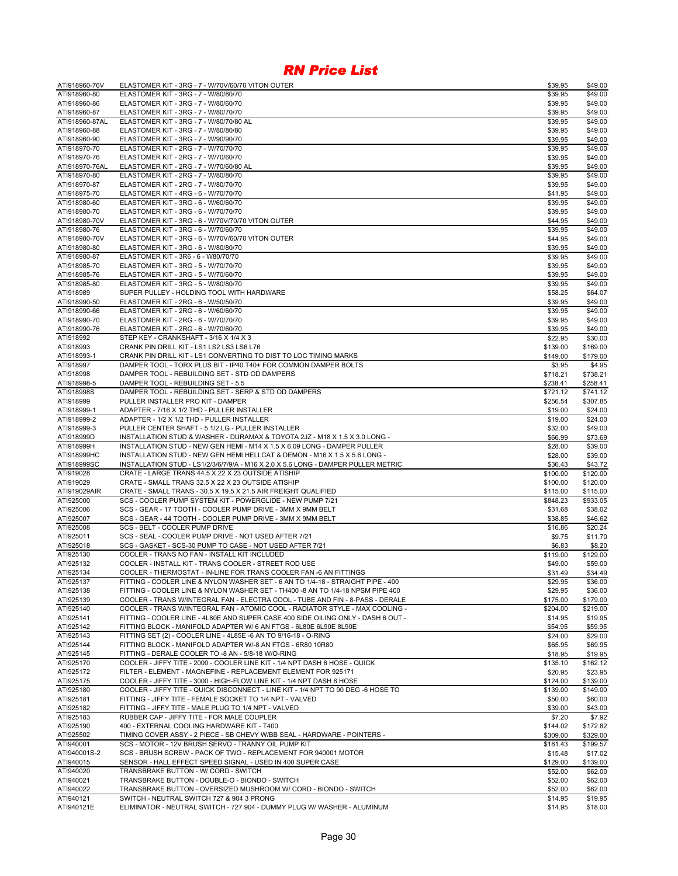| ATI918960-76V                  | ELASTOMER KIT - 3RG - 7 - W/70V/60/70 VITON OUTER                                                                                                    | \$39.95              | \$49.00              |
|--------------------------------|------------------------------------------------------------------------------------------------------------------------------------------------------|----------------------|----------------------|
| ATI918960-80                   | ELASTOMER KIT - 3RG - 7 - W/80/80/70                                                                                                                 | \$39.95              | \$49.00              |
| ATI918960-86                   | ELASTOMER KIT - 3RG - 7 - W/80/60/70                                                                                                                 | \$39.95              | \$49.00              |
| ATI918960-87                   | ELASTOMER KIT - 3RG - 7 - W/80/70/70                                                                                                                 | \$39.95              | \$49.00              |
| ATI918960-87AL<br>ATI918960-88 | ELASTOMER KIT - 3RG - 7 - W/80/70/80 AL<br>ELASTOMER KIT - 3RG - 7 - W/80/80/80                                                                      | \$39.95<br>\$39.95   | \$49.00<br>\$49.00   |
| ATI918960-90                   | ELASTOMER KIT - 3RG - 7 - W/90/90/70                                                                                                                 | \$39.95              | \$49.00              |
| ATI918970-70                   | ELASTOMER KIT - 2RG - 7 - W/70/70/70                                                                                                                 | \$39.95              | \$49.00              |
| ATI918970-76                   | ELASTOMER KIT - 2RG - 7 - W/70/60/70                                                                                                                 | \$39.95              | \$49.00              |
| ATI918970-76AL                 | ELASTOMER KIT - 2RG - 7 - W/70/60/80 AL                                                                                                              | \$39.95              | \$49.00              |
| ATI918970-80                   | ELASTOMER KIT - 2RG - 7 - W/80/80/70                                                                                                                 | \$39.95              | \$49.00              |
| ATI918970-87                   | ELASTOMER KIT - 2RG - 7 - W/80/70/70                                                                                                                 | \$39.95              | \$49.00              |
| ATI918975-70                   | ELASTOMER KIT - 4RG - 6 - W/70/70/70                                                                                                                 | \$41.95              | \$49.00              |
| ATI918980-60                   | ELASTOMER KIT - 3RG - 6 - W/60/60/70                                                                                                                 | \$39.95              | \$49.00              |
| ATI918980-70<br>ATI918980-70V  | ELASTOMER KIT - 3RG - 6 - W/70/70/70<br>ELASTOMER KIT - 3RG - 6 - W/70V/70/70 VITON OUTER                                                            | \$39.95<br>\$44.95   | \$49.00<br>\$49.00   |
| ATI918980-76                   | ELASTOMER KIT - 3RG - 6 - W/70/60/70                                                                                                                 | \$39.95              | \$49.00              |
| ATI918980-76V                  | ELASTOMER KIT - 3RG - 6 - W/70V/60/70 VITON OUTER                                                                                                    | \$44.95              | \$49.00              |
| ATI918980-80                   | ELASTOMER KIT - 3RG - 6 - W/80/80/70                                                                                                                 | \$39.95              | \$49.00              |
| ATI918980-87                   | ELASTOMER KIT - 3R6 - 6 - W80/70/70                                                                                                                  | \$39.95              | \$49.00              |
| ATI918985-70                   | ELASTOMER KIT - 3RG - 5 - W/70/70/70                                                                                                                 | \$39.95              | \$49.00              |
| ATI918985-76                   | ELASTOMER KIT - 3RG - 5 - W/70/60/70                                                                                                                 | \$39.95              | \$49.00              |
| ATI918985-80                   | ELASTOMER KIT - 3RG - 5 - W/80/80/70                                                                                                                 | \$39.95              | \$49.00              |
| ATI918989                      | SUPER PULLEY - HOLDING TOOL WITH HARDWARE                                                                                                            | \$58.25              | \$64.07              |
| ATI918990-50<br>ATI918990-66   | ELASTOMER KIT - 2RG - 6 - W/50/50/70<br>ELASTOMER KIT - 2RG - 6 - W/60/60/70                                                                         | \$39.95<br>\$39.95   | \$49.00<br>\$49.00   |
| ATI918990-70                   | ELASTOMER KIT - 2RG - 6 - W/70/70/70                                                                                                                 | \$39.95              | \$49.00              |
| ATI918990-76                   | ELASTOMER KIT - 2RG - 6 - W/70/60/70                                                                                                                 | \$39.95              | \$49.00              |
| ATI918992                      | STEP KEY - CRANKSHAFT - 3/16 X 1/4 X 3                                                                                                               | \$22.95              | \$30.00              |
| ATI918993                      | CRANK PIN DRILL KIT - LS1 LS2 LS3 LS6 L76                                                                                                            | \$139.00             | \$169.00             |
| ATI918993-1                    | CRANK PIN DRILL KIT - LS1 CONVERTING TO DIST TO LOC TIMING MARKS                                                                                     | \$149.00             | \$179.00             |
| ATI918997                      | DAMPER TOOL - TORX PLUS BIT - IP40 T40+ FOR COMMON DAMPER BOLTS                                                                                      | \$3.95               | \$4.95               |
| ATI918998                      | DAMPER TOOL - REBUILDING SET - STD OD DAMPERS                                                                                                        | \$718.21             | \$738.21             |
| ATI918998-5                    | DAMPER TOOL - REBUILDING SET - 5.5                                                                                                                   | \$238.41             | \$258.41             |
| ATI918998S<br>ATI918999        | DAMPER TOOL - REBUILDING SET - SERP & STD OD DAMPERS<br>PULLER INSTALLER PRO KIT - DAMPER                                                            | \$721.12<br>\$256.54 | \$741.12<br>\$307.85 |
| ATI918999-1                    | ADAPTER - 7/16 X 1/2 THD - PULLER INSTALLER                                                                                                          | \$19.00              | \$24.00              |
| ATI918999-2                    | ADAPTER - 1/2 X 1/2 THD - PULLER INSTALLER                                                                                                           | \$19.00              | \$24.00              |
| ATI918999-3                    | PULLER CENTER SHAFT - 5 1/2 LG - PULLER INSTALLER                                                                                                    | \$32.00              | \$49.00              |
| ATI918999D                     | INSTALLATION STUD & WASHER - DURAMAX & TOYOTA 2JZ - M18 X 1.5 X 3.0 LONG -                                                                           | \$66.99              | \$73.69              |
| ATI918999H                     | INSTALLATION STUD - NEW GEN HEMI - M14 X 1.5 X 6.09 LONG - DAMPER PULLER                                                                             | \$28.00              | \$39.00              |
| ATI918999HC                    | INSTALLATION STUD - NEW GEN HEMI HELLCAT & DEMON - M16 X 1.5 X 5.6 LONG -                                                                            | \$28.00              | \$39.00              |
| ATI918999SC                    | INSTALLATION STUD - LS1/2/3/6/7/9/A - M16 X 2.0 X 5.6 LONG - DAMPER PULLER METRIC                                                                    | \$36.43              | \$43.72              |
| ATI919028                      | CRATE - LARGE TRANS 44.5 X 22 X 23 OUTSIDE ATISHIP                                                                                                   | \$100.00             | \$120.00             |
| ATI919029<br>ATI919029AIR      | CRATE - SMALL TRANS 32.5 X 22 X 23 OUTSIDE ATISHIP                                                                                                   | \$100.00<br>\$115.00 | \$120.00<br>\$115.00 |
| ATI925000                      | CRATE - SMALL TRANS - 30.5 X 19.5 X 21.5 AIR FREIGHT QUALIFIED<br>SCS - COOLER PUMP SYSTEM KIT - POWERGLIDE - NEW PUMP 7/21                          | \$848.23             | \$933.05             |
| ATI925006                      | SCS - GEAR - 17 TOOTH - COOLER PUMP DRIVE - 3MM X 9MM BELT                                                                                           | \$31.68              | \$38.02              |
| ATI925007                      | SCS - GEAR - 44 TOOTH - COOLER PUMP DRIVE - 3MM X 9MM BELT                                                                                           | \$38.85              | \$46.62              |
| ATI925008                      | SCS - BELT - COOLER PUMP DRIVE                                                                                                                       | \$16.86              | \$20.24              |
| ATI925011                      | SCS - SEAL - COOLER PUMP DRIVE - NOT USED AFTER 7/21                                                                                                 | \$9.75               | \$11.70              |
| ATI925018                      | SCS - GASKET - SCS-30 PUMP TO CASE - NOT USED AFTER 7/21                                                                                             | \$6.83               | \$8.20               |
| ATI925130                      | COOLER - TRANS NO FAN - INSTALL KIT INCLUDED                                                                                                         | \$119.00             | \$129.00             |
| ATI925132                      | COOLER - INSTALL KIT - TRANS COOLER - STREET ROD USE                                                                                                 | \$49.00              | \$59.00              |
| ATI925134<br>ATI925137         | COOLER - THERMOSTAT - IN-LINE FOR TRANS COOLER FAN -6 AN FITTINGS<br>FITTING - COOLER LINE & NYLON WASHER SET - 6 AN TO 1/4-18 - STRAIGHT PIPE - 400 | \$31.49              | \$34.49              |
| ATI925138                      | FITTING - COOLER LINE & NYLON WASHER SET - TH400 -8 AN TO 1/4-18 NPSM PIPE 400                                                                       | \$29.95<br>\$29.95   | \$36.00<br>\$36.00   |
| ATI925139                      | COOLER - TRANS W/INTEGRAL FAN - ELECTRA COOL - TUBE AND FIN - 8-PASS - DERALE                                                                        | \$175.00             | \$179.00             |
| ATI925140                      | COOLER - TRANS W/INTEGRAL FAN - ATOMIC COOL - RADIATOR STYLE - MAX COOLING -                                                                         | \$204.00             | \$219.00             |
| ATI925141                      | FITTING - COOLER LINE - 4L80E AND SUPER CASE 400 SIDE OILING ONLY - DASH 6 OUT -                                                                     | \$14.95              | \$19.95              |
| ATI925142                      | FITTING BLOCK - MANIFOLD ADAPTER W/ 6 AN FTGS - 6L80E 6L90E 8L90E                                                                                    | \$54.95              | \$59.95              |
| ATI925143                      | FITTING SET (2) - COOLER LINE - 4L85E -6 AN TO 9/16-18 - O-RING                                                                                      | \$24.00              | \$29.00              |
| ATI925144                      | FITTING BLOCK - MANIFOLD ADAPTER W/-8 AN FTGS - 6R80 10R80                                                                                           | \$65.95              | \$69.95              |
| ATI925145                      | FITTING - DERALE COOLER TO -8 AN - 5/8-18 W/O-RING                                                                                                   | \$18.95              | \$19.95              |
| ATI925170                      | COOLER - JIFFY TITE - 2000 - COOLER LINE KIT - 1/4 NPT DASH 6 HOSE - QUICK                                                                           | \$135.10             | \$162.12             |
| ATI925172<br>ATI925175         | FILTER - ELEMENT - MAGNEFINE - REPLACEMENT ELEMENT FOR 925171<br>COOLER - JIFFY TITE - 3000 - HIGH-FLOW LINE KIT - 1/4 NPT DASH 6 HOSE               | \$20.95<br>\$124.00  | \$23.95<br>\$139.00  |
| ATI925180                      | COOLER - JIFFY TITE - QUICK DISCONNECT - LINE KIT - 1/4 NPT TO 90 DEG -6 HOSE TO                                                                     | \$139.00             | \$149.00             |
| ATI925181                      | FITTING - JIFFY TITE - FEMALE SOCKET TO 1/4 NPT - VALVED                                                                                             | \$50.00              | \$60.00              |
| ATI925182                      | FITTING - JIFFY TITE - MALE PLUG TO 1/4 NPT - VALVED                                                                                                 | \$39.00              | \$43.00              |
| ATI925183                      | RUBBER CAP - JIFFY TITE - FOR MALE COUPLER                                                                                                           | \$7.20               | \$7.92               |
| ATI925190                      | 400 - EXTERNAL COOLING HARDWARE KIT - T400                                                                                                           | \$144.02             | \$172.82             |
| ATI925502                      | TIMING COVER ASSY - 2 PIECE - SB CHEVY W/BB SEAL - HARDWARE - POINTERS -                                                                             | \$309.00             | \$329.00             |
| ATI940001                      | SCS - MOTOR - 12V BRUSH SERVO - TRANNY OIL PUMP KIT                                                                                                  | \$181.43             | \$199.57             |
| ATI940001S-2                   | SCS - BRUSH SCREW - PACK OF TWO - REPLACEMENT FOR 940001 MOTOR                                                                                       | \$15.48              | \$17.02              |
| ATI940015<br>ATI940020         | SENSOR - HALL EFFECT SPEED SIGNAL - USED IN 400 SUPER CASE<br>TRANSBRAKE BUTTON - W/ CORD - SWITCH                                                   | \$129.00<br>\$52.00  | \$139.00<br>\$62.00  |
| ATI940021                      | TRANSBRAKE BUTTON - DOUBLE-O - BIONDO - SWITCH                                                                                                       | \$52.00              | \$62.00              |
| ATI940022                      | TRANSBRAKE BUTTON - OVERSIZED MUSHROOM W/ CORD - BIONDO - SWITCH                                                                                     | \$52.00              | \$62.00              |
| ATI940121                      | SWITCH - NEUTRAL SWITCH 727 & 904 3 PRONG                                                                                                            | \$14.95              | \$19.95              |
| ATI940121E                     | ELIMINATOR - NEUTRAL SWITCH - 727 904 - DUMMY PLUG W/ WASHER - ALUMINUM                                                                              | \$14.95              | \$18.00              |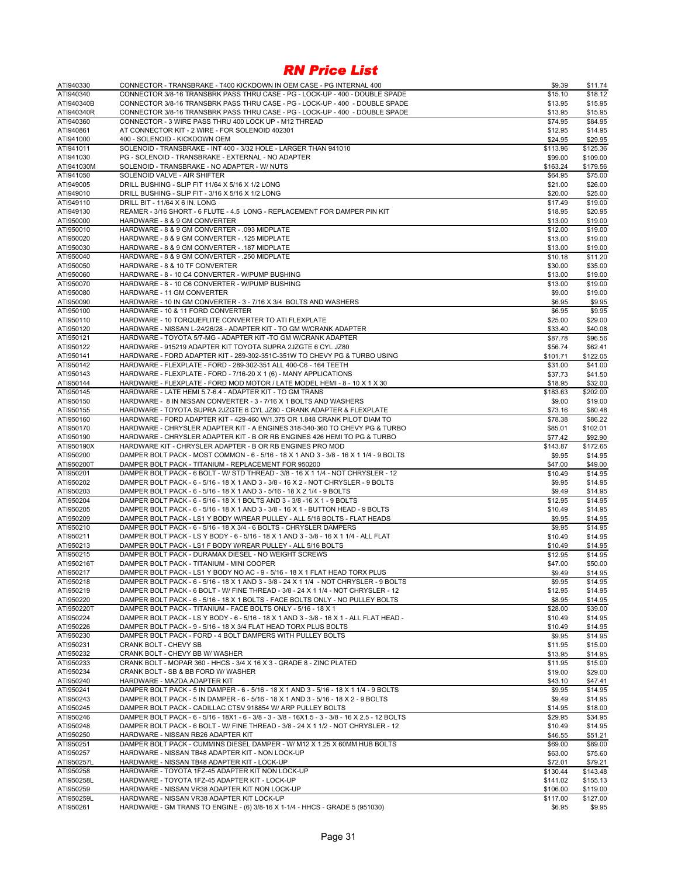| ATI940330              | CONNECTOR - TRANSBRAKE - T400 KICKDOWN IN OEM CASE - PG INTERNAL 400                            | \$9.39   | \$11.74  |
|------------------------|-------------------------------------------------------------------------------------------------|----------|----------|
| ATI940340              | CONNECTOR 3/8-16 TRANSBRK PASS THRU CASE - PG - LOCK-UP - 400 - DOUBLE SPADE                    | \$15.10  | \$18.12  |
| ATI940340B             | CONNECTOR 3/8-16 TRANSBRK PASS THRU CASE - PG - LOCK-UP - 400 - DOUBLE SPADE                    | \$13.95  | \$15.95  |
| ATI940340R             | CONNECTOR 3/8-16 TRANSBRK PASS THRU CASE - PG - LOCK-UP - 400 - DOUBLE SPADE                    | \$13.95  | \$15.95  |
| ATI940360              | CONNECTOR - 3 WIRE PASS THRU 400 LOCK UP - M12 THREAD                                           | \$74.95  | \$84.95  |
| ATI940861              | AT CONNECTOR KIT - 2 WIRE - FOR SOLENOID 402301                                                 | \$12.95  | \$14.95  |
| ATI941000              | 400 - SOLENOID - KICKDOWN OEM                                                                   | \$24.95  | \$29.95  |
|                        |                                                                                                 |          |          |
| ATI941011              | SOLENOID - TRANSBRAKE - INT 400 - 3/32 HOLE - LARGER THAN 941010                                | \$113.96 | \$125.36 |
| ATI941030              | PG - SOLENOID - TRANSBRAKE - EXTERNAL - NO ADAPTER                                              | \$99.00  | \$109.00 |
| ATI941030M             | SOLENOID - TRANSBRAKE - NO ADAPTER - W/ NUTS                                                    | \$163.24 | \$179.56 |
| ATI941050              | SOLENOID VALVE - AIR SHIFTER                                                                    | \$64.95  | \$75.00  |
| ATI949005              | DRILL BUSHING - SLIP FIT 11/64 X 5/16 X 1/2 LONG                                                | \$21.00  | \$26.00  |
| ATI949010              | DRILL BUSHING - SLIP FIT - 3/16 X 5/16 X 1/2 LONG                                               | \$20.00  | \$25.00  |
| ATI949110              | DRILL BIT - 11/64 X 6 IN. LONG                                                                  | \$17.49  | \$19.00  |
| ATI949130              | REAMER - 3/16 SHORT - 6 FLUTE - 4.5 LONG - REPLACEMENT FOR DAMPER PIN KIT                       | \$18.95  | \$20.95  |
| ATI950000              | HARDWARE - 8 & 9 GM CONVERTER                                                                   | \$13.00  | \$19.00  |
| ATI950010              | HARDWARE - 8 & 9 GM CONVERTER - .093 MIDPLATE                                                   | \$12.00  | \$19.00  |
| ATI950020              | HARDWARE - 8 & 9 GM CONVERTER - .125 MIDPLATE                                                   | \$13.00  | \$19.00  |
| ATI950030              | HARDWARE - 8 & 9 GM CONVERTER - .187 MIDPLATE                                                   | \$13.00  | \$19.00  |
| ATI950040              | HARDWARE - 8 & 9 GM CONVERTER - .250 MIDPLATE                                                   | \$10.18  | \$11.20  |
| ATI950050              | HARDWARE - 8 & 10 TF CONVERTER                                                                  | \$30.00  | \$35.00  |
| ATI950060              | HARDWARE - 8 - 10 C4 CONVERTER - W/PUMP BUSHING                                                 | \$13.00  | \$19.00  |
| ATI950070              | HARDWARE - 8 - 10 C6 CONVERTER - W/PUMP BUSHING                                                 | \$13.00  | \$19.00  |
|                        |                                                                                                 |          |          |
| ATI950080              | HARDWARE - 11 GM CONVERTER                                                                      | \$9.00   | \$19.00  |
| ATI950090              | HARDWARE - 10 IN GM CONVERTER - 3 - 7/16 X 3/4 BOLTS AND WASHERS                                | \$6.95   | \$9.95   |
| ATI950100              | HARDWARE - 10 & 11 FORD CONVERTER                                                               | \$6.95   | \$9.95   |
| ATI950110              | HARDWARE - 10 TORQUEFLITE CONVERTER TO ATI FLEXPLATE                                            | \$25.00  | \$29.00  |
| ATI950120              | HARDWARE - NISSAN L-24/26/28 - ADAPTER KIT - TO GM W/CRANK ADAPTER                              | \$33.40  | \$40.08  |
| ATI950121              | HARDWARE - TOYOTA 5/7-MG - ADAPTER KIT -TO GM W/CRANK ADAPTER                                   | \$87.78  | \$96.56  |
| ATI950122              | HARDWARE - 915219 ADAPTER KIT TOYOTA SUPRA 2JZGTE 6 CYL JZ80                                    | \$56.74  | \$62.41  |
| ATI950141              | HARDWARE - FORD ADAPTER KIT - 289-302-351C-351W TO CHEVY PG & TURBO USING                       | \$101.71 | \$122.05 |
| ATI950142              | HARDWARE - FLEXPLATE - FORD - 289-302-351 ALL 400-C6 - 164 TEETH                                | \$31.00  | \$41.00  |
| ATI950143              | HARDWARE - FLEXPLATE - FORD - 7/16-20 X 1 (6) - MANY APPLICATIONS                               | \$37.73  | \$41.50  |
| ATI950144              | HARDWARE - FLEXPLATE - FORD MOD MOTOR / LATE MODEL HEMI - 8 - 10 X 1 X 30                       | \$18.95  | \$32.00  |
| ATI950145              | HARDWARE - LATE HEMI 5.7-6.4 - ADAPTER KIT - TO GM TRANS                                        | \$183.63 | \$202.00 |
| ATI950150              | HARDWARE - 8 IN NISSAN CONVERTER - 3 - 7/16 X 1 BOLTS AND WASHERS                               | \$9.00   | \$19.00  |
| ATI950155              | HARDWARE - TOYOTA SUPRA 2JZGTE 6 CYL JZ80 - CRANK ADAPTER & FLEXPLATE                           | \$73.16  | \$80.48  |
| ATI950160              | HARDWARE - FORD ADAPTER KIT - 429-460 W/1.375 OR 1.848 CRANK PILOT DIAM TO                      | \$78.38  | \$86.22  |
|                        |                                                                                                 |          |          |
| ATI950170              | HARDWARE - CHRYSLER ADAPTER KIT - A ENGINES 318-340-360 TO CHEVY PG & TURBO                     | \$85.01  | \$102.01 |
| ATI950190              | HARDWARE - CHRYSLER ADAPTER KIT - B OR RB ENGINES 426 HEMI TO PG & TURBO                        | \$77.42  | \$92.90  |
| ATI950190X             | HARDWARE KIT - CHRYSLER ADAPTER - B OR RB ENGINES PRO MOD                                       | \$143.87 | \$172.65 |
| ATI950200              | DAMPER BOLT PACK - MOST COMMON - 6 - 5/16 - 18 X 1 AND 3 - 3/8 - 16 X 1 1/4 - 9 BOLTS           | \$9.95   | \$14.95  |
| ATI950200T             | DAMPER BOLT PACK - TITANIUM - REPLACEMENT FOR 950200                                            | \$47.00  | \$49.00  |
| ATI950201              | DAMPER BOLT PACK - 6 BOLT - W/ STD THREAD - 3/8 - 16 X 1 1/4 - NOT CHRYSLER - 12                | \$10.49  | \$14.95  |
| ATI950202              | DAMPER BOLT PACK - 6 - 5/16 - 18 X 1 AND 3 - 3/8 - 16 X 2 - NOT CHRYSLER - 9 BOLTS              | \$9.95   | \$14.95  |
| ATI950203              | DAMPER BOLT PACK - 6 - 5/16 - 18 X 1 AND 3 - 5/16 - 18 X 2 1/4 - 9 BOLTS                        | \$9.49   | \$14.95  |
| ATI950204              | DAMPER BOLT PACK - 6 - 5/16 - 18 X 1 BOLTS AND 3 - 3/8 -16 X 1 - 9 BOLTS                        | \$12.95  | \$14.95  |
| ATI950205              | DAMPER BOLT PACK - 6 - 5/16 - 18 X 1 AND 3 - 3/8 - 16 X 1 - BUTTON HEAD - 9 BOLTS               | \$10.49  | \$14.95  |
| ATI950209              | DAMPER BOLT PACK - LS1 Y BODY W/REAR PULLEY - ALL 5/16 BOLTS - FLAT HEADS                       | \$9.95   | \$14.95  |
| ATI950210              | DAMPER BOLT PACK - 6 - 5/16 - 18 X 3/4 - 6 BOLTS - CHRYSLER DAMPERS                             | \$9.95   | \$14.95  |
| ATI950211              | DAMPER BOLT PACK - LS Y BODY - 6 - 5/16 - 18 X 1 AND 3 - 3/8 - 16 X 1 1/4 - ALL FLAT            | \$10.49  | \$14.95  |
| ATI950213              | DAMPER BOLT PACK - LS1 F BODY W/REAR PULLEY - ALL 5/16 BOLTS                                    | \$10.49  | \$14.95  |
| ATI950215              | DAMPER BOLT PACK - DURAMAX DIESEL - NO WEIGHT SCREWS                                            | \$12.95  | \$14.95  |
| ATI950216T             | DAMPER BOLT PACK - TITANIUM - MINI COOPER                                                       | \$47.00  | \$50.00  |
| ATI950217              | DAMPER BOLT PACK - LS1 Y BODY NO AC - 9 - 5/16 - 18 X 1 FLAT HEAD TORX PLUS                     | \$9.49   | \$14.95  |
| ATI950218              | DAMPER BOLT PACK - 6 - 5/16 - 18 X 1 AND 3 - 3/8 - 24 X 1 1/4 - NOT CHRYSLER - 9 BOLTS          | \$9.95   | \$14.95  |
|                        | DAMPER BOLT PACK - 6 BOLT - W/ FINE THREAD - 3/8 - 24 X 1 1/4 - NOT CHRYSLER - 12               |          |          |
| ATI950219<br>ATI950220 | DAMPER BOLT PACK - 6 - 5/16 - 18 X 1 BOLTS - FACE BOLTS ONLY - NO PULLEY BOLTS                  | \$12.95  | \$14.95  |
|                        |                                                                                                 | \$8.95   | \$14.95  |
| ATI950220T             | DAMPER BOLT PACK - TITANIUM - FACE BOLTS ONLY - 5/16 - 18 X 1                                   | \$28.00  | \$39.00  |
| ATI950224              | DAMPER BOLT PACK - LS Y BODY - 6 - 5/16 - 18 X 1 AND 3 - 3/8 - 16 X 1 - ALL FLAT HEAD -         | \$10.49  | \$14.95  |
| ATI950226              | DAMPER BOLT PACK - 9 - 5/16 - 18 X 3/4 FLAT HEAD TORX PLUS BOLTS                                | \$10.49  | \$14.95  |
| ATI950230              | DAMPER BOLT PACK - FORD - 4 BOLT DAMPERS WITH PULLEY BOLTS                                      | \$9.95   | \$14.95  |
| ATI950231              | <b>CRANK BOLT - CHEVY SB</b>                                                                    | \$11.95  | \$15.00  |
| ATI950232              | CRANK BOLT - CHEVY BB W/ WASHER                                                                 | \$13.95  | \$14.95  |
| ATI950233              | CRANK BOLT - MOPAR 360 - HHCS - 3/4 X 16 X 3 - GRADE 8 - ZINC PLATED                            | \$11.95  | \$15.00  |
| ATI950234              | CRANK BOLT - SB & BB FORD W/ WASHER                                                             | \$19.00  | \$29.00  |
| ATI950240              | HARDWARE - MAZDA ADAPTER KIT                                                                    | \$43.10  | \$47.41  |
| ATI950241              | DAMPER BOLT PACK - 5 IN DAMPER - 6 - 5/16 - 18 X 1 AND 3 - 5/16 - 18 X 1 1/4 - 9 BOLTS          | \$9.95   | \$14.95  |
| ATI950243              | DAMPER BOLT PACK - 5 IN DAMPER - 6 - 5/16 - 18 X 1 AND 3 - 5/16 - 18 X 2 - 9 BOLTS              | \$9.49   | \$14.95  |
| ATI950245              | DAMPER BOLT PACK - CADILLAC CTSV 918854 W/ ARP PULLEY BOLTS                                     | \$14.95  | \$18.00  |
| ATI950246              | DAMPER BOLT PACK - 6 - 5/16 - 18X1 - 6 - 3/8 - 3 - 3/8 - 16X1.5 - 3 - 3/8 - 16 X 2.5 - 12 BOLTS | \$29.95  | \$34.95  |
| ATI950248              | DAMPER BOLT PACK - 6 BOLT - W/ FINE THREAD - 3/8 - 24 X 1 1/2 - NOT CHRYSLER - 12               | \$10.49  | \$14.95  |
| ATI950250              | HARDWARE - NISSAN RB26 ADAPTER KIT                                                              | \$46.55  | \$51.21  |
| ATI950251              | DAMPER BOLT PACK - CUMMINS DIESEL DAMPER - W/ M12 X 1.25 X 60MM HUB BOLTS                       | \$69.00  | \$89.00  |
| ATI950257              | HARDWARE - NISSAN TB48 ADAPTER KIT - NON LOCK-UP                                                | \$63.00  | \$75.60  |
|                        |                                                                                                 |          |          |
| ATI950257L             | HARDWARE - NISSAN TB48 ADAPTER KIT - LOCK-UP                                                    | \$72.01  | \$79.21  |
| ATI950258              | HARDWARE - TOYOTA 1FZ-45 ADAPTER KIT NON LOCK-UP                                                | \$130.44 | \$143.48 |
| ATI950258L             | HARDWARE - TOYOTA 1FZ-45 ADAPTER KIT - LOCK-UP                                                  | \$141.02 | \$155.13 |
| ATI950259              | HARDWARE - NISSAN VR38 ADAPTER KIT NON LOCK-UP                                                  | \$106.00 | \$119.00 |
| ATI950259L             | HARDWARE - NISSAN VR38 ADAPTER KIT LOCK-UP                                                      | \$117.00 | \$127.00 |
| ATI950261              | HARDWARE - GM TRANS TO ENGINE - (6) 3/8-16 X 1-1/4 - HHCS - GRADE 5 (951030)                    | \$6.95   | \$9.95   |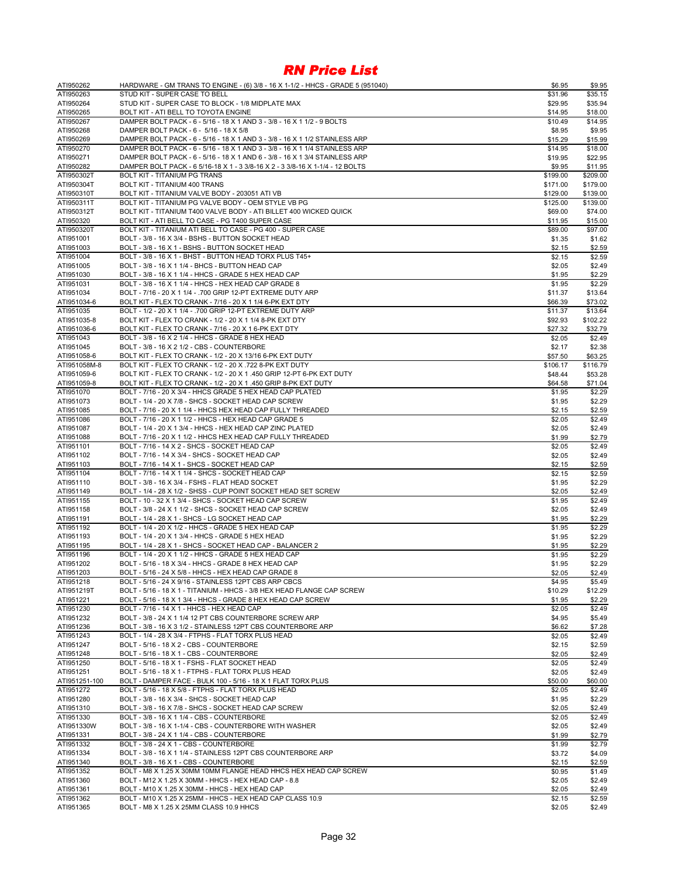| ATI950262     | HARDWARE - GM TRANS TO ENGINE - (6) 3/8 - 16 X 1-1/2 - HHCS - GRADE 5 (951040)                                  | \$6.95   | \$9.95   |
|---------------|-----------------------------------------------------------------------------------------------------------------|----------|----------|
| ATI950263     | STUD KIT - SUPER CASE TO BELL                                                                                   | \$31.96  | \$35.15  |
| ATI950264     | STUD KIT - SUPER CASE TO BLOCK - 1/8 MIDPLATE MAX                                                               | \$29.95  | \$35.94  |
| ATI950265     | BOLT KIT - ATI BELL TO TOYOTA ENGINE                                                                            | \$14.95  | \$18.00  |
| ATI950267     | DAMPER BOLT PACK - 6 - 5/16 - 18 X 1 AND 3 - 3/8 - 16 X 1 1/2 - 9 BOLTS                                         | \$10.49  | \$14.95  |
| ATI950268     | DAMPER BOLT PACK - 6 - 5/16 - 18 X 5/8                                                                          | \$8.95   | \$9.95   |
| ATI950269     | DAMPER BOLT PACK - 6 - 5/16 - 18 X 1 AND 3 - 3/8 - 16 X 1 1/2 STAINLESS ARP                                     | \$15.29  | \$15.99  |
| ATI950270     | DAMPER BOLT PACK - 6 - 5/16 - 18 X 1 AND 3 - 3/8 - 16 X 1 1/4 STAINLESS ARP                                     | \$14.95  | \$18.00  |
| ATI950271     | DAMPER BOLT PACK - 6 - 5/16 - 18 X 1 AND 6 - 3/8 - 16 X 1 3/4 STAINLESS ARP                                     | \$19.95  | \$22.95  |
| ATI950282     | DAMPER BOLT PACK - 6 5/16-18 X 1 - 3 3/8-16 X 2 - 3 3/8-16 X 1-1/4 - 12 BOLTS                                   | \$9.95   | \$11.95  |
| ATI950302T    | BOLT KIT - TITANIUM PG TRANS                                                                                    | \$199.00 | \$209.00 |
| ATI950304T    | BOLT KIT - TITANIUM 400 TRANS                                                                                   | \$171.00 | \$179.00 |
| ATI950310T    | BOLT KIT - TITANIUM VALVE BODY - 203051 ATI VB                                                                  | \$129.00 | \$139.00 |
| ATI950311T    | BOLT KIT - TITANIUM PG VALVE BODY - OEM STYLE VB PG                                                             | \$125.00 | \$139.00 |
| ATI950312T    | BOLT KIT - TITANIUM T400 VALVE BODY - ATI BILLET 400 WICKED QUICK                                               | \$69.00  | \$74.00  |
|               | BOLT KIT - ATI BELL TO CASE - PG T400 SUPER CASE                                                                |          |          |
| ATI950320     |                                                                                                                 | \$11.95  | \$15.00  |
| ATI950320T    | BOLT KIT - TITANIUM ATI BELL TO CASE - PG 400 - SUPER CASE<br>BOLT - 3/8 - 16 X 3/4 - BSHS - BUTTON SOCKET HEAD | \$89.00  | \$97.00  |
| ATI951001     |                                                                                                                 | \$1.35   | \$1.62   |
| ATI951003     | BOLT - 3/8 - 16 X 1 - BSHS - BUTTON SOCKET HEAD                                                                 | \$2.15   | \$2.59   |
| ATI951004     | BOLT - 3/8 - 16 X 1 - BHST - BUTTON HEAD TORX PLUS T45+                                                         | \$2.15   | \$2.59   |
| ATI951005     | BOLT - 3/8 - 16 X 1 1/4 - BHCS - BUTTON HEAD CAP                                                                | \$2.05   | \$2.49   |
| ATI951030     | BOLT - 3/8 - 16 X 1 1/4 - HHCS - GRADE 5 HEX HEAD CAP                                                           | \$1.95   | \$2.29   |
| ATI951031     | BOLT - 3/8 - 16 X 1 1/4 - HHCS - HEX HEAD CAP GRADE 8                                                           | \$1.95   | \$2.29   |
| ATI951034     | BOLT - 7/16 - 20 X 1 1/4 - .700 GRIP 12-PT EXTREME DUTY ARP                                                     | \$11.37  | \$13.64  |
| ATI951034-6   | BOLT KIT - FLEX TO CRANK - 7/16 - 20 X 1 1/4 6-PK EXT DTY                                                       | \$66.39  | \$73.02  |
| ATI951035     | BOLT - 1/2 - 20 X 1 1/4 - .700 GRIP 12-PT EXTREME DUTY ARP                                                      | \$11.37  | \$13.64  |
| ATI951035-8   | BOLT KIT - FLEX TO CRANK - 1/2 - 20 X 1 1/4 8-PK EXT DTY                                                        | \$92.93  | \$102.22 |
| ATI951036-6   | BOLT KIT - FLEX TO CRANK - 7/16 - 20 X 1 6-PK EXT DTY                                                           | \$27.32  | \$32.79  |
| ATI951043     | BOLT - 3/8 - 16 X 2 1/4 - HHCS - GRADE 8 HEX HEAD                                                               | \$2.05   | \$2.49   |
| ATI951045     | BOLT - 3/8 - 16 X 2 1/2 - CBS - COUNTERBORE                                                                     | \$2.17   | \$2.38   |
| ATI951058-6   | BOLT KIT - FLEX TO CRANK - 1/2 - 20 X 13/16 6-PK EXT DUTY                                                       | \$57.50  | \$63.25  |
| ATI951058M-8  | BOLT KIT - FLEX TO CRANK - 1/2 - 20 X .722 8-PK EXT DUTY                                                        | \$106.17 | \$116.79 |
| ATI951059-6   | BOLT KIT - FLEX TO CRANK - 1/2 - 20 X 1 .450 GRIP 12-PT 6-PK EXT DUTY                                           | \$48.44  | \$53.28  |
| ATI951059-8   | BOLT KIT - FLEX TO CRANK - 1/2 - 20 X 1 .450 GRIP 8-PK EXT DUTY                                                 | \$64.58  | \$71.04  |
| ATI951070     | BOLT - 7/16 - 20 X 3/4 - HHCS GRADE 5 HEX HEAD CAP PLATED                                                       | \$1.95   | \$2.29   |
| ATI951073     | BOLT - 1/4 - 20 X 7/8 - SHCS - SOCKET HEAD CAP SCREW                                                            | \$1.95   | \$2.29   |
| ATI951085     | BOLT - 7/16 - 20 X 1 1/4 - HHCS HEX HEAD CAP FULLY THREADED                                                     | \$2.15   | \$2.59   |
| ATI951086     | BOLT - 7/16 - 20 X 1 1/2 - HHCS - HEX HEAD CAP GRADE 5                                                          | \$2.05   | \$2.49   |
| ATI951087     | BOLT - 1/4 - 20 X 1 3/4 - HHCS - HEX HEAD CAP ZINC PLATED                                                       | \$2.05   | \$2.49   |
| ATI951088     | BOLT - 7/16 - 20 X 1 1/2 - HHCS HEX HEAD CAP FULLY THREADED                                                     | \$1.99   | \$2.79   |
| ATI951101     | BOLT - 7/16 - 14 X 2 - SHCS - SOCKET HEAD CAP                                                                   | \$2.05   | \$2.49   |
| ATI951102     | BOLT - 7/16 - 14 X 3/4 - SHCS - SOCKET HEAD CAP                                                                 | \$2.05   | \$2.49   |
| ATI951103     | BOLT - 7/16 - 14 X 1 - SHCS - SOCKET HEAD CAP                                                                   | \$2.15   | \$2.59   |
| ATI951104     | BOLT - 7/16 - 14 X 1 1/4 - SHCS - SOCKET HEAD CAP                                                               | \$2.15   | \$2.59   |
| ATI951110     | BOLT - 3/8 - 16 X 3/4 - FSHS - FLAT HEAD SOCKET                                                                 | \$1.95   | \$2.29   |
| ATI951149     | BOLT - 1/4 - 28 X 1/2 - SHSS - CUP POINT SOCKET HEAD SET SCREW                                                  | \$2.05   | \$2.49   |
| ATI951155     | BOLT - 10 - 32 X 1 3/4 - SHCS - SOCKET HEAD CAP SCREW                                                           |          | \$2.49   |
|               |                                                                                                                 | \$1.95   |          |
| ATI951158     | BOLT - 3/8 - 24 X 1 1/2 - SHCS - SOCKET HEAD CAP SCREW                                                          | \$2.05   | \$2.49   |
| ATI951191     | BOLT - 1/4 - 28 X 1 - SHCS - LG SOCKET HEAD CAP                                                                 | \$1.95   | \$2.29   |
| ATI951192     | BOLT - 1/4 - 20 X 1/2 - HHCS - GRADE 5 HEX HEAD CAP                                                             | \$1.95   | \$2.29   |
| ATI951193     | BOLT - 1/4 - 20 X 1 3/4 - HHCS - GRADE 5 HEX HEAD                                                               | \$1.95   | \$2.29   |
| ATI951195     | BOLT - 1/4 - 28 X 1 - SHCS - SOCKET HEAD CAP - BALANCER 2                                                       | \$1.95   | \$2.29   |
| ATI951196     | BOLT - 1/4 - 20 X 1 1/2 - HHCS - GRADE 5 HEX HEAD CAP                                                           | \$1.95   | \$2.29   |
| ATI951202     | BOLT - 5/16 - 18 X 3/4 - HHCS - GRADE 8 HEX HEAD CAP                                                            | \$1.95   | \$2.29   |
| ATI951203     | BOLT - 5/16 - 24 X 5/8 - HHCS - HEX HEAD CAP GRADE 8                                                            | \$2.05   | \$2.49   |
| ATI951218     | BOLT - 5/16 - 24 X 9/16 - STAINLESS 12PT CBS ARP CBCS                                                           | \$4.95   | \$5.49   |
| ATI951219T    | BOLT - 5/16 - 18 X 1 - TITANIUM - HHCS - 3/8 HEX HEAD FLANGE CAP SCREW                                          | \$10.29  | \$12.29  |
| ATI951221     | BOLT - 5/16 - 18 X 1 3/4 - HHCS - GRADE 8 HEX HEAD CAP SCREW                                                    | \$1.95   | \$2.29   |
| ATI951230     | BOLT - 7/16 - 14 X 1 - HHCS - HEX HEAD CAP                                                                      | \$2.05   | \$2.49   |
| ATI951232     | BOLT - 3/8 - 24 X 1 1/4 12 PT CBS COUNTERBORE SCREW ARP                                                         | \$4.95   | \$5.49   |
| ATI951236     | BOLT - 3/8 - 16 X 3 1/2 - STAINLESS 12PT CBS COUNTERBORE ARP                                                    | \$6.62   | \$7.28   |
| ATI951243     | BOLT - 1/4 - 28 X 3/4 - FTPHS - FLAT TORX PLUS HEAD                                                             | \$2.05   | \$2.49   |
| ATI951247     | BOLT - 5/16 - 18 X 2 - CBS - COUNTERBORE                                                                        | \$2.15   | \$2.59   |
| ATI951248     | BOLT - 5/16 - 18 X 1 - CBS - COUNTERBORE                                                                        | \$2.05   | \$2.49   |
| ATI951250     | BOLT - 5/16 - 18 X 1 - FSHS - FLAT SOCKET HEAD                                                                  | \$2.05   | \$2.49   |
| ATI951251     | BOLT - 5/16 - 18 X 1 - FTPHS - FLAT TORX PLUS HEAD                                                              | \$2.05   | \$2.49   |
| ATI951251-100 | BOLT - DAMPER FACE - BULK 100 - 5/16 - 18 X 1 FLAT TORX PLUS                                                    | \$50.00  | \$60.00  |
| ATI951272     | BOLT - 5/16 - 18 X 5/8 - FTPHS - FLAT TORX PLUS HEAD                                                            | \$2.05   | \$2.49   |
| ATI951280     | BOLT - 3/8 - 16 X 3/4 - SHCS - SOCKET HEAD CAP                                                                  | \$1.95   | \$2.29   |
| ATI951310     | BOLT - 3/8 - 16 X 7/8 - SHCS - SOCKET HEAD CAP SCREW                                                            | \$2.05   | \$2.49   |
| ATI951330     | BOLT - 3/8 - 16 X 1 1/4 - CBS - COUNTERBORE                                                                     | \$2.05   | \$2.49   |
| ATI951330W    | BOLT - 3/8 - 16 X 1-1/4 - CBS - COUNTERBORE WITH WASHER                                                         | \$2.05   | \$2.49   |
| ATI951331     | BOLT - 3/8 - 24 X 1 1/4 - CBS - COUNTERBORE                                                                     | \$1.99   | \$2.79   |
|               | BOLT - 3/8 - 24 X 1 - CBS - COUNTERBORE                                                                         |          | \$2.79   |
| ATI951332     |                                                                                                                 | \$1.99   |          |
| ATI951334     | BOLT - 3/8 - 16 X 1 1/4 - STAINLESS 12PT CBS COUNTERBORE ARP                                                    | \$3.72   | \$4.09   |
| ATI951340     | BOLT - 3/8 - 16 X 1 - CBS - COUNTERBORE                                                                         | \$2.15   | \$2.59   |
| ATI951352     | BOLT - M8 X 1.25 X 30MM 10MM FLANGE HEAD HHCS HEX HEAD CAP SCREW                                                | \$0.95   | \$1.49   |
| ATI951360     | BOLT - M12 X 1.25 X 30MM - HHCS - HEX HEAD CAP - 8.8                                                            | \$2.05   | \$2.49   |
| ATI951361     | BOLT - M10 X 1.25 X 30MM - HHCS - HEX HEAD CAP                                                                  | \$2.05   | \$2.49   |
| ATI951362     | BOLT - M10 X 1.25 X 25MM - HHCS - HEX HEAD CAP CLASS 10.9                                                       | \$2.15   | \$2.59   |
| ATI951365     | BOLT - M8 X 1.25 X 25MM CLASS 10.9 HHCS                                                                         | \$2.05   | \$2.49   |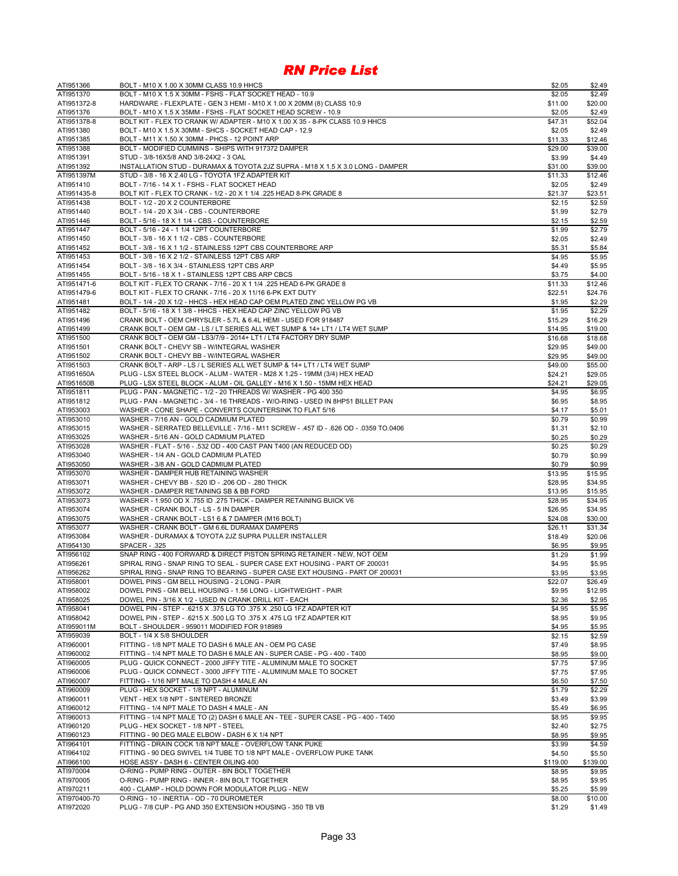| ATI951366              | BOLT - M10 X 1.00 X 30MM CLASS 10.9 HHCS                                                                                        | \$2.05            | \$2.49            |
|------------------------|---------------------------------------------------------------------------------------------------------------------------------|-------------------|-------------------|
| ATI951370              | BOLT - M10 X 1.5 X 30MM - FSHS - FLAT SOCKET HEAD - 10.9                                                                        | \$2.05            | \$2.49            |
| ATI951372-8            | HARDWARE - FLEXPLATE - GEN 3 HEMI - M10 X 1.00 X 20MM (8) CLASS 10.9                                                            | \$11.00           | \$20.00           |
| ATI951376              | BOLT - M10 X 1.5 X 35MM - FSHS - FLAT SOCKET HEAD SCREW - 10.9                                                                  | \$2.05            | \$2.49            |
| ATI951378-8            | BOLT KIT - FLEX TO CRANK W/ ADAPTER - M10 X 1.00 X 35 - 8-PK CLASS 10.9 HHCS                                                    | \$47.31           | \$52.04           |
| ATI951380              | BOLT - M10 X 1.5 X 30MM - SHCS - SOCKET HEAD CAP - 12.9                                                                         | \$2.05            | \$2.49            |
| ATI951385              | BOLT - M11 X 1.50 X 30MM - PHCS - 12 POINT ARP                                                                                  | \$11.33           | \$12.46           |
| ATI951388<br>ATI951391 | BOLT - MODIFIED CUMMINS - SHIPS WITH 917372 DAMPER<br>STUD - 3/8-16X5/8 AND 3/8-24X2 - 3 OAL                                    | \$29.00<br>\$3.99 | \$39.00<br>\$4.49 |
| ATI951392              | INSTALLATION STUD - DURAMAX & TOYOTA 2JZ SUPRA - M18 X 1.5 X 3.0 LONG - DAMPER                                                  | \$31.00           | \$39.00           |
| ATI951397M             | STUD - 3/8 - 16 X 2.40 LG - TOYOTA 1FZ ADAPTER KIT                                                                              | \$11.33           | \$12.46           |
| ATI951410              | BOLT - 7/16 - 14 X 1 - FSHS - FLAT SOCKET HEAD                                                                                  | \$2.05            | \$2.49            |
| ATI951435-8            | BOLT KIT - FLEX TO CRANK - 1/2 - 20 X 1 1/4 .225 HEAD 8-PK GRADE 8                                                              | \$21.37           | \$23.51           |
| ATI951438              | BOLT - 1/2 - 20 X 2 COUNTERBORE                                                                                                 | \$2.15            | \$2.59            |
| ATI951440              | BOLT - 1/4 - 20 X 3/4 - CBS - COUNTERBORE                                                                                       | \$1.99            | \$2.79            |
| ATI951446              | BOLT - 5/16 - 18 X 1 1/4 - CBS - COUNTERBORE                                                                                    | \$2.15            | \$2.59            |
| ATI951447              | BOLT - 5/16 - 24 - 1 1/4 12PT COUNTERBORE                                                                                       | \$1.99            | \$2.79            |
| ATI951450              | BOLT - 3/8 - 16 X 1 1/2 - CBS - COUNTERBORE                                                                                     | \$2.05            | \$2.49            |
| ATI951452              | BOLT - 3/8 - 16 X 1 1/2 - STAINLESS 12PT CBS COUNTERBORE ARP                                                                    | \$5.31            | \$5.84            |
| ATI951453              | BOLT - 3/8 - 16 X 2 1/2 - STAINLESS 12PT CBS ARP                                                                                | \$4.95            | \$5.95            |
| ATI951454              | BOLT - 3/8 - 16 X 3/4 - STAINLESS 12PT CBS ARP                                                                                  | \$4.49            | \$5.95            |
| ATI951455              | BOLT - 5/16 - 18 X 1 - STAINLESS 12PT CBS ARP CBCS                                                                              | \$3.75            | \$4.00            |
| ATI951471-6            | BOLT KIT - FLEX TO CRANK - 7/16 - 20 X 1 1/4 .225 HEAD 6-PK GRADE 8                                                             | \$11.33           | \$12.46           |
| ATI951479-6            | BOLT KIT - FLEX TO CRANK - 7/16 - 20 X 11/16 6-PK EXT DUTY                                                                      | \$22.51           | \$24.76           |
| ATI951481              | BOLT - 1/4 - 20 X 1/2 - HHCS - HEX HEAD CAP OEM PLATED ZINC YELLOW PG VB                                                        | \$1.95            | \$2.29            |
| ATI951482              | BOLT - 5/16 - 18 X 1 3/8 - HHCS - HEX HEAD CAP ZINC YELLOW PG VB                                                                | \$1.95            | \$2.29            |
| ATI951496              | CRANK BOLT - OEM CHRYSLER - 5.7L & 6.4L HEMI - USED FOR 918487                                                                  | \$15.29           | \$16.29           |
| ATI951499              | CRANK BOLT - OEM GM - LS / LT SERIES ALL WET SUMP & 14+ LT1 / LT4 WET SUMP                                                      | \$14.95           | \$19.00           |
| ATI951500              | CRANK BOLT - OEM GM - LS3/7/9 - 2014+ LT1 / LT4 FACTORY DRY SUMP                                                                | \$16.68           | \$18.68           |
| ATI951501              | CRANK BOLT - CHEVY SB - W/INTEGRAL WASHER                                                                                       | \$29.95           | \$49.00           |
| ATI951502              | CRANK BOLT - CHEVY BB - W/INTEGRAL WASHER                                                                                       | \$29.95           | \$49.00           |
| ATI951503              | CRANK BOLT - ARP - LS / L SERIES ALL WET SUMP & 14+ LT1 / LT4 WET SUMP                                                          | \$49.00           | \$55.00           |
| ATI951650A             | PLUG - LSX STEEL BLOCK - ALUM - WATER - M28 X 1.25 - 19MM (3/4) HEX HEAD                                                        | \$24.21           | \$29.05           |
| ATI951650B             | PLUG - LSX STEEL BLOCK - ALUM - OIL GALLEY - M16 X 1.50 - 15MM HEX HEAD                                                         | \$24.21           | \$29.05           |
| ATI951811              | PLUG - PAN - MAGNETIC - 1/2 - 20 THREADS W/ WASHER - PG 400 350                                                                 | \$4.95            | \$6.95            |
| ATI951812              | PLUG - PAN - MAGNETIC - 3/4 - 16 THREADS - W/O-RING - USED IN 8HP51 BILLET PAN                                                  | \$6.95            | \$8.95            |
| ATI953003<br>ATI953010 | WASHER - CONE SHAPE - CONVERTS COUNTERSINK TO FLAT 5/16<br>WASHER - 7/16 AN - GOLD CADMIUM PLATED                               | \$4.17<br>\$0.79  | \$5.01<br>\$0.99  |
| ATI953015              | 0359 TO.0406. - 626 OD. 437 ID. 457 ID. 626 OD. 407 - 988 WASHER - SERRATED BELLEVILLE                                          | \$1.31            | \$2.10            |
| ATI953025              | WASHER - 5/16 AN - GOLD CADMIUM PLATED                                                                                          | \$0.25            | \$0.29            |
| ATI953028              | WASHER - FLAT - 5/16 - .532 OD - 400 CAST PAN T400 (AN REDUCED OD)                                                              | \$0.25            | \$0.29            |
| ATI953040              | WASHER - 1/4 AN - GOLD CADMIUM PLATED                                                                                           | \$0.79            | \$0.99            |
| ATI953050              | WASHER - 3/8 AN - GOLD CADMIUM PLATED                                                                                           | \$0.79            | \$0.99            |
| ATI953070              | WASHER - DAMPER HUB RETAINING WASHER                                                                                            | \$13.95           | \$15.95           |
| ATI953071              | WASHER - CHEVY BB - .520 ID - .206 OD - .280 THICK                                                                              | \$28.95           | \$34.95           |
| ATI953072              | WASHER - DAMPER RETAINING SB & BB FORD                                                                                          | \$13.95           | \$15.95           |
| ATI953073              | WASHER - 1.950 OD X .755 ID .275 THICK - DAMPER RETAINING BUICK V6                                                              | \$28.95           | \$34.95           |
| ATI953074              | WASHER - CRANK BOLT - LS - 5 IN DAMPER                                                                                          | \$26.95           | \$34.95           |
| ATI953075              | WASHER - CRANK BOLT - LS1 6 & 7 DAMPER (M16 BOLT)                                                                               | \$24.08           | \$30.00           |
| ATI953077              | WASHER - CRANK BOLT - GM 6.6L DURAMAX DAMPERS                                                                                   | \$26.11           | \$31.34           |
| ATI953084              | WASHER - DURAMAX & TOYOTA 2JZ SUPRA PULLER INSTALLER                                                                            | \$18.49           | \$20.06           |
| ATI954130              | <b>SPACER - .325</b>                                                                                                            | \$6.95            | \$9.95            |
| ATI956102              | SNAP RING - 400 FORWARD & DIRECT PISTON SPRING RETAINER - NEW, NOT OEM                                                          | \$1.29            | \$1.99            |
| ATI956261              | SPIRAL RING - SNAP RING TO SEAL - SUPER CASE EXT HOUSING - PART OF 200031                                                       | \$4.95            | \$5.95            |
| ATI956262              | SPIRAL RING - SNAP RING TO BEARING - SUPER CASE EXT HOUSING - PART OF 200031                                                    | \$3.95            | \$3.95            |
| ATI958001              | DOWEL PINS - GM BELL HOUSING - 2 LONG - PAIR                                                                                    | \$22.07           | \$26.49           |
| ATI958002              | DOWEL PINS - GM BELL HOUSING - 1.56 LONG - LIGHTWEIGHT - PAIR                                                                   | \$9.95            | \$12.95           |
| ATI958025              | DOWEL PIN - 3/16 X 1/2 - USED IN CRANK DRILL KIT - EACH                                                                         | \$2.36            | \$2.95            |
| ATI958041              | DOWEL PIN - STEP - .6215 X .375 LG TO .375 X .250 LG 1FZ ADAPTER KIT                                                            | \$4.95            | \$5.95            |
| ATI958042              | DOWEL PIN - STEP - .6215 X .500 LG TO .375 X .475 LG 1FZ ADAPTER KIT                                                            | \$8.95            | \$9.95            |
| ATI959011M             | BOLT - SHOULDER - 959011 MODIFIED FOR 918989                                                                                    | \$4.95            | \$5.95            |
| ATI959039              | BOLT - 1/4 X 5/8 SHOULDER                                                                                                       | \$2.15            | \$2.59            |
| ATI960001              | FITTING - 1/8 NPT MALE TO DASH 6 MALE AN - OEM PG CASE                                                                          | \$7.49            | \$8.95            |
| ATI960002              | FITTING - 1/4 NPT MALE TO DASH 6 MALE AN - SUPER CASE - PG - 400 - T400                                                         | \$8.95            | \$9.00            |
| ATI960005              | PLUG - QUICK CONNECT - 2000 JIFFY TITE - ALUMINUM MALE TO SOCKET                                                                | \$7.75            | \$7.95            |
| ATI960006              | PLUG - QUICK CONNECT - 3000 JIFFY TITE - ALUMINUM MALE TO SOCKET                                                                | \$7.75            | \$7.95            |
| ATI960007              | FITTING - 1/16 NPT MALE TO DASH 4 MALE AN                                                                                       | \$6.50            | \$7.50            |
| ATI960009              | PLUG - HEX SOCKET - 1/8 NPT - ALUMINUM                                                                                          | \$1.79            | \$2.29            |
| ATI960011<br>ATI960012 | VENT - HEX 1/8 NPT - SINTERED BRONZE                                                                                            | \$3.49            | \$3.99            |
| ATI960013              | FITTING - 1/4 NPT MALE TO DASH 4 MALE - AN<br>FITTING - 1/4 NPT MALE TO (2) DASH 6 MALE AN - TEE - SUPER CASE - PG - 400 - T400 | \$5.49<br>\$8.95  | \$6.95<br>\$9.95  |
| ATI960120              | PLUG - HEX SOCKET - 1/8 NPT - STEEL                                                                                             | \$2.40            | \$2.75            |
| ATI960123              | FITTING - 90 DEG MALE ELBOW - DASH 6 X 1/4 NPT                                                                                  | \$8.95            | \$9.95            |
| ATI964101              | FITTING - DRAIN COCK 1/8 NPT MALE - OVERFLOW TANK PUKE                                                                          | \$3.99            | \$4.59            |
| ATI964102              | FITTING - 90 DEG SWIVEL 1/4 TUBE TO 1/8 NPT MALE - OVERFLOW PUKE TANK                                                           | \$4.50            | \$5.50            |
| ATI966100              | HOSE ASSY - DASH 6 - CENTER OILING 400                                                                                          | \$119.00          | \$139.00          |
| ATI970004              | O-RING - PUMP RING - OUTER - 8IN BOLT TOGETHER                                                                                  | \$8.95            | \$9.95            |
| ATI970005              | O-RING - PUMP RING - INNER - 8IN BOLT TOGETHER                                                                                  | \$8.95            | \$9.95            |
| ATI970211              | 400 - CLAMP - HOLD DOWN FOR MODULATOR PLUG - NEW                                                                                | \$5.25            | \$5.99            |
| ATI970400-70           | O-RING - 10 - INERTIA - OD - 70 DUROMETER                                                                                       | \$8.00            | \$10.00           |
| ATI972020              | PLUG - 7/8 CUP - PG AND 350 EXTENSION HOUSING - 350 TB VB                                                                       | \$1.29            | \$1.49            |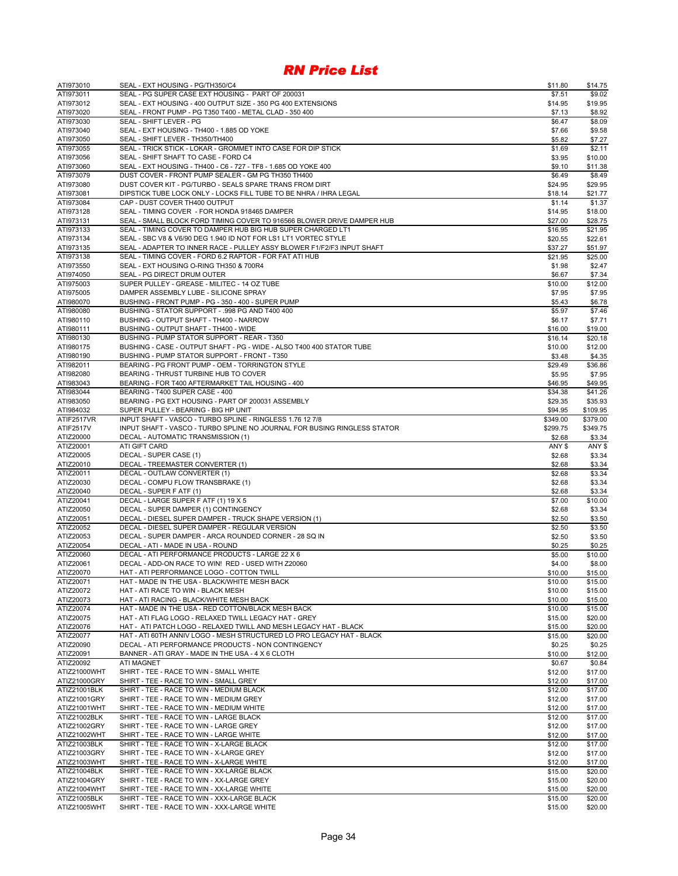| ATI973010                    | SEAL - EXT HOUSING - PG/TH350/C4                                                                                                      | \$11.80            | \$14.75            |
|------------------------------|---------------------------------------------------------------------------------------------------------------------------------------|--------------------|--------------------|
| ATI973011                    | SEAL - PG SUPER CASE EXT HOUSING - PART OF 200031                                                                                     | \$7.51             | \$9.02             |
| ATI973012                    | SEAL - EXT HOUSING - 400 OUTPUT SIZE - 350 PG 400 EXTENSIONS                                                                          | \$14.95            | \$19.95            |
| ATI973020                    | SEAL - FRONT PUMP - PG T350 T400 - METAL CLAD - 350 400                                                                               | \$7.13             | \$8.92             |
| ATI973030                    | SEAL - SHIFT LEVER - PG                                                                                                               | \$6.47             | \$8.09             |
| ATI973040                    | SEAL - EXT HOUSING - TH400 - 1.885 OD YOKE                                                                                            | \$7.66             | \$9.58             |
| ATI973050                    | SEAL - SHIFT LEVER - TH350/TH400                                                                                                      | \$5.82             | \$7.27             |
| ATI973055                    | SEAL - TRICK STICK - LOKAR - GROMMET INTO CASE FOR DIP STICK                                                                          | \$1.69             | \$2.11             |
| ATI973056                    | SEAL - SHIFT SHAFT TO CASE - FORD C4                                                                                                  | \$3.95             | \$10.00            |
| ATI973060                    | SEAL - EXT HOUSING - TH400 - C6 - 727 - TF8 - 1.685 OD YOKE 400                                                                       | \$9.10             | \$11.38            |
| ATI973079                    | DUST COVER - FRONT PUMP SEALER - GM PG TH350 TH400                                                                                    | \$6.49             | \$8.49             |
| ATI973080                    | DUST COVER KIT - PG/TURBO - SEALS SPARE TRANS FROM DIRT                                                                               | \$24.95            | \$29.95            |
| ATI973081<br>ATI973084       | DIPSTICK TUBE LOCK ONLY - LOCKS FILL TUBE TO BE NHRA / IHRA LEGAL<br>CAP - DUST COVER TH400 OUTPUT                                    | \$18.14            | \$21.77            |
|                              |                                                                                                                                       | \$1.14             | \$1.37             |
| ATI973128                    | SEAL - TIMING COVER - FOR HONDA 918465 DAMPER                                                                                         | \$14.95<br>\$27.00 | \$18.00            |
| ATI973131<br>ATI973133       | SEAL - SMALL BLOCK FORD TIMING COVER TO 916566 BLOWER DRIVE DAMPER HUB<br>SEAL - TIMING COVER TO DAMPER HUB BIG HUB SUPER CHARGED LT1 | \$16.95            | \$28.75<br>\$21.95 |
| ATI973134                    | SEAL - SBC V8 & V6/90 DEG 1.940 ID NOT FOR LS1 LT1 VORTEC STYLE                                                                       | \$20.55            | \$22.61            |
| ATI973135                    | SEAL - ADAPTER TO INNER RACE - PULLEY ASSY BLOWER F1/F2/F3 INPUT SHAFT                                                                | \$37.27            | \$51.97            |
| ATI973138                    | SEAL - TIMING COVER - FORD 6.2 RAPTOR - FOR FAT ATI HUB                                                                               | \$21.95            | \$25.00            |
| ATI973550                    | SEAL - EXT HOUSING O-RING TH350 & 700R4                                                                                               | \$1.98             | \$2.47             |
| ATI974050                    | SEAL - PG DIRECT DRUM OUTER                                                                                                           | \$6.67             | \$7.34             |
| ATI975003                    | SUPER PULLEY - GREASE - MILITEC - 14 OZ TUBE                                                                                          | \$10.00            | \$12.00            |
| ATI975005                    | DAMPER ASSEMBLY LUBE - SILICONE SPRAY                                                                                                 | \$7.95             | \$7.95             |
| ATI980070                    | BUSHING - FRONT PUMP - PG - 350 - 400 - SUPER PUMP                                                                                    | \$5.43             | \$6.78             |
| ATI980080                    | BUSHING - STATOR SUPPORT - .998 PG AND T400 400                                                                                       | \$5.97             | \$7.46             |
| ATI980110                    | BUSHING - OUTPUT SHAFT - TH400 - NARROW                                                                                               | \$6.17             | \$7.71             |
| ATI980111                    | BUSHING - OUTPUT SHAFT - TH400 - WIDE                                                                                                 | \$16.00            | \$19.00            |
| ATI980130                    | BUSHING - PUMP STATOR SUPPORT - REAR - T350                                                                                           | \$16.14            | \$20.18            |
| ATI980175                    | BUSHING - CASE - OUTPUT SHAFT - PG - WIDE - ALSO T400 400 STATOR TUBE                                                                 | \$10.00            | \$12.00            |
| ATI980190                    | BUSHING - PUMP STATOR SUPPORT - FRONT - T350                                                                                          | \$3.48             | \$4.35             |
| ATI982011                    | BEARING - PG FRONT PUMP - OEM - TORRINGTON STYLE                                                                                      | \$29.49            | \$36.86            |
| ATI982080                    | BEARING - THRUST TURBINE HUB TO COVER                                                                                                 | \$5.95             | \$7.95             |
| ATI983043                    | BEARING - FOR T400 AFTERMARKET TAIL HOUSING - 400                                                                                     | \$46.95            | \$49.95            |
| ATI983044                    | BEARING - T400 SUPER CASE - 400                                                                                                       | \$34.38            | \$41.26            |
| ATI983050                    | BEARING - PG EXT HOUSING - PART OF 200031 ASSEMBLY                                                                                    | \$29.35            | \$35.93            |
| ATI984032                    | SUPER PULLEY - BEARING - BIG HP UNIT                                                                                                  | \$94.95            | \$109.95           |
| ATIF2517VR                   | INPUT SHAFT - VASCO - TURBO SPLINE - RINGLESS 1.76 12 7/8                                                                             | \$349.00           | \$379.00           |
| ATIF2517V                    | INPUT SHAFT - VASCO - TURBO SPLINE NO JOURNAL FOR BUSING RINGLESS STATOR                                                              | \$299.75           | \$349.75           |
| ATIZ20000                    | DECAL - AUTOMATIC TRANSMISSION (1)                                                                                                    | \$2.68             | \$3.34             |
| ATIZ20001                    | ATI GIFT CARD                                                                                                                         | ANY \$             | ANY \$             |
|                              |                                                                                                                                       |                    |                    |
| ATIZ20005                    | DECAL - SUPER CASE (1)                                                                                                                | \$2.68             | \$3.34             |
| ATIZ20010                    | DECAL - TREEMASTER CONVERTER (1)                                                                                                      | \$2.68             | \$3.34             |
| ATIZ20011                    | DECAL - OUTLAW CONVERTER (1)                                                                                                          | \$2.68             | \$3.34             |
| ATIZ20030                    | DECAL - COMPU FLOW TRANSBRAKE (1)                                                                                                     | \$2.68             | \$3.34             |
| ATIZ20040                    | DECAL - SUPER F ATF (1)                                                                                                               | \$2.68             | \$3.34             |
| ATIZ20041                    | DECAL - LARGE SUPER F ATF (1) 19 X 5                                                                                                  | \$7.00             | \$10.00            |
| ATIZ20050                    | DECAL - SUPER DAMPER (1) CONTINGENCY                                                                                                  | \$2.68             | \$3.34             |
| ATIZ20051                    | DECAL - DIESEL SUPER DAMPER - TRUCK SHAPE VERSION (1)                                                                                 | \$2.50             | \$3.50             |
| ATIZ20052                    | DECAL - DIESEL SUPER DAMPER - REGULAR VERSION                                                                                         | \$2.50             | \$3.50             |
| ATIZ20053                    | DECAL - SUPER DAMPER - ARCA ROUNDED CORNER - 28 SQ IN                                                                                 | \$2.50             | \$3.50             |
| ATIZ20054                    | DECAL - ATI - MADE IN USA - ROUND                                                                                                     | \$0.25             | \$0.25             |
| ATIZ20060                    | DECAL - ATI PERFORMANCE PRODUCTS - LARGE 22 X 6                                                                                       | \$5.00             | \$10.00            |
| ATIZ20061                    | DECAL - ADD-ON RACE TO WIN! RED - USED WITH Z20060                                                                                    | \$4.00             | \$8.00             |
| ATIZ20070                    | HAT - ATI PERFORMANCE LOGO - COTTON TWILL                                                                                             | \$10.00            | \$15.00            |
| ATIZ20071                    | HAT - MADE IN THE USA - BLACK/WHITE MESH BACK                                                                                         | \$10.00            | \$15.00            |
| ATIZ20072                    | HAT - ATI RACE TO WIN - BLACK MESH                                                                                                    | \$10.00            | \$15.00            |
| ATIZ20073                    | HAT - ATI RACING - BLACK/WHITE MESH BACK                                                                                              | \$10.00            | \$15.00            |
| ATIZ20074                    | HAT - MADE IN THE USA - RED COTTON/BLACK MESH BACK                                                                                    | \$10.00            | \$15.00            |
| ATIZ20075                    | HAT - ATI FLAG LOGO - RELAXED TWILL LEGACY HAT - GREY                                                                                 | \$15.00            | \$20.00            |
| ATIZ20076                    | HAT - ATI PATCH LOGO - RELAXED TWILL AND MESH LEGACY HAT - BLACK                                                                      | \$15.00            | \$20.00            |
| ATIZ20077                    | HAT - ATI 60TH ANNIV LOGO - MESH STRUCTURED LO PRO LEGACY HAT - BLACK                                                                 | \$15.00            | \$20.00            |
| ATIZ20090                    | DECAL - ATI PERFORMANCE PRODUCTS - NON CONTINGENCY                                                                                    | \$0.25             | \$0.25             |
| ATIZ20091                    | BANNER - ATI GRAY - MADE IN THE USA - 4 X 6 CLOTH<br>ATI MAGNET                                                                       | \$10.00<br>\$0.67  | \$12.00            |
| ATIZ20092                    |                                                                                                                                       |                    | \$0.84             |
| ATIZ21000WHT                 | SHIRT - TEE - RACE TO WIN - SMALL WHITE<br>SHIRT - TEE - RACE TO WIN - SMALL GREY                                                     | \$12.00            | \$17.00            |
| ATIZ21000GRY                 |                                                                                                                                       | \$12.00            | \$17.00            |
| ATIZ21001BLK<br>ATIZ21001GRY | SHIRT - TEE - RACE TO WIN - MEDIUM BLACK<br>SHIRT - TEE - RACE TO WIN - MEDIUM GREY                                                   | \$12.00            | \$17.00            |
| ATIZ21001WHT                 | SHIRT - TEE - RACE TO WIN - MEDIUM WHITE                                                                                              | \$12.00<br>\$12.00 | \$17.00<br>\$17.00 |
| ATIZ21002BLK                 | SHIRT - TEE - RACE TO WIN - LARGE BLACK                                                                                               |                    |                    |
| ATIZ21002GRY                 | SHIRT - TEE - RACE TO WIN - LARGE GREY                                                                                                | \$12.00            | \$17.00            |
| ATIZ21002WHT                 | SHIRT - TEE - RACE TO WIN - LARGE WHITE                                                                                               | \$12.00            | \$17.00            |
| ATIZ21003BLK                 | SHIRT - TEE - RACE TO WIN - X-LARGE BLACK                                                                                             | \$12.00<br>\$12.00 | \$17.00<br>\$17.00 |
| ATIZ21003GRY                 | SHIRT - TEE - RACE TO WIN - X-LARGE GREY                                                                                              | \$12.00            | \$17.00            |
|                              |                                                                                                                                       |                    |                    |
| ATIZ21003WHT<br>ATIZ21004BLK | SHIRT - TEE - RACE TO WIN - X-LARGE WHITE<br>SHIRT - TEE - RACE TO WIN - XX-LARGE BLACK                                               | \$12.00            | \$17.00            |
| ATIZ21004GRY                 | SHIRT - TEE - RACE TO WIN - XX-LARGE GREY                                                                                             | \$15.00<br>\$15.00 | \$20.00<br>\$20.00 |
| ATIZ21004WHT                 | SHIRT - TEE - RACE TO WIN - XX-LARGE WHITE                                                                                            | \$15.00            | \$20.00            |
| ATIZ21005BLK                 | SHIRT - TEE - RACE TO WIN - XXX-LARGE BLACK                                                                                           | \$15.00            | \$20.00            |